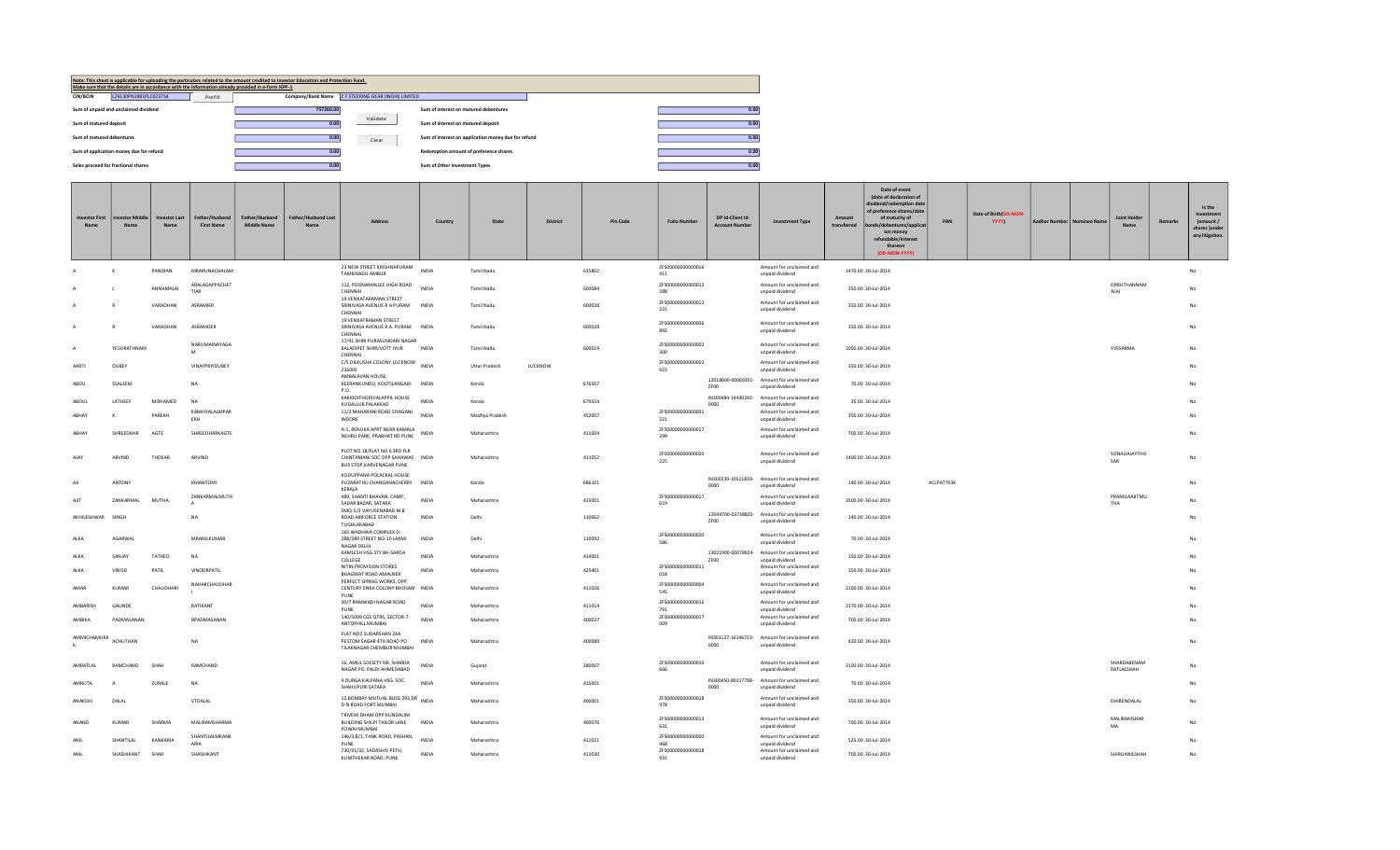

| <b>Investor First</b> | vestor Middle | <b>Investor Last</b> | Father/Husband<br><b>First Name</b> | Father/Husband<br><b>Middle Name</b> | <b>Father/Husband Last</b> | Address                                                                                       | Country      | State                | <b>District</b> | Pin Code | <b>Folio Number</b>                           | DP Id-Client Id-<br><b>Account Numb</b> | <b>Investment Type</b>                                                                     | Amount<br>transferred | Date of event<br>(date of declaration of<br>dividend/redemption dat<br>of preference shares/date<br>of maturity of<br>/debentures/applic<br>ion money<br>refundable/interest<br>thereon<br>(DD-MON-YYYY) | PAN        | Date of Birth(DD-MON-<br><b>YYYY)</b> | Aadhar Number   Nominee Name | <b>Joint Holder</b>            | <b>Remarks</b> | Is the<br>Investment<br>(amount /<br>shares lunder<br>any litigation. |
|-----------------------|---------------|----------------------|-------------------------------------|--------------------------------------|----------------------------|-----------------------------------------------------------------------------------------------|--------------|----------------------|-----------------|----------|-----------------------------------------------|-----------------------------------------|--------------------------------------------------------------------------------------------|-----------------------|----------------------------------------------------------------------------------------------------------------------------------------------------------------------------------------------------------|------------|---------------------------------------|------------------------------|--------------------------------|----------------|-----------------------------------------------------------------------|
|                       |               | PANDIAN              | MRARUNACHALAM                       |                                      |                            | 23 NEW STREET KRISHNAPURAM<br>TAMILNADU AMBUR                                                 | <b>INDIA</b> | Tamil Nadu           |                 | 635802   | ZFS00000000000016<br>411                      |                                         | Amount for unclaimed and<br>unpaid dividend                                                |                       | 1470.00 30-Jul-2014                                                                                                                                                                                      |            |                                       |                              |                                |                | No                                                                    |
|                       |               | ANNAMALAI            | ARALAGAPPACHET<br>TIAR              |                                      |                            | 112, POONAMALLEE HIGH ROAD<br>CHENNAI                                                         | <b>INDIA</b> | Tamil Nadu           |                 | 600084   | ZFS00000000000012<br>288                      |                                         | Amount for unclaimed and<br>unpaid dividend                                                |                       | 350.00 30-Jul-2014                                                                                                                                                                                       |            |                                       |                              | DRRUTHANNAM<br>ALAI            |                | No                                                                    |
|                       |               | VARADHAN             | ASRAMIER                            |                                      |                            | <b>19 VENKATARAMAN STREET</b><br>SRINIVASA AVENUE R A PURAM<br>CHENNAI                        | <b>INDIA</b> | Tamil Nadu           |                 | 600028   | ZES00000000000012<br>221                      |                                         | Amount for unclaimed and<br>unpaid dividend                                                |                       | 350.00 30-Jul-2014                                                                                                                                                                                       |            |                                       |                              |                                |                |                                                                       |
|                       |               | VARADHAN             | ASRAMOER                            |                                      |                            | <b>19 VENKATRAMAN STREET</b><br>SRINIVASA AVENUE R.A. PURAM INDIA<br>CHENNAI                  |              | Tamil Nadu           |                 | 600028   | ZFS00000000000006<br>892                      |                                         | Amount for unclaimed and<br>unpaid dividend                                                |                       | 350.00 30-Jul-2014                                                                                                                                                                                       |            |                                       |                              |                                |                |                                                                       |
|                       | YESURATHNAM   |                      | NARUMAINAYAGA<br>M                  |                                      |                            | 17/41 SHIRI PURASUNDARI NAGAR<br>KALADIPET SHIRUVOTT IYUR<br>CHENNAI                          | INDIA        | Tamil Nadu           |                 | 600019   | ZES00000000000002<br>300                      |                                         | Amount for unclaimed and<br>unpaid dividend                                                |                       | 1050.00 30-Jul-2014                                                                                                                                                                                      |            |                                       |                              | YVSSARMA                       |                | No                                                                    |
| AARTI                 | DUBEY         |                      | VINAYPRIYDUREY                      |                                      |                            | C/5 DILKUSHA COLONY LUCKNOW<br>226002                                                         | <b>INDIA</b> | <b>Uttar Pradesh</b> | LUCKNOW         |          | ZFS00000000000002<br>923                      |                                         | Amount for unclaimed and<br>unpaid dividend                                                |                       | 350.00 30-Jul-2014                                                                                                                                                                                       |            |                                       |                              |                                |                | N <sub>0</sub>                                                        |
| <b>ARDU</b>           | SSAIFFM       |                      | NA.                                 |                                      |                            | AMBALAVAN HOUSE,<br>KEERANKUNDU, KOOTILANGADI INDIA<br>P.O.                                   |              | Kerala               |                 | 676507   |                                               | ZF00                                    | 12018600-00069201- Amount for unclaimed and<br>unpaid dividend                             |                       | 70.00 30-Jul-2014                                                                                                                                                                                        |            |                                       |                              |                                |                |                                                                       |
| ABDUL                 | LATHEEF       | MOHAMED              | <b>NA</b><br>KANHIYAI AI MPAR       |                                      |                            | KAKKIDITHODIVALAPPIL HOUSE<br>KUDALLUR PALAKKAD<br>11/2 MAHARANI ROAD SIYAGANJ                | <b>INDIA</b> | Kerala               |                 | 679554   | ZES00000000000001                             | IN300484-14430242-<br>0000              | Amount for unclaimed and<br>unpaid dividend<br>Amount for unclaimed and                    |                       | 35.00 30-Jul-2014                                                                                                                                                                                        |            |                                       |                              |                                |                |                                                                       |
| ABHAY                 | K             | PAREKH               | EKH                                 |                                      |                            | INDORE                                                                                        | <b>INDIA</b> | Madhya Pradesh       |                 | 452007   | 221                                           |                                         | unpaid dividend                                                                            |                       | 350.00 30-Jul-2014                                                                                                                                                                                       |            |                                       |                              |                                |                |                                                                       |
| ARHAY                 | SHREEDHAR     | AGTE                 | SHREEDHARKAGTE                      |                                      |                            | A-1, RENUKA APRT NEAR KAMALA<br>NEHRU PARK, PRABHAT RD PUNE                                   | INDIA        | Maharashtra          |                 | 411004   | ZFS00000000000017<br>299                      |                                         | Amount for unclaimed and<br>unpaid dividend                                                |                       | 700.00 30-Jul-2014                                                                                                                                                                                       |            |                                       |                              |                                |                |                                                                       |
| AIA                   | ARVIND        | THOSAR               | ARVIND                              |                                      |                            | PLOT NO.18/FLAT NO 6 3RD FLR<br>CHINTAMANI SOC OPP SAHAWAS INDIA<br>BUS STOP, KARVENAGAR PUNE |              | Maharashtra          |                 | 411052   | ZFS00000000000020<br>225                      |                                         | Amount for unclaimed and<br>unpaid dividend                                                |                       | 1400.00 30-Jul-2014                                                                                                                                                                                      |            |                                       |                              | SONALIAJAYTHO<br>SAR           |                | No                                                                    |
|                       | ANTONY        |                      | KMANTONY                            |                                      |                            | KODUPPANA POLACKAL HOUSE<br>PUZARATHU CHANGANACHERRY INDIA<br>KERALA                          |              | Kerala               |                 | 686101   |                                               | 0000                                    | IN300239-10511839- Amount for unclaimed and<br>unpaid dividend                             |                       | 140.00 30-Jul-2014                                                                                                                                                                                       | ACLPA7703K |                                       |                              |                                |                |                                                                       |
| AIIT                  | ZANKARMAL     | MUTHA                | ZANKARMALMUTH                       |                                      |                            | 489, SHANTI BHAVAN, CAMP,<br>SADAR BAZAR, SATARA<br>SMQ-5/2 VAYUSENABAD M B                   | <b>INDIA</b> | Maharashtra          |                 | 415001   | ZFS00000000000017<br>619                      |                                         | Amount for unclaimed and<br>unpaid dividend                                                |                       | 3500.00 30-Jul-2014                                                                                                                                                                                      |            |                                       |                              | PRAMILAAJITMU<br>THA           |                | No                                                                    |
| AKHILESHWAR           | SINGH         |                      | NA.                                 |                                      |                            | ROAD AIRFORCE STATION<br>TUGHLAKABAD                                                          | <b>INDIA</b> | Delhi                |                 | 110062   |                                               | 12044700-03738820-<br>ZF00              | Amount for unclaimed and<br>unpaid dividend                                                |                       | 140.00 30-Jul-2014                                                                                                                                                                                       |            |                                       |                              |                                |                |                                                                       |
| <b>AIKA</b>           | AGARWAI       |                      | MRANILKUMAR                         |                                      |                            | 165 WADHWA COMPLEX D-<br>288/289 STREET NO-10 LAXMI<br>NAGAR DELHI                            | <b>INDIA</b> | Delhi                |                 | 110092   | ZFS00000000000020<br>586                      |                                         | Amount for unclaimed and<br>unpaid dividend                                                |                       | 70.00 30-Jul-2014                                                                                                                                                                                        |            |                                       |                              |                                |                |                                                                       |
| ALKA                  | SANJAY        | TATHED               | NA                                  |                                      |                            | KAMLESH HSG STY BH-SARDA<br>COLLEGE<br>NITIN PROVISION STORES                                 | <b>INDIA</b> | Maharashtra          |                 | 414001   | ZFS00000000000011                             | <b>7F00</b>                             | 13021900-00078924- Amount for unclaimed and<br>unpaid dividend<br>Amount for unclaimed and |                       | 350.00 30-Jul-2014                                                                                                                                                                                       |            |                                       |                              |                                |                |                                                                       |
| ALKA                  | VINOD         | PATIL                | <b>VINODRPATIL</b>                  |                                      |                            | BHAGWAT ROAD AMALNER<br>PERFECT SPRING WORKS, OPP.                                            | <b>INDIA</b> | Maharashtra          |                 | 425401   | 018                                           |                                         | unpaid dividend                                                                            |                       | 350.00 30-Jul-2014                                                                                                                                                                                       |            |                                       |                              |                                |                |                                                                       |
| AMAR                  | <b>KUMAR</b>  | CHAUDHARI            | NAHARCHAUDHAR                       |                                      |                            | CENTURY ENKA COLONY BHOSARI INDIA<br>PUNE                                                     |              | Maharashtra          |                 | 411026   | ZFS00000000000004<br>545                      |                                         | Amount for unclaimed and<br>unpaid dividend                                                |                       | 2100.00 30-Jul-2014                                                                                                                                                                                      |            |                                       |                              |                                |                |                                                                       |
| AMBARISH              | GALINDE       |                      | RATIKANT                            |                                      |                            | 30/7 RAMWADI NAGAR ROAD<br>PUNE<br>140/5099 CGS QTRS, SECTOR-7                                | <b>INDIA</b> | Maharashtra          |                 | 411014   | ZFS00000000000016<br>791<br>ZFS00000000000017 |                                         | Amount for unclaimed and<br>unpaid dividend<br>Amount for unclaimed and                    |                       | 2170.00 30-Jul-2014                                                                                                                                                                                      |            |                                       |                              |                                |                |                                                                       |
| AMBIKA                | PADMASANAN    |                      | RPADMASANAN                         |                                      |                            | ANTOPHILL MUMBAI                                                                              | <b>INDIA</b> | Maharashtra          |                 | 400037   | 009                                           |                                         | unpaid dividend                                                                            |                       | 700.00 30-Jul-2014                                                                                                                                                                                       |            |                                       |                              |                                |                |                                                                       |
| AMMICHAMUKK           | ACHUTHAN      |                      | <b>NA</b>                           |                                      |                            | FLAT NO2 SUDARSHAN 24A<br>PESTOM SAGAR 4TH ROAD PO<br>TILAKNAGAR CHEMBUR MUMBAI               | <b>INDIA</b> | Maharashtra          |                 | 400089   |                                               | 0000                                    | IN301127-16146723- Amount for unclaimed and<br>unpaid dividend                             |                       | 420.00 30-Jul-2014                                                                                                                                                                                       |            |                                       |                              |                                |                |                                                                       |
| AMRATLAL              | RAMCHAND      | SHAF                 | RAMCHAND                            |                                      |                            | 16, AMUL SOCIETY NR. SHARDA<br>NAGAR PO. PALDI AHMEDABAD                                      | <b>INDIA</b> | Gujarat              |                 | 380007   | ZFS00000000000010<br>666                      |                                         | Amount for unclaimed and<br>unpaid dividend                                                |                       | 2100.00 30-Jul-2014                                                                                                                                                                                      |            |                                       |                              | SHARDABENAM<br>RATLALSHAH      |                | N <sub>c</sub>                                                        |
| AMRUTA                |               | ZURALE               | NA                                  |                                      |                            | 9 DURGA KALPANA HSG. SOC.<br>SHAHUPURI SATARA                                                 | INDIA        | Maharashtra          |                 | 415001   |                                               | IN300450-80117798-<br>0000              | Amount for unclaimed and<br>unpaid dividend                                                |                       | 70.00 30-Jul-2014                                                                                                                                                                                        |            |                                       |                              |                                |                |                                                                       |
| ANAKSHI               | DALAL         |                      | VTDALAL                             |                                      |                            | 12.BOMBAY MUTUAL BLDG 293,DR<br>D N ROAD FORT MUMBAI                                          | <b>INDIA</b> | Maharashtra          |                 | 400001   | ZFS00000000000018<br>978                      |                                         | Amount for unclaimed and<br>unpaid dividend                                                |                       | 350.00 30-Jul-2014                                                                                                                                                                                       |            |                                       |                              | DHIRENDALAL                    |                | No                                                                    |
| ANAND                 | KUMAR         | SHARMA               | MALIRAMSHARMA                       |                                      |                            | TRIVENI DHAM OPP KUNDALINI<br>BUILDING SHILPI TAILOR LANE<br>POWAI MUMBAI                     | <b>INDIA</b> | Maharashtra          |                 | 400076   | 7ES00000000000013<br>631                      |                                         | Amount for unclaimed and<br>unpaid dividend                                                |                       | 700.00 30-Jul-2014                                                                                                                                                                                       |            |                                       |                              | <b>MAURAMSHAR</b><br><b>MA</b> |                |                                                                       |
|                       | SHANTILAL     | KANKARIA             | SHANTILALMKANK<br>ARIA              |                                      |                            | 146/3, B/1, TANK ROAD, PASHAN,<br>PUNE                                                        | <b>INDIA</b> | Maharashtra          |                 | 411021   | ZFS00000000000000<br>468                      |                                         | Amount for unclaimed and<br>unpaid dividend                                                |                       | 525.00 30-Jul-2014                                                                                                                                                                                       |            |                                       |                              |                                |                |                                                                       |
| ANII                  | SHASHIKANT    | SHAH                 | SHASHIKANT                          |                                      |                            | 730/31/32, SADASHIV PETH,<br>KUMTHEKAR ROAD, PUNE                                             | <b>INDIA</b> | Maharashtra          |                 | 411030   | ZFS00000000000018<br>931                      |                                         | Amount for unclaimed and<br>unpaid dividend                                                |                       | 700.00 30-Jul-2014                                                                                                                                                                                       |            |                                       |                              | SHIRUANILSHAH                  |                | No                                                                    |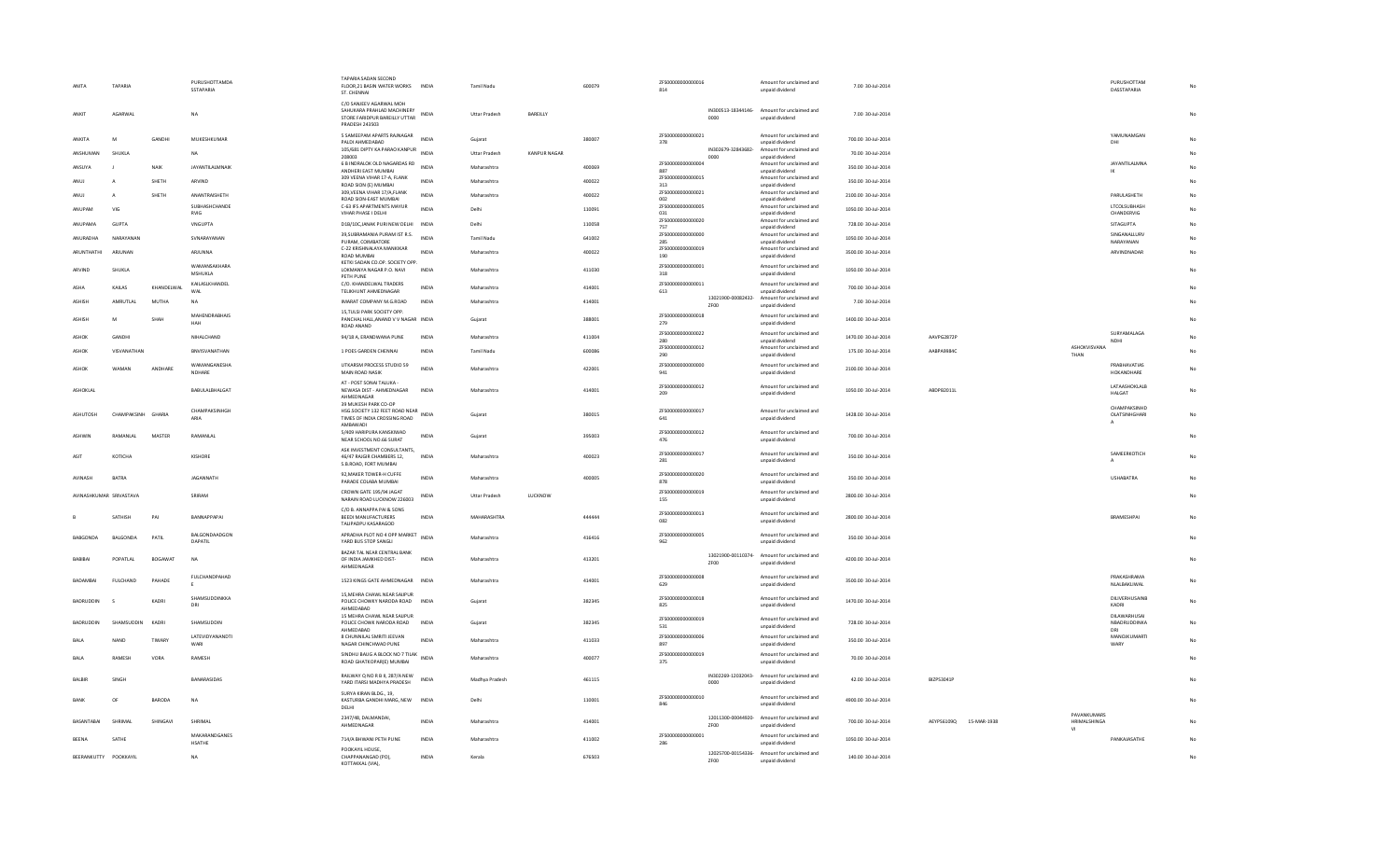| C/O SANJEEV AGARWAL MOH<br>IN300513-18344146- Amount for unclaimed and<br>SAHLIKARA PRAHLAD MACHINERY<br>AGARWAL<br><b>NA</b><br>STORE FARIDPUR BAREILLY UTTAR INDIA<br>Uttar Pradesh<br>BAREILLY<br>7.00 30-Jul-2014<br>ANKIT<br>0000<br>unpaid dividend<br><b>PRADESH 243503</b><br>5 SAMEEPAM APARTS RAJNAGAR<br>ZFS00000000000021<br>Amount for unclaimed and<br><b>INDIA</b><br>ANKITA<br>M<br>GANDHI<br>MUKESHKUMAR<br>Gujarat<br>380007<br>700.00 30-Jul-2014<br>PALDI AHMEDABAD<br>unpaid dividend<br>378<br>105/681 DIPTY KA PARAO KANPUR<br>IN302679-32843682- Amount for unclaimed and<br>ANSHUMAN<br>SHUKLA<br>INDIA<br><b>Uttar Pradesh</b><br>KANPUR NAGAR<br>70.00 30-Jul-2014<br><b>NA</b><br>208003<br>0000<br>unpaid dividend<br>ZFS00000000000004<br>6 B INDRALOK OLD NAGARDAS RD INDIA<br>Amount for unclaimed and<br>ANSUYA<br>NAIK<br>JAYANTILALMNAIK<br>Maharashtra<br>400069<br>350.00 30-Jul-2014<br>ANDHERI EAST MUMBAI<br>887<br>unpaid dividend<br>309 VEENA VIHAR 17-A, FLANK<br>ZES00000000000015<br>Amount for unclaimed and<br>SHETH<br>400022<br>350.00 30-Jul-2014<br>ANUJ<br>ARVIND<br><b>INDIA</b><br>Maharashtra<br>ROAD SION (E) MUMBAI<br>313<br>unnaid dividend<br>309, VEENA VIHAR 17/A, FLANK<br>ZFS00000000000021<br>Amount for unclaimed and<br>SHETH<br>ANANTRAISHETH<br><b>INDIA</b><br>400022<br>2100.00 30-Jul-2014<br>Maharashtra<br>ANUJ<br>$\mathbf{A}$<br>ROAD SION-EAST MUMBAL<br>002<br>unpaid dividend<br>SUBHASHCHANDE<br>C-63 IFS APARTMENTS MAYUR<br>ZFS00000000000005<br>Amount for unclaimed and<br><b>INDIA</b><br>1050.00 30-Jul-2014<br>VIG<br>110091<br>ANUPAM<br>Delhi<br>VIHAR PHASE I DELHI<br>unpaid dividend<br><b>RVIG</b><br>031<br>ZFS00000000000020<br>Amount for unclaimed and<br>110058<br>728.00 30-Jul-2014<br>ANUPAMA<br><b>GUPTA</b><br>VNGUPTA<br>D1B/10C, JANAK PURI NEW DELHI INDIA<br>Delhi<br>757<br>unpaid dividend<br>39, SUBRAMANIA PURAM IST R.S.<br>ZFS00000000000000<br>Amount for unclaimed and<br><b>INDIA</b><br>ANURADHA<br>NARAYANAN<br>SVNARAYANAN<br>Tamil Nadu<br>641002<br>1050.00 30-Jul-2014<br>PURAM, COIMBATORE<br>unpaid dividend<br>285<br>ZFS00000000000019<br>C-22 KRISHNALAYA MANKIKAR<br>Amount for unclaimed and<br><b>ARUNTHATHI</b><br>ARIUNAN<br>ARJUNNA<br><b>INDIA</b><br>Maharashtra<br>400022<br>3500.00 30-Jul-2014<br>ROAD MUMBAI<br>unpaid dividend<br>190<br>KETKI SADAN CO.OP. SOCIETY OPP<br>WAMANSAKHARA<br>ZFS00000000000001<br>Amount for unclaimed and<br>411030<br>1050.00 30-Jul-2014<br>SHUKLA<br>LOKMANYA NAGAR P.O. NAVI<br><b>INDIA</b><br>Maharashtra<br>ARVIND<br>MSHUKLA<br>318<br>unpaid dividend<br>PFTH PUNE<br>C/O. KHANDELWAL TRADERS<br>ZFS00000000000011<br>KAILASLKHANDEL<br>Amount for unclaimed and<br>KHANDELWAL<br>INDIA<br>414001<br>700.00 30-Jul-2014<br>ASHA<br>KAILAS<br>Maharashtra<br>WAI<br>TELIKHUNT AHMEDNAGAR<br>613<br>unpaid dividend<br>13021900-00082432- Amount for unclaimed and<br>AMRUTLAL<br>MUTHA<br><b>NA</b><br>IMARAT COMPANY M.G.ROAD<br><b>INDIA</b><br>414001<br>7.00 30-Jul-2014<br>ASHISH<br>Maharashtra<br>unpaid dividend<br>ZF00<br>15, TULSI PARK SOCIETY OPP.<br>ZFS00000000000018<br><b>MAHENDRABHAIS</b><br>Amount for unclaimed and<br>ASHISH<br>SHAH<br>PANCHAL HALL, ANAND V V NAGAR INDIA<br>388001<br>1400.00 30-Jul-2014<br>M<br>Gujarat<br>HAH<br>279<br>unpaid dividend<br>ROAD ANAND<br>ZFS00000000000022<br>Amount for unclaimed and<br>94/18 A, ERANDWANA PUNE<br>411004<br>1470.00 30-Jul-2014<br>AAVPG2872P<br>ASHOK<br>GANDHI<br>NIHALCHAND<br><b>INDIA</b><br>Maharashtra<br>unpaid dividend<br>280<br>ZFS00000000000012<br>Amount for unclaimed and<br>ASHOK<br>VISVANATHAN<br>RNVISVANATHAN<br>1 POES GARDEN CHENNAL<br><b>INDIA</b><br>Tamil Nadu<br>600086<br>175.00 30-Jul-2014<br>AARPA99840<br>unpaid dividend<br>290<br>WAMANGANESHA<br>UTKARSM PROCESS STUDIO 59<br>ZFS00000000000000<br>Amount for unclaimed and<br><b>INDIA</b><br>422001<br>2100.00 30-Jul-2014<br>WAMAN<br>ANDHARE<br>Maharashtra<br>ASHOK<br>NDHARE<br>MAIN ROAD NASIK<br>unpaid dividend<br>941<br>AT - POST SONAI TALUKA -<br>ZFS00000000000012<br>Amount for unclaimed and<br>414001<br>ABDPB2011L<br>ASHOKLAL<br>BABULALBHALGAT<br>NEWASA DIST - AHMEDNAGAR<br><b>INDIA</b><br>Maharashtra<br>1050.00 30-Jul-2014<br>209<br>unpaid dividend<br>AHMEDNAGAR<br>39 MUKESH PARK CO-OP<br>CHAMPAKSINHGH<br>HSG.SOCIETY 132 FEET ROAD NEAR INDIA<br>ZFS00000000000017<br>Amount for unclaimed and<br>ASHUTOSH<br>CHAMPAKSINH GHARIA<br>380015<br>1428.00 30-Jul-2014<br>Gujarat<br>ARIA<br>TIMES OF INDIA CROSSING ROAD<br>unpaid dividend<br>641<br>AMBAWADI<br>5/409 HARIPURA KANSKIWAD<br>ZFS00000000000012<br>Amount for unclaimed and<br><b>INDIA</b><br>RAMANLAL<br>MASTER<br>RAMANLAL<br>395003<br>700.00 30-Jul-2014<br>ASHWIN<br>Guiarat<br>NEAR SCHOOL NO.66 SURAT<br>476<br>unpaid dividend<br>ASK INVESTMENT CONSULTANTS.<br>ZFS00000000000017<br>Amount for unclaimed and<br>ASIT<br>КОТІСНА<br>KISHORE<br>46/47 RAIGIR CHAMBERS 12,<br><b>INDIA</b><br>Maharashtra<br>400023<br>350.00 30-Jul-2014<br>unpaid dividend<br>281<br>S.B.ROAD, FORT MUMBAI<br>92. MAKER TOWER-H CUFFE<br>ZFS00000000000020<br>Amount for unclaimed and<br><b>AVINASH</b><br><b>RATRA</b><br><b>IAGANNATH</b><br><b>INDIA</b><br>Maharashtra<br>400005<br>350.00 30-Jul-2014<br>PARADE COLABA MUMBAI<br>unpaid dividend<br>878<br>CROWN GATE 195/94 JAGAT<br>7ES00000000000019<br>Amount for unclaimed and<br>AVINASHKUMAR SRIVASTAVA<br><b>INDIA</b><br>LUCKNOW<br>2800.00 30-Jul-2014<br>SRIRAM<br><b>Uttar Pradesh</b><br>NARAIN ROAD LUCKNOW 226003<br>unpaid dividend<br>155<br>C/O B. ANNAPPA PAI & SONS<br>ZFS00000000000013<br>Amount for unclaimed and<br>PAI<br>SATHISH<br>RANNAPPAPAL<br><b>REEDI MANUFACTURERS</b><br><b>INDIA</b><br>MAHARASHTRA<br>444444<br>2800.00 30-Jul-2014<br>082<br>unpaid dividend<br>TALIPADPU KASARAGOD<br>APRADHA PLOT NO 4 OPP MARKET INDIA<br>BALGONDAADGON<br>ZFS00000000000005<br>Amount for unclaimed and<br><b>BARGONDA</b><br><b>BALGONDA</b><br>PATIL<br>Maharashtra<br>416416<br>350.00 30-1:1-2014<br>DAPATIL<br>YARD BUS STOP SANGLI<br>unpaid dividend<br>962<br>BAZAR TAL NEAR CENTRAL BANK<br>13021900-00110374- Amount for unclaimed and<br>BABIBAI<br>POPATLAL<br>BOGAWAT<br>OF INDIA JAMKHED DIST-<br><b>INDIA</b><br>Maharashtra<br>413201<br>4200.00 30-Jul-2014<br><b>NA</b><br>ZF00<br>unpaid dividend<br>AHMEDNAGAR<br><b>FULCHANDPAHAD</b><br>7ES000000000000008<br>Amount for unclaimed and<br><b>BADAMBA</b><br>FULCHAND<br>PAHADE<br>1523 KINGS GATE AHMEDNAGAR INDIA<br>Maharashtra<br>414001<br>3500.00 30-Jul-2014<br>629<br>unpaid dividend<br>15, MEHRA CHAWL NEAR SAUPUR<br>SHAMSUDDINKKA<br>ZFS00000000000018<br>Amount for unclaimed and<br>BADRUDDIN<br>KADRI<br>POLICE CHOWKY NARODA ROAD INDIA<br>382345<br>1470.00 30-Jul-2014<br>Gujarat<br>825<br>unpaid dividend<br>DRI<br>AHMEDABAD<br>15 MEHRA CHAWL NEAR SAUPUR<br>ZFS00000000000019<br>Amount for unclaimed and<br>728.00 30-Jul-2014<br><b>BADRUDDIN</b><br>SHAMSUDDIN<br>SHAMSUDDIN<br>POLICE CHOWK NARODA ROAD<br>INDIA<br>382345<br>KADRI<br>Guiarat<br>531<br>unpaid dividend<br>AHMEDABAD<br>ZFS00000000000006<br>LATEVIDYANANDTI<br>8 CHUNNILAL SMRITI JEEVAN<br>Amount for unclaimed and<br>NAND<br>TIWAR <sup>*</sup><br><b>INDIA</b><br>Maharashtra<br>411033<br>350.00 30-Jul-2014<br><b>BALA</b><br>WARI<br>NAGAR CHINCHWAD PUNE<br>897<br>unpaid dividend<br>SINDHU BAUG A BLOCK NO 7 TILAK INDIA<br>ZFS00000000000019<br>Amount for unclaimed and<br>RAMESH<br>VORA<br>RAMESH<br>Maharashtra<br>400077<br>70.00 30-Jul-2014<br>BALA<br>ROAD GHATKOPAR(E) MUMBAI<br>unpaid dividend<br>375<br>RAILWAY Q NO R B II, 287/A NEW<br>IN302269-12032043- Amount for unclaimed and<br>BALBIR<br><b>SINGH</b><br><b>BANARASIDAS</b><br><b>INDIA</b><br>Madhya Pradesh<br>461115<br>42.00 30-Jul-2014<br><b>BIZPS3041P</b><br>YARD ITARSI MADHYA PRADESH<br>0000<br>unpaid dividend<br>SURYA KIRAN BLDG., 19,<br>ZFS00000000000010<br>Amount for unclaimed and<br>BARODA<br>BANK<br>OF<br><b>NA</b><br>KASTURBA GANDHI MARG, NEW<br><b>INDIA</b><br>Delhi<br>110001<br>4900.00 30-Jul-2014<br>846<br>unpaid dividend<br>DELHI<br>2347/48, DALMANDAI.<br>12011300-00044920- Amount for unclaimed and<br>414001<br>SHINGAVI<br><b>INDIA</b><br>700.00 30-Jul-2014<br>BASANTABAI<br>SHRIMAL<br>SHRIMAL<br>AEYPS6109Q 15-MAR-1938<br>Maharashtra<br>AHMEDNAGAR<br>unpaid dividend<br>ZF00<br>MAKARANDGANES<br>ZFS00000000000001<br>Amount for unclaimed and<br>SATHE<br>411002<br>1050.00 30-Jul-2014<br><b>BEENA</b><br>714/A BHWANI PETH PUNE<br>INDIA<br>Maharashtra<br>HSATHE<br>286<br>unpaid dividend<br>POOKAYIL HOUSE.<br>12025700-00154336- Amount for unclaimed and<br>BEERANKUTTY POOKKAYIL | ANITA | <b>TAPARIA</b> | PURUSHOTTAMDA<br>SSTAPARIA | TAPARIA SADAN SECOND<br>FLOOR, 21 BASIN WATER WORKS INDIA<br>ST. CHENNAI |              | Tamil Nadu | 600079 | ZFS00000000000016<br>814 |      | Amount for unclaimed and<br>unpaid dividend | 7.00 30-Jul-2014   |  |                                   | PURUSHOTTAM<br>DASSTAPARIA                    |    |
|-------------------------------------------------------------------------------------------------------------------------------------------------------------------------------------------------------------------------------------------------------------------------------------------------------------------------------------------------------------------------------------------------------------------------------------------------------------------------------------------------------------------------------------------------------------------------------------------------------------------------------------------------------------------------------------------------------------------------------------------------------------------------------------------------------------------------------------------------------------------------------------------------------------------------------------------------------------------------------------------------------------------------------------------------------------------------------------------------------------------------------------------------------------------------------------------------------------------------------------------------------------------------------------------------------------------------------------------------------------------------------------------------------------------------------------------------------------------------------------------------------------------------------------------------------------------------------------------------------------------------------------------------------------------------------------------------------------------------------------------------------------------------------------------------------------------------------------------------------------------------------------------------------------------------------------------------------------------------------------------------------------------------------------------------------------------------------------------------------------------------------------------------------------------------------------------------------------------------------------------------------------------------------------------------------------------------------------------------------------------------------------------------------------------------------------------------------------------------------------------------------------------------------------------------------------------------------------------------------------------------------------------------------------------------------------------------------------------------------------------------------------------------------------------------------------------------------------------------------------------------------------------------------------------------------------------------------------------------------------------------------------------------------------------------------------------------------------------------------------------------------------------------------------------------------------------------------------------------------------------------------------------------------------------------------------------------------------------------------------------------------------------------------------------------------------------------------------------------------------------------------------------------------------------------------------------------------------------------------------------------------------------------------------------------------------------------------------------------------------------------------------------------------------------------------------------------------------------------------------------------------------------------------------------------------------------------------------------------------------------------------------------------------------------------------------------------------------------------------------------------------------------------------------------------------------------------------------------------------------------------------------------------------------------------------------------------------------------------------------------------------------------------------------------------------------------------------------------------------------------------------------------------------------------------------------------------------------------------------------------------------------------------------------------------------------------------------------------------------------------------------------------------------------------------------------------------------------------------------------------------------------------------------------------------------------------------------------------------------------------------------------------------------------------------------------------------------------------------------------------------------------------------------------------------------------------------------------------------------------------------------------------------------------------------------------------------------------------------------------------------------------------------------------------------------------------------------------------------------------------------------------------------------------------------------------------------------------------------------------------------------------------------------------------------------------------------------------------------------------------------------------------------------------------------------------------------------------------------------------------------------------------------------------------------------------------------------------------------------------------------------------------------------------------------------------------------------------------------------------------------------------------------------------------------------------------------------------------------------------------------------------------------------------------------------------------------------------------------------------------------------------------------------------------------------------------------------------------------------------------------------------------------------------------------------------------------------------------------------------------------------------------------------------------------------------------------------------------------------------------------------------------------------------------------------------------------------------------------------------------------------------------------------------------------------------------------------------------------------------------------------------------------------------------------------------------------------------------------------------------------------------------------------------------------------------------------------------------------------------------------------------------------------------------------------------------------------------------------------------------------------------------------------------------------------------------------------------------------------------------------------------------------------------------------------------------------------------------------------------------------------------------------------------------------------------------------------------------------------------------------------------------------------------------------------------------------------------------------------------------------------------------------------------------------------------------------------------------------------------------------------------------------------------------------------------------------------------------------------------------------------------------------------------------------------------------------------------------------------------------------------------------------------------------------------------------------------------------------------------------------------------------------------------------------------------------------------------------------------------------------------------------------------------------------------------------------------------------------------------------------------------------------------------------------------------------------------------------------------------------------------------------------------------------------------------------------|-------|----------------|----------------------------|--------------------------------------------------------------------------|--------------|------------|--------|--------------------------|------|---------------------------------------------|--------------------|--|-----------------------------------|-----------------------------------------------|----|
|                                                                                                                                                                                                                                                                                                                                                                                                                                                                                                                                                                                                                                                                                                                                                                                                                                                                                                                                                                                                                                                                                                                                                                                                                                                                                                                                                                                                                                                                                                                                                                                                                                                                                                                                                                                                                                                                                                                                                                                                                                                                                                                                                                                                                                                                                                                                                                                                                                                                                                                                                                                                                                                                                                                                                                                                                                                                                                                                                                                                                                                                                                                                                                                                                                                                                                                                                                                                                                                                                                                                                                                                                                                                                                                                                                                                                                                                                                                                                                                                                                                                                                                                                                                                                                                                                                                                                                                                                                                                                                                                                                                                                                                                                                                                                                                                                                                                                                                                                                                                                                                                                                                                                                                                                                                                                                                                                                                                                                                                                                                                                                                                                                                                                                                                                                                                                                                                                                                                                                                                                                                                                                                                                                                                                                                                                                                                                                                                                                                                                                                                                                                                                                                                                                                                                                                                                                                                                                                                                                                                                                                                                                                                                                                                                                                                                                                                                                                                                                                                                                                                                                                                                                                                                                                                                                                                                                                                                                                                                                                                                                                                                                                                                                                                                                                                                                                                                                                                                                                                                                                                                                                                                                                                                                                                                                                                                         |       |                |                            |                                                                          |              |            |        |                          |      |                                             |                    |  |                                   |                                               | No |
|                                                                                                                                                                                                                                                                                                                                                                                                                                                                                                                                                                                                                                                                                                                                                                                                                                                                                                                                                                                                                                                                                                                                                                                                                                                                                                                                                                                                                                                                                                                                                                                                                                                                                                                                                                                                                                                                                                                                                                                                                                                                                                                                                                                                                                                                                                                                                                                                                                                                                                                                                                                                                                                                                                                                                                                                                                                                                                                                                                                                                                                                                                                                                                                                                                                                                                                                                                                                                                                                                                                                                                                                                                                                                                                                                                                                                                                                                                                                                                                                                                                                                                                                                                                                                                                                                                                                                                                                                                                                                                                                                                                                                                                                                                                                                                                                                                                                                                                                                                                                                                                                                                                                                                                                                                                                                                                                                                                                                                                                                                                                                                                                                                                                                                                                                                                                                                                                                                                                                                                                                                                                                                                                                                                                                                                                                                                                                                                                                                                                                                                                                                                                                                                                                                                                                                                                                                                                                                                                                                                                                                                                                                                                                                                                                                                                                                                                                                                                                                                                                                                                                                                                                                                                                                                                                                                                                                                                                                                                                                                                                                                                                                                                                                                                                                                                                                                                                                                                                                                                                                                                                                                                                                                                                                                                                                                                                         |       |                |                            |                                                                          |              |            |        |                          |      |                                             |                    |  |                                   | YAMUNAMGAN<br>DHI                             | No |
|                                                                                                                                                                                                                                                                                                                                                                                                                                                                                                                                                                                                                                                                                                                                                                                                                                                                                                                                                                                                                                                                                                                                                                                                                                                                                                                                                                                                                                                                                                                                                                                                                                                                                                                                                                                                                                                                                                                                                                                                                                                                                                                                                                                                                                                                                                                                                                                                                                                                                                                                                                                                                                                                                                                                                                                                                                                                                                                                                                                                                                                                                                                                                                                                                                                                                                                                                                                                                                                                                                                                                                                                                                                                                                                                                                                                                                                                                                                                                                                                                                                                                                                                                                                                                                                                                                                                                                                                                                                                                                                                                                                                                                                                                                                                                                                                                                                                                                                                                                                                                                                                                                                                                                                                                                                                                                                                                                                                                                                                                                                                                                                                                                                                                                                                                                                                                                                                                                                                                                                                                                                                                                                                                                                                                                                                                                                                                                                                                                                                                                                                                                                                                                                                                                                                                                                                                                                                                                                                                                                                                                                                                                                                                                                                                                                                                                                                                                                                                                                                                                                                                                                                                                                                                                                                                                                                                                                                                                                                                                                                                                                                                                                                                                                                                                                                                                                                                                                                                                                                                                                                                                                                                                                                                                                                                                                                                         |       |                |                            |                                                                          |              |            |        |                          |      |                                             |                    |  |                                   |                                               | No |
|                                                                                                                                                                                                                                                                                                                                                                                                                                                                                                                                                                                                                                                                                                                                                                                                                                                                                                                                                                                                                                                                                                                                                                                                                                                                                                                                                                                                                                                                                                                                                                                                                                                                                                                                                                                                                                                                                                                                                                                                                                                                                                                                                                                                                                                                                                                                                                                                                                                                                                                                                                                                                                                                                                                                                                                                                                                                                                                                                                                                                                                                                                                                                                                                                                                                                                                                                                                                                                                                                                                                                                                                                                                                                                                                                                                                                                                                                                                                                                                                                                                                                                                                                                                                                                                                                                                                                                                                                                                                                                                                                                                                                                                                                                                                                                                                                                                                                                                                                                                                                                                                                                                                                                                                                                                                                                                                                                                                                                                                                                                                                                                                                                                                                                                                                                                                                                                                                                                                                                                                                                                                                                                                                                                                                                                                                                                                                                                                                                                                                                                                                                                                                                                                                                                                                                                                                                                                                                                                                                                                                                                                                                                                                                                                                                                                                                                                                                                                                                                                                                                                                                                                                                                                                                                                                                                                                                                                                                                                                                                                                                                                                                                                                                                                                                                                                                                                                                                                                                                                                                                                                                                                                                                                                                                                                                                                                         |       |                |                            |                                                                          |              |            |        |                          |      |                                             |                    |  |                                   | <b>JAYANTILALMNA</b><br>IK                    | No |
|                                                                                                                                                                                                                                                                                                                                                                                                                                                                                                                                                                                                                                                                                                                                                                                                                                                                                                                                                                                                                                                                                                                                                                                                                                                                                                                                                                                                                                                                                                                                                                                                                                                                                                                                                                                                                                                                                                                                                                                                                                                                                                                                                                                                                                                                                                                                                                                                                                                                                                                                                                                                                                                                                                                                                                                                                                                                                                                                                                                                                                                                                                                                                                                                                                                                                                                                                                                                                                                                                                                                                                                                                                                                                                                                                                                                                                                                                                                                                                                                                                                                                                                                                                                                                                                                                                                                                                                                                                                                                                                                                                                                                                                                                                                                                                                                                                                                                                                                                                                                                                                                                                                                                                                                                                                                                                                                                                                                                                                                                                                                                                                                                                                                                                                                                                                                                                                                                                                                                                                                                                                                                                                                                                                                                                                                                                                                                                                                                                                                                                                                                                                                                                                                                                                                                                                                                                                                                                                                                                                                                                                                                                                                                                                                                                                                                                                                                                                                                                                                                                                                                                                                                                                                                                                                                                                                                                                                                                                                                                                                                                                                                                                                                                                                                                                                                                                                                                                                                                                                                                                                                                                                                                                                                                                                                                                                                         |       |                |                            |                                                                          |              |            |        |                          |      |                                             |                    |  |                                   |                                               | No |
|                                                                                                                                                                                                                                                                                                                                                                                                                                                                                                                                                                                                                                                                                                                                                                                                                                                                                                                                                                                                                                                                                                                                                                                                                                                                                                                                                                                                                                                                                                                                                                                                                                                                                                                                                                                                                                                                                                                                                                                                                                                                                                                                                                                                                                                                                                                                                                                                                                                                                                                                                                                                                                                                                                                                                                                                                                                                                                                                                                                                                                                                                                                                                                                                                                                                                                                                                                                                                                                                                                                                                                                                                                                                                                                                                                                                                                                                                                                                                                                                                                                                                                                                                                                                                                                                                                                                                                                                                                                                                                                                                                                                                                                                                                                                                                                                                                                                                                                                                                                                                                                                                                                                                                                                                                                                                                                                                                                                                                                                                                                                                                                                                                                                                                                                                                                                                                                                                                                                                                                                                                                                                                                                                                                                                                                                                                                                                                                                                                                                                                                                                                                                                                                                                                                                                                                                                                                                                                                                                                                                                                                                                                                                                                                                                                                                                                                                                                                                                                                                                                                                                                                                                                                                                                                                                                                                                                                                                                                                                                                                                                                                                                                                                                                                                                                                                                                                                                                                                                                                                                                                                                                                                                                                                                                                                                                                                         |       |                |                            |                                                                          |              |            |        |                          |      |                                             |                    |  |                                   | PARULASHETH                                   | No |
|                                                                                                                                                                                                                                                                                                                                                                                                                                                                                                                                                                                                                                                                                                                                                                                                                                                                                                                                                                                                                                                                                                                                                                                                                                                                                                                                                                                                                                                                                                                                                                                                                                                                                                                                                                                                                                                                                                                                                                                                                                                                                                                                                                                                                                                                                                                                                                                                                                                                                                                                                                                                                                                                                                                                                                                                                                                                                                                                                                                                                                                                                                                                                                                                                                                                                                                                                                                                                                                                                                                                                                                                                                                                                                                                                                                                                                                                                                                                                                                                                                                                                                                                                                                                                                                                                                                                                                                                                                                                                                                                                                                                                                                                                                                                                                                                                                                                                                                                                                                                                                                                                                                                                                                                                                                                                                                                                                                                                                                                                                                                                                                                                                                                                                                                                                                                                                                                                                                                                                                                                                                                                                                                                                                                                                                                                                                                                                                                                                                                                                                                                                                                                                                                                                                                                                                                                                                                                                                                                                                                                                                                                                                                                                                                                                                                                                                                                                                                                                                                                                                                                                                                                                                                                                                                                                                                                                                                                                                                                                                                                                                                                                                                                                                                                                                                                                                                                                                                                                                                                                                                                                                                                                                                                                                                                                                                                         |       |                |                            |                                                                          |              |            |        |                          |      |                                             |                    |  |                                   | <b>LTCOLSUBHASH</b><br>CHANDERVIG             | No |
|                                                                                                                                                                                                                                                                                                                                                                                                                                                                                                                                                                                                                                                                                                                                                                                                                                                                                                                                                                                                                                                                                                                                                                                                                                                                                                                                                                                                                                                                                                                                                                                                                                                                                                                                                                                                                                                                                                                                                                                                                                                                                                                                                                                                                                                                                                                                                                                                                                                                                                                                                                                                                                                                                                                                                                                                                                                                                                                                                                                                                                                                                                                                                                                                                                                                                                                                                                                                                                                                                                                                                                                                                                                                                                                                                                                                                                                                                                                                                                                                                                                                                                                                                                                                                                                                                                                                                                                                                                                                                                                                                                                                                                                                                                                                                                                                                                                                                                                                                                                                                                                                                                                                                                                                                                                                                                                                                                                                                                                                                                                                                                                                                                                                                                                                                                                                                                                                                                                                                                                                                                                                                                                                                                                                                                                                                                                                                                                                                                                                                                                                                                                                                                                                                                                                                                                                                                                                                                                                                                                                                                                                                                                                                                                                                                                                                                                                                                                                                                                                                                                                                                                                                                                                                                                                                                                                                                                                                                                                                                                                                                                                                                                                                                                                                                                                                                                                                                                                                                                                                                                                                                                                                                                                                                                                                                                                                         |       |                |                            |                                                                          |              |            |        |                          |      |                                             |                    |  |                                   | <b>SITAGUPTA</b>                              | No |
|                                                                                                                                                                                                                                                                                                                                                                                                                                                                                                                                                                                                                                                                                                                                                                                                                                                                                                                                                                                                                                                                                                                                                                                                                                                                                                                                                                                                                                                                                                                                                                                                                                                                                                                                                                                                                                                                                                                                                                                                                                                                                                                                                                                                                                                                                                                                                                                                                                                                                                                                                                                                                                                                                                                                                                                                                                                                                                                                                                                                                                                                                                                                                                                                                                                                                                                                                                                                                                                                                                                                                                                                                                                                                                                                                                                                                                                                                                                                                                                                                                                                                                                                                                                                                                                                                                                                                                                                                                                                                                                                                                                                                                                                                                                                                                                                                                                                                                                                                                                                                                                                                                                                                                                                                                                                                                                                                                                                                                                                                                                                                                                                                                                                                                                                                                                                                                                                                                                                                                                                                                                                                                                                                                                                                                                                                                                                                                                                                                                                                                                                                                                                                                                                                                                                                                                                                                                                                                                                                                                                                                                                                                                                                                                                                                                                                                                                                                                                                                                                                                                                                                                                                                                                                                                                                                                                                                                                                                                                                                                                                                                                                                                                                                                                                                                                                                                                                                                                                                                                                                                                                                                                                                                                                                                                                                                                                         |       |                |                            |                                                                          |              |            |        |                          |      |                                             |                    |  |                                   | SINGANALLURV<br>NARAYANAN                     | No |
|                                                                                                                                                                                                                                                                                                                                                                                                                                                                                                                                                                                                                                                                                                                                                                                                                                                                                                                                                                                                                                                                                                                                                                                                                                                                                                                                                                                                                                                                                                                                                                                                                                                                                                                                                                                                                                                                                                                                                                                                                                                                                                                                                                                                                                                                                                                                                                                                                                                                                                                                                                                                                                                                                                                                                                                                                                                                                                                                                                                                                                                                                                                                                                                                                                                                                                                                                                                                                                                                                                                                                                                                                                                                                                                                                                                                                                                                                                                                                                                                                                                                                                                                                                                                                                                                                                                                                                                                                                                                                                                                                                                                                                                                                                                                                                                                                                                                                                                                                                                                                                                                                                                                                                                                                                                                                                                                                                                                                                                                                                                                                                                                                                                                                                                                                                                                                                                                                                                                                                                                                                                                                                                                                                                                                                                                                                                                                                                                                                                                                                                                                                                                                                                                                                                                                                                                                                                                                                                                                                                                                                                                                                                                                                                                                                                                                                                                                                                                                                                                                                                                                                                                                                                                                                                                                                                                                                                                                                                                                                                                                                                                                                                                                                                                                                                                                                                                                                                                                                                                                                                                                                                                                                                                                                                                                                                                                         |       |                |                            |                                                                          |              |            |        |                          |      |                                             |                    |  |                                   | ARVINDNADAR                                   | No |
|                                                                                                                                                                                                                                                                                                                                                                                                                                                                                                                                                                                                                                                                                                                                                                                                                                                                                                                                                                                                                                                                                                                                                                                                                                                                                                                                                                                                                                                                                                                                                                                                                                                                                                                                                                                                                                                                                                                                                                                                                                                                                                                                                                                                                                                                                                                                                                                                                                                                                                                                                                                                                                                                                                                                                                                                                                                                                                                                                                                                                                                                                                                                                                                                                                                                                                                                                                                                                                                                                                                                                                                                                                                                                                                                                                                                                                                                                                                                                                                                                                                                                                                                                                                                                                                                                                                                                                                                                                                                                                                                                                                                                                                                                                                                                                                                                                                                                                                                                                                                                                                                                                                                                                                                                                                                                                                                                                                                                                                                                                                                                                                                                                                                                                                                                                                                                                                                                                                                                                                                                                                                                                                                                                                                                                                                                                                                                                                                                                                                                                                                                                                                                                                                                                                                                                                                                                                                                                                                                                                                                                                                                                                                                                                                                                                                                                                                                                                                                                                                                                                                                                                                                                                                                                                                                                                                                                                                                                                                                                                                                                                                                                                                                                                                                                                                                                                                                                                                                                                                                                                                                                                                                                                                                                                                                                                                                         |       |                |                            |                                                                          |              |            |        |                          |      |                                             |                    |  |                                   |                                               | No |
|                                                                                                                                                                                                                                                                                                                                                                                                                                                                                                                                                                                                                                                                                                                                                                                                                                                                                                                                                                                                                                                                                                                                                                                                                                                                                                                                                                                                                                                                                                                                                                                                                                                                                                                                                                                                                                                                                                                                                                                                                                                                                                                                                                                                                                                                                                                                                                                                                                                                                                                                                                                                                                                                                                                                                                                                                                                                                                                                                                                                                                                                                                                                                                                                                                                                                                                                                                                                                                                                                                                                                                                                                                                                                                                                                                                                                                                                                                                                                                                                                                                                                                                                                                                                                                                                                                                                                                                                                                                                                                                                                                                                                                                                                                                                                                                                                                                                                                                                                                                                                                                                                                                                                                                                                                                                                                                                                                                                                                                                                                                                                                                                                                                                                                                                                                                                                                                                                                                                                                                                                                                                                                                                                                                                                                                                                                                                                                                                                                                                                                                                                                                                                                                                                                                                                                                                                                                                                                                                                                                                                                                                                                                                                                                                                                                                                                                                                                                                                                                                                                                                                                                                                                                                                                                                                                                                                                                                                                                                                                                                                                                                                                                                                                                                                                                                                                                                                                                                                                                                                                                                                                                                                                                                                                                                                                                                                         |       |                |                            |                                                                          |              |            |        |                          |      |                                             |                    |  |                                   |                                               |    |
|                                                                                                                                                                                                                                                                                                                                                                                                                                                                                                                                                                                                                                                                                                                                                                                                                                                                                                                                                                                                                                                                                                                                                                                                                                                                                                                                                                                                                                                                                                                                                                                                                                                                                                                                                                                                                                                                                                                                                                                                                                                                                                                                                                                                                                                                                                                                                                                                                                                                                                                                                                                                                                                                                                                                                                                                                                                                                                                                                                                                                                                                                                                                                                                                                                                                                                                                                                                                                                                                                                                                                                                                                                                                                                                                                                                                                                                                                                                                                                                                                                                                                                                                                                                                                                                                                                                                                                                                                                                                                                                                                                                                                                                                                                                                                                                                                                                                                                                                                                                                                                                                                                                                                                                                                                                                                                                                                                                                                                                                                                                                                                                                                                                                                                                                                                                                                                                                                                                                                                                                                                                                                                                                                                                                                                                                                                                                                                                                                                                                                                                                                                                                                                                                                                                                                                                                                                                                                                                                                                                                                                                                                                                                                                                                                                                                                                                                                                                                                                                                                                                                                                                                                                                                                                                                                                                                                                                                                                                                                                                                                                                                                                                                                                                                                                                                                                                                                                                                                                                                                                                                                                                                                                                                                                                                                                                                                         |       |                |                            |                                                                          |              |            |        |                          |      |                                             |                    |  |                                   |                                               |    |
|                                                                                                                                                                                                                                                                                                                                                                                                                                                                                                                                                                                                                                                                                                                                                                                                                                                                                                                                                                                                                                                                                                                                                                                                                                                                                                                                                                                                                                                                                                                                                                                                                                                                                                                                                                                                                                                                                                                                                                                                                                                                                                                                                                                                                                                                                                                                                                                                                                                                                                                                                                                                                                                                                                                                                                                                                                                                                                                                                                                                                                                                                                                                                                                                                                                                                                                                                                                                                                                                                                                                                                                                                                                                                                                                                                                                                                                                                                                                                                                                                                                                                                                                                                                                                                                                                                                                                                                                                                                                                                                                                                                                                                                                                                                                                                                                                                                                                                                                                                                                                                                                                                                                                                                                                                                                                                                                                                                                                                                                                                                                                                                                                                                                                                                                                                                                                                                                                                                                                                                                                                                                                                                                                                                                                                                                                                                                                                                                                                                                                                                                                                                                                                                                                                                                                                                                                                                                                                                                                                                                                                                                                                                                                                                                                                                                                                                                                                                                                                                                                                                                                                                                                                                                                                                                                                                                                                                                                                                                                                                                                                                                                                                                                                                                                                                                                                                                                                                                                                                                                                                                                                                                                                                                                                                                                                                                                         |       |                |                            |                                                                          |              |            |        |                          |      |                                             |                    |  |                                   |                                               |    |
|                                                                                                                                                                                                                                                                                                                                                                                                                                                                                                                                                                                                                                                                                                                                                                                                                                                                                                                                                                                                                                                                                                                                                                                                                                                                                                                                                                                                                                                                                                                                                                                                                                                                                                                                                                                                                                                                                                                                                                                                                                                                                                                                                                                                                                                                                                                                                                                                                                                                                                                                                                                                                                                                                                                                                                                                                                                                                                                                                                                                                                                                                                                                                                                                                                                                                                                                                                                                                                                                                                                                                                                                                                                                                                                                                                                                                                                                                                                                                                                                                                                                                                                                                                                                                                                                                                                                                                                                                                                                                                                                                                                                                                                                                                                                                                                                                                                                                                                                                                                                                                                                                                                                                                                                                                                                                                                                                                                                                                                                                                                                                                                                                                                                                                                                                                                                                                                                                                                                                                                                                                                                                                                                                                                                                                                                                                                                                                                                                                                                                                                                                                                                                                                                                                                                                                                                                                                                                                                                                                                                                                                                                                                                                                                                                                                                                                                                                                                                                                                                                                                                                                                                                                                                                                                                                                                                                                                                                                                                                                                                                                                                                                                                                                                                                                                                                                                                                                                                                                                                                                                                                                                                                                                                                                                                                                                                                         |       |                |                            |                                                                          |              |            |        |                          |      |                                             |                    |  |                                   |                                               | No |
|                                                                                                                                                                                                                                                                                                                                                                                                                                                                                                                                                                                                                                                                                                                                                                                                                                                                                                                                                                                                                                                                                                                                                                                                                                                                                                                                                                                                                                                                                                                                                                                                                                                                                                                                                                                                                                                                                                                                                                                                                                                                                                                                                                                                                                                                                                                                                                                                                                                                                                                                                                                                                                                                                                                                                                                                                                                                                                                                                                                                                                                                                                                                                                                                                                                                                                                                                                                                                                                                                                                                                                                                                                                                                                                                                                                                                                                                                                                                                                                                                                                                                                                                                                                                                                                                                                                                                                                                                                                                                                                                                                                                                                                                                                                                                                                                                                                                                                                                                                                                                                                                                                                                                                                                                                                                                                                                                                                                                                                                                                                                                                                                                                                                                                                                                                                                                                                                                                                                                                                                                                                                                                                                                                                                                                                                                                                                                                                                                                                                                                                                                                                                                                                                                                                                                                                                                                                                                                                                                                                                                                                                                                                                                                                                                                                                                                                                                                                                                                                                                                                                                                                                                                                                                                                                                                                                                                                                                                                                                                                                                                                                                                                                                                                                                                                                                                                                                                                                                                                                                                                                                                                                                                                                                                                                                                                                                         |       |                |                            |                                                                          |              |            |        |                          |      |                                             |                    |  |                                   | SURYAMALAGA<br>NDHI                           | No |
|                                                                                                                                                                                                                                                                                                                                                                                                                                                                                                                                                                                                                                                                                                                                                                                                                                                                                                                                                                                                                                                                                                                                                                                                                                                                                                                                                                                                                                                                                                                                                                                                                                                                                                                                                                                                                                                                                                                                                                                                                                                                                                                                                                                                                                                                                                                                                                                                                                                                                                                                                                                                                                                                                                                                                                                                                                                                                                                                                                                                                                                                                                                                                                                                                                                                                                                                                                                                                                                                                                                                                                                                                                                                                                                                                                                                                                                                                                                                                                                                                                                                                                                                                                                                                                                                                                                                                                                                                                                                                                                                                                                                                                                                                                                                                                                                                                                                                                                                                                                                                                                                                                                                                                                                                                                                                                                                                                                                                                                                                                                                                                                                                                                                                                                                                                                                                                                                                                                                                                                                                                                                                                                                                                                                                                                                                                                                                                                                                                                                                                                                                                                                                                                                                                                                                                                                                                                                                                                                                                                                                                                                                                                                                                                                                                                                                                                                                                                                                                                                                                                                                                                                                                                                                                                                                                                                                                                                                                                                                                                                                                                                                                                                                                                                                                                                                                                                                                                                                                                                                                                                                                                                                                                                                                                                                                                                                         |       |                |                            |                                                                          |              |            |        |                          |      |                                             |                    |  | ASHOKVISVANA<br>THAN              |                                               | No |
|                                                                                                                                                                                                                                                                                                                                                                                                                                                                                                                                                                                                                                                                                                                                                                                                                                                                                                                                                                                                                                                                                                                                                                                                                                                                                                                                                                                                                                                                                                                                                                                                                                                                                                                                                                                                                                                                                                                                                                                                                                                                                                                                                                                                                                                                                                                                                                                                                                                                                                                                                                                                                                                                                                                                                                                                                                                                                                                                                                                                                                                                                                                                                                                                                                                                                                                                                                                                                                                                                                                                                                                                                                                                                                                                                                                                                                                                                                                                                                                                                                                                                                                                                                                                                                                                                                                                                                                                                                                                                                                                                                                                                                                                                                                                                                                                                                                                                                                                                                                                                                                                                                                                                                                                                                                                                                                                                                                                                                                                                                                                                                                                                                                                                                                                                                                                                                                                                                                                                                                                                                                                                                                                                                                                                                                                                                                                                                                                                                                                                                                                                                                                                                                                                                                                                                                                                                                                                                                                                                                                                                                                                                                                                                                                                                                                                                                                                                                                                                                                                                                                                                                                                                                                                                                                                                                                                                                                                                                                                                                                                                                                                                                                                                                                                                                                                                                                                                                                                                                                                                                                                                                                                                                                                                                                                                                                                         |       |                |                            |                                                                          |              |            |        |                          |      |                                             |                    |  |                                   | PRABHAVATIAS<br>HOKANDHARE                    | No |
|                                                                                                                                                                                                                                                                                                                                                                                                                                                                                                                                                                                                                                                                                                                                                                                                                                                                                                                                                                                                                                                                                                                                                                                                                                                                                                                                                                                                                                                                                                                                                                                                                                                                                                                                                                                                                                                                                                                                                                                                                                                                                                                                                                                                                                                                                                                                                                                                                                                                                                                                                                                                                                                                                                                                                                                                                                                                                                                                                                                                                                                                                                                                                                                                                                                                                                                                                                                                                                                                                                                                                                                                                                                                                                                                                                                                                                                                                                                                                                                                                                                                                                                                                                                                                                                                                                                                                                                                                                                                                                                                                                                                                                                                                                                                                                                                                                                                                                                                                                                                                                                                                                                                                                                                                                                                                                                                                                                                                                                                                                                                                                                                                                                                                                                                                                                                                                                                                                                                                                                                                                                                                                                                                                                                                                                                                                                                                                                                                                                                                                                                                                                                                                                                                                                                                                                                                                                                                                                                                                                                                                                                                                                                                                                                                                                                                                                                                                                                                                                                                                                                                                                                                                                                                                                                                                                                                                                                                                                                                                                                                                                                                                                                                                                                                                                                                                                                                                                                                                                                                                                                                                                                                                                                                                                                                                                                                         |       |                |                            |                                                                          |              |            |        |                          |      |                                             |                    |  |                                   | LATAASHOKLALB<br>HALGAT                       | No |
|                                                                                                                                                                                                                                                                                                                                                                                                                                                                                                                                                                                                                                                                                                                                                                                                                                                                                                                                                                                                                                                                                                                                                                                                                                                                                                                                                                                                                                                                                                                                                                                                                                                                                                                                                                                                                                                                                                                                                                                                                                                                                                                                                                                                                                                                                                                                                                                                                                                                                                                                                                                                                                                                                                                                                                                                                                                                                                                                                                                                                                                                                                                                                                                                                                                                                                                                                                                                                                                                                                                                                                                                                                                                                                                                                                                                                                                                                                                                                                                                                                                                                                                                                                                                                                                                                                                                                                                                                                                                                                                                                                                                                                                                                                                                                                                                                                                                                                                                                                                                                                                                                                                                                                                                                                                                                                                                                                                                                                                                                                                                                                                                                                                                                                                                                                                                                                                                                                                                                                                                                                                                                                                                                                                                                                                                                                                                                                                                                                                                                                                                                                                                                                                                                                                                                                                                                                                                                                                                                                                                                                                                                                                                                                                                                                                                                                                                                                                                                                                                                                                                                                                                                                                                                                                                                                                                                                                                                                                                                                                                                                                                                                                                                                                                                                                                                                                                                                                                                                                                                                                                                                                                                                                                                                                                                                                                                         |       |                |                            |                                                                          |              |            |        |                          |      |                                             |                    |  |                                   | CHAMPAKSINHD<br>OLATSINHGHARI<br>$\mathbf{A}$ | No |
|                                                                                                                                                                                                                                                                                                                                                                                                                                                                                                                                                                                                                                                                                                                                                                                                                                                                                                                                                                                                                                                                                                                                                                                                                                                                                                                                                                                                                                                                                                                                                                                                                                                                                                                                                                                                                                                                                                                                                                                                                                                                                                                                                                                                                                                                                                                                                                                                                                                                                                                                                                                                                                                                                                                                                                                                                                                                                                                                                                                                                                                                                                                                                                                                                                                                                                                                                                                                                                                                                                                                                                                                                                                                                                                                                                                                                                                                                                                                                                                                                                                                                                                                                                                                                                                                                                                                                                                                                                                                                                                                                                                                                                                                                                                                                                                                                                                                                                                                                                                                                                                                                                                                                                                                                                                                                                                                                                                                                                                                                                                                                                                                                                                                                                                                                                                                                                                                                                                                                                                                                                                                                                                                                                                                                                                                                                                                                                                                                                                                                                                                                                                                                                                                                                                                                                                                                                                                                                                                                                                                                                                                                                                                                                                                                                                                                                                                                                                                                                                                                                                                                                                                                                                                                                                                                                                                                                                                                                                                                                                                                                                                                                                                                                                                                                                                                                                                                                                                                                                                                                                                                                                                                                                                                                                                                                                                                         |       |                |                            |                                                                          |              |            |        |                          |      |                                             |                    |  |                                   |                                               | No |
|                                                                                                                                                                                                                                                                                                                                                                                                                                                                                                                                                                                                                                                                                                                                                                                                                                                                                                                                                                                                                                                                                                                                                                                                                                                                                                                                                                                                                                                                                                                                                                                                                                                                                                                                                                                                                                                                                                                                                                                                                                                                                                                                                                                                                                                                                                                                                                                                                                                                                                                                                                                                                                                                                                                                                                                                                                                                                                                                                                                                                                                                                                                                                                                                                                                                                                                                                                                                                                                                                                                                                                                                                                                                                                                                                                                                                                                                                                                                                                                                                                                                                                                                                                                                                                                                                                                                                                                                                                                                                                                                                                                                                                                                                                                                                                                                                                                                                                                                                                                                                                                                                                                                                                                                                                                                                                                                                                                                                                                                                                                                                                                                                                                                                                                                                                                                                                                                                                                                                                                                                                                                                                                                                                                                                                                                                                                                                                                                                                                                                                                                                                                                                                                                                                                                                                                                                                                                                                                                                                                                                                                                                                                                                                                                                                                                                                                                                                                                                                                                                                                                                                                                                                                                                                                                                                                                                                                                                                                                                                                                                                                                                                                                                                                                                                                                                                                                                                                                                                                                                                                                                                                                                                                                                                                                                                                                                         |       |                |                            |                                                                          |              |            |        |                          |      |                                             |                    |  |                                   | SAMEERKOTICH                                  | No |
|                                                                                                                                                                                                                                                                                                                                                                                                                                                                                                                                                                                                                                                                                                                                                                                                                                                                                                                                                                                                                                                                                                                                                                                                                                                                                                                                                                                                                                                                                                                                                                                                                                                                                                                                                                                                                                                                                                                                                                                                                                                                                                                                                                                                                                                                                                                                                                                                                                                                                                                                                                                                                                                                                                                                                                                                                                                                                                                                                                                                                                                                                                                                                                                                                                                                                                                                                                                                                                                                                                                                                                                                                                                                                                                                                                                                                                                                                                                                                                                                                                                                                                                                                                                                                                                                                                                                                                                                                                                                                                                                                                                                                                                                                                                                                                                                                                                                                                                                                                                                                                                                                                                                                                                                                                                                                                                                                                                                                                                                                                                                                                                                                                                                                                                                                                                                                                                                                                                                                                                                                                                                                                                                                                                                                                                                                                                                                                                                                                                                                                                                                                                                                                                                                                                                                                                                                                                                                                                                                                                                                                                                                                                                                                                                                                                                                                                                                                                                                                                                                                                                                                                                                                                                                                                                                                                                                                                                                                                                                                                                                                                                                                                                                                                                                                                                                                                                                                                                                                                                                                                                                                                                                                                                                                                                                                                                                         |       |                |                            |                                                                          |              |            |        |                          |      |                                             |                    |  |                                   | <b>LISHARATRA</b>                             | No |
|                                                                                                                                                                                                                                                                                                                                                                                                                                                                                                                                                                                                                                                                                                                                                                                                                                                                                                                                                                                                                                                                                                                                                                                                                                                                                                                                                                                                                                                                                                                                                                                                                                                                                                                                                                                                                                                                                                                                                                                                                                                                                                                                                                                                                                                                                                                                                                                                                                                                                                                                                                                                                                                                                                                                                                                                                                                                                                                                                                                                                                                                                                                                                                                                                                                                                                                                                                                                                                                                                                                                                                                                                                                                                                                                                                                                                                                                                                                                                                                                                                                                                                                                                                                                                                                                                                                                                                                                                                                                                                                                                                                                                                                                                                                                                                                                                                                                                                                                                                                                                                                                                                                                                                                                                                                                                                                                                                                                                                                                                                                                                                                                                                                                                                                                                                                                                                                                                                                                                                                                                                                                                                                                                                                                                                                                                                                                                                                                                                                                                                                                                                                                                                                                                                                                                                                                                                                                                                                                                                                                                                                                                                                                                                                                                                                                                                                                                                                                                                                                                                                                                                                                                                                                                                                                                                                                                                                                                                                                                                                                                                                                                                                                                                                                                                                                                                                                                                                                                                                                                                                                                                                                                                                                                                                                                                                                                         |       |                |                            |                                                                          |              |            |        |                          |      |                                             |                    |  |                                   |                                               | No |
|                                                                                                                                                                                                                                                                                                                                                                                                                                                                                                                                                                                                                                                                                                                                                                                                                                                                                                                                                                                                                                                                                                                                                                                                                                                                                                                                                                                                                                                                                                                                                                                                                                                                                                                                                                                                                                                                                                                                                                                                                                                                                                                                                                                                                                                                                                                                                                                                                                                                                                                                                                                                                                                                                                                                                                                                                                                                                                                                                                                                                                                                                                                                                                                                                                                                                                                                                                                                                                                                                                                                                                                                                                                                                                                                                                                                                                                                                                                                                                                                                                                                                                                                                                                                                                                                                                                                                                                                                                                                                                                                                                                                                                                                                                                                                                                                                                                                                                                                                                                                                                                                                                                                                                                                                                                                                                                                                                                                                                                                                                                                                                                                                                                                                                                                                                                                                                                                                                                                                                                                                                                                                                                                                                                                                                                                                                                                                                                                                                                                                                                                                                                                                                                                                                                                                                                                                                                                                                                                                                                                                                                                                                                                                                                                                                                                                                                                                                                                                                                                                                                                                                                                                                                                                                                                                                                                                                                                                                                                                                                                                                                                                                                                                                                                                                                                                                                                                                                                                                                                                                                                                                                                                                                                                                                                                                                                                         |       |                |                            |                                                                          |              |            |        |                          |      |                                             |                    |  |                                   | <b>RRAMFSHPAL</b>                             | No |
|                                                                                                                                                                                                                                                                                                                                                                                                                                                                                                                                                                                                                                                                                                                                                                                                                                                                                                                                                                                                                                                                                                                                                                                                                                                                                                                                                                                                                                                                                                                                                                                                                                                                                                                                                                                                                                                                                                                                                                                                                                                                                                                                                                                                                                                                                                                                                                                                                                                                                                                                                                                                                                                                                                                                                                                                                                                                                                                                                                                                                                                                                                                                                                                                                                                                                                                                                                                                                                                                                                                                                                                                                                                                                                                                                                                                                                                                                                                                                                                                                                                                                                                                                                                                                                                                                                                                                                                                                                                                                                                                                                                                                                                                                                                                                                                                                                                                                                                                                                                                                                                                                                                                                                                                                                                                                                                                                                                                                                                                                                                                                                                                                                                                                                                                                                                                                                                                                                                                                                                                                                                                                                                                                                                                                                                                                                                                                                                                                                                                                                                                                                                                                                                                                                                                                                                                                                                                                                                                                                                                                                                                                                                                                                                                                                                                                                                                                                                                                                                                                                                                                                                                                                                                                                                                                                                                                                                                                                                                                                                                                                                                                                                                                                                                                                                                                                                                                                                                                                                                                                                                                                                                                                                                                                                                                                                                                         |       |                |                            |                                                                          |              |            |        |                          |      |                                             |                    |  |                                   |                                               | No |
|                                                                                                                                                                                                                                                                                                                                                                                                                                                                                                                                                                                                                                                                                                                                                                                                                                                                                                                                                                                                                                                                                                                                                                                                                                                                                                                                                                                                                                                                                                                                                                                                                                                                                                                                                                                                                                                                                                                                                                                                                                                                                                                                                                                                                                                                                                                                                                                                                                                                                                                                                                                                                                                                                                                                                                                                                                                                                                                                                                                                                                                                                                                                                                                                                                                                                                                                                                                                                                                                                                                                                                                                                                                                                                                                                                                                                                                                                                                                                                                                                                                                                                                                                                                                                                                                                                                                                                                                                                                                                                                                                                                                                                                                                                                                                                                                                                                                                                                                                                                                                                                                                                                                                                                                                                                                                                                                                                                                                                                                                                                                                                                                                                                                                                                                                                                                                                                                                                                                                                                                                                                                                                                                                                                                                                                                                                                                                                                                                                                                                                                                                                                                                                                                                                                                                                                                                                                                                                                                                                                                                                                                                                                                                                                                                                                                                                                                                                                                                                                                                                                                                                                                                                                                                                                                                                                                                                                                                                                                                                                                                                                                                                                                                                                                                                                                                                                                                                                                                                                                                                                                                                                                                                                                                                                                                                                                                         |       |                |                            |                                                                          |              |            |        |                          |      |                                             |                    |  |                                   |                                               | No |
|                                                                                                                                                                                                                                                                                                                                                                                                                                                                                                                                                                                                                                                                                                                                                                                                                                                                                                                                                                                                                                                                                                                                                                                                                                                                                                                                                                                                                                                                                                                                                                                                                                                                                                                                                                                                                                                                                                                                                                                                                                                                                                                                                                                                                                                                                                                                                                                                                                                                                                                                                                                                                                                                                                                                                                                                                                                                                                                                                                                                                                                                                                                                                                                                                                                                                                                                                                                                                                                                                                                                                                                                                                                                                                                                                                                                                                                                                                                                                                                                                                                                                                                                                                                                                                                                                                                                                                                                                                                                                                                                                                                                                                                                                                                                                                                                                                                                                                                                                                                                                                                                                                                                                                                                                                                                                                                                                                                                                                                                                                                                                                                                                                                                                                                                                                                                                                                                                                                                                                                                                                                                                                                                                                                                                                                                                                                                                                                                                                                                                                                                                                                                                                                                                                                                                                                                                                                                                                                                                                                                                                                                                                                                                                                                                                                                                                                                                                                                                                                                                                                                                                                                                                                                                                                                                                                                                                                                                                                                                                                                                                                                                                                                                                                                                                                                                                                                                                                                                                                                                                                                                                                                                                                                                                                                                                                                                         |       |                |                            |                                                                          |              |            |        |                          |      |                                             |                    |  |                                   | PRAKASHRAMA<br>NLALBAKLIWAL                   | No |
|                                                                                                                                                                                                                                                                                                                                                                                                                                                                                                                                                                                                                                                                                                                                                                                                                                                                                                                                                                                                                                                                                                                                                                                                                                                                                                                                                                                                                                                                                                                                                                                                                                                                                                                                                                                                                                                                                                                                                                                                                                                                                                                                                                                                                                                                                                                                                                                                                                                                                                                                                                                                                                                                                                                                                                                                                                                                                                                                                                                                                                                                                                                                                                                                                                                                                                                                                                                                                                                                                                                                                                                                                                                                                                                                                                                                                                                                                                                                                                                                                                                                                                                                                                                                                                                                                                                                                                                                                                                                                                                                                                                                                                                                                                                                                                                                                                                                                                                                                                                                                                                                                                                                                                                                                                                                                                                                                                                                                                                                                                                                                                                                                                                                                                                                                                                                                                                                                                                                                                                                                                                                                                                                                                                                                                                                                                                                                                                                                                                                                                                                                                                                                                                                                                                                                                                                                                                                                                                                                                                                                                                                                                                                                                                                                                                                                                                                                                                                                                                                                                                                                                                                                                                                                                                                                                                                                                                                                                                                                                                                                                                                                                                                                                                                                                                                                                                                                                                                                                                                                                                                                                                                                                                                                                                                                                                                                         |       |                |                            |                                                                          |              |            |        |                          |      |                                             |                    |  |                                   | <b>DILIVERHUSAINB</b><br>KADRI                | No |
|                                                                                                                                                                                                                                                                                                                                                                                                                                                                                                                                                                                                                                                                                                                                                                                                                                                                                                                                                                                                                                                                                                                                                                                                                                                                                                                                                                                                                                                                                                                                                                                                                                                                                                                                                                                                                                                                                                                                                                                                                                                                                                                                                                                                                                                                                                                                                                                                                                                                                                                                                                                                                                                                                                                                                                                                                                                                                                                                                                                                                                                                                                                                                                                                                                                                                                                                                                                                                                                                                                                                                                                                                                                                                                                                                                                                                                                                                                                                                                                                                                                                                                                                                                                                                                                                                                                                                                                                                                                                                                                                                                                                                                                                                                                                                                                                                                                                                                                                                                                                                                                                                                                                                                                                                                                                                                                                                                                                                                                                                                                                                                                                                                                                                                                                                                                                                                                                                                                                                                                                                                                                                                                                                                                                                                                                                                                                                                                                                                                                                                                                                                                                                                                                                                                                                                                                                                                                                                                                                                                                                                                                                                                                                                                                                                                                                                                                                                                                                                                                                                                                                                                                                                                                                                                                                                                                                                                                                                                                                                                                                                                                                                                                                                                                                                                                                                                                                                                                                                                                                                                                                                                                                                                                                                                                                                                                                         |       |                |                            |                                                                          |              |            |        |                          |      |                                             |                    |  |                                   | DILAWARHUSAI<br>NBADRUDDINKA<br>DRI           | No |
|                                                                                                                                                                                                                                                                                                                                                                                                                                                                                                                                                                                                                                                                                                                                                                                                                                                                                                                                                                                                                                                                                                                                                                                                                                                                                                                                                                                                                                                                                                                                                                                                                                                                                                                                                                                                                                                                                                                                                                                                                                                                                                                                                                                                                                                                                                                                                                                                                                                                                                                                                                                                                                                                                                                                                                                                                                                                                                                                                                                                                                                                                                                                                                                                                                                                                                                                                                                                                                                                                                                                                                                                                                                                                                                                                                                                                                                                                                                                                                                                                                                                                                                                                                                                                                                                                                                                                                                                                                                                                                                                                                                                                                                                                                                                                                                                                                                                                                                                                                                                                                                                                                                                                                                                                                                                                                                                                                                                                                                                                                                                                                                                                                                                                                                                                                                                                                                                                                                                                                                                                                                                                                                                                                                                                                                                                                                                                                                                                                                                                                                                                                                                                                                                                                                                                                                                                                                                                                                                                                                                                                                                                                                                                                                                                                                                                                                                                                                                                                                                                                                                                                                                                                                                                                                                                                                                                                                                                                                                                                                                                                                                                                                                                                                                                                                                                                                                                                                                                                                                                                                                                                                                                                                                                                                                                                                                                         |       |                |                            |                                                                          |              |            |        |                          |      |                                             |                    |  |                                   | MANOJKUMARTI<br>WARY                          |    |
|                                                                                                                                                                                                                                                                                                                                                                                                                                                                                                                                                                                                                                                                                                                                                                                                                                                                                                                                                                                                                                                                                                                                                                                                                                                                                                                                                                                                                                                                                                                                                                                                                                                                                                                                                                                                                                                                                                                                                                                                                                                                                                                                                                                                                                                                                                                                                                                                                                                                                                                                                                                                                                                                                                                                                                                                                                                                                                                                                                                                                                                                                                                                                                                                                                                                                                                                                                                                                                                                                                                                                                                                                                                                                                                                                                                                                                                                                                                                                                                                                                                                                                                                                                                                                                                                                                                                                                                                                                                                                                                                                                                                                                                                                                                                                                                                                                                                                                                                                                                                                                                                                                                                                                                                                                                                                                                                                                                                                                                                                                                                                                                                                                                                                                                                                                                                                                                                                                                                                                                                                                                                                                                                                                                                                                                                                                                                                                                                                                                                                                                                                                                                                                                                                                                                                                                                                                                                                                                                                                                                                                                                                                                                                                                                                                                                                                                                                                                                                                                                                                                                                                                                                                                                                                                                                                                                                                                                                                                                                                                                                                                                                                                                                                                                                                                                                                                                                                                                                                                                                                                                                                                                                                                                                                                                                                                                                         |       |                |                            |                                                                          |              |            |        |                          |      |                                             |                    |  |                                   |                                               | No |
|                                                                                                                                                                                                                                                                                                                                                                                                                                                                                                                                                                                                                                                                                                                                                                                                                                                                                                                                                                                                                                                                                                                                                                                                                                                                                                                                                                                                                                                                                                                                                                                                                                                                                                                                                                                                                                                                                                                                                                                                                                                                                                                                                                                                                                                                                                                                                                                                                                                                                                                                                                                                                                                                                                                                                                                                                                                                                                                                                                                                                                                                                                                                                                                                                                                                                                                                                                                                                                                                                                                                                                                                                                                                                                                                                                                                                                                                                                                                                                                                                                                                                                                                                                                                                                                                                                                                                                                                                                                                                                                                                                                                                                                                                                                                                                                                                                                                                                                                                                                                                                                                                                                                                                                                                                                                                                                                                                                                                                                                                                                                                                                                                                                                                                                                                                                                                                                                                                                                                                                                                                                                                                                                                                                                                                                                                                                                                                                                                                                                                                                                                                                                                                                                                                                                                                                                                                                                                                                                                                                                                                                                                                                                                                                                                                                                                                                                                                                                                                                                                                                                                                                                                                                                                                                                                                                                                                                                                                                                                                                                                                                                                                                                                                                                                                                                                                                                                                                                                                                                                                                                                                                                                                                                                                                                                                                                                         |       |                |                            |                                                                          |              |            |        |                          |      |                                             |                    |  |                                   |                                               |    |
|                                                                                                                                                                                                                                                                                                                                                                                                                                                                                                                                                                                                                                                                                                                                                                                                                                                                                                                                                                                                                                                                                                                                                                                                                                                                                                                                                                                                                                                                                                                                                                                                                                                                                                                                                                                                                                                                                                                                                                                                                                                                                                                                                                                                                                                                                                                                                                                                                                                                                                                                                                                                                                                                                                                                                                                                                                                                                                                                                                                                                                                                                                                                                                                                                                                                                                                                                                                                                                                                                                                                                                                                                                                                                                                                                                                                                                                                                                                                                                                                                                                                                                                                                                                                                                                                                                                                                                                                                                                                                                                                                                                                                                                                                                                                                                                                                                                                                                                                                                                                                                                                                                                                                                                                                                                                                                                                                                                                                                                                                                                                                                                                                                                                                                                                                                                                                                                                                                                                                                                                                                                                                                                                                                                                                                                                                                                                                                                                                                                                                                                                                                                                                                                                                                                                                                                                                                                                                                                                                                                                                                                                                                                                                                                                                                                                                                                                                                                                                                                                                                                                                                                                                                                                                                                                                                                                                                                                                                                                                                                                                                                                                                                                                                                                                                                                                                                                                                                                                                                                                                                                                                                                                                                                                                                                                                                                                         |       |                |                            |                                                                          |              |            |        |                          |      |                                             |                    |  |                                   |                                               |    |
|                                                                                                                                                                                                                                                                                                                                                                                                                                                                                                                                                                                                                                                                                                                                                                                                                                                                                                                                                                                                                                                                                                                                                                                                                                                                                                                                                                                                                                                                                                                                                                                                                                                                                                                                                                                                                                                                                                                                                                                                                                                                                                                                                                                                                                                                                                                                                                                                                                                                                                                                                                                                                                                                                                                                                                                                                                                                                                                                                                                                                                                                                                                                                                                                                                                                                                                                                                                                                                                                                                                                                                                                                                                                                                                                                                                                                                                                                                                                                                                                                                                                                                                                                                                                                                                                                                                                                                                                                                                                                                                                                                                                                                                                                                                                                                                                                                                                                                                                                                                                                                                                                                                                                                                                                                                                                                                                                                                                                                                                                                                                                                                                                                                                                                                                                                                                                                                                                                                                                                                                                                                                                                                                                                                                                                                                                                                                                                                                                                                                                                                                                                                                                                                                                                                                                                                                                                                                                                                                                                                                                                                                                                                                                                                                                                                                                                                                                                                                                                                                                                                                                                                                                                                                                                                                                                                                                                                                                                                                                                                                                                                                                                                                                                                                                                                                                                                                                                                                                                                                                                                                                                                                                                                                                                                                                                                                                         |       |                |                            |                                                                          |              |            |        |                          |      |                                             |                    |  | PAVANKUMARS<br>HRIMALSHINGA<br>VI |                                               | No |
|                                                                                                                                                                                                                                                                                                                                                                                                                                                                                                                                                                                                                                                                                                                                                                                                                                                                                                                                                                                                                                                                                                                                                                                                                                                                                                                                                                                                                                                                                                                                                                                                                                                                                                                                                                                                                                                                                                                                                                                                                                                                                                                                                                                                                                                                                                                                                                                                                                                                                                                                                                                                                                                                                                                                                                                                                                                                                                                                                                                                                                                                                                                                                                                                                                                                                                                                                                                                                                                                                                                                                                                                                                                                                                                                                                                                                                                                                                                                                                                                                                                                                                                                                                                                                                                                                                                                                                                                                                                                                                                                                                                                                                                                                                                                                                                                                                                                                                                                                                                                                                                                                                                                                                                                                                                                                                                                                                                                                                                                                                                                                                                                                                                                                                                                                                                                                                                                                                                                                                                                                                                                                                                                                                                                                                                                                                                                                                                                                                                                                                                                                                                                                                                                                                                                                                                                                                                                                                                                                                                                                                                                                                                                                                                                                                                                                                                                                                                                                                                                                                                                                                                                                                                                                                                                                                                                                                                                                                                                                                                                                                                                                                                                                                                                                                                                                                                                                                                                                                                                                                                                                                                                                                                                                                                                                                                                                         |       |                |                            |                                                                          |              |            |        |                          |      |                                             |                    |  |                                   | PANKAJASATHE                                  | No |
| KOTTAKKAL (VIA),                                                                                                                                                                                                                                                                                                                                                                                                                                                                                                                                                                                                                                                                                                                                                                                                                                                                                                                                                                                                                                                                                                                                                                                                                                                                                                                                                                                                                                                                                                                                                                                                                                                                                                                                                                                                                                                                                                                                                                                                                                                                                                                                                                                                                                                                                                                                                                                                                                                                                                                                                                                                                                                                                                                                                                                                                                                                                                                                                                                                                                                                                                                                                                                                                                                                                                                                                                                                                                                                                                                                                                                                                                                                                                                                                                                                                                                                                                                                                                                                                                                                                                                                                                                                                                                                                                                                                                                                                                                                                                                                                                                                                                                                                                                                                                                                                                                                                                                                                                                                                                                                                                                                                                                                                                                                                                                                                                                                                                                                                                                                                                                                                                                                                                                                                                                                                                                                                                                                                                                                                                                                                                                                                                                                                                                                                                                                                                                                                                                                                                                                                                                                                                                                                                                                                                                                                                                                                                                                                                                                                                                                                                                                                                                                                                                                                                                                                                                                                                                                                                                                                                                                                                                                                                                                                                                                                                                                                                                                                                                                                                                                                                                                                                                                                                                                                                                                                                                                                                                                                                                                                                                                                                                                                                                                                                                                        |       |                | <b>NA</b>                  | CHAPPANANGAD (PO),                                                       | <b>INDIA</b> | Kerala     | 676503 |                          | ZF00 | unpaid dividend                             | 140.00 30-Jul-2014 |  |                                   |                                               | No |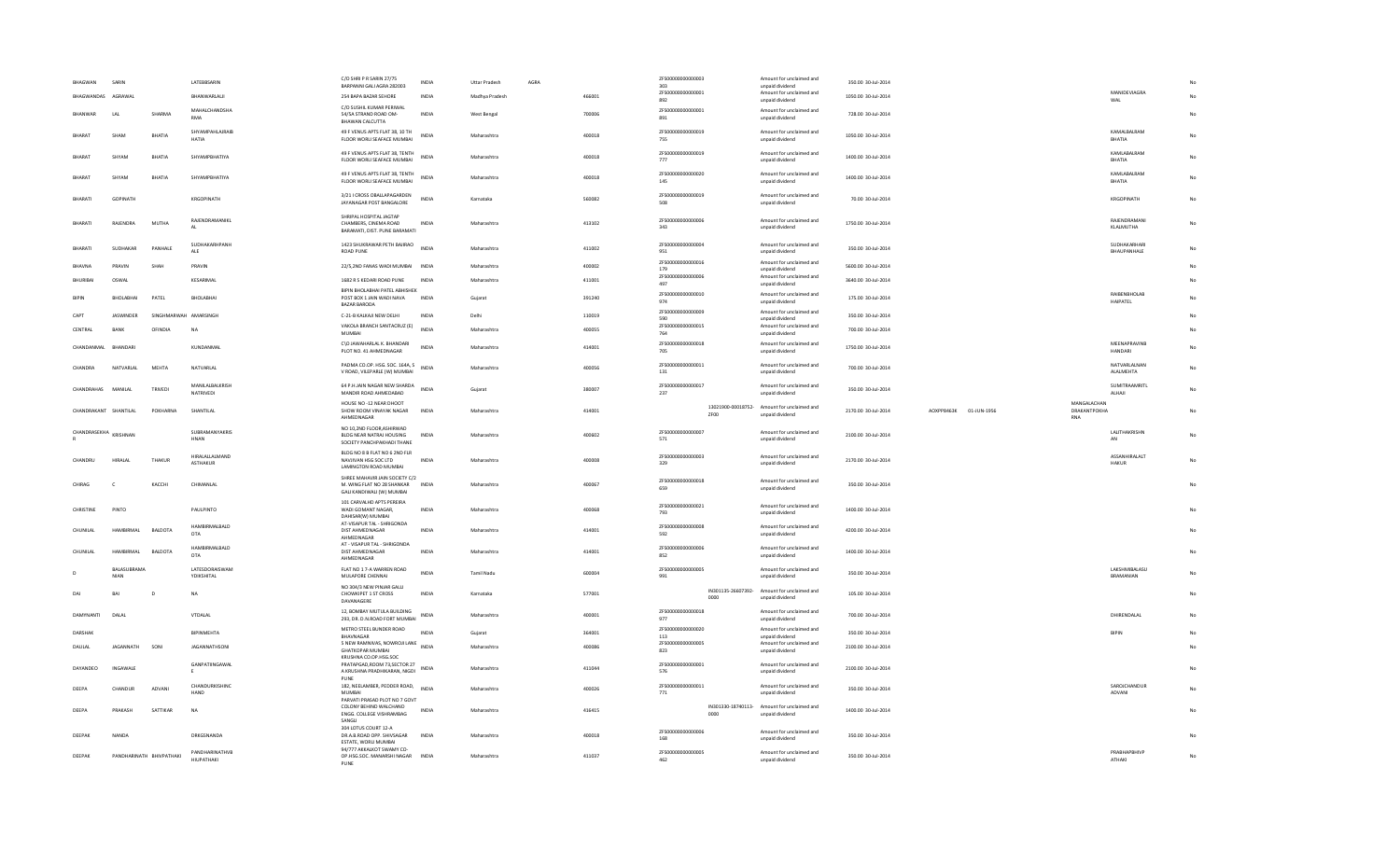| ZFS00000000000001<br>Amount for unclaimed and<br>BHAGWANDAS AGRAWAL<br>BHANWARLALII<br>254 BAPA BAZAR SEHORE<br><b>INDIA</b><br>Madhya Pradesh<br>466001<br>1050.00 30-Jul-2014<br>unpaid dividend<br>892<br>C/O SUSHIL KUMAR PERIWAL<br>ZFS00000000000001<br>MAHALCHANDSHA<br>Amount for unclaimed and<br>54/5A STRAND ROAD OM-<br>700006<br>728.00 30-Jul-2014<br>BHANWAR<br>LAL<br>SHARMA<br><b>INDIA</b><br>West Bengal<br><b>RMA</b><br>891<br>unpaid dividend<br>BHAWAN CALCUTTA<br>SHYAMPAHLAJRAIB<br>49 F VENUS APTS FLAT 38, 10 TH<br>ZFS00000000000019<br>Amount for unclaimed and<br><b>INDIA</b><br><b>RHARAT</b><br>SHAM<br><b>RHATIA</b><br>Maharashtra<br>400018<br>1050.00 30-Jul-2014<br><b>HATIA</b><br>FLOOR WORLI SEAFACE MUMBAI<br>755<br>unpaid dividend<br>49 F VENUS APTS FLAT 38, TENTH<br>ZFS00000000000019<br>Amount for unclaimed and<br>BHARAT<br>SHYAM<br><b>BHATIA</b><br>SHYAMPBHATIYA<br><b>INDIA</b><br>Maharashtra<br>400018<br>1400.00 30-Jul-2014<br>FLOOR WORLI SEAFACE MUMBAI<br>777<br>unpaid dividend<br>49 F VENUS APTS FLAT 38. TENTH<br>ZFS00000000000020<br>Amount for unclaimed and<br>RHARAT<br>SHYAM<br>RHATIA<br>SHYAMPBHATIYA<br><b>INDIA</b><br>Maharashtra<br>400018<br>1400.00 30-Jul-2014<br>FLOOR WORLI SEAFACE MUMBAI<br>145<br>unpaid dividend<br>3/21   CROSS OBALLAPAGARDEN<br>ZFS00000000000019<br>Amount for unclaimed and<br>BHARATI<br>GOPINATH<br>KRGOPINATH<br><b>INDIA</b><br>560082<br>70.00 30-Jul-2014<br>Karnataka<br>JAYANAGAR POST BANGALORE<br>508<br>unpaid dividend<br>SHRIPAL HOSPITAL JAGTAP<br>ZFS00000000000006<br>RAJENDRAMANIKL<br>Amount for unclaimed and<br>RHARATI<br>RAIFNDRA<br><b>MUTHA</b><br>CHAMBERS, CINEMA ROAD<br><b>INDIA</b><br>Maharashtra<br>413102<br>1750.00 30-Jul-2014<br>343<br>unpaid dividend<br>BARAMATI, DIST. PUNE BARAMATI<br>SUDHAKARHPANH<br>1423 SHUKRAWAR PETH BAJIRAO<br>ZFS00000000000004<br>Amount for unclaimed and<br><b>INDIA</b><br>BHARATI<br>SUDHAKAR<br>PANHALE<br>Maharashtra<br>411002<br>350.00 30-Jul-2014<br>ALE<br>ROAD PUNE<br>951<br>unpaid dividend<br>ZFS00000000000016<br>Amount for unclaimed and<br>SHAH<br>PRAVIN<br>22/5,2ND FANAS WADI MUMBAI INDIA<br>400002<br>5600.00 30-Jul-2014<br>PRAVIN<br>Maharashtra<br>BHAVNA<br>179<br>unnaid dividend<br>ZFS00000000000006<br>Amount for unclaimed and<br>KESARIMAL<br>1682 R S KEDARI ROAD PUNE<br>411001<br>3640.00 30-Jul-2014<br><b>BHURIBAI</b><br>OSWAL<br>INDIA<br>Maharashtra<br>497<br>unpaid dividend<br>BIPIN BHOLABHAI PATEL ABHISHEK<br>ZFS00000000000010<br>Amount for unclaimed and<br>BHOLABHAI<br>PATEL<br>BHOLABHAI<br>POST BOX 1 JAIN WADI NAVA<br>391240<br>175.00 30-Jul-2014<br><b>RIPIN</b><br>INDIA<br>Gujara<br>974<br>unpaid dividend<br><b>BAZAR BARODA</b><br>ZFS00000000000009<br>Amount for unclaimed and<br>CAPT<br><b>IASWINDER</b><br>SINGHMARWAH AMARSINGH<br>C-21-B KALKAJI NEW DELHI<br><b>INDIA</b><br>Delhi<br>110019<br>350.00 30-101-2014<br>590<br>unpaid dividend<br>VAKOLA BRANCH SANTACRUZ (E)<br>ZFS00000000000015<br>Amount for unclaimed and<br>CENTRAL<br>RANK<br>OFINDIA<br><b>NA</b><br><b>INDIA</b><br>Maharashtra<br>400055<br>700.00 30-Jul-2014<br>MUMBAI<br>764<br>unpaid dividend<br>C\O JAWAHARLAL K. BHANDARI<br>ZES00000000000018<br>Amount for unclaimed and<br><b>INDIA</b><br>414001<br>1750.00 30-Jul-2014<br>CHANDANMAL<br>KUNDANMAL<br>BHANDARI<br>Maharashtra<br>PLOT NO. 41 AHMEDNAGAR<br>unpaid dividend<br>705<br>ZFS00000000000011<br>PADMA CO.OP. HSG. SOC. 164A, S<br>Amount for unclaimed and<br>NATVARLAL<br>MEHTA<br>700.00 30-Jul-2014<br>CHANDRA<br>NATVARLAL<br>400056<br>Maharashtra<br>V ROAD, VILEPARLE (W) MUMBAI<br>131<br>unpaid dividend<br>MANILALBALKRISH<br>64 P.H.JAIN NAGAR NEW SHARDA<br>ZFS00000000000017<br>Amount for unclaimed and<br>CHANDRAHAS<br>MANII AI<br>TRIVEDI<br><b>INDIA</b><br>Guiarat<br>380007<br>350.00 30-Jul-2014<br>NATRIVEDI<br>237<br>unpaid dividend<br>MANDIR ROAD AHMEDABAD<br>HOUSE NO -12 NEAR DHOOT<br>13021900-00018752- Amount for unclaimed and<br>CHANDRAKANT SHANTILAL<br>POKHARNA<br>SHANTILAL<br>SHOW ROOM VINAYAK NAGAR<br>414001<br>2170.00 30-Jul-2014<br>AOXPP8463K 01-JUN-1956<br>INDIA<br>Maharashtra<br>unpaid dividend<br>ZF00<br>AHMEDNAGAR<br>NO 10,2ND FLOOR, ASHIRWAD<br>SUBRAMANYAKRIS<br>ZFS00000000000007<br>Amount for unclaimed and<br>CHANDRASEKHA KRISHNAN<br>2100.00 30-Jul-2014<br>BLDG NEAR NATRAJ HOUSING<br><b>INDIA</b><br>Maharashtra<br>400602<br><b>HNAN</b><br>571<br>unpaid dividend<br>SOCIETY PANCHPAKHADI THANE<br>BLDG NO 8 B FLAT NO 6 2ND FLR<br>HIRALALLALMAND<br>ZFS00000000000003<br>Amount for unclaimed and<br>CHANDRU<br>HIRALAI<br>THAKUR<br>NAVJIVAN HSG SOC LTD<br><b>INDIA</b><br>Maharashtra<br>400008<br>2170.00 30-Jul-2014<br><b>ASTHAKUR</b><br>329<br>unpaid dividend<br>LAMINGTON ROAD MUMBAI<br>SHREE MAHAVIR JAIN SOCIETY C/2<br>ZFS00000000000018<br>Amount for unclaimed and<br>CHIRAG<br>KACCHI<br>CHIMANLAL<br>M. WING FLAT NO 28 SHANKAR<br>400067<br>350.00 30-Jul-2014<br>INDIA<br>Maharashtra<br>659<br>unpaid dividend<br>GALI KANDIWALI (W) MUMBAI<br>101 CARVALHD APTS PEREIRA<br>ZFS00000000000021<br>Amount for unclaimed and<br>CHRISTINE<br>PINTO<br>PAULPINTO<br>WADI GOMANT NAGAR.<br><b>INDIA</b><br>Maharashtra<br>400068<br>1400.00 30-Jul-2014<br>793<br>unpaid dividend<br>DAHISAR(W) MUMBAI<br>AT-VISAPUR TAL - SHRIGONDA<br>ZFS00000000000008<br>HAMBIRMALBALD<br>Amount for unclaimed and<br>CHUNILAL<br>HAMBIRMAL<br>BALDOTA<br>DIST AHMEDNAGAR<br><b>INDIA</b><br>Maharashtra<br>414001<br>4200.00 30-Jul-2014<br>OTA<br>unpaid dividend<br>592<br>AHMEDNAGAR<br>AT - VISAPUR TAL - SHRIGONDA<br>HAMBIRMALBALD<br>ZFS00000000000006<br>Amount for unclaimed and<br><b>CHUNILAI</b><br><b>HAMRIRMAL</b><br>BALDOTA<br>DIST AHMEDNAGAR<br><b>INDIA</b><br>Maharashtra<br>414001<br>1400.00 30-Jul-2014<br>OTA<br>852<br>unpaid dividend<br>AHMEDNAGAR<br>LATESDORAISWAM<br>FLAT NO 1 7-A WARREN ROAD<br>BALASUBRAMA<br>ZFS00000000000005<br>Amount for unclaimed and<br>INDIA<br>600004<br><b>Tamil Nadu</b><br>350.00 30-Jul-2014<br><b>NIAN</b><br>YDIKSHITAL<br>MULAPORE CHENNAI<br>991<br>unpaid dividend<br>NO 304/3 NEW PINJAR GALLI<br>IN301135-26607392-<br>Amount for unclaimed and<br>577001<br>D<br>CHOWKIPET 1 ST CROSS<br><b>INDIA</b><br>105.00 30-Jul-2014<br>DAI<br>RAI<br><b>NA</b><br>Karnataka<br>0000<br>unpaid dividend<br>DAVANAGERE<br>12, BOMBAY MUTULA BUILDING<br>ZFS00000000000018<br>Amount for unclaimed and<br><b>DAMYNANTI</b><br>DALAL<br><b>INDIA</b><br>400001<br>700.00 30-Jul-2014<br>VTDALAL<br>Maharashtra<br>293, DR. D.N.ROAD FORT MUMBAI<br>977<br>unpaid dividend<br>METRO STEEL BUNDER ROAD<br>ZFS00000000000020<br>Amount for unclaimed and<br>BIPINMEHTA<br>364001<br>350.00 30-Jul-2014<br>DARSHAI<br><b>INDIA</b><br>Gujarat<br><b>RHAVNAGAR</b><br>113<br>unpaid dividend<br>5 NEW RAMNIVAS, NOWROJI LANE INDIA<br>ZES00000000000005<br>Amount for unclaimed and<br>2100.00 30-Jul-2014<br><b>JAGANNATH</b><br>SONI<br>JAGANNATHSONI<br>Maharashtra<br>400086<br>DAULAL<br><b>GHATKOPAR MUMBAI</b><br>823<br>unpaid dividend<br>KRUSHNA CO.OP.HSG.SOC<br>GANPATIINGAWAL<br>PRATAPGAD, ROOM 73, SECTOR 27<br>ZFS00000000000001<br>Amount for unclaimed and<br>INGAWALE<br>411044<br>2100.00 30-Jul-2014<br>DAYANDEO<br><b>INDIA</b><br>Maharashtra<br>A KRUSHNA PRADHIKARAN, NIGDI<br>576<br>unpaid dividend<br>PUNE<br>CHANDURKISHINC<br>182, NEELAMBER, PEDDER ROAD,<br>ZFS00000000000011<br>Amount for unclaimed and<br><b>INDIA</b><br>DEEPA<br>CHANDUR<br>ADVANI<br>Maharashtra<br>400026<br>350.00 30-Jul-2014<br>HAND<br>MUMBAI<br>771<br>unpaid dividend<br>PARVATI PRASAD PLOT NO 7 GOVT<br>COLONY BEHIND WALCHAND<br>IN301330-18740113- Amount for unclaimed and<br>DEEPA<br>PRAKASH<br>SATTIKAR<br><b>NA</b><br><b>INDIA</b><br>Maharashtra<br>416415<br>1400.00 30-Jul-2014<br>ENGG. COLLEGE VISHRAMBAG<br>unpaid dividend<br>0000<br>SANGLI<br>304 LOTUS COURT 12-A<br>ZFS00000000000006<br>Amount for unclaimed and<br>DEEPAK<br>NANDA<br>DRKGSNANDA<br>DR.A.B.ROAD OPP. SHIVSAGAR<br>400018<br>350.00 30-Jul-2014<br><b>INDIA</b><br>Maharashtra | BHAGWAN | SARIN | LATEBBSARIN | C/O SHRI P R SARIN 27/75<br>BARPANNI GALI AGRA 282003 | <b>INDIA</b> | <b>Uttar Pradesh</b> | AGRA | ZFS00000000000003<br>303 | Amount for unclaimed and<br>unpaid dividend | 350.00 30-Jul-2014 |                                           |                               |             |
|-----------------------------------------------------------------------------------------------------------------------------------------------------------------------------------------------------------------------------------------------------------------------------------------------------------------------------------------------------------------------------------------------------------------------------------------------------------------------------------------------------------------------------------------------------------------------------------------------------------------------------------------------------------------------------------------------------------------------------------------------------------------------------------------------------------------------------------------------------------------------------------------------------------------------------------------------------------------------------------------------------------------------------------------------------------------------------------------------------------------------------------------------------------------------------------------------------------------------------------------------------------------------------------------------------------------------------------------------------------------------------------------------------------------------------------------------------------------------------------------------------------------------------------------------------------------------------------------------------------------------------------------------------------------------------------------------------------------------------------------------------------------------------------------------------------------------------------------------------------------------------------------------------------------------------------------------------------------------------------------------------------------------------------------------------------------------------------------------------------------------------------------------------------------------------------------------------------------------------------------------------------------------------------------------------------------------------------------------------------------------------------------------------------------------------------------------------------------------------------------------------------------------------------------------------------------------------------------------------------------------------------------------------------------------------------------------------------------------------------------------------------------------------------------------------------------------------------------------------------------------------------------------------------------------------------------------------------------------------------------------------------------------------------------------------------------------------------------------------------------------------------------------------------------------------------------------------------------------------------------------------------------------------------------------------------------------------------------------------------------------------------------------------------------------------------------------------------------------------------------------------------------------------------------------------------------------------------------------------------------------------------------------------------------------------------------------------------------------------------------------------------------------------------------------------------------------------------------------------------------------------------------------------------------------------------------------------------------------------------------------------------------------------------------------------------------------------------------------------------------------------------------------------------------------------------------------------------------------------------------------------------------------------------------------------------------------------------------------------------------------------------------------------------------------------------------------------------------------------------------------------------------------------------------------------------------------------------------------------------------------------------------------------------------------------------------------------------------------------------------------------------------------------------------------------------------------------------------------------------------------------------------------------------------------------------------------------------------------------------------------------------------------------------------------------------------------------------------------------------------------------------------------------------------------------------------------------------------------------------------------------------------------------------------------------------------------------------------------------------------------------------------------------------------------------------------------------------------------------------------------------------------------------------------------------------------------------------------------------------------------------------------------------------------------------------------------------------------------------------------------------------------------------------------------------------------------------------------------------------------------------------------------------------------------------------------------------------------------------------------------------------------------------------------------------------------------------------------------------------------------------------------------------------------------------------------------------------------------------------------------------------------------------------------------------------------------------------------------------------------------------------------------------------------------------------------------------------------------------------------------------------------------------------------------------------------------------------------------------------------------------------------------------------------------------------------------------------------------------------------------------------------------------------------------------------------------------------------------------------------------------------------------------------------------------------------------------------------------------------------------------------------------------------------------------------------------------------------------------------------------------------------------------------------------------------------------------------------------------------------------------------------------------------------------------------------------------------------------------------------------------------------------------------------------------------------------------------------------------------------------------------------------------------------------------------------------------------------------------------------------------------------------------------------------------------------------------------------------------------------------------------------------------------------------------------------------------------------------------------------------------------------------------------------------------------------------------------------------------------------------------------------------------------------------------------------------------------------------------------------------------------------------------------------------------------------------------------------------|---------|-------|-------------|-------------------------------------------------------|--------------|----------------------|------|--------------------------|---------------------------------------------|--------------------|-------------------------------------------|-------------------------------|-------------|
|                                                                                                                                                                                                                                                                                                                                                                                                                                                                                                                                                                                                                                                                                                                                                                                                                                                                                                                                                                                                                                                                                                                                                                                                                                                                                                                                                                                                                                                                                                                                                                                                                                                                                                                                                                                                                                                                                                                                                                                                                                                                                                                                                                                                                                                                                                                                                                                                                                                                                                                                                                                                                                                                                                                                                                                                                                                                                                                                                                                                                                                                                                                                                                                                                                                                                                                                                                                                                                                                                                                                                                                                                                                                                                                                                                                                                                                                                                                                                                                                                                                                                                                                                                                                                                                                                                                                                                                                                                                                                                                                                                                                                                                                                                                                                                                                                                                                                                                                                                                                                                                                                                                                                                                                                                                                                                                                                                                                                                                                                                                                                                                                                                                                                                                                                                                                                                                                                                                                                                                                                                                                                                                                                                                                                                                                                                                                                                                                                                                                                                                                                                                                                                                                                                                                                                                                                                                                                                                                                                                                                                                                                                                                                                                                                                                                                                                                                                                                                                                                                                                                                                                                                                                                                                                                                                                                                                                                                                                                                                                                                                                                                                                                                                                                                       |         |       |             |                                                       |              |                      |      |                          |                                             |                    |                                           | MANIDEVIAGRA<br>WAL           | No          |
|                                                                                                                                                                                                                                                                                                                                                                                                                                                                                                                                                                                                                                                                                                                                                                                                                                                                                                                                                                                                                                                                                                                                                                                                                                                                                                                                                                                                                                                                                                                                                                                                                                                                                                                                                                                                                                                                                                                                                                                                                                                                                                                                                                                                                                                                                                                                                                                                                                                                                                                                                                                                                                                                                                                                                                                                                                                                                                                                                                                                                                                                                                                                                                                                                                                                                                                                                                                                                                                                                                                                                                                                                                                                                                                                                                                                                                                                                                                                                                                                                                                                                                                                                                                                                                                                                                                                                                                                                                                                                                                                                                                                                                                                                                                                                                                                                                                                                                                                                                                                                                                                                                                                                                                                                                                                                                                                                                                                                                                                                                                                                                                                                                                                                                                                                                                                                                                                                                                                                                                                                                                                                                                                                                                                                                                                                                                                                                                                                                                                                                                                                                                                                                                                                                                                                                                                                                                                                                                                                                                                                                                                                                                                                                                                                                                                                                                                                                                                                                                                                                                                                                                                                                                                                                                                                                                                                                                                                                                                                                                                                                                                                                                                                                                                                       |         |       |             |                                                       |              |                      |      |                          |                                             |                    |                                           |                               | No          |
|                                                                                                                                                                                                                                                                                                                                                                                                                                                                                                                                                                                                                                                                                                                                                                                                                                                                                                                                                                                                                                                                                                                                                                                                                                                                                                                                                                                                                                                                                                                                                                                                                                                                                                                                                                                                                                                                                                                                                                                                                                                                                                                                                                                                                                                                                                                                                                                                                                                                                                                                                                                                                                                                                                                                                                                                                                                                                                                                                                                                                                                                                                                                                                                                                                                                                                                                                                                                                                                                                                                                                                                                                                                                                                                                                                                                                                                                                                                                                                                                                                                                                                                                                                                                                                                                                                                                                                                                                                                                                                                                                                                                                                                                                                                                                                                                                                                                                                                                                                                                                                                                                                                                                                                                                                                                                                                                                                                                                                                                                                                                                                                                                                                                                                                                                                                                                                                                                                                                                                                                                                                                                                                                                                                                                                                                                                                                                                                                                                                                                                                                                                                                                                                                                                                                                                                                                                                                                                                                                                                                                                                                                                                                                                                                                                                                                                                                                                                                                                                                                                                                                                                                                                                                                                                                                                                                                                                                                                                                                                                                                                                                                                                                                                                                                       |         |       |             |                                                       |              |                      |      |                          |                                             |                    |                                           | KAMALBALRAM<br>BHATIA         | No          |
|                                                                                                                                                                                                                                                                                                                                                                                                                                                                                                                                                                                                                                                                                                                                                                                                                                                                                                                                                                                                                                                                                                                                                                                                                                                                                                                                                                                                                                                                                                                                                                                                                                                                                                                                                                                                                                                                                                                                                                                                                                                                                                                                                                                                                                                                                                                                                                                                                                                                                                                                                                                                                                                                                                                                                                                                                                                                                                                                                                                                                                                                                                                                                                                                                                                                                                                                                                                                                                                                                                                                                                                                                                                                                                                                                                                                                                                                                                                                                                                                                                                                                                                                                                                                                                                                                                                                                                                                                                                                                                                                                                                                                                                                                                                                                                                                                                                                                                                                                                                                                                                                                                                                                                                                                                                                                                                                                                                                                                                                                                                                                                                                                                                                                                                                                                                                                                                                                                                                                                                                                                                                                                                                                                                                                                                                                                                                                                                                                                                                                                                                                                                                                                                                                                                                                                                                                                                                                                                                                                                                                                                                                                                                                                                                                                                                                                                                                                                                                                                                                                                                                                                                                                                                                                                                                                                                                                                                                                                                                                                                                                                                                                                                                                                                                       |         |       |             |                                                       |              |                      |      |                          |                                             |                    |                                           | KAMLABALRAM<br>BHATIA         | No          |
|                                                                                                                                                                                                                                                                                                                                                                                                                                                                                                                                                                                                                                                                                                                                                                                                                                                                                                                                                                                                                                                                                                                                                                                                                                                                                                                                                                                                                                                                                                                                                                                                                                                                                                                                                                                                                                                                                                                                                                                                                                                                                                                                                                                                                                                                                                                                                                                                                                                                                                                                                                                                                                                                                                                                                                                                                                                                                                                                                                                                                                                                                                                                                                                                                                                                                                                                                                                                                                                                                                                                                                                                                                                                                                                                                                                                                                                                                                                                                                                                                                                                                                                                                                                                                                                                                                                                                                                                                                                                                                                                                                                                                                                                                                                                                                                                                                                                                                                                                                                                                                                                                                                                                                                                                                                                                                                                                                                                                                                                                                                                                                                                                                                                                                                                                                                                                                                                                                                                                                                                                                                                                                                                                                                                                                                                                                                                                                                                                                                                                                                                                                                                                                                                                                                                                                                                                                                                                                                                                                                                                                                                                                                                                                                                                                                                                                                                                                                                                                                                                                                                                                                                                                                                                                                                                                                                                                                                                                                                                                                                                                                                                                                                                                                                                       |         |       |             |                                                       |              |                      |      |                          |                                             |                    |                                           | KAMLABALRAM<br>BHATIA         | No          |
|                                                                                                                                                                                                                                                                                                                                                                                                                                                                                                                                                                                                                                                                                                                                                                                                                                                                                                                                                                                                                                                                                                                                                                                                                                                                                                                                                                                                                                                                                                                                                                                                                                                                                                                                                                                                                                                                                                                                                                                                                                                                                                                                                                                                                                                                                                                                                                                                                                                                                                                                                                                                                                                                                                                                                                                                                                                                                                                                                                                                                                                                                                                                                                                                                                                                                                                                                                                                                                                                                                                                                                                                                                                                                                                                                                                                                                                                                                                                                                                                                                                                                                                                                                                                                                                                                                                                                                                                                                                                                                                                                                                                                                                                                                                                                                                                                                                                                                                                                                                                                                                                                                                                                                                                                                                                                                                                                                                                                                                                                                                                                                                                                                                                                                                                                                                                                                                                                                                                                                                                                                                                                                                                                                                                                                                                                                                                                                                                                                                                                                                                                                                                                                                                                                                                                                                                                                                                                                                                                                                                                                                                                                                                                                                                                                                                                                                                                                                                                                                                                                                                                                                                                                                                                                                                                                                                                                                                                                                                                                                                                                                                                                                                                                                                                       |         |       |             |                                                       |              |                      |      |                          |                                             |                    |                                           | KRGOPINATH                    | No          |
|                                                                                                                                                                                                                                                                                                                                                                                                                                                                                                                                                                                                                                                                                                                                                                                                                                                                                                                                                                                                                                                                                                                                                                                                                                                                                                                                                                                                                                                                                                                                                                                                                                                                                                                                                                                                                                                                                                                                                                                                                                                                                                                                                                                                                                                                                                                                                                                                                                                                                                                                                                                                                                                                                                                                                                                                                                                                                                                                                                                                                                                                                                                                                                                                                                                                                                                                                                                                                                                                                                                                                                                                                                                                                                                                                                                                                                                                                                                                                                                                                                                                                                                                                                                                                                                                                                                                                                                                                                                                                                                                                                                                                                                                                                                                                                                                                                                                                                                                                                                                                                                                                                                                                                                                                                                                                                                                                                                                                                                                                                                                                                                                                                                                                                                                                                                                                                                                                                                                                                                                                                                                                                                                                                                                                                                                                                                                                                                                                                                                                                                                                                                                                                                                                                                                                                                                                                                                                                                                                                                                                                                                                                                                                                                                                                                                                                                                                                                                                                                                                                                                                                                                                                                                                                                                                                                                                                                                                                                                                                                                                                                                                                                                                                                                                       |         |       |             |                                                       |              |                      |      |                          |                                             |                    |                                           | RAJENDRAMANI<br>KLALMUTHA     | No          |
|                                                                                                                                                                                                                                                                                                                                                                                                                                                                                                                                                                                                                                                                                                                                                                                                                                                                                                                                                                                                                                                                                                                                                                                                                                                                                                                                                                                                                                                                                                                                                                                                                                                                                                                                                                                                                                                                                                                                                                                                                                                                                                                                                                                                                                                                                                                                                                                                                                                                                                                                                                                                                                                                                                                                                                                                                                                                                                                                                                                                                                                                                                                                                                                                                                                                                                                                                                                                                                                                                                                                                                                                                                                                                                                                                                                                                                                                                                                                                                                                                                                                                                                                                                                                                                                                                                                                                                                                                                                                                                                                                                                                                                                                                                                                                                                                                                                                                                                                                                                                                                                                                                                                                                                                                                                                                                                                                                                                                                                                                                                                                                                                                                                                                                                                                                                                                                                                                                                                                                                                                                                                                                                                                                                                                                                                                                                                                                                                                                                                                                                                                                                                                                                                                                                                                                                                                                                                                                                                                                                                                                                                                                                                                                                                                                                                                                                                                                                                                                                                                                                                                                                                                                                                                                                                                                                                                                                                                                                                                                                                                                                                                                                                                                                                                       |         |       |             |                                                       |              |                      |      |                          |                                             |                    |                                           | SUDHAKARHARI<br>BHAUPANHALE   | No          |
|                                                                                                                                                                                                                                                                                                                                                                                                                                                                                                                                                                                                                                                                                                                                                                                                                                                                                                                                                                                                                                                                                                                                                                                                                                                                                                                                                                                                                                                                                                                                                                                                                                                                                                                                                                                                                                                                                                                                                                                                                                                                                                                                                                                                                                                                                                                                                                                                                                                                                                                                                                                                                                                                                                                                                                                                                                                                                                                                                                                                                                                                                                                                                                                                                                                                                                                                                                                                                                                                                                                                                                                                                                                                                                                                                                                                                                                                                                                                                                                                                                                                                                                                                                                                                                                                                                                                                                                                                                                                                                                                                                                                                                                                                                                                                                                                                                                                                                                                                                                                                                                                                                                                                                                                                                                                                                                                                                                                                                                                                                                                                                                                                                                                                                                                                                                                                                                                                                                                                                                                                                                                                                                                                                                                                                                                                                                                                                                                                                                                                                                                                                                                                                                                                                                                                                                                                                                                                                                                                                                                                                                                                                                                                                                                                                                                                                                                                                                                                                                                                                                                                                                                                                                                                                                                                                                                                                                                                                                                                                                                                                                                                                                                                                                                                       |         |       |             |                                                       |              |                      |      |                          |                                             |                    |                                           |                               | No          |
|                                                                                                                                                                                                                                                                                                                                                                                                                                                                                                                                                                                                                                                                                                                                                                                                                                                                                                                                                                                                                                                                                                                                                                                                                                                                                                                                                                                                                                                                                                                                                                                                                                                                                                                                                                                                                                                                                                                                                                                                                                                                                                                                                                                                                                                                                                                                                                                                                                                                                                                                                                                                                                                                                                                                                                                                                                                                                                                                                                                                                                                                                                                                                                                                                                                                                                                                                                                                                                                                                                                                                                                                                                                                                                                                                                                                                                                                                                                                                                                                                                                                                                                                                                                                                                                                                                                                                                                                                                                                                                                                                                                                                                                                                                                                                                                                                                                                                                                                                                                                                                                                                                                                                                                                                                                                                                                                                                                                                                                                                                                                                                                                                                                                                                                                                                                                                                                                                                                                                                                                                                                                                                                                                                                                                                                                                                                                                                                                                                                                                                                                                                                                                                                                                                                                                                                                                                                                                                                                                                                                                                                                                                                                                                                                                                                                                                                                                                                                                                                                                                                                                                                                                                                                                                                                                                                                                                                                                                                                                                                                                                                                                                                                                                                                                       |         |       |             |                                                       |              |                      |      |                          |                                             |                    |                                           |                               | No          |
|                                                                                                                                                                                                                                                                                                                                                                                                                                                                                                                                                                                                                                                                                                                                                                                                                                                                                                                                                                                                                                                                                                                                                                                                                                                                                                                                                                                                                                                                                                                                                                                                                                                                                                                                                                                                                                                                                                                                                                                                                                                                                                                                                                                                                                                                                                                                                                                                                                                                                                                                                                                                                                                                                                                                                                                                                                                                                                                                                                                                                                                                                                                                                                                                                                                                                                                                                                                                                                                                                                                                                                                                                                                                                                                                                                                                                                                                                                                                                                                                                                                                                                                                                                                                                                                                                                                                                                                                                                                                                                                                                                                                                                                                                                                                                                                                                                                                                                                                                                                                                                                                                                                                                                                                                                                                                                                                                                                                                                                                                                                                                                                                                                                                                                                                                                                                                                                                                                                                                                                                                                                                                                                                                                                                                                                                                                                                                                                                                                                                                                                                                                                                                                                                                                                                                                                                                                                                                                                                                                                                                                                                                                                                                                                                                                                                                                                                                                                                                                                                                                                                                                                                                                                                                                                                                                                                                                                                                                                                                                                                                                                                                                                                                                                                                       |         |       |             |                                                       |              |                      |      |                          |                                             |                    |                                           | RAIBENBHOLAB                  |             |
|                                                                                                                                                                                                                                                                                                                                                                                                                                                                                                                                                                                                                                                                                                                                                                                                                                                                                                                                                                                                                                                                                                                                                                                                                                                                                                                                                                                                                                                                                                                                                                                                                                                                                                                                                                                                                                                                                                                                                                                                                                                                                                                                                                                                                                                                                                                                                                                                                                                                                                                                                                                                                                                                                                                                                                                                                                                                                                                                                                                                                                                                                                                                                                                                                                                                                                                                                                                                                                                                                                                                                                                                                                                                                                                                                                                                                                                                                                                                                                                                                                                                                                                                                                                                                                                                                                                                                                                                                                                                                                                                                                                                                                                                                                                                                                                                                                                                                                                                                                                                                                                                                                                                                                                                                                                                                                                                                                                                                                                                                                                                                                                                                                                                                                                                                                                                                                                                                                                                                                                                                                                                                                                                                                                                                                                                                                                                                                                                                                                                                                                                                                                                                                                                                                                                                                                                                                                                                                                                                                                                                                                                                                                                                                                                                                                                                                                                                                                                                                                                                                                                                                                                                                                                                                                                                                                                                                                                                                                                                                                                                                                                                                                                                                                                                       |         |       |             |                                                       |              |                      |      |                          |                                             |                    |                                           | HAIPATEL                      | No          |
|                                                                                                                                                                                                                                                                                                                                                                                                                                                                                                                                                                                                                                                                                                                                                                                                                                                                                                                                                                                                                                                                                                                                                                                                                                                                                                                                                                                                                                                                                                                                                                                                                                                                                                                                                                                                                                                                                                                                                                                                                                                                                                                                                                                                                                                                                                                                                                                                                                                                                                                                                                                                                                                                                                                                                                                                                                                                                                                                                                                                                                                                                                                                                                                                                                                                                                                                                                                                                                                                                                                                                                                                                                                                                                                                                                                                                                                                                                                                                                                                                                                                                                                                                                                                                                                                                                                                                                                                                                                                                                                                                                                                                                                                                                                                                                                                                                                                                                                                                                                                                                                                                                                                                                                                                                                                                                                                                                                                                                                                                                                                                                                                                                                                                                                                                                                                                                                                                                                                                                                                                                                                                                                                                                                                                                                                                                                                                                                                                                                                                                                                                                                                                                                                                                                                                                                                                                                                                                                                                                                                                                                                                                                                                                                                                                                                                                                                                                                                                                                                                                                                                                                                                                                                                                                                                                                                                                                                                                                                                                                                                                                                                                                                                                                                                       |         |       |             |                                                       |              |                      |      |                          |                                             |                    |                                           |                               | No          |
|                                                                                                                                                                                                                                                                                                                                                                                                                                                                                                                                                                                                                                                                                                                                                                                                                                                                                                                                                                                                                                                                                                                                                                                                                                                                                                                                                                                                                                                                                                                                                                                                                                                                                                                                                                                                                                                                                                                                                                                                                                                                                                                                                                                                                                                                                                                                                                                                                                                                                                                                                                                                                                                                                                                                                                                                                                                                                                                                                                                                                                                                                                                                                                                                                                                                                                                                                                                                                                                                                                                                                                                                                                                                                                                                                                                                                                                                                                                                                                                                                                                                                                                                                                                                                                                                                                                                                                                                                                                                                                                                                                                                                                                                                                                                                                                                                                                                                                                                                                                                                                                                                                                                                                                                                                                                                                                                                                                                                                                                                                                                                                                                                                                                                                                                                                                                                                                                                                                                                                                                                                                                                                                                                                                                                                                                                                                                                                                                                                                                                                                                                                                                                                                                                                                                                                                                                                                                                                                                                                                                                                                                                                                                                                                                                                                                                                                                                                                                                                                                                                                                                                                                                                                                                                                                                                                                                                                                                                                                                                                                                                                                                                                                                                                                                       |         |       |             |                                                       |              |                      |      |                          |                                             |                    |                                           |                               | No          |
|                                                                                                                                                                                                                                                                                                                                                                                                                                                                                                                                                                                                                                                                                                                                                                                                                                                                                                                                                                                                                                                                                                                                                                                                                                                                                                                                                                                                                                                                                                                                                                                                                                                                                                                                                                                                                                                                                                                                                                                                                                                                                                                                                                                                                                                                                                                                                                                                                                                                                                                                                                                                                                                                                                                                                                                                                                                                                                                                                                                                                                                                                                                                                                                                                                                                                                                                                                                                                                                                                                                                                                                                                                                                                                                                                                                                                                                                                                                                                                                                                                                                                                                                                                                                                                                                                                                                                                                                                                                                                                                                                                                                                                                                                                                                                                                                                                                                                                                                                                                                                                                                                                                                                                                                                                                                                                                                                                                                                                                                                                                                                                                                                                                                                                                                                                                                                                                                                                                                                                                                                                                                                                                                                                                                                                                                                                                                                                                                                                                                                                                                                                                                                                                                                                                                                                                                                                                                                                                                                                                                                                                                                                                                                                                                                                                                                                                                                                                                                                                                                                                                                                                                                                                                                                                                                                                                                                                                                                                                                                                                                                                                                                                                                                                                                       |         |       |             |                                                       |              |                      |      |                          |                                             |                    |                                           | MEENAPRAVINB<br>HANDARI       | No          |
|                                                                                                                                                                                                                                                                                                                                                                                                                                                                                                                                                                                                                                                                                                                                                                                                                                                                                                                                                                                                                                                                                                                                                                                                                                                                                                                                                                                                                                                                                                                                                                                                                                                                                                                                                                                                                                                                                                                                                                                                                                                                                                                                                                                                                                                                                                                                                                                                                                                                                                                                                                                                                                                                                                                                                                                                                                                                                                                                                                                                                                                                                                                                                                                                                                                                                                                                                                                                                                                                                                                                                                                                                                                                                                                                                                                                                                                                                                                                                                                                                                                                                                                                                                                                                                                                                                                                                                                                                                                                                                                                                                                                                                                                                                                                                                                                                                                                                                                                                                                                                                                                                                                                                                                                                                                                                                                                                                                                                                                                                                                                                                                                                                                                                                                                                                                                                                                                                                                                                                                                                                                                                                                                                                                                                                                                                                                                                                                                                                                                                                                                                                                                                                                                                                                                                                                                                                                                                                                                                                                                                                                                                                                                                                                                                                                                                                                                                                                                                                                                                                                                                                                                                                                                                                                                                                                                                                                                                                                                                                                                                                                                                                                                                                                                                       |         |       |             |                                                       |              |                      |      |                          |                                             |                    |                                           | NATVARLALNAN<br>ALALMEHTA     | No          |
|                                                                                                                                                                                                                                                                                                                                                                                                                                                                                                                                                                                                                                                                                                                                                                                                                                                                                                                                                                                                                                                                                                                                                                                                                                                                                                                                                                                                                                                                                                                                                                                                                                                                                                                                                                                                                                                                                                                                                                                                                                                                                                                                                                                                                                                                                                                                                                                                                                                                                                                                                                                                                                                                                                                                                                                                                                                                                                                                                                                                                                                                                                                                                                                                                                                                                                                                                                                                                                                                                                                                                                                                                                                                                                                                                                                                                                                                                                                                                                                                                                                                                                                                                                                                                                                                                                                                                                                                                                                                                                                                                                                                                                                                                                                                                                                                                                                                                                                                                                                                                                                                                                                                                                                                                                                                                                                                                                                                                                                                                                                                                                                                                                                                                                                                                                                                                                                                                                                                                                                                                                                                                                                                                                                                                                                                                                                                                                                                                                                                                                                                                                                                                                                                                                                                                                                                                                                                                                                                                                                                                                                                                                                                                                                                                                                                                                                                                                                                                                                                                                                                                                                                                                                                                                                                                                                                                                                                                                                                                                                                                                                                                                                                                                                                                       |         |       |             |                                                       |              |                      |      |                          |                                             |                    |                                           | SUMITRAAMRITI<br>ALHAII       | No          |
|                                                                                                                                                                                                                                                                                                                                                                                                                                                                                                                                                                                                                                                                                                                                                                                                                                                                                                                                                                                                                                                                                                                                                                                                                                                                                                                                                                                                                                                                                                                                                                                                                                                                                                                                                                                                                                                                                                                                                                                                                                                                                                                                                                                                                                                                                                                                                                                                                                                                                                                                                                                                                                                                                                                                                                                                                                                                                                                                                                                                                                                                                                                                                                                                                                                                                                                                                                                                                                                                                                                                                                                                                                                                                                                                                                                                                                                                                                                                                                                                                                                                                                                                                                                                                                                                                                                                                                                                                                                                                                                                                                                                                                                                                                                                                                                                                                                                                                                                                                                                                                                                                                                                                                                                                                                                                                                                                                                                                                                                                                                                                                                                                                                                                                                                                                                                                                                                                                                                                                                                                                                                                                                                                                                                                                                                                                                                                                                                                                                                                                                                                                                                                                                                                                                                                                                                                                                                                                                                                                                                                                                                                                                                                                                                                                                                                                                                                                                                                                                                                                                                                                                                                                                                                                                                                                                                                                                                                                                                                                                                                                                                                                                                                                                                                       |         |       |             |                                                       |              |                      |      |                          |                                             |                    | MANGALACHAN<br>DRAKANTPOKHA<br><b>RNA</b> |                               | No          |
|                                                                                                                                                                                                                                                                                                                                                                                                                                                                                                                                                                                                                                                                                                                                                                                                                                                                                                                                                                                                                                                                                                                                                                                                                                                                                                                                                                                                                                                                                                                                                                                                                                                                                                                                                                                                                                                                                                                                                                                                                                                                                                                                                                                                                                                                                                                                                                                                                                                                                                                                                                                                                                                                                                                                                                                                                                                                                                                                                                                                                                                                                                                                                                                                                                                                                                                                                                                                                                                                                                                                                                                                                                                                                                                                                                                                                                                                                                                                                                                                                                                                                                                                                                                                                                                                                                                                                                                                                                                                                                                                                                                                                                                                                                                                                                                                                                                                                                                                                                                                                                                                                                                                                                                                                                                                                                                                                                                                                                                                                                                                                                                                                                                                                                                                                                                                                                                                                                                                                                                                                                                                                                                                                                                                                                                                                                                                                                                                                                                                                                                                                                                                                                                                                                                                                                                                                                                                                                                                                                                                                                                                                                                                                                                                                                                                                                                                                                                                                                                                                                                                                                                                                                                                                                                                                                                                                                                                                                                                                                                                                                                                                                                                                                                                                       |         |       |             |                                                       |              |                      |      |                          |                                             |                    |                                           | LALITHAKRISHN<br>AN           | No          |
|                                                                                                                                                                                                                                                                                                                                                                                                                                                                                                                                                                                                                                                                                                                                                                                                                                                                                                                                                                                                                                                                                                                                                                                                                                                                                                                                                                                                                                                                                                                                                                                                                                                                                                                                                                                                                                                                                                                                                                                                                                                                                                                                                                                                                                                                                                                                                                                                                                                                                                                                                                                                                                                                                                                                                                                                                                                                                                                                                                                                                                                                                                                                                                                                                                                                                                                                                                                                                                                                                                                                                                                                                                                                                                                                                                                                                                                                                                                                                                                                                                                                                                                                                                                                                                                                                                                                                                                                                                                                                                                                                                                                                                                                                                                                                                                                                                                                                                                                                                                                                                                                                                                                                                                                                                                                                                                                                                                                                                                                                                                                                                                                                                                                                                                                                                                                                                                                                                                                                                                                                                                                                                                                                                                                                                                                                                                                                                                                                                                                                                                                                                                                                                                                                                                                                                                                                                                                                                                                                                                                                                                                                                                                                                                                                                                                                                                                                                                                                                                                                                                                                                                                                                                                                                                                                                                                                                                                                                                                                                                                                                                                                                                                                                                                                       |         |       |             |                                                       |              |                      |      |                          |                                             |                    |                                           | ASSANHIRALALT<br><b>HAKUR</b> | No          |
|                                                                                                                                                                                                                                                                                                                                                                                                                                                                                                                                                                                                                                                                                                                                                                                                                                                                                                                                                                                                                                                                                                                                                                                                                                                                                                                                                                                                                                                                                                                                                                                                                                                                                                                                                                                                                                                                                                                                                                                                                                                                                                                                                                                                                                                                                                                                                                                                                                                                                                                                                                                                                                                                                                                                                                                                                                                                                                                                                                                                                                                                                                                                                                                                                                                                                                                                                                                                                                                                                                                                                                                                                                                                                                                                                                                                                                                                                                                                                                                                                                                                                                                                                                                                                                                                                                                                                                                                                                                                                                                                                                                                                                                                                                                                                                                                                                                                                                                                                                                                                                                                                                                                                                                                                                                                                                                                                                                                                                                                                                                                                                                                                                                                                                                                                                                                                                                                                                                                                                                                                                                                                                                                                                                                                                                                                                                                                                                                                                                                                                                                                                                                                                                                                                                                                                                                                                                                                                                                                                                                                                                                                                                                                                                                                                                                                                                                                                                                                                                                                                                                                                                                                                                                                                                                                                                                                                                                                                                                                                                                                                                                                                                                                                                                                       |         |       |             |                                                       |              |                      |      |                          |                                             |                    |                                           |                               | No          |
|                                                                                                                                                                                                                                                                                                                                                                                                                                                                                                                                                                                                                                                                                                                                                                                                                                                                                                                                                                                                                                                                                                                                                                                                                                                                                                                                                                                                                                                                                                                                                                                                                                                                                                                                                                                                                                                                                                                                                                                                                                                                                                                                                                                                                                                                                                                                                                                                                                                                                                                                                                                                                                                                                                                                                                                                                                                                                                                                                                                                                                                                                                                                                                                                                                                                                                                                                                                                                                                                                                                                                                                                                                                                                                                                                                                                                                                                                                                                                                                                                                                                                                                                                                                                                                                                                                                                                                                                                                                                                                                                                                                                                                                                                                                                                                                                                                                                                                                                                                                                                                                                                                                                                                                                                                                                                                                                                                                                                                                                                                                                                                                                                                                                                                                                                                                                                                                                                                                                                                                                                                                                                                                                                                                                                                                                                                                                                                                                                                                                                                                                                                                                                                                                                                                                                                                                                                                                                                                                                                                                                                                                                                                                                                                                                                                                                                                                                                                                                                                                                                                                                                                                                                                                                                                                                                                                                                                                                                                                                                                                                                                                                                                                                                                                                       |         |       |             |                                                       |              |                      |      |                          |                                             |                    |                                           |                               | No          |
|                                                                                                                                                                                                                                                                                                                                                                                                                                                                                                                                                                                                                                                                                                                                                                                                                                                                                                                                                                                                                                                                                                                                                                                                                                                                                                                                                                                                                                                                                                                                                                                                                                                                                                                                                                                                                                                                                                                                                                                                                                                                                                                                                                                                                                                                                                                                                                                                                                                                                                                                                                                                                                                                                                                                                                                                                                                                                                                                                                                                                                                                                                                                                                                                                                                                                                                                                                                                                                                                                                                                                                                                                                                                                                                                                                                                                                                                                                                                                                                                                                                                                                                                                                                                                                                                                                                                                                                                                                                                                                                                                                                                                                                                                                                                                                                                                                                                                                                                                                                                                                                                                                                                                                                                                                                                                                                                                                                                                                                                                                                                                                                                                                                                                                                                                                                                                                                                                                                                                                                                                                                                                                                                                                                                                                                                                                                                                                                                                                                                                                                                                                                                                                                                                                                                                                                                                                                                                                                                                                                                                                                                                                                                                                                                                                                                                                                                                                                                                                                                                                                                                                                                                                                                                                                                                                                                                                                                                                                                                                                                                                                                                                                                                                                                                       |         |       |             |                                                       |              |                      |      |                          |                                             |                    |                                           |                               | No          |
|                                                                                                                                                                                                                                                                                                                                                                                                                                                                                                                                                                                                                                                                                                                                                                                                                                                                                                                                                                                                                                                                                                                                                                                                                                                                                                                                                                                                                                                                                                                                                                                                                                                                                                                                                                                                                                                                                                                                                                                                                                                                                                                                                                                                                                                                                                                                                                                                                                                                                                                                                                                                                                                                                                                                                                                                                                                                                                                                                                                                                                                                                                                                                                                                                                                                                                                                                                                                                                                                                                                                                                                                                                                                                                                                                                                                                                                                                                                                                                                                                                                                                                                                                                                                                                                                                                                                                                                                                                                                                                                                                                                                                                                                                                                                                                                                                                                                                                                                                                                                                                                                                                                                                                                                                                                                                                                                                                                                                                                                                                                                                                                                                                                                                                                                                                                                                                                                                                                                                                                                                                                                                                                                                                                                                                                                                                                                                                                                                                                                                                                                                                                                                                                                                                                                                                                                                                                                                                                                                                                                                                                                                                                                                                                                                                                                                                                                                                                                                                                                                                                                                                                                                                                                                                                                                                                                                                                                                                                                                                                                                                                                                                                                                                                                                       |         |       |             |                                                       |              |                      |      |                          |                                             |                    |                                           |                               | $_{\sf No}$ |
|                                                                                                                                                                                                                                                                                                                                                                                                                                                                                                                                                                                                                                                                                                                                                                                                                                                                                                                                                                                                                                                                                                                                                                                                                                                                                                                                                                                                                                                                                                                                                                                                                                                                                                                                                                                                                                                                                                                                                                                                                                                                                                                                                                                                                                                                                                                                                                                                                                                                                                                                                                                                                                                                                                                                                                                                                                                                                                                                                                                                                                                                                                                                                                                                                                                                                                                                                                                                                                                                                                                                                                                                                                                                                                                                                                                                                                                                                                                                                                                                                                                                                                                                                                                                                                                                                                                                                                                                                                                                                                                                                                                                                                                                                                                                                                                                                                                                                                                                                                                                                                                                                                                                                                                                                                                                                                                                                                                                                                                                                                                                                                                                                                                                                                                                                                                                                                                                                                                                                                                                                                                                                                                                                                                                                                                                                                                                                                                                                                                                                                                                                                                                                                                                                                                                                                                                                                                                                                                                                                                                                                                                                                                                                                                                                                                                                                                                                                                                                                                                                                                                                                                                                                                                                                                                                                                                                                                                                                                                                                                                                                                                                                                                                                                                                       |         |       |             |                                                       |              |                      |      |                          |                                             |                    |                                           | LAKSHMIBALASU<br>RRAMANIAN    | No          |
|                                                                                                                                                                                                                                                                                                                                                                                                                                                                                                                                                                                                                                                                                                                                                                                                                                                                                                                                                                                                                                                                                                                                                                                                                                                                                                                                                                                                                                                                                                                                                                                                                                                                                                                                                                                                                                                                                                                                                                                                                                                                                                                                                                                                                                                                                                                                                                                                                                                                                                                                                                                                                                                                                                                                                                                                                                                                                                                                                                                                                                                                                                                                                                                                                                                                                                                                                                                                                                                                                                                                                                                                                                                                                                                                                                                                                                                                                                                                                                                                                                                                                                                                                                                                                                                                                                                                                                                                                                                                                                                                                                                                                                                                                                                                                                                                                                                                                                                                                                                                                                                                                                                                                                                                                                                                                                                                                                                                                                                                                                                                                                                                                                                                                                                                                                                                                                                                                                                                                                                                                                                                                                                                                                                                                                                                                                                                                                                                                                                                                                                                                                                                                                                                                                                                                                                                                                                                                                                                                                                                                                                                                                                                                                                                                                                                                                                                                                                                                                                                                                                                                                                                                                                                                                                                                                                                                                                                                                                                                                                                                                                                                                                                                                                                                       |         |       |             |                                                       |              |                      |      |                          |                                             |                    |                                           |                               | No          |
|                                                                                                                                                                                                                                                                                                                                                                                                                                                                                                                                                                                                                                                                                                                                                                                                                                                                                                                                                                                                                                                                                                                                                                                                                                                                                                                                                                                                                                                                                                                                                                                                                                                                                                                                                                                                                                                                                                                                                                                                                                                                                                                                                                                                                                                                                                                                                                                                                                                                                                                                                                                                                                                                                                                                                                                                                                                                                                                                                                                                                                                                                                                                                                                                                                                                                                                                                                                                                                                                                                                                                                                                                                                                                                                                                                                                                                                                                                                                                                                                                                                                                                                                                                                                                                                                                                                                                                                                                                                                                                                                                                                                                                                                                                                                                                                                                                                                                                                                                                                                                                                                                                                                                                                                                                                                                                                                                                                                                                                                                                                                                                                                                                                                                                                                                                                                                                                                                                                                                                                                                                                                                                                                                                                                                                                                                                                                                                                                                                                                                                                                                                                                                                                                                                                                                                                                                                                                                                                                                                                                                                                                                                                                                                                                                                                                                                                                                                                                                                                                                                                                                                                                                                                                                                                                                                                                                                                                                                                                                                                                                                                                                                                                                                                                                       |         |       |             |                                                       |              |                      |      |                          |                                             |                    |                                           | DHIRENDALAL                   | No          |
|                                                                                                                                                                                                                                                                                                                                                                                                                                                                                                                                                                                                                                                                                                                                                                                                                                                                                                                                                                                                                                                                                                                                                                                                                                                                                                                                                                                                                                                                                                                                                                                                                                                                                                                                                                                                                                                                                                                                                                                                                                                                                                                                                                                                                                                                                                                                                                                                                                                                                                                                                                                                                                                                                                                                                                                                                                                                                                                                                                                                                                                                                                                                                                                                                                                                                                                                                                                                                                                                                                                                                                                                                                                                                                                                                                                                                                                                                                                                                                                                                                                                                                                                                                                                                                                                                                                                                                                                                                                                                                                                                                                                                                                                                                                                                                                                                                                                                                                                                                                                                                                                                                                                                                                                                                                                                                                                                                                                                                                                                                                                                                                                                                                                                                                                                                                                                                                                                                                                                                                                                                                                                                                                                                                                                                                                                                                                                                                                                                                                                                                                                                                                                                                                                                                                                                                                                                                                                                                                                                                                                                                                                                                                                                                                                                                                                                                                                                                                                                                                                                                                                                                                                                                                                                                                                                                                                                                                                                                                                                                                                                                                                                                                                                                                                       |         |       |             |                                                       |              |                      |      |                          |                                             |                    |                                           | BIPIN                         | No          |
|                                                                                                                                                                                                                                                                                                                                                                                                                                                                                                                                                                                                                                                                                                                                                                                                                                                                                                                                                                                                                                                                                                                                                                                                                                                                                                                                                                                                                                                                                                                                                                                                                                                                                                                                                                                                                                                                                                                                                                                                                                                                                                                                                                                                                                                                                                                                                                                                                                                                                                                                                                                                                                                                                                                                                                                                                                                                                                                                                                                                                                                                                                                                                                                                                                                                                                                                                                                                                                                                                                                                                                                                                                                                                                                                                                                                                                                                                                                                                                                                                                                                                                                                                                                                                                                                                                                                                                                                                                                                                                                                                                                                                                                                                                                                                                                                                                                                                                                                                                                                                                                                                                                                                                                                                                                                                                                                                                                                                                                                                                                                                                                                                                                                                                                                                                                                                                                                                                                                                                                                                                                                                                                                                                                                                                                                                                                                                                                                                                                                                                                                                                                                                                                                                                                                                                                                                                                                                                                                                                                                                                                                                                                                                                                                                                                                                                                                                                                                                                                                                                                                                                                                                                                                                                                                                                                                                                                                                                                                                                                                                                                                                                                                                                                                                       |         |       |             |                                                       |              |                      |      |                          |                                             |                    |                                           |                               | No          |
|                                                                                                                                                                                                                                                                                                                                                                                                                                                                                                                                                                                                                                                                                                                                                                                                                                                                                                                                                                                                                                                                                                                                                                                                                                                                                                                                                                                                                                                                                                                                                                                                                                                                                                                                                                                                                                                                                                                                                                                                                                                                                                                                                                                                                                                                                                                                                                                                                                                                                                                                                                                                                                                                                                                                                                                                                                                                                                                                                                                                                                                                                                                                                                                                                                                                                                                                                                                                                                                                                                                                                                                                                                                                                                                                                                                                                                                                                                                                                                                                                                                                                                                                                                                                                                                                                                                                                                                                                                                                                                                                                                                                                                                                                                                                                                                                                                                                                                                                                                                                                                                                                                                                                                                                                                                                                                                                                                                                                                                                                                                                                                                                                                                                                                                                                                                                                                                                                                                                                                                                                                                                                                                                                                                                                                                                                                                                                                                                                                                                                                                                                                                                                                                                                                                                                                                                                                                                                                                                                                                                                                                                                                                                                                                                                                                                                                                                                                                                                                                                                                                                                                                                                                                                                                                                                                                                                                                                                                                                                                                                                                                                                                                                                                                                                       |         |       |             |                                                       |              |                      |      |                          |                                             |                    |                                           |                               | No          |
|                                                                                                                                                                                                                                                                                                                                                                                                                                                                                                                                                                                                                                                                                                                                                                                                                                                                                                                                                                                                                                                                                                                                                                                                                                                                                                                                                                                                                                                                                                                                                                                                                                                                                                                                                                                                                                                                                                                                                                                                                                                                                                                                                                                                                                                                                                                                                                                                                                                                                                                                                                                                                                                                                                                                                                                                                                                                                                                                                                                                                                                                                                                                                                                                                                                                                                                                                                                                                                                                                                                                                                                                                                                                                                                                                                                                                                                                                                                                                                                                                                                                                                                                                                                                                                                                                                                                                                                                                                                                                                                                                                                                                                                                                                                                                                                                                                                                                                                                                                                                                                                                                                                                                                                                                                                                                                                                                                                                                                                                                                                                                                                                                                                                                                                                                                                                                                                                                                                                                                                                                                                                                                                                                                                                                                                                                                                                                                                                                                                                                                                                                                                                                                                                                                                                                                                                                                                                                                                                                                                                                                                                                                                                                                                                                                                                                                                                                                                                                                                                                                                                                                                                                                                                                                                                                                                                                                                                                                                                                                                                                                                                                                                                                                                                                       |         |       |             |                                                       |              |                      |      |                          |                                             |                    |                                           | SAROJCHANDUR<br>ADVANI        | No          |
|                                                                                                                                                                                                                                                                                                                                                                                                                                                                                                                                                                                                                                                                                                                                                                                                                                                                                                                                                                                                                                                                                                                                                                                                                                                                                                                                                                                                                                                                                                                                                                                                                                                                                                                                                                                                                                                                                                                                                                                                                                                                                                                                                                                                                                                                                                                                                                                                                                                                                                                                                                                                                                                                                                                                                                                                                                                                                                                                                                                                                                                                                                                                                                                                                                                                                                                                                                                                                                                                                                                                                                                                                                                                                                                                                                                                                                                                                                                                                                                                                                                                                                                                                                                                                                                                                                                                                                                                                                                                                                                                                                                                                                                                                                                                                                                                                                                                                                                                                                                                                                                                                                                                                                                                                                                                                                                                                                                                                                                                                                                                                                                                                                                                                                                                                                                                                                                                                                                                                                                                                                                                                                                                                                                                                                                                                                                                                                                                                                                                                                                                                                                                                                                                                                                                                                                                                                                                                                                                                                                                                                                                                                                                                                                                                                                                                                                                                                                                                                                                                                                                                                                                                                                                                                                                                                                                                                                                                                                                                                                                                                                                                                                                                                                                                       |         |       |             |                                                       |              |                      |      |                          |                                             |                    |                                           |                               | No          |
| ESTATE, WORLI MUMBAI                                                                                                                                                                                                                                                                                                                                                                                                                                                                                                                                                                                                                                                                                                                                                                                                                                                                                                                                                                                                                                                                                                                                                                                                                                                                                                                                                                                                                                                                                                                                                                                                                                                                                                                                                                                                                                                                                                                                                                                                                                                                                                                                                                                                                                                                                                                                                                                                                                                                                                                                                                                                                                                                                                                                                                                                                                                                                                                                                                                                                                                                                                                                                                                                                                                                                                                                                                                                                                                                                                                                                                                                                                                                                                                                                                                                                                                                                                                                                                                                                                                                                                                                                                                                                                                                                                                                                                                                                                                                                                                                                                                                                                                                                                                                                                                                                                                                                                                                                                                                                                                                                                                                                                                                                                                                                                                                                                                                                                                                                                                                                                                                                                                                                                                                                                                                                                                                                                                                                                                                                                                                                                                                                                                                                                                                                                                                                                                                                                                                                                                                                                                                                                                                                                                                                                                                                                                                                                                                                                                                                                                                                                                                                                                                                                                                                                                                                                                                                                                                                                                                                                                                                                                                                                                                                                                                                                                                                                                                                                                                                                                                                                                                                                                                  |         |       |             |                                                       |              |                      |      | 168                      | unpaid dividend                             |                    |                                           |                               | No          |
| 94/777 AKKALKOT SWAMY CO-<br>PANDHARINATHVB<br>ZFS00000000000005<br>Amount for unclaimed and<br>PANDHARINATH BHIVPATHAKI<br>411037<br>350.00 30-Jul-2014<br>DEEPAK<br><b>INDIA</b><br>OP.HSG.SOC. MANARSHI NAGAR<br>Maharashtra                                                                                                                                                                                                                                                                                                                                                                                                                                                                                                                                                                                                                                                                                                                                                                                                                                                                                                                                                                                                                                                                                                                                                                                                                                                                                                                                                                                                                                                                                                                                                                                                                                                                                                                                                                                                                                                                                                                                                                                                                                                                                                                                                                                                                                                                                                                                                                                                                                                                                                                                                                                                                                                                                                                                                                                                                                                                                                                                                                                                                                                                                                                                                                                                                                                                                                                                                                                                                                                                                                                                                                                                                                                                                                                                                                                                                                                                                                                                                                                                                                                                                                                                                                                                                                                                                                                                                                                                                                                                                                                                                                                                                                                                                                                                                                                                                                                                                                                                                                                                                                                                                                                                                                                                                                                                                                                                                                                                                                                                                                                                                                                                                                                                                                                                                                                                                                                                                                                                                                                                                                                                                                                                                                                                                                                                                                                                                                                                                                                                                                                                                                                                                                                                                                                                                                                                                                                                                                                                                                                                                                                                                                                                                                                                                                                                                                                                                                                                                                                                                                                                                                                                                                                                                                                                                                                                                                                                                                                                                                                       |         |       |             |                                                       |              |                      |      |                          |                                             |                    |                                           | PRABHAPBHIVE                  |             |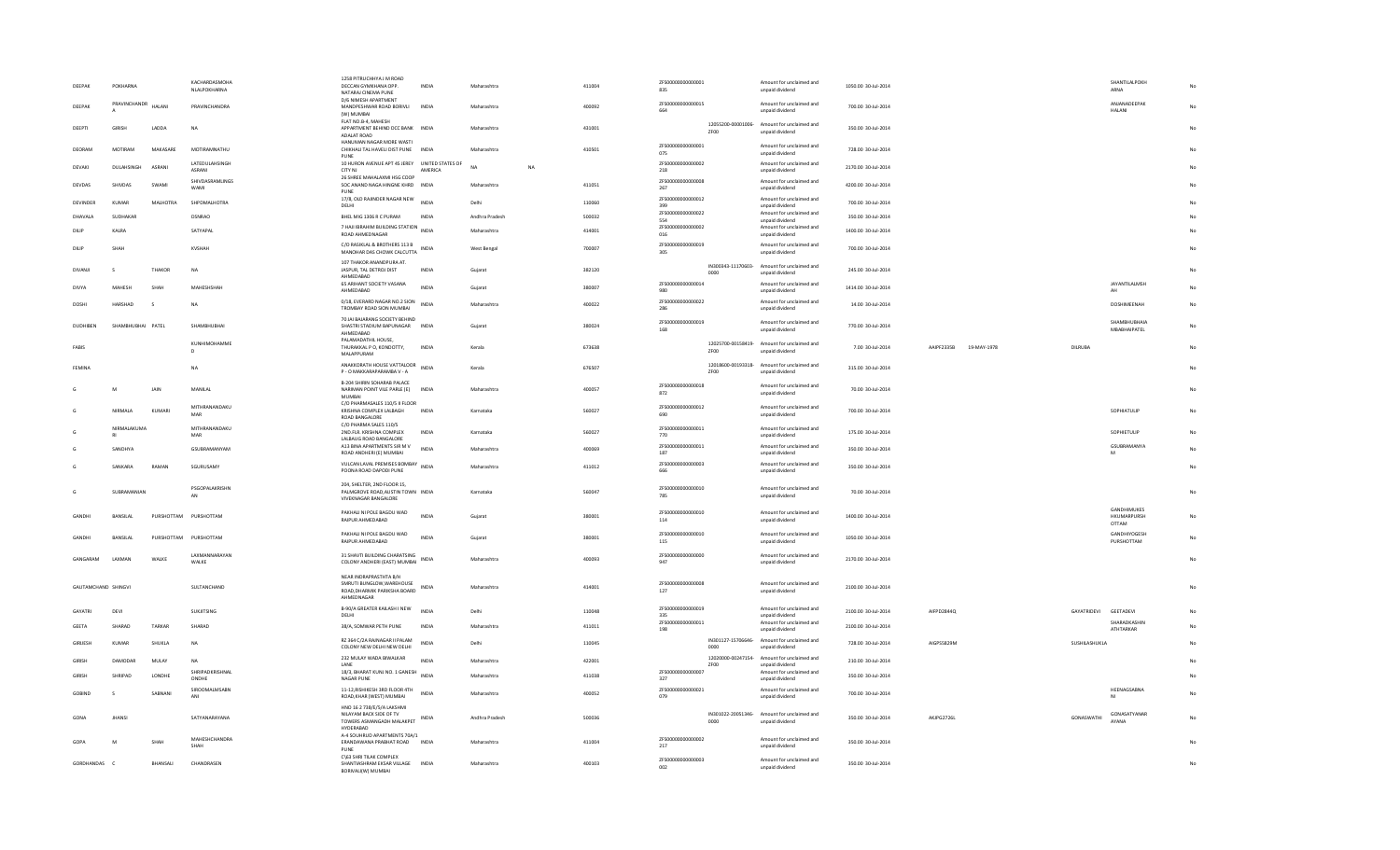| DEEPAK              | POKHARNA          |                       | KACHARDASMOHA<br>NLALPOKHARNA            | 1258 PITRUCHHYA J M ROAD<br>DECCAN GYMKHANA OPP.<br>NATARAJ CINEMA PUNE<br>D/6 NIMESH APARTMENT | INDIA        | Maharashtra            | 411004 | ZFS00000000000001<br>835        |      | Amount for unclaimed and<br>unpaid dividend                    | 1050.00 30-Jul-2014 |                           |                       | SHANTILALPOKH<br>ARNA                      |    |
|---------------------|-------------------|-----------------------|------------------------------------------|-------------------------------------------------------------------------------------------------|--------------|------------------------|--------|---------------------------------|------|----------------------------------------------------------------|---------------------|---------------------------|-----------------------|--------------------------------------------|----|
| DEEPAK              | PRAVINCHANDR      | HALANI                | PRAVINCHANDRA                            | MANDPESHWAR ROAD BORIVLI INDIA<br>(W) MUMBAI                                                    |              | Maharashtra            | 400092 | ZFS00000000000015<br>664        |      | Amount for unclaimed and<br>unpaid dividend                    | 700.00 30-Jul-2014  |                           |                       | ANJANADEEPAK<br><b>HALANI</b>              |    |
| DEEPTI              | <b>GIRISH</b>     | LADDA                 | <b>NA</b>                                | FLAT NO.B-4, MAHESH<br>APPARTMENT BEHIND DCC BANK INDIA<br>ADALAT ROAD                          |              | Maharashtra            | 431001 |                                 | ZF00 | 12055200-00001006- Amount for unclaimed and<br>unpaid dividend | 350.00 30-Jul-2014  |                           |                       |                                            |    |
| DEORAM              | MOTIRAM           | MAKASARE              | MOTIRAMNATHU                             | HANUMAN NAGAR MORE WASTI<br>CHIKHALI TAL HAVELI DIST PUNE INDIA                                 |              | Maharashtra            | 410501 | ZFS00000000000001<br>075        |      | Amount for unclaimed and<br>unpaid dividend                    | 728.00.30-Jul-2014  |                           |                       |                                            |    |
| DEVAKI              | DULAHSINGH        | ASRANI                | <b>LATEDULAHSINGH</b>                    | PUNE<br>10 HURON AVENUE APT 4S JEREY UNITED STATES OF                                           |              | <b>NA</b><br><b>NA</b> |        | 7ES000000000000002              |      | Amount for unclaimed and                                       | 2170.00 30-Jul-2014 |                           |                       |                                            |    |
| DEVDAS              | SHIVDAS           | SWAMI                 | <b>ASRANI</b><br>SHIVDASRAMLINGS<br>WAMI | CITY NJ<br>26 SHREE MAHALAXMI HSG COOP<br>SOC ANAND NAGA HINGNE KHRD INDIA                      | AMERICA      | Maharashtra            | 411051 | 218<br>ZFS00000000000008<br>267 |      | unpaid dividend<br>Amount for unclaimed and<br>unpaid dividend | 4200.00 30-Jul-2014 |                           |                       |                                            |    |
| DEVINDER            | <b>KUMAR</b>      | MALHOTRA              | SHPDMALHOTRA                             | PUNE<br>17/8, OLD RAJINDER NAGAR NEW                                                            | INDIA        | Delhi                  | 110060 | ZFS00000000000012               |      | Amount for unclaimed and                                       | 700.00 30-Jul-2014  |                           |                       |                                            |    |
| DHAVALA             | SUDHAKAR          |                       | <b>DSNRAO</b>                            | DELHI<br>BHEL MIG 1306 R C PURAM                                                                | <b>INDIA</b> | Andhra Pradesh         | 500032 | 399<br>ZFS00000000000022        |      | unpaid dividend<br>Amount for unclaimed and                    | 350.00 30-Jul-2014  |                           |                       |                                            |    |
| DILIP               | KALRA             |                       | SATYAPAL                                 | 7 HAII IBRAHIM BUILDING STATION INDIA                                                           |              | Maharashtra            | 414001 | 554<br>ZFS00000000000002        |      | unpaid dividend<br>Amount for unclaimed and                    | 1400.00 30-Jul-2014 |                           |                       |                                            |    |
|                     |                   |                       |                                          | ROAD AHMEDNAGAR<br>C/O RASIKLAL & BROTHERS 113 B                                                |              |                        |        | 016<br>7E500000000000019        |      | unpaid dividend<br>Amount for unclaimed and                    |                     |                           |                       |                                            |    |
| DILIP               | SHAH              |                       | <b>KVSHAH</b>                            | MANOHAR DAS CHOWK CALCUTTA                                                                      |              | West Bengal            | 700007 | 305                             |      | unpaid dividend                                                | 700.00 30-Jul-2014  |                           |                       |                                            |    |
| DIVANJI             | $\sim$            | THAKOR                | NA                                       | 107 THAKOR ANANDPURA AT.<br>JASPUR, TAL DETROJ DIST<br>AHMEDABAD                                | <b>INDIA</b> | Gujarat                | 382120 |                                 | 0000 | IN300343-11170603- Amount for unclaimed and<br>unpaid dividend | 245.00 30-Jul-2014  |                           |                       |                                            | No |
| DIVYA               | MAHESH            | SHAH                  | MAHESHSHAH                               | 65 ARIHANT SOCIETY VASANA<br>AHMEDABAD                                                          | <b>INDIA</b> | Gujarat                | 380007 | ZFS00000000000014<br>980        |      | Amount for unclaimed and<br>unpaid dividend                    | 1414.00 30-Jul-2014 |                           |                       | <b>JAYANTILALMSH</b><br>AH                 |    |
| DOSHI               | HARSHAD           | s.                    | <b>NA</b>                                | 0/18, EVERARD NAGAR NO.2 SION INDIA<br>TROMBAY ROAD SION MUMBAI                                 |              | Maharashtra            | 400022 | ZFS00000000000022<br>286        |      | Amount for unclaimed and<br>unpaid dividend                    | 14.00 30-Jul-2014   |                           |                       | DOSHIMEENAH                                | No |
| DUDHIBEN            | SHAMBHUBHAI PATEL |                       | SHAMBHUBHAI                              | <b>70 IAI BAIARANG SOCIETY REHIND</b><br>SHASTRI STADIUM BAPUNAGAR INDIA                        |              | Guiarat                | 380024 | ZFS00000000000019               |      | Amount for unclaimed and                                       | 770.00 30-Jul-2014  |                           |                       | SHAMBHUBHAIA                               | No |
|                     |                   |                       |                                          | AHMEDARAD<br>PALAMADATHIL HOUSE.                                                                |              |                        |        | 168                             |      | unpaid dividend                                                |                     |                           |                       | MBABHAIPATEL                               |    |
| FARIS               |                   |                       | KUNHIMOHAMME<br>D                        | THURAKKAL P O, KONDOTTY,<br>MALAPPURAM                                                          | <b>INDIA</b> | Kerala                 | 673638 |                                 | ZF00 | 12025700-00158419- Amount for unclaimed and<br>unpaid dividend | 7.00 30-Jul-2014    | AAIPF2335B<br>19-MAY-1978 | <b>DILRUBA</b>        |                                            | No |
| FEMINA              |                   |                       | <b>NA</b>                                | ANAKKORATH HOUSE VATTALOOR<br>P - O MAKKARAPARAMBA V - A                                        | <b>INDIA</b> | Kerala                 | 676507 |                                 | ZF00 | 12018600-00193318- Amount for unclaimed and<br>unpaid dividend | 315.00 30-Jul-2014  |                           |                       |                                            | No |
|                     | M                 | JAIN                  | MANILAL                                  | B-204 SHIRIN SOHARAB PALACE<br>NARIMAN POINT VILE PARLE (E) INDIA                               |              | Maharashtra            | 400057 | ZFS00000000000018<br>872        |      | Amount for unclaimed and<br>unpaid dividend                    | 70.00 30-Jul-2014   |                           |                       |                                            | No |
|                     | NIRMALA           | KUMARI                | MITHRANANDAKU<br>MAR                     | <b>MUMBAI</b><br>C/O PHARMASALES 110/5 II FLOOR<br>KRISHNA COMPLEX LALBAGH                      | INDI/        | Karnataka              | 560027 | ZFS00000000000012<br>690        |      | Amount for unclaimed and<br>unpaid dividend                    | 700.00 30-Jul-2014  |                           |                       | SOPHIATULIP                                | No |
|                     | NIRMALAKUMA       |                       | MITHRANANDAKU                            | ROAD BANGALORE<br>C/O PHARMA SALES 110/5                                                        |              |                        |        | ZFS00000000000011               |      | Amount for unclaimed and                                       |                     |                           |                       |                                            |    |
|                     | RI                |                       | MAR                                      | 2ND.FLR. KRISHNA COMPLEX<br>LALBAUG ROAD BANGALORE                                              | INDIA        | Karnataka              | 560027 | 770                             |      | unpaid dividend                                                | 175.00 30-Jul-2014  |                           |                       | SOPHIETULIP                                | No |
|                     | SANDHYA           |                       | GSURRAMANYAM                             | A13 BINA APARTMENTS SIR M V<br>ROAD ANDHERI (E) MUMBAI                                          | <b>INDIA</b> | Maharashtra            | 400069 | ZFS00000000000011<br>187        |      | Amount for unclaimed and<br>unpaid dividend                    | 350.00 30-Jul-2014  |                           |                       | <b>GSUBRAMANYA</b><br>M                    | No |
|                     | SANKARA           | RAMAN                 | SGURUSAMY                                | VULCAN LAVAL PREMISES BOMBAY INDIA<br>POONA ROAD DAPODI PUNE                                    |              | Maharashtra            | 411012 | ZES00000000000003<br>666        |      | Amount for unclaimed and<br>unpaid dividend                    | 350.00 30-Jul-2014  |                           |                       |                                            | No |
|                     | SURRAMANIAN       |                       | PSGOPALAKRISHN<br>AN                     | 204, SHELTER, 2ND FLOOR 15,<br>PALMGROVE ROAD, AUSTIN TOWN INDIA<br>VIVEKNAGAR BANGALORE        |              | Karnataka              | 560047 | ZFS00000000000010<br>785        |      | Amount for unclaimed and<br>unpaid dividend                    | 70.00 30-Jul-2014   |                           |                       |                                            | No |
| GANDHI              | <b>BANSILAL</b>   | PURSHOTTAM PURSHOTTAM |                                          | PAKHALI NI POLE BAGDU WAD<br>RAIPUR AHMEDABAD                                                   | INDIA        | Guiarat                | 380001 | ZFS00000000000010<br>114        |      | Amount for unclaimed and<br>unpaid dividend                    | 1400.00 30-Jul-2014 |                           |                       | <b>GANDHIMUKES</b><br>HKUMARPURSH<br>OTTAM | No |
| GANDHI              | <b>BANSILAL</b>   | PURSHOTTAM PURSHOTTAM |                                          | PAKHALI NI POLE BAGDU WAD<br>RAIPUR AHMEDABAD                                                   | <b>INDIA</b> | Guiarat                | 380001 | ZFS00000000000010<br>115        |      | Amount for unclaimed and<br>unpaid dividend                    | 1050.00 30-Jul-2014 |                           |                       | GANDHIYOGESH<br>PURSHOTTAM                 | No |
| GANGARAM            | <b>LAXMAN</b>     | <b>WAIKE</b>          | LAXMANNARAYAN<br>WALKE                   | 31 SHAVTI BUILDING CHARATSING<br>COLONY ANDHERI (EAST) MUMBAI                                   | <b>INDIA</b> | Maharashtra            | 400093 | ZFS00000000000000<br>947        |      | Amount for unclaimed and<br>unpaid dividend                    | 2170.00 30-Jul-2014 |                           |                       |                                            | No |
|                     |                   |                       |                                          | NEAR INDRAPRASTHTA B/H                                                                          |              |                        |        |                                 |      |                                                                |                     |                           |                       |                                            |    |
| GAUTAMCHAND SHINGVI |                   |                       | SULTANCHAND                              | SMRUTI BUNGLOW.WAREHOUSE<br>ROAD, DHARMIK PARIKSHA BOARD<br>AHMEDNAGAR                          | INDI/        | Maharashtra            | 414001 | ZFS00000000000008<br>127        |      | Amount for unclaimed and<br>unpaid dividend                    | 2100.00 30-Jul-2014 |                           |                       |                                            | No |
| <b>GAYATRI</b>      | DEVI              |                       | <b>SUKJITSING</b>                        | B-90/A GREATER KAILASH I NEW<br>DELHI                                                           | INDIA        | Delhi                  | 110048 | ZFS00000000000019<br>335        |      | Amount for unclaimed and<br>unpaid dividend                    | 2100.00 30-Jul-2014 | AIFPD2844Q                | GAYATRIDEVI GEETADEVI |                                            | No |
| <b>GEETA</b>        | SHARAD            | TARKAR                | SHARAD                                   | 38/A, SOMWAR PETH PUNE                                                                          | <b>INDIA</b> | Maharashtra            | 411011 | ZFS00000000000011<br>198        |      | Amount for unclaimed and<br>unpaid dividend                    | 2100.00 30-Jul-2014 |                           |                       | SHARADKASHIN<br><b>ATHTARKAR</b>           | No |
| GIRIJESH            | KUMAR             | SHUKLA                | <b>NA</b>                                | R7 364 C/2A RAINAGAR II PALAM<br>COLONY NEW DELHI NEW DELHI                                     | <b>INDIA</b> | Delhi                  | 110045 |                                 | 0000 | IN301127-15706646- Amount for unclaimed and<br>unpaid dividend | 728.00 30-Jul-2014  | AIGPS5829M                | SUSHILASHUKLA         |                                            |    |
| <b>GIRISH</b>       | DAMODAR           | MULAY                 | NA                                       | 232 MULAY WADA BIWALKAR                                                                         | <b>INDIA</b> | Maharashtra            | 422001 |                                 |      | 12020000-00247154- Amount for unclaimed and                    | 210.00 30-Jul-2014  |                           |                       |                                            |    |
| GIRISH              | SHRIPAD           | LONDHE                | SHRIPADKRISHNAL                          | LANE<br>18/3, BHARAT KUNJ NO. 1 GANESH                                                          | <b>INDIA</b> | Maharashtra            | 411038 | ZFS00000000000007               | ZF00 | unpaid dividend<br>Amount for unclaimed and                    | 350.00 30-Jul-2014  |                           |                       |                                            | No |
|                     |                   |                       | ONDHE<br>SIROOMALMSABN                   | NAGAR PUNE<br>11-12, RISHIKESH 3RD FLOOR 4TH                                                    |              |                        |        | 327<br>ZFS00000000000021        |      | unpaid dividend<br>Amount for unclaimed and                    |                     |                           |                       | HEENAGSABNA                                |    |
| GOBIND              | $\leq$            | SABNANI               |                                          | ROAD, KHAR (WEST) MUMBAI<br>HNO 16 2 738/E/5/A LAKSHMI                                          | <b>INDIA</b> | Maharashtra            | 400052 | 079                             |      | unpaid dividend                                                | 700.00 30-Jul-2014  |                           |                       |                                            | No |
| GON/                | <b>JHANSI</b>     |                       | SATYANARAYANA                            | NILAYAM BACK SIDE OF TV<br>TOWERS ASMANGADH MALAKPET INDIA<br>HYDERABAD                         |              | Andhra Prades          | 500036 |                                 | 0000 | IN301022-20051346- Amount for unclaimed and<br>unpaid dividend | 350.00 30-Jul-2014  | AKJPG2726L                | GONASWATHI            | GONASATYANAR<br>AYANA                      | No |
| GOPA                | M                 | SHAH                  | MAHESHCHANDRA<br>SHAH                    | A-4 SOUHRUD APARTMENTS 70A/1<br>ERANDAWANA PRABHAT ROAD INDIA<br>PUNE                           |              | Maharashtra            | 411004 | ZFS00000000000002<br>217        |      | Amount for unclaimed and<br>unpaid dividend                    | 350.00 30-Jul-2014  |                           |                       |                                            | No |
| GORDHANDAS C        |                   | BHANSALI              | CHANDRASEN                               | C\63 SHRI TILAK COMPLEX<br>SHANTIASHRAM EKSAR VILLAGE INDIA<br>BORIVALI(W) MUMBAI               |              | Maharashtra            | 400103 | ZFS00000000000003<br>002        |      | Amount for unclaimed and<br>unpaid dividend                    | 350.00 30-Jul-2014  |                           |                       |                                            | No |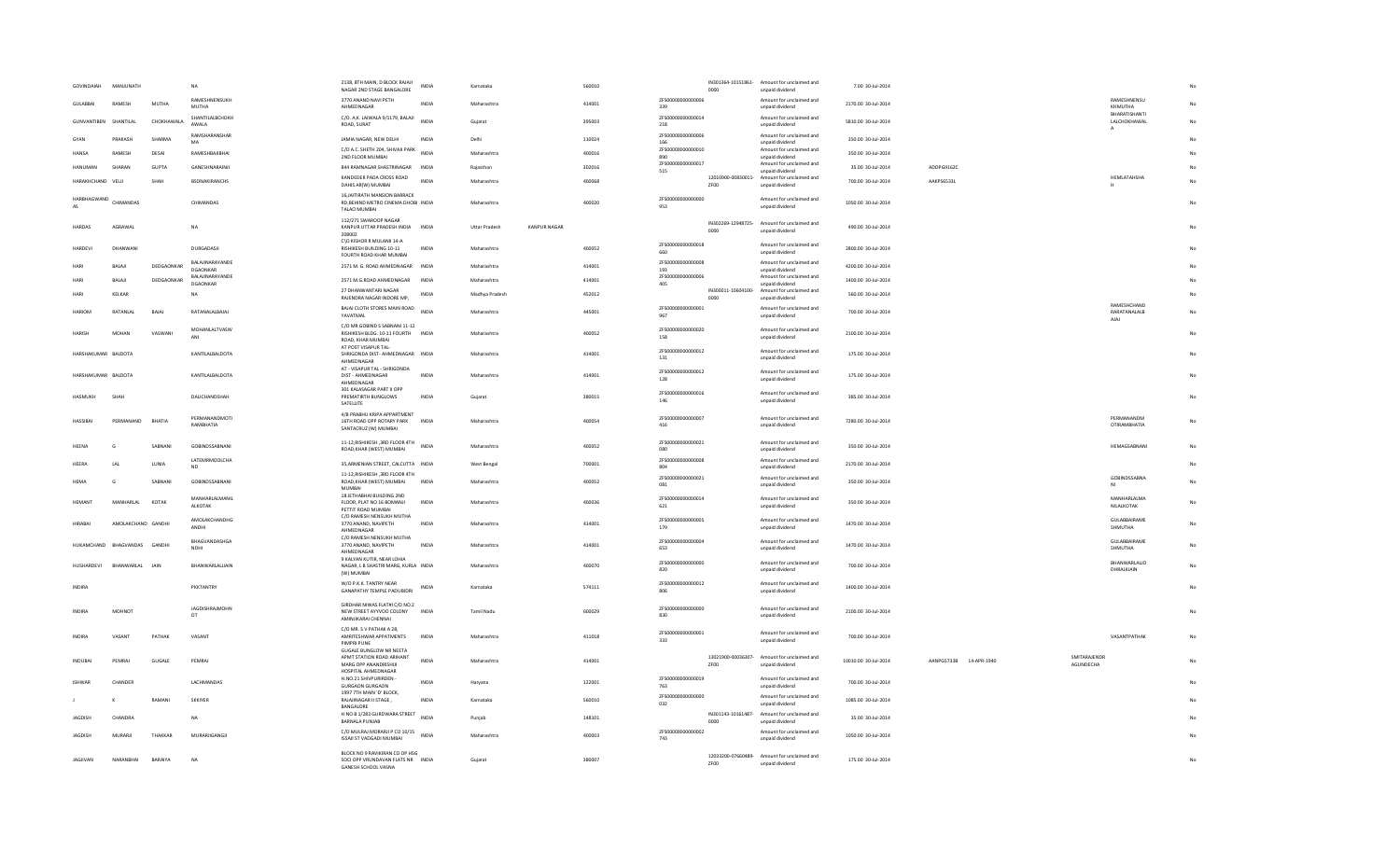| GOVINDAIAH                   | MANIUNATH          |            | NA.                                | 2138, 8TH MAIN, D BLOCK RAJAII<br>NAGAR 2ND STAGE BANGALORE                                | <b>INDIA</b> | Karnataka            |                     | 560010 |                          | 0000                       | IN301364-10151861- Amount for unclaimed and<br>unpaid dividend | 7.00 30-Jul-2014     |                        |                           |                                    |    |
|------------------------------|--------------------|------------|------------------------------------|--------------------------------------------------------------------------------------------|--------------|----------------------|---------------------|--------|--------------------------|----------------------------|----------------------------------------------------------------|----------------------|------------------------|---------------------------|------------------------------------|----|
| GULABBAI                     | RAMESH             | MUTHA      | RAMESHNENSUKH<br><b>MUTHA</b>      | 3770 ANAND NAVI PETH<br>AHMEDNAGAR                                                         | INDIA        | Maharashtra          |                     | 414001 | ZFS00000000000006<br>339 |                            | Amount for unclaimed and<br>unpaid dividend                    | 2170.00 30-Jul-2014  |                        |                           | RAMESHNENSU<br>KHMUTHA             |    |
| GUNVANTIBEN                  | SHANTILAL          | CHOKHAWALA | SHANTILALBCHOKH<br>AWALA           | C/O. A.K. LAIWALA 9/1179, BALAJI<br>ROAD, SURAT                                            | <b>INDIA</b> | Gujarat              |                     | 395003 | ZFS00000000000014<br>218 |                            | Amount for unclaimed and<br>unpaid dividend                    | 5810.00 30-Jul-2014  |                        |                           | BHARATISHANTI<br>LALCHOKHAWAL      |    |
| GYAN                         | PRAKASH            | SHARMA     | RAMSHARANSHAF                      | JAMIA NAGAR, NEW DELHI                                                                     | <b>INDIA</b> | Delhi                |                     | 110024 | ZFS00000000000006        |                            | Amount for unclaimed and                                       | 350.00 30-101-2014   |                        |                           | A                                  |    |
| <b>HANSA</b>                 | RAMESH             | DESAI      | MA<br>RAMESHBAJIBHAI               | C/O A.C. SHETH 204, SHIVAJI PARK                                                           | <b>INDIA</b> | Maharashtra          |                     | 400016 | 166<br>ZFS00000000000010 |                            | unpaid dividend<br>Amount for unclaimed and                    | 350.00 30-Jul-2014   |                        |                           |                                    |    |
| <b>HANUMAN</b>               | SHARAN             | GUPTA      | GANESHNARAINJI                     | 2ND FLOOR MUMBAI<br>844 RAMNAGAR SHASTRINAGAR                                              | INDIA        | Rajasthan            |                     | 302016 | 890<br>ZFS00000000000017 |                            | unpaid dividend<br>Amount for unclaimed and                    | 35.00 30-Jul-2014    | ADOPG9162C             |                           |                                    |    |
| HARAKHCHAND                  | VELJI              | SHAF       | <b>BSONAKIRANCHS</b>               | KANDEDER PADA CROSS ROAD                                                                   | <b>INDIA</b> | Maharashtra          |                     | 400068 | 515                      | 12010900-00830011-         | unpaid dividend<br>Amount for unclaimed and                    | 700.00 30-Jul-2014   | <b>AAKPS65331</b>      |                           | HEMLATAHSHA                        |    |
|                              |                    |            |                                    | DAHIS AR(W) MUMBAI<br>16, JAITIRATH MANSION BARRACK                                        |              |                      |                     |        |                          | ZF00                       | unpaid dividend                                                |                      |                        |                           | н                                  |    |
| HARBHAGWAND<br>AS            | CHIMANDAS          |            | CHIMANDAS                          | RD, BEHIND METRO CINEMA DHOBI INDIA<br>TALAO MUMBAI                                        |              | Maharashtra          |                     | 400020 | 7ES00000000000000<br>953 |                            | Amount for unclaimed and<br>unpaid dividend                    | 1050.00 30-Jul-2014  |                        |                           |                                    |    |
| <b>HARDAS</b>                | AGRAWAI            |            | <b>NA</b>                          | 112/271 SWAROOP NAGAR<br>KANPUR UTTAR PRADESH INDIA INDIA<br>208002                        |              | <b>Uttar Pradesh</b> | <b>KANPUR NAGAR</b> |        |                          | 0000                       | IN302269-12948725- Amount for unclaimed and<br>unpaid dividend | 490.00 30-Jul-2014   |                        |                           |                                    |    |
| HARDEVI                      | DHANWANI           |            | DURGADASJI                         | C\O KISHOR R MULANII 14-A<br>RISHIKESH BUILDING 10-11<br>FOURTH ROAD KHAR MUMBAI           | INDIA        | Maharashtra          |                     | 400052 | ZFS00000000000018<br>660 |                            | Amount for unclaimed and<br>unpaid dividend                    | 2800.00 30-Jul-2014  |                        |                           |                                    |    |
| HARI                         | BALAJI             | DEDGAONKAR | BALAJINARAYANDE<br>DGAONKAR        | 2571 M. G. ROAD AHMEDNAGAR INDIA                                                           |              | Maharashtra          |                     | 414001 | ZFS00000000000008<br>193 |                            | Amount for unclaimed and<br>unpaid dividend                    | 4200.00 30-Jul-2014  |                        |                           |                                    |    |
| HARL                         | BALAJI             | DEDGAONKAR | BALAJINARAYANDE<br>DGAONKAR        | 2571 M.G.ROAD AHMEDNAGAR                                                                   | INDIA        | Maharashtra          |                     | 414001 | ZFS00000000000006<br>405 |                            | Amount for unclaimed and<br>unpaid dividend                    | 1400.00 30-Jul-2014  |                        |                           |                                    |    |
| HARI                         | KELKAR             |            | NA                                 | 27 DHANWANTARI NAGAR<br>RAJENDRA NAGAR INDORE MP.                                          | INDIA        | Madhya Pradesh       |                     | 452012 |                          | 0000                       | IN300011-10604100- Amount for unclaimed and<br>unpaid dividend | 560.00 30-Jul-2014   |                        |                           |                                    |    |
| <b>HARIOM</b>                | RATANI AI          | RAIAI      | RATANALAI RAIAL                    | BAJAJ CLOTH STORES MAIN ROAD                                                               | <b>INDIA</b> | Maharashtra          |                     | 445001 | ZFS00000000000001        |                            | Amount for unclaimed and                                       | 700.00 30-Jul-2014   |                        |                           | <b>RAMESHCHAND</b><br>RARATANALALB | No |
|                              |                    |            |                                    | YAVATMAL<br>C/O MR GOBIND S SABNANI 11-12                                                  |              |                      |                     |        | 967                      |                            | unpaid dividend                                                |                      |                        |                           | AJAJ                               |    |
| <b>HARISH</b>                | MOHAN              | VASWANI    | MOHANLALTVASW<br>ANI               | RISHIKESH BLDG. 10-11 FOURTH INDIA<br>ROAD, KHAR MUMBAI<br>AT POST VISAPUR TAL             |              | Maharashtra          |                     | 400052 | ZFS00000000000020<br>158 |                            | Amount for unclaimed and<br>unpaid dividend                    | 2100.00 30-Jul-2014  |                        |                           |                                    |    |
| HARSHAKUMAR BALDOTA          |                    |            | KANTILALBALDOTA                    | SHRIGONDA DIST- AHMEDNAGAR INDIA<br>AHMEDNAGAR                                             |              | Maharashtra          |                     | 414001 | ZFS00000000000012<br>131 |                            | Amount for unclaimed and<br>unpaid dividend                    | 175.00 30-Jul-2014   |                        |                           |                                    |    |
| HARSHAKUMAR BALDOTA          |                    |            | KANTILALBALDOTA                    | AT - VISAPUR TAL - SHRIGONDA<br>DIST - AHMEDNAGAR<br>AHMEDNAGAR                            | <b>INDIA</b> | Maharashtra          |                     | 414001 | ZFS00000000000012<br>128 |                            | Amount for unclaimed and<br>unpaid dividend                    | 175.00 30-Jul-2014   |                        |                           |                                    |    |
| HASMUKH                      | SHAH               |            | DALICHANDSHAH                      | 301 KALASAGAR PART II OPP<br>PREMATIRTH BUNGLOWS<br>SATELLITE                              | <b>INDIA</b> | Guiarat              |                     | 380015 | ZFS00000000000016<br>146 |                            | Amount for unclaimed and<br>unpaid dividend                    | 385.00 30-Jul-2014   |                        |                           |                                    |    |
| HASSIBAI                     | PERMANAND          | BHATIA     | PERMANANDMOTI<br>RAMBHATIA         | 4/B PRABHU KRIPA APPARTMENT<br>16TH ROAD OPP ROTARY PARK<br>SANTACRUZ (W) MUMBAI           | INDIA        | Maharashtra          |                     | 400054 | ZFS00000000000007<br>416 |                            | Amount for unclaimed and<br>unpaid dividend                    | 7280.00 30-Jul-2014  |                        |                           | PERMANANDM<br><b>OTIRAMBHATIA</b>  |    |
| <b>HEFNA</b>                 | G                  | SARNANI    | GOBINDSSARNANI                     | 11-12, RISHIKESH, 3RD FLOOR 4TH INDIA<br>ROAD, KHAR (WEST) MUMBAI                          |              | Maharashtra          |                     | 400052 | ZFS00000000000021<br>080 |                            | Amount for unclaimed and<br>unpaid dividend                    | 350.00 30-Jul-2014   |                        |                           | <b>HEMAGSARNANI</b>                |    |
| HEERA                        | LAL                | LUNIA      | LATEMRMOOLCHA<br><b>ND</b>         | 35, ARMENIAN STREET, CALCUTTA INDIA                                                        |              | <b>West Bengal</b>   |                     | 700001 | ZFS00000000000008<br>804 |                            | Amount for unclaimed and<br>unpaid dividend                    | 2170.00 30-Jul-2014  |                        |                           |                                    |    |
| HEMA                         | G                  | SABNAN     | GOBINDSSABNANI                     | 11-12, RISHIKESH , 3RD FLOOR 4TH<br>ROAD, KHAR (WEST) MUMBAI<br><b>MUMBAI</b>              | <b>INDIA</b> | Maharashtra          |                     | 400052 | ZES00000000000021<br>081 |                            | Amount for unclaimed and<br>unpaid dividend                    | 350.00 30-Jul-2014   |                        |                           | GOBINDSSARNA                       | No |
| HEMANT                       | MANHARLAL          | KOTAK      | MANHARI AI MANII<br><b>ALKOTAK</b> | 18 JETHABHAI BUILDING 2ND<br>FLOOR, PLAT NO 16 BOMANJI                                     | <b>INDIA</b> | Maharashtra          |                     | 400036 | ZES00000000000014<br>621 |                            | Amount for unclaimed and<br>unpaid dividend                    | 350.00 30-Jul-2014   |                        |                           | MANHARI AI MA<br>NILALKOTAK        | No |
| <b>HIRABAI</b>               | AMOLAKCHAND GANDHI |            | AMOLAKCHANDHG<br>ANDHI             | PETTIT ROAD MUMBAI<br>C/O RAMESH NENSUKH MUTHA<br>3770 ANAND, NAVIPETH                     | <b>INDIA</b> | Maharashtra          |                     | 414001 | ZFS00000000000005<br>179 |                            | Amount for unclaimed and<br>unpaid dividend                    | 1470.00 30-Jul-2014  |                        |                           | GULABBAIRAME<br>SHMUTHA            | No |
|                              |                    |            |                                    | AHMEDNAGAR<br>C/O RAMESH NENSUKH MUTHA                                                     |              |                      |                     |        | ZFS00000000000004        |                            |                                                                |                      |                        |                           | GULABBAIRAME                       |    |
| HUKAMCHAND BHAGVANDAS GANDHI |                    |            | BHAGVANDASHGA<br>NDHI              | 3770 ANAND, NAVIPETH<br>AHMEDNAGAR                                                         | <b>INDIA</b> | Maharashtra          |                     | 414001 | 653                      |                            | Amount for unclaimed and<br>unpaid dividend                    | 1470.00 30-Jul-2014  |                        |                           | SHMUTHA                            | No |
| <b>HUSHARDEVI</b>            | BHANWARLAL JAIN    |            | BHANWARLALJJAIN                    | 9 KALYAN KUTIR, NEAR LOHIA<br>NAGAR, L B SHASTRI MARG, KURLA INDIA<br>(W) MUMBAI           |              | Maharashtra          |                     | 400070 | ZFS00000000000000<br>820 |                            | Amount for unclaimed and<br>unpaid dividend                    | 700.00 30-Jul-2014   |                        |                           | BHANWARLALIO<br>DHRAJJIJAIN        |    |
| <b>INDIRA</b>                |                    |            | PKKTANTRY                          | W/O P.K.K. TANTRY NEAR<br>GANAPATHY TEMPLE PADUBIDRI                                       | INDIA        | Karnataka            |                     | 574111 | ZFS00000000000012<br>806 |                            | Amount for unclaimed and<br>unpaid dividend                    | 1400.00 30-Jul-2014  |                        |                           |                                    |    |
| <b>INDIRA</b>                | <b>MOHNOT</b>      |            | <b>JAGDISHRAJMOHN</b><br>OT        | GIRDHAR NIWAS FLAT#I C/D NO.2<br>NEW STREET AYYVOO COLONY                                  | <b>INDIA</b> | Tamil Nadu           |                     | 600029 | ZFS00000000000000<br>830 |                            | Amount for unclaimed and<br>unpaid dividend                    | 2100.00 30-Jul-2014  |                        |                           |                                    |    |
| INDIRA                       | VASANT             | PATHAK     | VASANT                             | AMINJIKARAI CHENNAI<br>C/O MR. S V PATHAK A 28,<br>AMRITESHWAR APPATMENTS                  | INDIA        | Maharashtra          |                     | 411018 | ZFS00000000000001<br>333 |                            | Amount for unclaimed and<br>unpaid dividend                    | 700.00 30-Jul-2014   |                        |                           | VASANTPATHAK                       |    |
|                              |                    |            |                                    | PIMPRI PUNE<br>GUGALE BUNGLOW NR NEETA                                                     |              |                      |                     |        |                          |                            |                                                                |                      |                        |                           |                                    |    |
| INDUBA                       | PEMRAJ             | GUGALE     | PEMRAJ                             | APMT STATION ROAD ARIHANT<br>MARG OPP ANANDRISHIJI<br>HOSPITAL AHMEDNAGAR                  | INDIA        | Maharashtra          |                     | 414001 |                          | ZF00                       | 13021900-00036307- Amount for unclaimed and<br>unpaid dividend | 10010.00 30-Jul-2014 | AANPG5733B 14-APR-1940 | SMITARAJENDR<br>AGUNDECHA |                                    |    |
| ISHWAF                       | CHANDER            |            | LACHMANDAS                         | H.NO.21 SHIVPURIRDEN -<br><b>GURGAON GURGAON</b>                                           | INDIA        | Haryana              |                     | 122001 | ZFS00000000000019<br>763 |                            | Amount for unclaimed and<br>unpaid dividend                    | 700.00 30-Jul-2014   |                        |                           |                                    |    |
|                              | ĸ                  | RAMANI     | SKKIYER                            | 1997 7TH MAIN 'D' BLOCK,<br>RAJAJINAGAR II STAGE,<br>BANGALORE                             | <b>INDIA</b> | Karnataka            |                     | 560010 | ZFS00000000000000<br>032 |                            | Amount for unclaimed and<br>unpaid dividend                    | 1085.00 30-Jul-2014  |                        |                           |                                    |    |
| <b>JAGDISH</b>               | CHANDRA            |            | <b>NA</b>                          | H NO B 1/283 GURDWARA STREET                                                               | <b>INDIA</b> | Puniab               |                     | 148101 |                          | IN301143-10161487-<br>0000 | Amount for unclaimed and<br>unpaid dividend                    | 35.00 30-Jul-2014    |                        |                           |                                    |    |
| JAGDISH                      | MURARJI            | THAKKAR    | MURARJIGANGJI                      | BARNALA PUNJAB<br>C/O MULRAJ MORARJI P CO 10/15<br>ISSAJI ST VADGADI MUMBAI                | <b>INDIA</b> | Maharashtra          |                     | 400003 | ZFS00000000000002<br>743 |                            | Amount for unclaimed and<br>unpaid dividend                    | 1050.00 30-Jul-2014  |                        |                           |                                    |    |
| JAGJIVAN                     | NARANRHAI          | BARAIYA    | <b>NA</b>                          | BLOCK NO 9 RAVIKIRAN CO OP HSG<br>SOCI OPP VRUNDAVAN FLATS NR INDIA<br>GANESH SCHOOL VASNA |              | Gujarat              |                     | 380007 |                          | ZF00                       | 12033200-07660489- Amount for unclaimed and<br>unpaid dividend | 175.00 30-Jul-2014   |                        |                           |                                    |    |
|                              |                    |            |                                    |                                                                                            |              |                      |                     |        |                          |                            |                                                                |                      |                        |                           |                                    |    |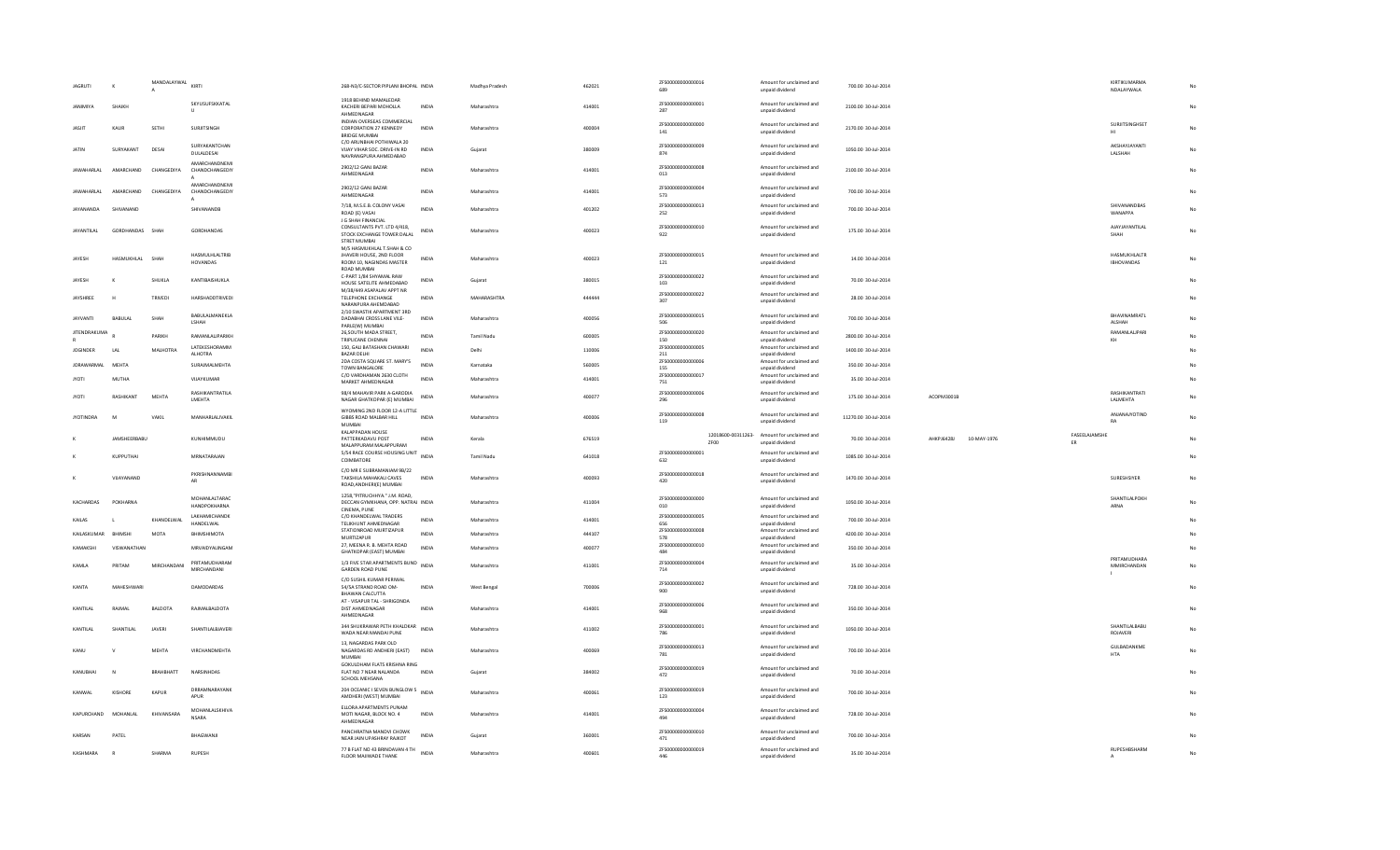| <b>JAGRUTI</b>      | $\boldsymbol{\kappa}$ | MANDALAYWAL KIRTI |                                      | 268-N3/C-SECTOR PIPLANI BHOPAL INDIA                                                                           |                  | Madhya Pradesh     | 462021 | ZFS00000000000016                             | Amount for unclaimed and                                                | 700.00 30-Jul-2014   |                                  | KIRTIKUMARMA                      |    |
|---------------------|-----------------------|-------------------|--------------------------------------|----------------------------------------------------------------------------------------------------------------|------------------|--------------------|--------|-----------------------------------------------|-------------------------------------------------------------------------|----------------------|----------------------------------|-----------------------------------|----|
|                     |                       |                   |                                      |                                                                                                                |                  |                    |        | 689                                           | unpaid dividend                                                         |                      |                                  | NDALAYWALA                        |    |
| <b>IANIMIVA</b>     | SHAIKH                |                   | SKYUSUFSKKATAL<br>U                  | 1918 REHIND MAMALEDAR<br>KACHERI BEPARI MOHOLLA                                                                | INDIA            | Maharashtra        | 414001 | ZFS00000000000001<br>287                      | Amount for unclaimed and<br>unpaid dividend                             | 2100.00 30-Jul-2014  |                                  |                                   | No |
| JASJIT              | KAUR                  | SETHI             | SURJITSINGH                          | AHMEDNAGAR<br>INDIAN OVERSEAS COMMERCIAL<br>CORPORATION 27 KENNEDY                                             | INDIA            | Maharashtra        | 400004 | ZES00000000000000<br>141                      | Amount for unclaimed and<br>unnaid dividend                             | 2170.00 30-Jul-2014  |                                  | <b>SURITSINGHSET</b><br>HI        | No |
| <b>JATIN</b>        | SURYAKANT             | DESA              | SURYAKANTCHAN                        | <b>BRIDGE MUMBAI</b><br>C/O ARUNBHAI POTHIWALA 20<br>VIJAY VIHAR SOC, DRIVE-IN RD                              | <b>INDIA</b>     | Guiarat            | 380009 | ZFS00000000000009                             | Amount for unclaimed and                                                | 1050.00 30-Jul-2014  |                                  | AKSHAYJAYANTI                     | No |
|                     |                       |                   | DULALDESAI<br>AMARCHANDNEMI          | NAVRANGPURA AHMEDABAD<br>2902/12 GANJ BAZAR                                                                    |                  |                    |        | 874<br>ZFS00000000000008                      | unpaid dividend<br>Amount for unclaimed and                             |                      |                                  | LALSHAH                           |    |
| <b>JAWAHARI AI</b>  | <b>AMARCHAND</b>      | CHANGEDIYA        | CHANDCHANGEDIY<br>AMARCHANDNEMI      | AHMEDNAGAR                                                                                                     | <b>INDIA</b>     | Maharashtra        | 414001 | 013                                           | unpaid dividend                                                         | 2100.00 30-Jul-2014  |                                  |                                   | No |
| <b>JAWAHARI AI</b>  | AMARCHAND             | CHANGEDIYA        | CHANDCHANGEDIY<br>$\overline{A}$     | 2902/12 GANJ BAZAR<br>AHMEDNAGAR                                                                               | <b>INDIA</b>     | Maharashtra        | 414001 | ZFS00000000000004<br>573                      | Amount for unclaimed and<br>unpaid dividend                             | 700.00 30-Jul-2014   |                                  |                                   | No |
| <b>IAYANANDA</b>    | SHIVANAND             |                   | SHIVANANDB                           | 7/18, M.S.E.B. COLONY VASAI<br>ROAD (E) VASAI<br>J G SHAH FINANCIAL                                            | <b>INDIA</b>     | Maharashtra        | 401202 | ZFS00000000000013<br>252                      | Amount for unclaimed and<br>unpaid dividend                             | 700.00 30-Jul-2014   |                                  | SHIVANANDBAS<br>WANAPPA           | No |
| <b>JAYANTILAL</b>   | GORDHANDAS SHAH       |                   | GORDHANDAS                           | CONSULTANTS PVT. LTD 4/418.<br>STOCK EXCHANGE TOWER DALAL<br><b>STRET MUMBAI</b><br>M/S HASMUKHLAL T.SHAH & CO | <b>INDIA</b>     | Maharashtra        | 400023 | ZFS00000000000010<br>922                      | Amount for unclaimed and<br>unpaid dividend                             | 175.00 30-Jul-2014   |                                  | AJAYJAYANTILAL<br>SHAH            | No |
| JAYESH              | HASMUKHLAL            | SHAH              | HASMULHLALTRIB<br><b>HOVANDAS</b>    | JHAVERI HOUSE, 2ND FLOOR<br>ROOM 10, NAGINDAS MASTER<br>ROAD MUMBAI                                            | <b>INDIA</b>     | Maharashtra        | 400023 | ZFS00000000000015<br>121                      | Amount for unclaimed and<br>unpaid dividend                             | 14.00 30-Jul-2014    |                                  | HASMUKHLALTR<br><b>IBHOVANDAS</b> | No |
| <b>IAYESH</b>       | $\boldsymbol{\kappa}$ | <b>SHUKLA</b>     | <b>KANTIBAISHUKLA</b>                | C-PART 1/84 SHYAMAL RAW<br>HOUSE SATELITE AHMEDABAD                                                            | <b>INDIA</b>     | Guiarat            | 380015 | ZFS00000000000022<br>103                      | Amount for unclaimed and<br>unpaid dividend                             | 70.00 30-Jul-2014    |                                  |                                   | No |
| JAYSHREE            | H                     | TRIVEDI           | HARSHADDTRIVEDI                      | M/38/449 ASAPALAV APPT NR<br>TELEPHONE EXCHANGE<br>NARANPURA AHEMDARAD                                         | <b>INDIA</b>     | MAHARASHTRA        | 444444 | ZFS00000000000022<br>307                      | Amount for unclaimed and<br>unpaid dividend                             | 28.00 30-Jul-2014    |                                  |                                   | No |
| <b>JAYVANTI</b>     | BABULAL               | SHAH              | BABULALMANEKLA<br>LSHAH              | 2/10 SWASTIK APARTMENT 3RD<br>DADABHAI CROSS LANE VILE-<br>PARLE(W) MUMBAI                                     | INDIA            | Maharashtra        | 400056 | ZFS00000000000015<br>506                      | Amount for unclaimed and<br>unpaid dividend                             | 700.00 30-Jul-2014   |                                  | BHAVINAMRATL<br>ALSHAH            | No |
| <b>JITENDRAKUMA</b> |                       |                   |                                      | 26, SOUTH MADA STREET,                                                                                         |                  |                    |        | ZFS00000000000020                             | Amount for unclaimed and                                                |                      |                                  | RAMANLALJPARI                     |    |
|                     |                       | PARIKH            | <b>RAMANI AI IPARIKH</b>             | TRIPLICANE CHENNAI                                                                                             | <b>INDIA</b>     | Tamil Nadu         | 600005 | 150                                           | unpaid dividend                                                         | 2800.00 30-Jul-2014  |                                  | KH                                | No |
| <b>JOGINDER</b>     | LAI                   | MALHOTRA          | LATEKESHORAMM<br><b>ALHOTRA</b>      | 150, GALI BATASHAN CHAWARI<br><b>BAZAR DELHI</b>                                                               | <b>INDIA</b>     | Delhi              | 110006 | ZFS00000000000005<br>211                      | Amount for unclaimed and<br>unpaid dividend                             | 1400.00 30-Jul-2014  |                                  |                                   | No |
| <b>JORAWARMAL</b>   |                       |                   |                                      | 2DA COSTA SQUARE ST. MARY'S                                                                                    | <b>INDIA</b>     |                    |        | ZES00000000000006                             | Amount for unclaimed and                                                |                      |                                  |                                   |    |
|                     | MEHTA                 |                   | SURAJMALMEHTA                        | TOWN BANGALORE<br>C/O VARDHAMAN 2630 CLOTH                                                                     |                  | Karnataka          | 560005 | 155<br>ZFS00000000000017                      | unpaid dividend<br>Amount for unclaimed and                             | 350.00 30-Jul-2014   |                                  |                                   |    |
| <b>JYOTI</b>        | <b>MUTHA</b>          |                   | VUAYKUMAR                            | MARKET AHMEDNAGAR                                                                                              | <b>INDIA</b>     | Maharashtra        | 414001 | 751                                           | unpaid dividend                                                         | 35.00 30-Jul-2014    |                                  |                                   | No |
| <b>JYOTI</b>        | RASHIKANT             | MEHTA             | RASHIKANTRATILA<br>LMEHTA            | 98/4 MAHAVIR PARK A-GARODIA<br>NAGAR GHATKOPAR (E) MUMBAI<br>WYOMING 2ND FLOOR 12-A LITTLE                     | INDIA            | Maharashtra        | 400077 | ZFS00000000000006<br>296                      | Amount for unclaimed and<br>unpaid dividend                             | 175.00 30-Jul-2014   | ACOPM3001B                       | <b>RASHIKANTRATI</b><br>LALMEHTA  | No |
| <b>JYOTINDRA</b>    | M                     | VAKIL             | MANHARLALJVAKIL                      | GIBBS ROAD MALBAR HILL                                                                                         | <b>INDIA</b>     | Maharashtra        | 400006 | ZFS00000000000008                             | Amount for unclaimed and                                                | 11270.00 30-Jul-2014 |                                  | ANJANAJYOTIND                     | No |
|                     |                       |                   |                                      | <b>MUMBAI</b>                                                                                                  |                  |                    |        | 119                                           | unpaid dividend                                                         |                      |                                  | RA                                |    |
|                     | JAMSHEERBABU          |                   | KUNHIMMUDU                           | KALAPPADAN HOUSE<br>PATTERKADAVU POST<br>MALAPPURAM MALAPPURAM                                                 | <b>INDIA</b>     | Kerala             | 676519 | ZF00                                          | 12018600-00311263- Amount for unclaimed and<br>unpaid dividend          | 70.00 30-Jul-2014    | <b>AHKPI64281</b><br>10-MAY-1976 | FASEELAJAMSHE<br>ER               | No |
|                     | KUPPUTHAI             |                   | MRNATARAJAN                          | 5/54 RACE COURSE HOUSING UNIT INDIA<br>COIMBATORE                                                              |                  | <b>Tamil Nadu</b>  | 641018 | ZFS00000000000001<br>632                      | Amount for unclaimed and<br>unpaid dividend                             | 1085.00 30-Jul-2014  |                                  |                                   | No |
|                     | VIIAYANAND            |                   | PKRISHNANNAMBI<br>AR                 | C/O MR E SUBRAMANIAM 9B/22<br>TAKSHII A MAHAKALI CAVES<br>ROAD, ANDHERI(E) MUMBAI                              | <b>INDIA</b>     | Maharashtra        | 400093 | ZFS00000000000018<br>420                      | Amount for unclaimed and<br>unpaid dividend                             | 1470.00 30-Jul-2014  |                                  | <b>SURFSHSIYER</b>                | No |
| KACHARDAS           | POKHARNA              |                   | MOHANLALTARAC<br><b>HANDPOKHARNA</b> | 1258."PITRUCHHYA." J.M. ROAD.<br>DECCAN GYMKHANA, OPP. NATRAJ INDIA<br>CINEMA, PUNE                            |                  | Maharashtra        | 411004 | ZFS00000000000000<br>010                      | Amount for unclaimed and<br>unpaid dividend                             | 1050.00 30-Jul-2014  |                                  | SHANTILALPOKH<br>ARNA             | No |
| KAILAS              | л.                    | KHANDELWAL        | <b>LAKHAMICHANDK</b><br>HANDELWAL    | C/O KHANDELWAL TRADERS<br>TELIKHUNT AHMEDNAGAR                                                                 | <b>INDIA</b>     | Maharashtra        | 414001 | ZES00000000000005<br>656                      | Amount for unclaimed and<br>unpaid dividend                             | 700.00 30-Jul-2014   |                                  |                                   | No |
| KAILASKUMAR         | RHIMSHI               | MOTA              | RHIMSHIMOTA                          | STATIONROAD MURTIZAPUR                                                                                         | <b>INDIA</b>     | Maharashtra        | 444107 | ZFS00000000000008                             | Amount for unclaimed and                                                | 4200.00 30-Jul-2014  |                                  |                                   | No |
|                     |                       |                   |                                      | MURTIZAPUR                                                                                                     |                  |                    |        | 578                                           | unpaid dividend                                                         |                      |                                  |                                   |    |
| KAMAKSHI            | VISWANATHAN           |                   | MRVAIDYALINGAM                       | 27, MEENA R. B. MEHTA ROAD<br><b>GHATKOPAR (EAST) MUMBAL</b>                                                   | <b>INDIA</b>     | Maharashtra        | 400077 | ZFS00000000000010<br>484                      | Amount for unclaimed and<br>unpaid dividend                             | 350.00 30-Jul-2014   |                                  |                                   | No |
| KAMIA               | PRITAM                | MIRCHANDANI       | PRITAMUDHARAM<br>MIRCHANDANI         | 1/3 FIVE STAR APARTMENTS BUND INDIA<br>GARDEN ROAD PUNE                                                        |                  | Maharashtra        | 411001 | ZFS00000000000004<br>714                      | Amount for unclaimed and<br>unpaid dividend                             | 35.00.30-101-2014    |                                  | PRITAMUDHARA<br>MMIRCHANDAN<br>л. | No |
| KANTA               | MAHESHWAR             |                   | DAMODARDAS                           | C/O SUSHIL KUMAR PERIWAL<br>54/5A STRAND ROAD OM-<br>BHAWAN CALCUTTA                                           | INDIA            | <b>West Bengal</b> | 700006 | ZFS00000000000002<br>900                      | Amount for unclaimed and<br>unpaid dividend                             | 728.00 30-Jul-2014   |                                  |                                   | No |
| KANTILAL            | RAJMAL                | BALDOTA           | RAIMALBALDOTA                        | AT - VISAPUR TAL - SHRIGONDA<br>DIST AHMEDNAGAR<br>AHMEDNAGAR                                                  | <b>INDIA</b>     | Maharashtra        | 414001 | ZFS00000000000006<br>968                      | Amount for unclaimed and<br>unpaid dividend                             | 350.00 30-Jul-2014   |                                  |                                   | No |
| KANTILAL            | SHANTILAL             | <b>JAVERI</b>     | SHANTILALBJAVERI                     | 344 SHUKRAWAR PETH KHALDKAR INDIA<br>WADA NEAR MANDAI PUNE                                                     |                  | Maharashtra        | 411002 | ZFS00000000000001<br>786                      | Amount for unclaimed and<br>unpaid dividend                             | 1050.00 30-Jul-2014  |                                  | SHANTILALBABU<br>ROJAVERI         | No |
| KANU                | $\mathsf{v}$          | MFHTA             | <b>VIRCHANDMEHTA</b>                 | 13. NAGARDAS PARK OLD<br>NAGARDAS RD ANDHERI (EAST)<br><b>MUMBAI</b>                                           | <b>INDIA</b>     | Maharashtra        | 400069 | ZFS00000000000013<br>781                      | Amount for unclaimed and<br>unpaid dividend                             | 700.00 30-Jul-2014   |                                  | GULBADANKME<br><b>HTA</b>         | No |
| KANUBHAI            |                       | BRAHBHATT         | NARSINHDAS                           | GOKULDHAM FLATS KRISHNA RING<br>FLAT NO 7 NEAR NALANDA<br>SCHOOL MEHSANA                                       | INDIA            | Gujarat            | 384002 | ZFS00000000000019<br>472                      | Amount for unclaimed and<br>unpaid dividend                             | 70.00 30-Jul-2014    |                                  |                                   |    |
| KANWAL              | KISHORE               | KAPUR             | DRRAMNARAYANK<br>APUR                | 204 OCEANIC I SEVEN BUNGLOW 5<br>INDIA<br>AMDHERI (WEST) MUMBAI                                                |                  | Maharashtra        | 400061 | ZFS00000000000019<br>123                      | Amount for unclaimed and<br>unpaid dividend                             | 700.00 30-Jul-2014   |                                  |                                   |    |
| KAPLIRCHAND         | MOHANI AI             | KHIVANSARA        | MOHANLALSKHIVA<br><b>NSARA</b>       | FLIORA APARTMENTS PLINAM<br>MOTI NAGAR, BLOCK NO. 4<br>AHMEDNAGAR                                              | <b>INDIA</b>     | Maharashtra        | 414001 | ZFS00000000000004<br>494                      | Amount for unclaimed and<br>unpaid dividend                             | 728.00.30-Jul-2014   |                                  |                                   | No |
| KARSAN              | PATEL                 |                   | BHAGWANJI                            | PANCHRATNA MANDVI CHOWK<br>NEAR JAIN UPASHRAY RAJKOT<br>77 B FLAT NO 43 BRINDAVAN 4 TH                         | IND <sub>1</sub> | Gujara             | 360001 | ZFS00000000000010<br>471<br>ZFS00000000000019 | Amount for unclaimed and<br>unpaid dividend<br>Amount for unclaimed and | 700.00 30-Jul-2014   |                                  | RUPESHBSHARM                      | No |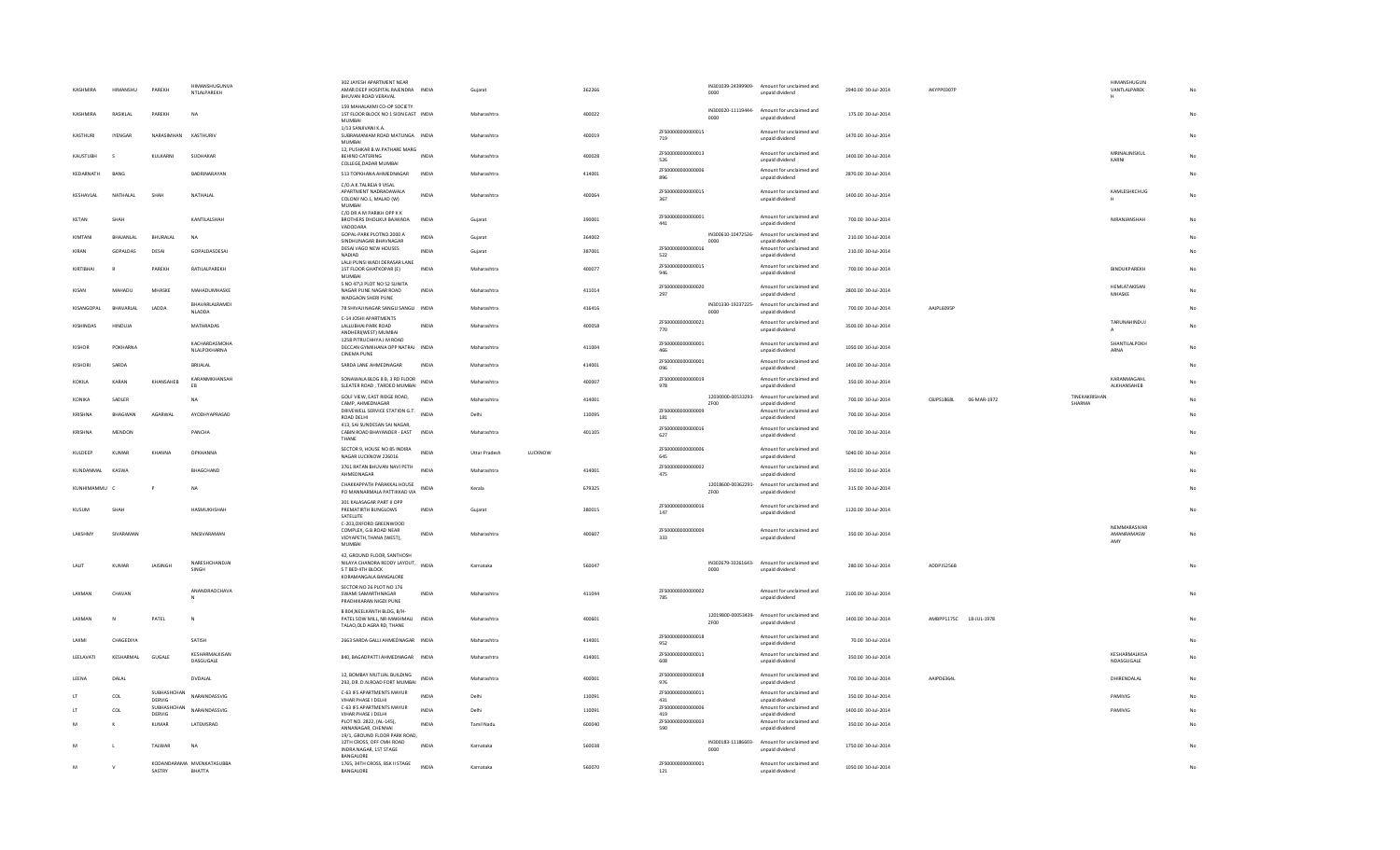| KASHMIRA      | HIMANSHU       | PAREKH                | <b>HIMANSHUGUNVA</b><br>NTLALPAREKH | 302 JAYESH APARTMENT NEAR<br>AMAR DEEP HOSPITAL RAJENDRA INDIA<br>BHUVAN ROAD VERAVAL                    |              | Guiarat                         | 362266 |                           | IN301039-24399909-<br>0000 | Amount for unclaimed and<br>unpaid dividend                    | 2940.00 30-Jul-2014 | AKYPP0307P             |             |                         | HIMANSHUGUN<br>VANTLALPAREK<br>н |    |
|---------------|----------------|-----------------------|-------------------------------------|----------------------------------------------------------------------------------------------------------|--------------|---------------------------------|--------|---------------------------|----------------------------|----------------------------------------------------------------|---------------------|------------------------|-------------|-------------------------|----------------------------------|----|
| KASHMIRA      | RASIKLAL       | PAREKH                | NA                                  | 159 MAHALAXMI CO-OP SOCIETY<br>1ST FLOOR BLOCK NO 1 SION EAST INDIA<br>MUMBAI                            |              | Maharashtra                     | 400022 |                           | 0000                       | IN300020-11119444- Amount for unclaimed and<br>unpaid dividend | 175.00 30-Jul-2014  |                        |             |                         |                                  |    |
| KASTHURI      | <b>IYENGAR</b> | NARASIMHAN            | KASTHURIV                           | 1/13 SANJIVANI K.A.<br>SUBRAMANIAM ROAD MATUNGA INDIA<br><b>MUMBAI</b>                                   |              | Maharashtra                     | 400019 | ZES00000000000015<br>719  |                            | Amount for unclaimed and<br>unpaid dividend                    | 1470.00 30-Jul-2014 |                        |             |                         |                                  |    |
| KAUSTUBH      | s              | KULKARNI              | SUDHAKAR                            | 12, PUSHKAR B.W.PATHARE MARG<br>BEHIND CATERING<br>COLLEGE.DADAR MUMBAI                                  | <b>INDIA</b> | Maharashtra                     | 400028 | ZFS00000000000013<br>526  |                            | Amount for unclaimed and<br>unpaid dividend                    | 1400.00 30-Jul-2014 |                        |             |                         | MRINALINISKUL<br>KARNI           |    |
| KEDARNATH     | <b>BANG</b>    |                       | RADRINARAYAN                        | 513 TOPKHANA AHMEDNAGAR                                                                                  | <b>INDIA</b> | Maharashtra                     | 414001 | ZFS00000000000006<br>896  |                            | Amount for unclaimed and<br>unpaid dividend                    | 2870.00 30-Jul-2014 |                        |             |                         |                                  |    |
| KESHAVLAL     | NATHALAL       | SHAF                  | NATHALAL                            | C/O A K TAI REIA 9 VISAL<br>APARTMENT NADRADAWALA<br>COLONY NO.1, MALAD (W)<br><b>MUMBAI</b>             | INDIA        | Maharashtra                     | 400064 | ZFS00000000000015<br>367  |                            | Amount for unclaimed and<br>unpaid dividend                    | 1400.00 30-Jul-2014 |                        |             |                         | KAMLESHKCHUG                     | No |
| KFTAN         | SHAH           |                       | KANTILAI SHAH                       | C/O DR A M PARIKH OPP K K<br>BROTHERS DHOLIKUI BAJWADA<br>VADODARA                                       | <b>INDIA</b> | Guiarat                         | 390001 | ZFS00000000000001<br>441  |                            | Amount for unclaimed and<br>unpaid dividend                    | 700.00 30-Jul-2014  |                        |             |                         | NIRANIANSHAH                     |    |
| KIMTANI       | BHAJANLAL      | BHURALAL              | <b>NA</b>                           | GOPAL-PARK PLOTNO.2000 A<br>SINDHUNAGAR BHAVNAGAR                                                        | INDIA        | Gujarat                         | 364002 |                           | 0000                       | IN300610-10472526- Amount for unclaimed and<br>unpaid dividend | 210.00 30-Jul-2014  |                        |             |                         |                                  |    |
| KIRAN         | GOPALDAS       | DESAI                 | GOPALDASDESAI                       | DESAI VAGO NEW HOUSES<br>NADIAD                                                                          | INDIA        | Gujarat                         | 387001 | ZFS00000000000016<br>522  |                            | Amount for unclaimed and<br>unpaid dividend                    | 210.00 30-Jul-2014  |                        |             |                         |                                  | No |
| KIRTIBHA      | $\mathsf{R}$   | PAREKH                | RATILALPAREKH                       | LALJI PUNSI WADI DERASAR LANE<br>1ST FLOOR GHATKOPAR (E)<br><b>MUMBAI</b>                                | INDIA        | Maharashtra                     | 400077 | 7ES00000000000015<br>946  |                            | Amount for unclaimed and<br>unpaid dividend                    | 700.00 30-Jul-2014  |                        |             |                         | BINDUKPAREKH                     | No |
| KISAN         | MAHADU         | MHASKE                | MAHADUMHASKE                        | S NO 47\3 PLOT NO 52 SUNITA<br>NAGAR PUNE NAGAR ROAD<br>WADGAON SHERI PUNE                               | INDIA        | Maharashtra                     | 411014 | 7ES00000000000020<br>297  |                            | Amount for unclaimed and<br>unpaid dividend                    | 2800.00 30-Jul-2014 |                        |             |                         | <b>HEMLATAKISAN</b><br>MHASKE    |    |
| KISANGOPAL    | BHAVARLAL      | LADDA                 | BHAVARLALRAMD<br><b>NLADDA</b>      | 78 SHIVAJI NAGAR SANGLI SANGLI INDIA                                                                     |              | Maharashtra                     | 416416 |                           | 0000                       | IN301330-19237225- Amount for unclaimed and<br>unpaid dividend | 700.00 30-Jul-2014  | AAJPL6095P             |             |                         |                                  |    |
| KISHINDAS     | <b>HINDUJA</b> |                       | MATHRADAS                           | C-14 JOSHI APARTMENTS<br>LALLUBHAI PARK ROAD<br>ANDHERI(WEST) MUMBAI                                     | <b>INDIA</b> | Maharashtra                     | 400058 | ZFS00000000000021<br>770  |                            | Amount for unclaimed and<br>unpaid dividend                    | 3500.00 30-Jul-2014 |                        |             |                         | TARUNAHINDUJ                     | No |
| KISHOR        | POKHARNA       |                       | KACHARDASMOHA<br>NLALPOKHARNA       | 1258 PITRUCHHYA J M ROAD<br>DECCAN GYMKHANA OPP NATRAJ INDIA<br><b>CINEMA PUNE</b>                       |              | Maharashtra                     | 411004 | ZFS00000000000001<br>466  |                            | Amount for unclaimed and<br>unpaid dividend                    | 1050.00 30-Jul-2014 |                        |             |                         | SHANTILALPOKH<br>ARNA            |    |
| KISHOR        | SARDA          |                       | BRIJALAL                            | SARDA LANE AHMEDNAGAR                                                                                    | INDIA        | Maharashtra                     | 414001 | ZFS00000000000001<br>096  |                            | Amount for unclaimed and<br>unpaid dividend                    | 1400.00 30-Jul-2014 |                        |             |                         |                                  |    |
| KOKILA        | KARAN          | KHANSAHER             | KARANMKHANSAH<br>EB                 | SONAWALA BLDG 8 B, 3 RD FLOOR<br>SLEATER ROAD, TARDEO MUMBAI                                             | <b>INDIA</b> | Maharashtra                     | 400007 | ZFS00000000000019<br>978  |                            | Amount for unclaimed and<br>unpaid dividend                    | 350.00 30-Jul-2014  |                        |             |                         | KARANMAGAHL<br>ALKHANSAHEB       | No |
| KONIKA        | SADLER         |                       | NA                                  | GOLF VIEW, EAST RIDGE ROAD,<br>CAMP, AHMEDNAGAR                                                          | INDIA        | Maharashtra                     | 414001 |                           | ZF00                       | 12030000-00533293- Amount for unclaimed and<br>unpaid dividend | 700.00 30-Jul-2014  | CBJPS1868L             | 06-MAR-1972 | TINEKAKRISHAN<br>SHARMA |                                  |    |
| KRISHNA       | <b>BHAGWAN</b> | AGARWAL               | AYODHYAPRASAD                       | DRIVEWELL SERVICE STATION G.T.<br>ROAD DELHI                                                             | <b>INDIA</b> | Delhi                           | 110095 | ZFS00000000000009<br>181  |                            | Amount for unclaimed and<br>unpaid dividend                    | 700.00 30-Jul-2014  |                        |             |                         |                                  |    |
| KRISHNA       | MENDON         |                       | PANCHA                              | 413, SAI SUNDESAN SAI NAGAR,<br>CABIN ROAD BHAYANDER - EAST<br>THANE                                     | <b>INDIA</b> | Maharashtra                     | 401105 | 7ES00000000000016<br>627  |                            | Amount for unclaimed and<br>unpaid dividend                    | 700.00 30-Jul-2014  |                        |             |                         |                                  |    |
| KULDEEP       | KUMAR          | KHANNA                | <b>OPKHANNA</b>                     | SECTOR 9, HOUSE NO 85 INDIRA<br>NAGAR LUCKNOW 226016                                                     | INDU         | LUCKNOW<br><b>Uttar Pradesh</b> |        | 7E5000000000000006<br>645 |                            | Amount for unclaimed and<br>unpaid dividend                    | 5040.00 30-Jul-2014 |                        |             |                         |                                  |    |
| KUNDANMAL     | KASWA          |                       | RHAGCHAND                           | 3761 RATAN BHUVAN NAVI PETH<br>AHMEDNAGAR                                                                | <b>INDIA</b> | Maharashtra                     | 414001 | ZFS00000000000002<br>475  |                            | Amount for unclaimed and<br>unpaid dividend                    | 350.00 30-Jul-2014  |                        |             |                         |                                  |    |
| KUNHIMAMMU C  |                | P                     | <b>NA</b>                           | CHAKKAPPATH PARAKKAL HOUSE<br>PO MANNARMALA PATTIKKAD VIA                                                | <b>INDIA</b> | Kerala                          | 679325 |                           | 12018600-00362291-<br>ZFOO | Amount for unclaimed and<br>unpaid dividend                    | 315.00 30-Jul-2014  |                        |             |                         |                                  |    |
| KUSUM         | SHAH           |                       | <b>HASMUKHSHAH</b>                  | 301 KALASAGAR PART II OPP<br>PREMATIRTH BUNGLOWS<br>SATELLITE                                            | <b>INDIA</b> | Guiarat                         | 380015 | ZFS00000000000016<br>147  |                            | Amount for unclaimed and<br>unpaid dividend                    | 1120.00 30-Jul-2014 |                        |             |                         |                                  | No |
|               | SIVARAMAN      |                       |                                     | C-203, OXFORD GREENWOOD<br>COMPLEX, G.B.ROAD NEAR                                                        |              |                                 |        | ZES00000000000000         |                            | Amount for unclaimed and                                       |                     |                        |             |                         | NEMMARASIVAR                     |    |
| LAKSHMY       |                |                       | NNSIVARAMAN                         | VIDYAPETH, THANA (WEST),<br><b>MUMBAI</b>                                                                | INDIA        | Maharashtra                     | 400607 | 333                       |                            | unpaid dividend                                                | 350.00 30-Jul-2014  |                        |             |                         | AMANRAMASW<br>AMY                | No |
| LALIT         | <b>KUMAR</b>   | <b>JAISINGH</b>       | NARESHCHANDJAI<br>SINGH             | 42. GROUND FLOOR, SANTHOSH<br>NILAYA CHANDRA REDDY LAYOUT,<br>S T BED 4TH BLOCK<br>KORAMANGALA BANGALORE | <b>INDIA</b> | Karnataka                       | 560047 |                           | 0000                       | IN302679-33261643- Amount for unclaimed and<br>unpaid dividend | 280.00 30-Jul-2014  | ADDPJ5256B             |             |                         |                                  |    |
| <b>LAXMAN</b> | CHAVAN         |                       | ANANDRAOCHAVA<br>N                  | SECTOR NO 26 PLOT NO 176<br>SWAMI SAMARTHNAGAR<br>PRADHIKARAN NIGDI PUNE                                 | INDIA        | Maharashtra                     | 411044 | ZFS00000000000002<br>785  |                            | Amount for unclaimed and<br>unpaid dividend                    | 2100.00 30-Jul-2014 |                        |             |                         |                                  |    |
| <b>LAXMAN</b> | $\mathbb{N}$   | PATEL                 | $\mathbb N$                         | B 804, NEELKANTH BLDG, B/H-<br>PATEL SOW MILL, NR-MAKHMALI INDIA<br>TALAO, OLD AGRA RD, THANE            |              | Maharashtra                     | 400601 |                           | ZF00                       | 12019800-00053439- Amount for unclaimed and<br>unpaid dividend | 1400.00 30-Jul-2014 | AMBPP1175C 18-JUL-1978 |             |                         |                                  |    |
| <b>LAXMI</b>  | CHAGEDIYA      |                       | SATISH                              | 2663 SARDA GALLI AHMEDNAGAR INDIA                                                                        |              | Maharashtra                     | 414001 | ZFS00000000000018<br>952  |                            | Amount for unclaimed and<br>unpaid dividend                    | 70.00 30-Jul-2014   |                        |             |                         |                                  |    |
| LEELAVAT      | KESHARMAL      | <b>GUGALE</b>         | KESHARMALKISAN<br>DASGUGALE         | 840, BAGADPATTI AHMEDNAGAR INDIA                                                                         |              | Maharashtra                     | 414001 | ZFS00000000000011         |                            | Amount for unclaimed and<br>unpaid dividend                    | 350.00 30-Jul-2014  |                        |             |                         | KESHARMALKISA<br>NDASGUGALE      | No |
| <b>I FFNA</b> | DAIAI          |                       | <b>DVDALAL</b>                      | 12, BOMBAY MUTUAL BUILDING<br>293, DR. D.N.ROAD FORT MUMBAI                                              | <b>INDIA</b> | Maharashtra                     | 400001 | ZFS00000000000018<br>976  |                            | Amount for unclaimed and<br>unpaid dividend                    | 700.00 30-Jul-2014  | AAIPD63641             |             |                         | DHIRENDALAL                      | No |
|               | COL            | SUBHASHCHAN<br>DERVIG | NARAINDASSVIG                       | C-63 IFS APARTMENTS MAYUR<br>VIHAR PHASE I DELHI                                                         | <b>INDIA</b> | Delhi                           | 110091 | ZFS00000000000011<br>431  |                            | Amount for unclaimed and<br>unpaid dividend                    | 350.00 30-Jul-2014  |                        |             |                         | PAMIVIG                          |    |
| 1T            | COL            | SUBHASHCHAN<br>DERVIG | NARAINDASSVIG                       | C-63 IFS APARTMENTS MAYUR<br>VIHAR PHASE I DELHI                                                         | <b>INDIA</b> | Delhi                           | 110091 | ZFS00000000000006<br>419  |                            | Amount for unclaimed and<br>unpaid dividend                    | 1400.00 30-Jul-2014 |                        |             |                         | PAMIVIG                          |    |
|               | $\kappa$       | KUMAR                 | LATEMSRAO                           | PLOT NO. 2822, (AL-145),<br>ANNANAGAR, CHENNAI                                                           | <b>INDIA</b> | Tamil Nadu                      | 600040 | ZFS00000000000003<br>590  |                            | Amount for unclaimed and<br>unpaid dividend                    | 350.00 30-Jul-2014  |                        |             |                         |                                  |    |
|               | $\mathbf{L}$   | TALWAR                | <b>NA</b>                           | 19/1, GROUND FLOOR PARK ROAD,<br>12TH CROSS, OFF CMH ROAD<br>INDRA NAGAR, 1ST STAGE                      | <b>INDIA</b> | Karnataka                       | 560038 |                           | 0000                       | IN300183-11186603- Amount for unclaimed and<br>unpaid dividend | 1750.00 30-Jul-2014 |                        |             |                         |                                  |    |
| M             | $\mathsf{v}$   |                       | KODANDARAMA MVENKATASUBBA           | BANGALORE<br>1765, 34TH CROSS, BSK II STAGE                                                              | <b>INDIA</b> | Karnataka                       | 560070 | ZFS00000000000001         |                            | Amount for unclaimed and                                       | 1050.00 30-Jul-2014 |                        |             |                         |                                  |    |
|               |                | SASTRY                | BHATTA                              | BANGALORE                                                                                                |              |                                 |        | 121                       |                            | unpaid dividend                                                |                     |                        |             |                         |                                  |    |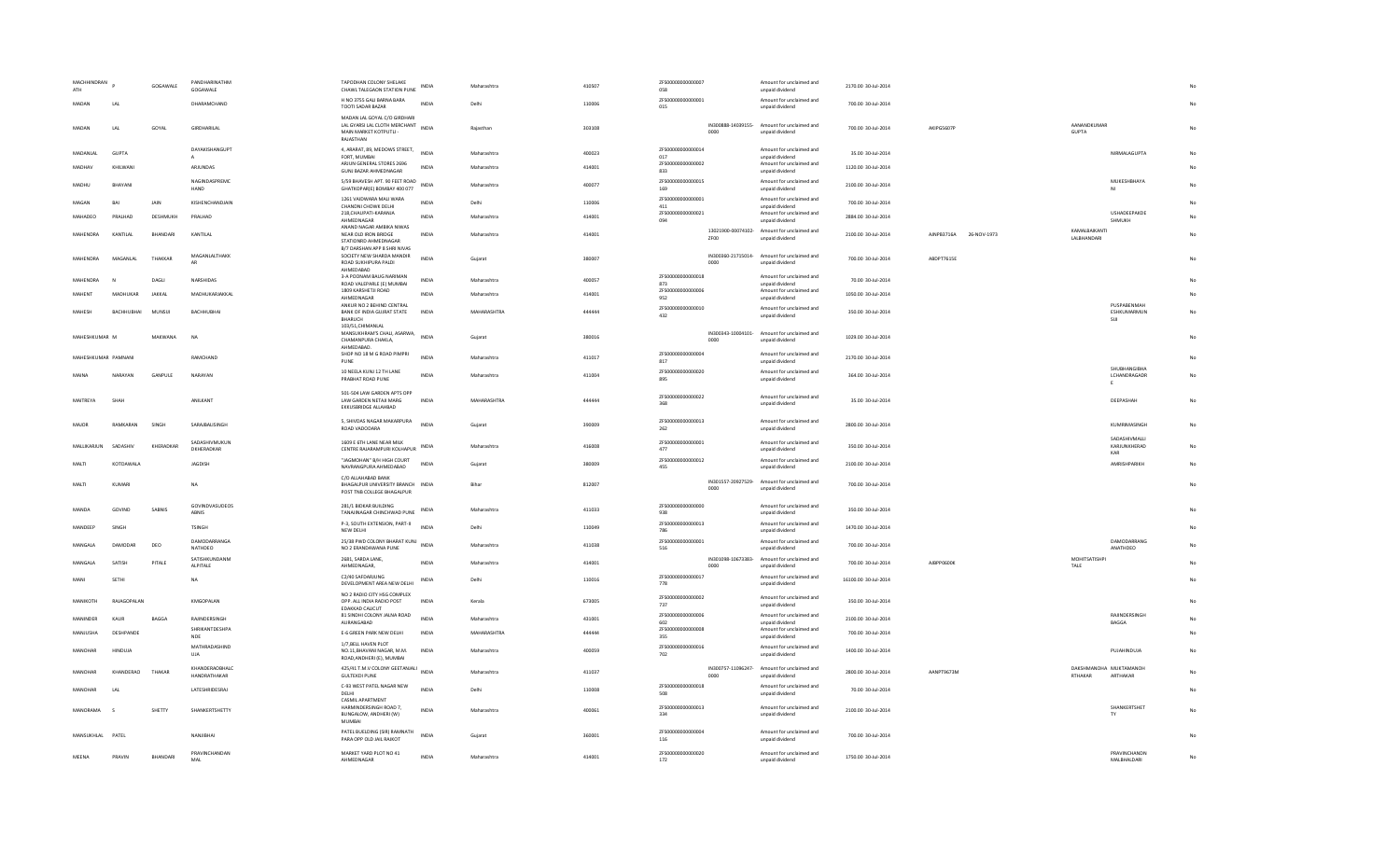| MACHHINDRAN<br>ATH |                     | GOGAWALE        | PANDHARINATHM<br>GOGAWALE             | TAPODHAN COLONY SHELAKE<br>CHAWL TALEGAON STATION PUNE                                                     | <b>INDIA</b> | Maharashtra | 410507 | ZFS00000000000007<br>058  |             | Amount for unclaimed and<br>unpaid dividend                    | 2170.00 30-Jul-2014  |                           |                                     |                                    |    |
|--------------------|---------------------|-----------------|---------------------------------------|------------------------------------------------------------------------------------------------------------|--------------|-------------|--------|---------------------------|-------------|----------------------------------------------------------------|----------------------|---------------------------|-------------------------------------|------------------------------------|----|
| MADAN              | LAL                 |                 | DHARAMCHAND                           | H NO 3755 GALI BARNA BARA<br>TOOTI SADAR BAZAR                                                             | <b>INDIA</b> | Delhi       | 110006 | 7ES00000000000001<br>015  |             | Amount for unclaimed and<br>unpaid dividend                    | 700.00 30-Jul-2014   |                           |                                     |                                    |    |
| MADAN              | LAL                 | GOYAL           | GIRDHARILAL                           | MADAN LAL GOYAL C/O GIRDHARI<br>LAL GYARSI LAL CLOTH MERCHANT INDIA<br>MAIN MARKET KOTPUTLI -<br>RAIASTHAN |              | Rajasthar   | 303108 |                           | 0000        | IN300888-14039155- Amount for unclaimed and<br>unpaid dividend | 700.00 30-Jul-2014   | AKIPG5607F                | AANANDKUMAF<br><b>GUPTA</b>         |                                    |    |
| <b>MADANIAI</b>    | <b>GUPTA</b>        |                 | DAYAKISHANGUPT<br>$\mathsf{A}$        | 4, ARARAT, 89, MEDOWS STREET,<br>FORT, MUMBAI                                                              | <b>INDIA</b> | Maharashtra | 400023 | ZFS00000000000014<br>017  |             | Amount for unclaimed and<br>unpaid dividend                    | 35.00 30-Jul-2014    |                           |                                     | NIRMALAGUPTA                       | No |
| MADHAV             | KHILWANI            |                 | ARJUNDAS                              | ARJUN GENERAL STORES 2696<br>GUNJ BAZAR AHMEDNAGAR                                                         | INDIA        | Maharashtra | 414001 | ZFS00000000000002<br>833  |             | Amount for unclaimed and<br>unpaid dividend                    | 1120.00 30-Jul-2014  |                           |                                     |                                    | No |
| <b>MADHU</b>       | BHAYANI             |                 | NAGINDASPREMC<br>HAND                 | 5/59 BHAVESH APT. 90 FEET ROAD<br>GHATKOPAR(E) BOMBAY 400 077                                              | <b>INDIA</b> | Maharashtra | 400077 | ZFS00000000000015<br>169  |             | Amount for unclaimed and<br>unpaid dividend                    | 2100.00 30-Jul-2014  |                           |                                     | MUKESHBHAYA                        | No |
| MAGAN              | BAI                 | JAIN            | KISHENCHANDJAIN                       | 1261 VAIDWARA MALI WARA<br>CHANDNI CHOWK DELHI                                                             | <b>INDIA</b> | Delhi       | 110006 | 7ES00000000000001<br>411  |             | Amount for unclaimed and<br>unpaid dividend                    | 700.00 30-Jul-2014   |                           |                                     |                                    |    |
| MAHADEO            | PRALHAD             | DESHMUKH        | PRALHAD                               | 218, CHAUPATI-KARANJA<br>AHMEDNAGAR                                                                        | INDIA        | Maharashtra | 414001 | ZFS00000000000021<br>094  |             | Amount for unclaimed and<br>unpaid dividend                    | 2884.00 30-Jul-2014  |                           |                                     | USHADEEPAKDE<br>SHMUKH             |    |
| MAHENDRA           | KANTILAL            | <b>BHANDARI</b> | KANTILAL                              | ANAND NAGAR AMBIKA NIWAS<br>NEAR OLD IRON BRIDGE<br>STATIONRD AHMEDNAGAR<br>B/7 DARSHAN APP 8 SHRI NIVAS   | INDIA        | Maharashtra | 414001 |                           | <b>7F00</b> | 13021900-00074102- Amount for unclaimed and<br>unpaid dividend | 2100.00 30-Jul-2014  | AINPB3716A<br>26-NOV-1973 | KAMALBAIKANTI<br><b>LALBHANDARI</b> |                                    |    |
| MAHENDRA           | MAGANI AI           | THAKKAR         | MAGANLALTHAKK                         | SOCIETY NEW SHARDA MANDIR<br>ROAD SUKHIPURA PALDI<br>AHMEDABAD                                             | <b>INDIA</b> | Guiarat     | 380007 |                           | 0000        | IN300360-21715014- Amount for unclaimed and<br>unpaid dividend | 700.00 30-Jul-2014   | ARDPT7615F                |                                     |                                    |    |
| <b>MAHENDRA</b>    |                     | DAGLI           | NARSHIDAS                             | 3-A POONAM BAUG NARIMAN<br>ROAD VALEPARLE (E) MUMBAI                                                       | <b>INDIA</b> | Maharashtra | 400057 | ZFS00000000000018<br>873  |             | Amount for unclaimed and<br>unpaid dividend                    | 70.00 30-Jul-2014    |                           |                                     |                                    |    |
| MAHENT             | MADHUKAR            | JAKKAL          | MADHUKARJAKKAL                        | 1809 KARSHETJI ROAD<br>AHMEDNAGAR                                                                          | INDIA        | Maharashtra | 414001 | 7E5000000000000006<br>952 |             | Amount for unclaimed and<br>unnaid dividend                    | 1050.00 30-Jul-2014  |                           |                                     |                                    | No |
| <b>MAHFSH</b>      | RACHHURHAI          | MUNSUI          | BACHHUBHAI                            | ANKUR NO 2 BEHIND CENTRAL<br>BANK OF INDIA GUJRAT STATE<br>BHARUCH<br>103/51, CHIMANLAL                    | <b>INDIA</b> | MAHARASHTRA | 444444 | ZFS00000000000010<br>432  |             | Amount for unclaimed and<br>unpaid dividend                    | 350.00 30-Jul-2014   |                           |                                     | PUSPABENMAH<br>ESHKUMARMUN<br>SIJI | No |
| MAHESHKUMAR M      |                     | MAKWANA         | <b>NA</b>                             | MANSUKHRAM'S CHALI, ASARWA,<br>CHAMANPURA CHAKLA,<br>AHMEDABAD.                                            | <b>INDIA</b> | Guiarat     | 380016 |                           | 0000        | IN300343-10004101- Amount for unclaimed and<br>unpaid dividend | 1029.00 30-Jul-2014  |                           |                                     |                                    | No |
|                    | MAHESHKUMAR PAMNANI |                 | RAMCHAND                              | SHOP NO 18 M G ROAD PIMPRI<br>PUNE                                                                         | <b>INDIA</b> | Maharashtra | 411017 | ZFS00000000000004<br>817  |             | Amount for unclaimed and<br>unpaid dividend                    | 2170.00 30-Jul-2014  |                           |                                     |                                    | No |
| MAINA              | NARAYAN             | GANPULE         | NARAYAN                               | 10 NEELA KUNJ 12 TH LANE<br>PRABHAT ROAD PUNE                                                              | INDIA        | Maharashtra | 411004 | ZFS00000000000020<br>895  |             | Amount for unclaimed and<br>unpaid dividend                    | 364.00 30-Jul-2014   |                           |                                     | SHUBHANGIBHA<br>LCHANDRAGADR<br>E  | No |
| MAITREYA           | SHAH                |                 | ANILKANT                              | 501-504 LAW GARDEN APTS OPP<br>LAW GARDEN NETAJI MARG<br>EKKUSBRIDGE ALLAHBAD                              | <b>INDIA</b> | MAHARASHTRA | 444444 | ZES00000000000022<br>368  |             | Amount for unclaimed and<br>unpaid dividend                    | 35.00 30-Jul-2014    |                           |                                     | DEEPASHAH                          | No |
| MAIOR              | RAMKARAN            | SINGH           | SARAJBALISINGH                        | 5, SHIVDAS NAGAR MAKARPURA<br>ROAD VADODARA                                                                | INDIA        | Gujarat     | 390009 | ZFS00000000000013<br>262  |             | Amount for unclaimed and<br>unpaid dividend                    | 2800.00 30-Jul-2014  |                           |                                     | KUMRIMASINGH<br>SADASHIVMALLI      | No |
| MALLIKARJUN        | SADASHIV            | KHERADKAR       | SADASHIVMUKUN<br>DKHERADKAR           | 1609 E 6TH LANE NEAR MILK<br>CENTRE RAJARAMPURI KOLHAPUR                                                   | INDIA        | Maharashtra | 416008 | ZFS00000000000001<br>477  |             | Amount for unclaimed and<br>unpaid dividend                    | 350.00 30-Jul-2014   |                           |                                     | KARJUNKHERAD<br>KAR                | No |
| MALTI              | KOTDAWALA           |                 | <b>JAGDISH</b>                        | "JAGMOHAN" B/H HIGH COURT<br>NAVRANGPURA AHMEDABAD                                                         | <b>INDIA</b> | Guiarat     | 380009 | ZFS00000000000012<br>455  |             | Amount for unclaimed and<br>unpaid dividend                    | 2100.00 30-Jul-2014  |                           |                                     | AMRISHPARIKH                       | No |
| MALTI              | KUMARI              |                 | NA                                    | C/O ALLAHABAD BANK<br>BHAGALPUR UNIVERSITY BRANCH INDIA<br>POST TNB COLLEGE BHAGALPUR                      |              | Bihar       | 812007 |                           | 0000        | IN301557-20927529- Amount for unclaimed and<br>unpaid dividend | 700.00 30-Jul-2014   |                           |                                     |                                    |    |
| MANDA              | GOVIND              | SABNIS          | <b>GOVINDVASUDEOS</b><br>ABNIS        | 281/1 BIDKAR BUILDING<br>TANAJINAGAR CHINCHWAD PUNE                                                        | <b>INDIA</b> | Maharashtra | 411033 | ZFS00000000000000<br>938  |             | Amount for unclaimed and<br>unpaid dividend                    | 350.00 30-Jul-2014   |                           |                                     |                                    |    |
| MANDEEP            | SINGH               |                 | <b>TSINGH</b>                         | P-3, SOUTH EXTENSION, PART-II<br>NEW DELHI                                                                 | INDIA        | Delhi       | 110049 | ZFS00000000000013<br>786  |             | Amount for unclaimed and<br>unpaid dividend                    | 1470.00 30-Jul-2014  |                           |                                     |                                    |    |
| <b>MANGALA</b>     | DAMODAR             | DEO             | DAMODARRANGA<br>NATHDEO               | 25/38 PWD COLONY BHARAT KUNJ INDIA<br>NO 2 ERANDAWANA PUNE                                                 |              | Maharashtra | 411038 | ZFS00000000000001<br>516  |             | Amount for unclaimed and<br>unpaid dividend                    | 700.00 30-Jul-2014   |                           |                                     | DAMODARRANG<br>ANATHDEO            |    |
| MANGALA            | SATISH              | PITALE          | SATISHKUNDANM<br>ALPITALE             | 2681, SARDA LANE,<br>AHMEDNAGAR,                                                                           | <b>INDIA</b> | Maharashtra | 414001 |                           | 0000        | IN301098-10673383- Amount for unclaimed and<br>unpaid dividend | 700.00 30-Jul-2014   | AJBPP0600K                | MOHITSATISHPI<br>TALE               |                                    |    |
| MANI               | SETHI               |                 | <b>NA</b>                             | C2/40 SAFDARJUNG<br>DEVELOPMENT AREA NEW DELHI                                                             | INDIA        | Delhi       | 110016 | ZFS00000000000017<br>778  |             | Amount for unclaimed and<br>unpaid dividend                    | 16100.00 30-Jul-2014 |                           |                                     |                                    |    |
| <b>MANIKOTH</b>    | RAJAGOPALAN         |                 | KMGOPALAN                             | NO 2 RADIO CITY HSG COMPLEX<br>OPP. ALL INDIA RADIO POST<br><b>EDAKKAD CALICUT</b>                         | <b>INDIA</b> | Kerala      | 673005 | ZFS00000000000002<br>737  |             | Amount for unclaimed and<br>unpaid dividend                    | 350.00 30-Jul-2014   |                           |                                     |                                    | No |
| MANINDER           | KAUR                | BAGGA           | RAJINDERSINGH                         | 81 SINDHI COLONY JALNA ROAD<br>AURANGABAD                                                                  | INDIA        | Maharashtra | 431001 | 7ES000000000000006<br>602 |             | Amount for unclaimed and<br>unpaid dividend                    | 2100.00 30-Jul-2014  |                           |                                     | <b>RAIINDERSINGH</b><br>BAGGA      |    |
| MANJUSHA           | DESHPANDE           |                 | SHRIKANTDESHPA<br>NDE                 | E-6 GREEN PARK NEW DELHI                                                                                   | INDIA        | MAHARASHTRA | 444444 | 7E5000000000000008<br>355 |             | Amount for unclaimed and<br>unpaid dividend                    | 700.00 30-Jul-2014   |                           |                                     |                                    | No |
| MANOHAR            | HINDUJA             |                 | MATHRADASHIND<br><b>UJA</b>           | 1/7, BELL HAVEN PLOT<br>NO.11, BHAVANI NAGAR, M.M.<br>ROAD, ANDHERI (E), MUMBAI                            | INDIA        | Maharashtra | 400059 | ZFS00000000000016<br>702  |             | Amount for unclaimed and<br>unpaid dividend                    | 1400.00 30-Jul-2014  |                           |                                     | PUJAHINDUJA                        | No |
| MANOHAF            | KHANDERAO           | THAKAR          | <b>KHANDERAORHALO</b><br>HANDRATHAKAR | 425/41 T.M.V COLONY GEETANJALI INDIA<br><b>GULTEKDI PUNE</b>                                               |              | Maharashtra | 411037 |                           | 0000        | IN300757-11096247- Amount for unclaimed and<br>unpaid dividend | 2800.00 30-Jul-2014  | AANPT9673M                | DAKSHMANOHA MUKTAMANOH<br>RTHAKAR   | ARTHAKAR                           | No |
| MANOHAR            | 1 Al                |                 | LATESHRIDESRAJ                        | C-93 WEST PATEL NAGAR NEW<br>DELHI                                                                         | <b>INDIA</b> | Delhi       | 110008 | ZFS00000000000018<br>508  |             | Amount for unclaimed and<br>unpaid dividend                    | 70.00 30-Jul-2014    |                           |                                     |                                    | No |
| MANORAMA           | s                   | SHETTY          | SHANKERTSHETTY                        | <b>CASMIL APARTMENT</b><br>HARMINDERSINGH ROAD 7.<br>BUNGALOW, ANDHERI (W)<br><b>MUMBAI</b>                | INDIA        | Maharashtra | 400061 | ZFS00000000000013<br>334  |             | Amount for unclaimed and<br>unpaid dividend                    | 2100.00 30-Jul-2014  |                           |                                     | SHANKERTSHET<br>TY                 | No |
| MANSUKHIAI PATEL   |                     |                 | NANJIRHAI                             | PATEL BUELDING (SIR) RAMNATH<br>PARA OPP OLD JAIL RAJKOT                                                   | <b>INDIA</b> | Guiarat     | 360001 | ZFS00000000000004<br>116  |             | Amount for unclaimed and<br>unpaid dividend                    | 700.00 30-Jul-2014   |                           |                                     |                                    | No |
| MEENA              | PRAVIN              | BHANDARI        | PRAVINCHANDAN<br>MAI                  | MARKET YARD PLOT NO 41<br>AHMEDNAGAR                                                                       | <b>INDIA</b> | Maharashtra | 414001 | ZFS00000000000020<br>172  |             | Amount for unclaimed and<br>unpaid dividend                    | 1750.00 30-Jul-2014  |                           |                                     | PRAVINCHANDN<br>MALBHALDARI        | No |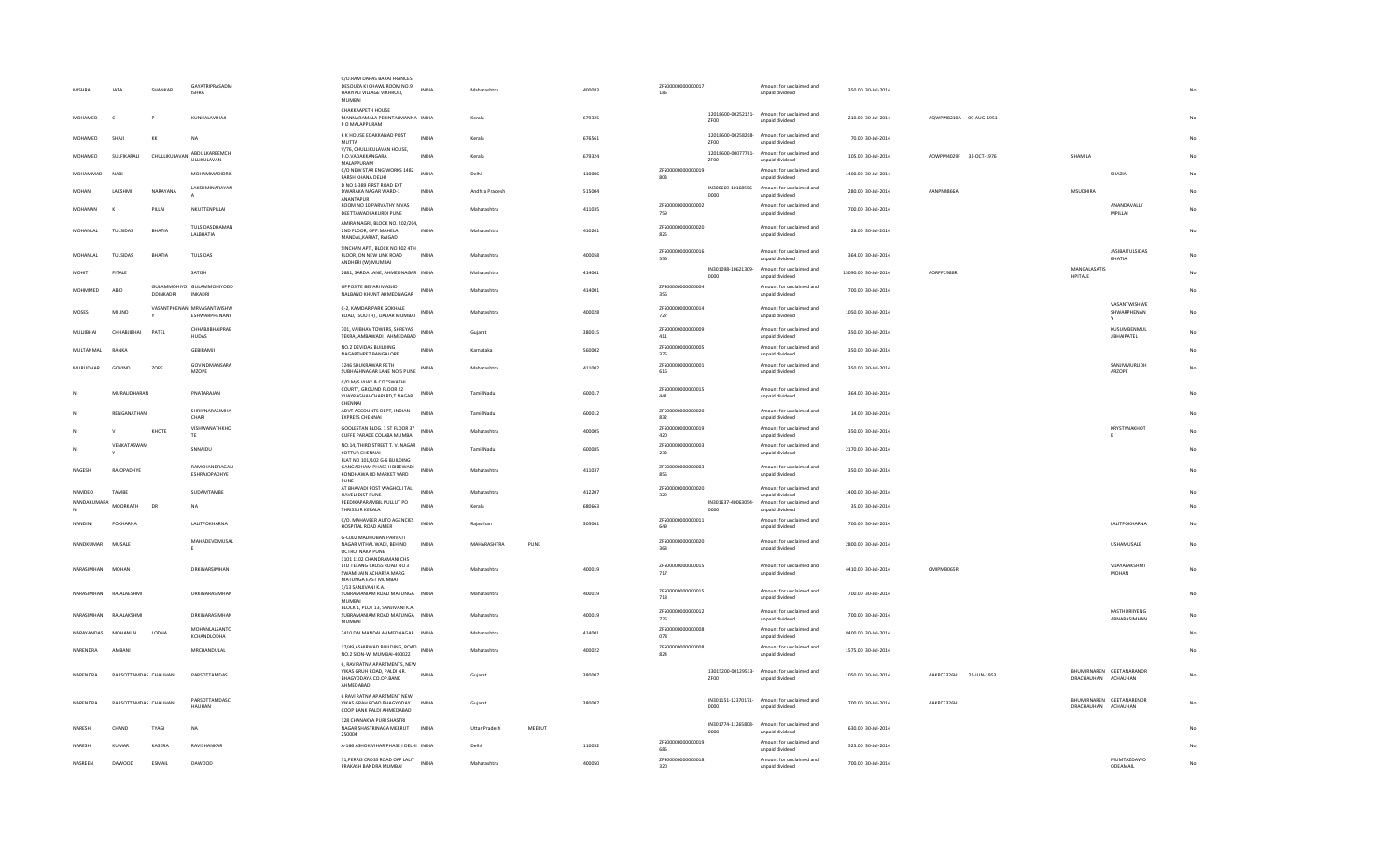| MISHRA             | <b>JATA</b>          | SHANKAR       | GAYATRIPRASADM<br><b>ISHRA</b>              | C/O.RAM DARAS BARAI FRANCES<br>DESOUZA KI CHAWL ROOM NO.9<br>HARIYALI VILLAGE VIKHROLI,<br>MUMBAI | INDIA        | Maharashtra       |        | 400083 | ZFS00000000000017<br>185 |                            | Amount for unclaimed and<br>unpaid dividend                    | 350.00 30-Jul-2014   |                        |                                                 |                                   |                |
|--------------------|----------------------|---------------|---------------------------------------------|---------------------------------------------------------------------------------------------------|--------------|-------------------|--------|--------|--------------------------|----------------------------|----------------------------------------------------------------|----------------------|------------------------|-------------------------------------------------|-----------------------------------|----------------|
| MOHAMED            | $\epsilon$           | P             | KUNHALAVIHAJI                               | CHAKKAAPETH HOUSE<br>MANNARAMALA PERINTALMANNA INDIA<br>P O MALAPPURAM                            |              | Kerala            |        | 679325 |                          | ZF00                       | 12018600-00252151- Amount for unclaimed and<br>unpaid dividend | 210.00 30-Jul-2014   | AQWPM8210A 09-AUG-1951 |                                                 |                                   |                |
| MOHAMED            | SHAJI                | KK            | <b>NA</b>                                   | K K HOUSE EDAKKANAD POST<br><b>MUTTA</b>                                                          | <b>INDIA</b> | Kerala            |        | 676561 |                          | ZF00                       | 12018600-00258208- Amount for unclaimed and<br>unpaid dividend | 70.00 30-Jul-2014    |                        |                                                 |                                   |                |
| MOHAMED            | SULFIKARALI          | CHULLIKULAVAN | ABDULKAREEMCH<br>ULLIKULAVAN                | V/76, CHULLIKULAVAN HOUSE,<br>P.O.VADAKKANGARA<br>MALAPPURAM                                      | <b>INDIA</b> | Kerala            |        | 679324 |                          | ZF00                       | 12018600-00077761- Amount for unclaimed and<br>unpaid dividend | 105.00 30-Jul-2014   | AOWPM4029F 31-OCT-1976 | SHAMILA                                         |                                   |                |
| MOHAMMAD           | <b>NAB</b>           |               | MOHAMMADIDRIS                               | C/O NEW STAR ENG.WORKS 1482<br>FARSH KHANA DELHI                                                  | INDIA        | Delhi             |        | 110006 | ZFS00000000000019<br>803 |                            | Amount for unclaimed and<br>unpaid dividend                    | 1400.00 30-Jul-2014  |                        |                                                 | SHAZIA                            |                |
| MOHAN              | LAKSHMI              | NARAYANA      | LAKSHMINARAYAN                              | D NO 1-389 FIRST ROAD EXT<br>DWARAKA NAGAR WARD-1<br>ANANTAPUR                                    | INDIA        | Andhra Pradesh    |        | 515004 |                          | IN300669-10168556-<br>0000 | Amount for unclaimed and<br>unpaid dividend                    | 280.00 30-Jul-2014   | AANPN4866A             | <b>MSUDHIRA</b>                                 |                                   | No             |
| <b>MOHANAN</b>     |                      | PILLAI        | NKUTTENPILLAI                               | ROOM NO 10 PARVATHY NIVAS<br>DEETTAWADI AKURDI PUNE                                               | <b>INDIA</b> | Maharashtra       |        | 411035 | ZFS00000000000002<br>759 |                            | Amount for unclaimed and<br>unpaid dividend                    | 700.00 30-Jul-2014   |                        |                                                 | <b>ANANDAVALLY</b><br>MPILLAI     | No             |
| <b>MOHANIAI</b>    | <b>TULSIDAS</b>      | RHATIA        | TULSIDASDHAMAN<br>LALBHATIA                 | AMIRA NAGRI, BLOCK NO. 202/204,<br>2ND FLOOR, OPP, MAHELA<br>MANDAL, KARJAT, RAIGAD               | <b>INDIA</b> | Maharashtra       |        | 410201 | ZFS00000000000020<br>825 |                            | Amount for unclaimed and<br>unpaid dividend                    | 28.00 30-Jul-2014    |                        |                                                 |                                   | No             |
| MOHANLA            | TULSIDAS             | BHATIA        | TULSIDAS                                    | SINCHAN APT., BLOCK NO 402 4TH<br>FLOOR, ON NEW LINK ROAD<br>ANDHERI (W) MUMBAI                   | <b>INDIA</b> | Maharashtra       |        | 400058 | 7ES00000000000016<br>556 |                            | Amount for unclaimed and<br>unpaid dividend                    | 364.00 30-Jul-2014   |                        |                                                 | <b>JASIBAITULSIDAS</b><br>BHATIA  |                |
| MOHIT              | PITALE               |               | SATISH                                      | 2681, SARDA LANE, AHMEDNAGAR INDIA                                                                |              | Maharashtra       |        | 414001 |                          | 0000                       | IN301098-10621309- Amount for unclaimed and<br>unpaid dividend | 13090.00 30-Jul-2014 | AORPP2988F             | MANGALASATIS<br>HPITALE                         |                                   | No             |
| MOHMMED            | ABID                 | DDINKADRI     | GULAMMOHIYO GULAMMOHIYODD<br><b>INKADRI</b> | OPPOSITE BEPARI MASJID<br>NALBAND KHUNT AHMEDNAGAR                                                | <b>INDIA</b> | Maharashtra       |        | 414001 | ZFS00000000000004<br>356 |                            | Amount for unclaimed and<br>unpaid dividend                    | 700.00 30-Jul-2014   |                        |                                                 |                                   | No             |
| <b>MOSES</b>       | MILIND               |               | VASANTPHENAN MRVASANTWISHW<br>ESHWARPHENANY | C-2, KAMDAR PARK GOKHALE<br>ROAD, (SOUTH), DADAR MUMBAI                                           | INDIA        | Maharashtra       |        | 400028 | ZFS00000000000014<br>727 |                            | Amount for unclaimed and<br>unpaid dividend                    | 1050.00 30-Jul-2014  |                        |                                                 | VASANTWISHWE<br>SHWARPHENAN       | No             |
| MUI IIRHAI         | CHHARIIRHAI          | PATEL         | CHHABJIBHAIPRAB<br><b>HUDAS</b>             | 701, VAIBHAV TOWERS, SHREYAS<br>TEKRA, AMBAWADI, AHMEDABAD                                        | <b>INDIA</b> | Guiarat           |        | 380015 | ZFS00000000000009<br>411 |                            | Amount for unclaimed and<br>unpaid dividend                    | 350.00 30-Jul-2014   |                        |                                                 | KUSUMBENMUL<br><b>JIBHAIPATEL</b> | No             |
| MULTANMAL          | RANKA                |               | GEBIRAMJI                                   | NO.2 DEVIDAS BUILDING<br>NAGARTHPET BANGALORE                                                     | INDIA        | Karnataka         |        | 560002 | 7E500000000000005<br>375 |                            | Amount for unclaimed and<br>unpaid dividend                    | 350.00 30-Jul-2014   |                        |                                                 |                                   |                |
| <b>MURLIDHAR</b>   | GOVIND               | ZOPE          | GOVINDMANSARA<br><b>MZOPE</b>               | 1246 SHUKRAWAR PETH<br>SUBHASHNAGAR LANE NO 5 PUNE                                                | INDIA        | Maharashtra       |        | 411002 | ZFS00000000000001<br>616 |                            | Amount for unclaimed and<br>unpaid dividend                    | 350.00 30-Jul-2014   |                        |                                                 | SANJIVMURLIDH<br>ARZOPE           | N <sub>c</sub> |
|                    | MURALIDHARAN         |               | PNATARAJAN                                  | C/O M/S VIJAY & CO "SWATHI<br>COURT", GROUND FLOOR 22<br>VIJAYRAGHAVCHARI RD,T NAGAR              | <b>INDIA</b> | Tamil Nadu        |        | 600017 | ZFS00000000000015<br>441 |                            | Amount for unclaimed and<br>unpaid dividend                    | 364.00 30-Jul-2014   |                        |                                                 |                                   | No             |
|                    | RENGANATHAN          |               | SHRIVNARASIMHA<br>CHARI                     | CHENNAL<br>ADVT ACCOUNTS DEPT, INDIAN<br><b>EXPRESS CHENNAL</b>                                   | <b>INDIA</b> | Tamil Nadu        |        | 600012 | ZFS00000000000020<br>832 |                            | Amount for unclaimed and<br>unpaid dividend                    | 14.00 30-Jul-2014    |                        |                                                 |                                   | No             |
|                    |                      | KHOTE         | VISHWANATHKHO<br>TE                         | GOOLESTAN BLDG. 1 ST FLOOR 37<br>CUFFE PARADE COLABA MUMBAI                                       | <b>INDIA</b> | Maharashtra       |        | 400005 | ZFS00000000000019<br>420 |                            | Amount for unclaimed and<br>unpaid dividend                    | 350.00 30-Jul-2014   |                        |                                                 | KRYSTYNAKHOT                      |                |
|                    | VENKATASWAM          |               | SNNAIDU                                     | NO.14, THIRD STREET T. V. NAGAR<br><b>KOTTUR CHENNAL</b>                                          | INDIA        | <b>Tamil Nadu</b> |        | 600085 | ZFS00000000000003<br>232 |                            | Amount for unclaimed and<br>unpaid dividend                    | 2170.00 30-Jul-2014  |                        |                                                 |                                   | <b>No</b>      |
| NAGESH             | RAJOPADHYE           |               | RAMCHANDRAGAN<br>ESHRAJOPADHYE              | FLAT NO 101/102 G-6 BUILDING<br>GANGADHAM PHASE II BIBEWADI-<br>KONDHAWA RD MARKET YARD           | INDIA        | Maharashtra       |        | 411037 | ZFS00000000000003<br>855 |                            | Amount for unclaimed and<br>unpaid dividend                    | 350.00 30-Jul-2014   |                        |                                                 |                                   |                |
| NAMDEO             | TAMBE                |               | SUDAMTAMBE                                  | PUNE<br>AT BHAVADI POST WAGHOLI TAL<br><b>HAVELLDIST PLINE</b>                                    | <b>INDIA</b> | Maharashtra       |        | 412207 | ZFS00000000000020<br>329 |                            | Amount for unclaimed and<br>unpaid dividend                    | 1400.00 30-Jul-2014  |                        |                                                 |                                   |                |
| <b>NANDAKUMARA</b> | <b>MOORKATH</b>      | DR            | <b>NA</b>                                   | PEEDIKAPARAMBIL PULLUT PO<br>THRISSUR KERALA                                                      | <b>INDIA</b> | Kerala            |        | 680663 |                          | IN301637-40063054-<br>0000 | Amount for unclaimed and<br>unpaid dividend                    | 35.00 30-Jul-2014    |                        |                                                 |                                   |                |
| <b>NANDINI</b>     | POKHARNA             |               | LALITPOKHARNA                               | C/O. MAHAVEER AUTO AGENCIES<br>HOSPITAL ROAD AIMER                                                | <b>INDIA</b> | Raiasthan         |        | 305001 | ZFS00000000000011<br>649 |                            | Amount for unclaimed and<br>unpaid dividend                    | 700.00 30-Jul-2014   |                        |                                                 | LALITPOKHARNA                     | No             |
| NANDKUMAR          | MUSALE               |               | MAHADEVDMUSAL                               | G-C002 MADHUBAN PARVATI<br>NAGAR VITHAL WADI, BEHIND<br>OCTROI NAKA PUNE                          | INDIA        | MAHARASHTRA       | PUNE   |        | ZFS00000000000020<br>363 |                            | Amount for unclaimed and<br>unpaid dividend                    | 2800.00 30-Jul-2014  |                        |                                                 | <b>USHAMUSALE</b>                 | No             |
| NARASIMHAN MOHAN   |                      |               | DRKINARSIMHAN                               | 1101 1102 CHANDRAMANI CHS<br>LTD TELANG CROSS ROAD NO 3<br>SWAMI JAIN ACHARYA MARG                | <b>INDIA</b> | Maharashtra       |        | 400019 | ZFS00000000000015<br>717 |                            | Amount for unclaimed and<br>unpaid dividend                    | 4410.00 30-Jul-2014  | CMIPM3065R             |                                                 | VIJAYALAKSHMI<br>MOHAN            | No             |
| NARASIMHAN         | RAJALAESHMI          |               | DRKINARASIMHAN                              | MATUNGA EAST MUMBAI<br>1/13 SANJIVANI K.A.<br>SUBRAMANIAM ROAD MATUNGA INDIA                      |              | Maharashtra       |        | 400019 | ZFS00000000000015<br>718 |                            | Amount for unclaimed and<br>unpaid dividend                    | 700.00 30-Jul-2014   |                        |                                                 |                                   | No             |
| NARASIMHAN         | RAJALAKSHMI          |               | DRKINARASIMHAN                              | <b>MUMBAI</b><br>BLOCK 1, PLOT 13, SANJIVANI K.A.<br>SUBRAMANIAM ROAD MATUNGA INDIA               |              | Maharashtra       |        | 400019 | ZFS00000000000012<br>726 |                            | Amount for unclaimed and                                       | 700.00 30-Jul-2014   |                        |                                                 | KASTHURIIYENG<br>ARNARASIMHAN     | No             |
| NARAYANDAS         | MOHANI AI            | LODHA         | MOHANLALSANTO                               | <b>MUMBAI</b><br>2410 DALMANDAI AHMEDNAGAR INDIA                                                  |              | Maharashtra       |        | 414001 | ZFS00000000000008        |                            | unpaid dividend<br>Amount for unclaimed and                    | 8400.00 30-Jul-2014  |                        |                                                 |                                   | No             |
| NARENDRA           | AMBAN                |               | KCHANDLODHA<br>MRCHANDULAL                  | 17/49,ASHIRWAD BUILDING, ROAD INDIA                                                               |              | Maharashtra       |        | 400022 | 078<br>ZFS00000000000008 |                            | unpaid dividend<br>Amount for unclaimed and                    | 1575.00 30-Jul-2014  |                        |                                                 |                                   | No             |
|                    |                      |               |                                             | NO.2 SION-W, MUMBAI-400022<br>6. RAVIRATNA APARTMENTS. NEW                                        |              |                   |        |        | 824                      |                            | unpaid dividend                                                |                      |                        |                                                 |                                   |                |
| NARENDRA           | PARSOTTAMDAS CHAUHAN |               | PARSOTTAMDAS                                | VIKAS GRUH ROAD, PALDI NR.<br>BHAGYODAYA CO.OP.BANK<br>AHMEDABAD                                  | INDI/        | Gujarat           |        | 380007 |                          | ZF00                       | 13015200-00129513- Amount for unclaimed and<br>unpaid dividend | 1050.00 30-Jul-2014  | AAKPC2326H 21-JUN-1953 | BHUMIRNAREN GEETANARANDR<br>DRACHAUHAN ACHAUHAN |                                   |                |
| NARENDRA           | PARSOTTAMDAS CHAUHAN |               | PARSOTTAMDASC<br>HAUHAN                     | 6 RAVI RATNA APARTMENT NEW<br>VIKAS GRAH ROAD BHAGYODAY INDIA<br>COOP BANK PALDI AHMEDABAD        |              | Guiarat           |        | 380007 |                          | IN301151-12370171-<br>0000 | Amount for unclaimed and<br>unpaid dividend                    | 700.00 30-Jul-2014   | AAKPC2326H             | BHUMIRNAREN GEETANARENDR<br>DRACHAUHAN ACHAUHAN |                                   | No             |
| NARESH             | CHAND                | TYAGI         | NA                                          | 128 CHANAKYA PURI SHASTRI<br>NAGAR SHASTRINAGA MEERUT<br>250004                                   | INDIA        | Uttar Pradesh     | MEERUT |        |                          | 0000                       | IN301774-11265808- Amount for unclaimed and<br>unpaid dividend | 630.00 30-Jul-2014   |                        |                                                 |                                   |                |
| NARESH             | <b>KUMAR</b>         | KASERA        | RAVISHANKAR                                 | A-166 ASHOK VIHAR PHASE I DELHI INDIA                                                             |              | Delhi             |        | 110052 | ZFS00000000000019<br>685 |                            | Amount for unclaimed and<br>unpaid dividend                    | 525.00 30-Jul-2014   |                        |                                                 |                                   | No.            |
| NASREEN            | DAWOOD               | ESMAIL        | DAWOOD                                      | 31, PERRIS CROSS ROAD OFF LALIT<br>PRAKASH BANDRA MUMBAI                                          | INDIA        | Maharashtra       |        | 400050 | ZES00000000000018<br>320 |                            | Amount for unclaimed and<br>unpaid dividend                    | 700.00 30-Jul-2014   |                        |                                                 | MUMTAZDAWO<br>ODEAMAIL            | No             |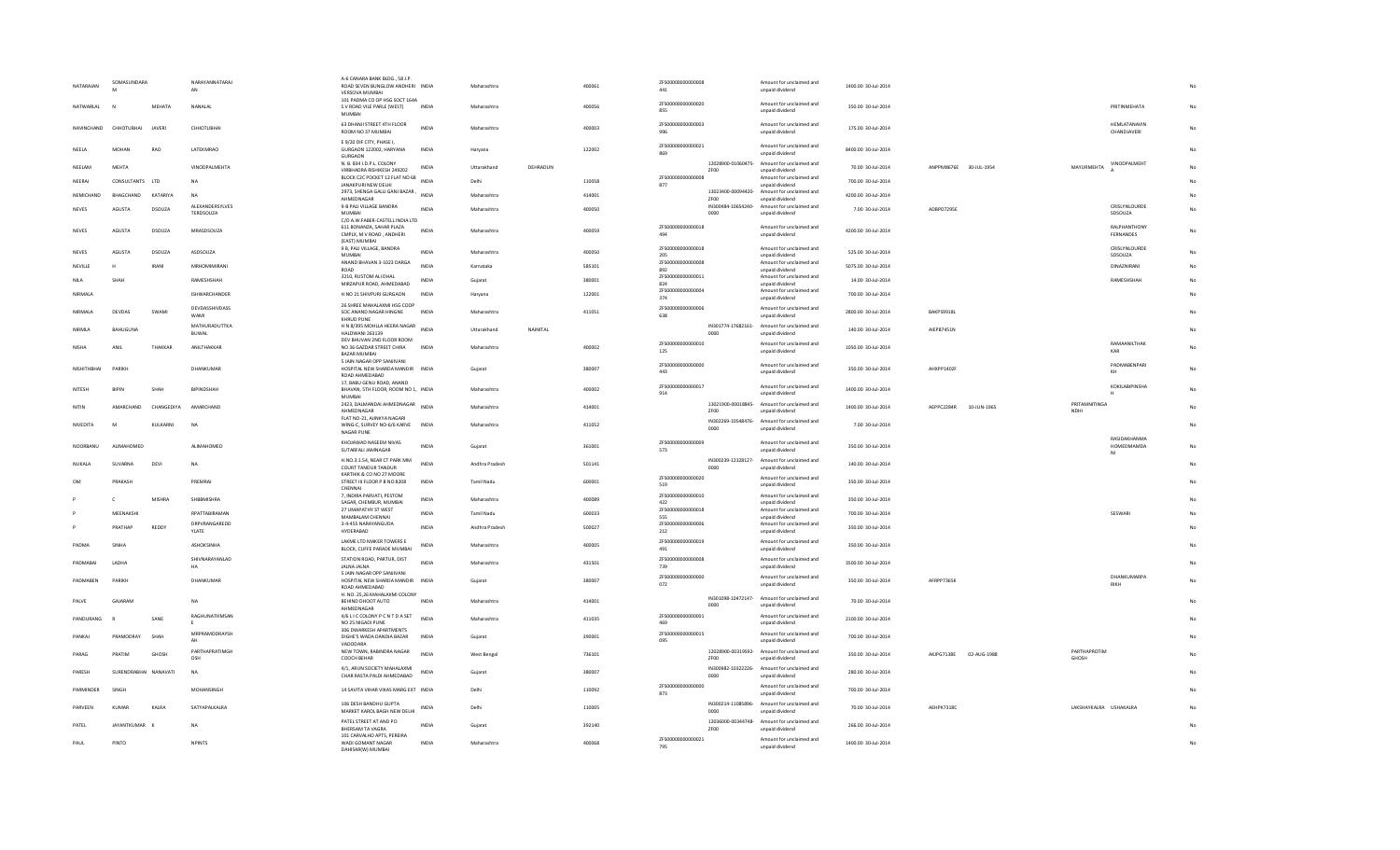| NATARAJAN       | SOMASUNDARA           |                 | NARAYANNATARAJ<br>AN         | A-6 CANARA BANK BLDG., 58 J.P.<br>ROAD SEVEN BUNGLOW ANDHERI INDIA<br>VERSOVA MUMBAI                       |              | Maharashtra       |          | 400061 | ZFS00000000000008<br>441 |                            | Amount for unclaimed and<br>unpaid dividend                                                                   | 1400.00 30-Jul-2014 |                        |             |                              |                             |             |
|-----------------|-----------------------|-----------------|------------------------------|------------------------------------------------------------------------------------------------------------|--------------|-------------------|----------|--------|--------------------------|----------------------------|---------------------------------------------------------------------------------------------------------------|---------------------|------------------------|-------------|------------------------------|-----------------------------|-------------|
| NATWARLAL       |                       | MEHATA          | NANALAL                      | 101 PADMA CO OP HSG SOCT 164A<br>S V ROAD VILE PARLE (WEST)<br><b>MUMBAI</b>                               | <b>INDIA</b> | Maharashtra       |          | 400056 | ZFS00000000000020<br>855 |                            | Amount for unclaimed and<br>unpaid dividend                                                                   | 350.00 30-Jul-2014  |                        |             |                              | PRITINMEHATA                | No          |
| NAVINCHAND      | CHHOTUBHAI            | JAVERI          | CHHOTUBHA                    | 63 DHANJI STREET 4TH FLOOR<br>ROOM NO 37 MUMBAI                                                            | INDIA        | Maharashtra       |          | 400003 | ZFS00000000000003<br>996 |                            | Amount for unclaimed and<br>unpaid dividend                                                                   | 175.00 30-Jul-2014  |                        |             |                              | HEMLATANAVIN<br>CHANDJAVERI | No          |
| NFFIA           | MOHAN                 | <b>RAO</b>      | <b>LATEKMRAO</b>             | E 9/20 DIF CITY, PHASE I,<br>GURGAON 122002, HARYANA<br>GURGAON                                            | <b>INDIA</b> | Haryana           |          | 122002 | ZFS00000000000021<br>869 |                            | Amount for unclaimed and<br>unpaid dividend                                                                   | 8400.00 30-Jul-2014 |                        |             |                              |                             | No          |
| NEELAM          | MEHTA                 |                 | VINODPALMEHTA                | N. B. 834 I.D.P.L. COLONY<br>VIRBHADRA RISHIKESH 249202                                                    | <b>INDIA</b> | Uttarakhand       | DEHRADUN |        |                          | ZF00                       | 12028900-01060475- Amount for unclaimed and<br>unpaid dividend                                                | 70.00 30-Jul-2014   | ANPPM8676E 30-JUL-1954 |             | MAYURMEHTA                   | VINODPALMEHT                | No          |
| NEFRAI          | CONSULTANTS LTD       |                 | <b>NA</b>                    | BLOCK C2C POCKET 12 FLAT NO 68<br>JANAKPURI NEW DELHI                                                      | <b>INDIA</b> | Delhi             |          | 110058 | ZFS00000000000008<br>877 |                            | Amount for unclaimed and<br>unpaid dividend                                                                   | 700.00 30-Jul-2014  |                        |             |                              |                             | No.         |
| NEMICHAND       | BHAGCHAND             | KATARIYA        | <b>NA</b>                    | 2973, SHENGA GALLI GANJ BAZAR,<br>AHMEDNAGAR                                                               | INDIA        | Maharashtra       |          | 414001 |                          | ZF00                       | 13023400-00094420- Amount for unclaimed and<br>unpaid dividend                                                | 4200.00 30-Jul-2014 |                        |             |                              |                             |             |
| <b>NEVES</b>    | AGUSTA                | DSOUZA          | ALEXANDERSYLVES<br>TERDSOUZA | 9-B PALI VILLAGE BANDRA<br>MUMBAL                                                                          | <b>INDIA</b> | Maharashtra       |          | 400050 |                          | 0000                       | IN300484-10654240- Amount for unclaimed and<br>unpaid dividend                                                | 7.00 30-Jul-2014    | ADBPD7295E             |             |                              | CRISLYNLOURDE<br>SDSOUZA    |             |
| <b>NFVFS</b>    | <b>AGUSTA</b>         | DSOUZA          | MRASDSOUZA                   | C/O A.W.FABER-CASTELL INDIA LTD<br>611 BONANZA, SAHAR PLAZA                                                | <b>INDIA</b> | Maharashtra       |          | 400059 | ZFS00000000000018        |                            | Amount for unclaimed and                                                                                      | 4200.00 30-Jul-2014 |                        |             |                              | RALPHANTHONY                | No          |
|                 |                       |                 |                              | CMPLX, M V ROAD, ANDHERI<br>(EAST) MUMBAI                                                                  |              |                   |          |        | 494                      |                            | unpaid dividend                                                                                               |                     |                        |             |                              | FERNANDES                   |             |
| NEVES           | AGUSTA                | DSOUZA          | ASDSOUZA                     | 9 B, PALI VILLAGE, BANDRA<br><b>MUMBAI</b>                                                                 | INDIA        | Maharashtra       |          | 400050 | ZFS00000000000018<br>205 |                            | Amount for unclaimed and<br>unpaid dividend                                                                   | 525.00 30-Jul-2014  |                        |             |                              | CRISLYNLOURDE<br>SDSOUZA    | No          |
| NEVILLE         |                       | IRANI           | MRHOMIMIRANI                 | ANAND BHAVAN 3-1023 DARGA<br>ROAD                                                                          | <b>INDIA</b> | Karnataka         |          | 585101 | 7ES00000000000008<br>892 |                            | Amount for unclaimed and<br>unpaid dividend                                                                   | 5075.00 30-Jul-2014 |                        |             |                              | DINAZNIRANI                 | No          |
| <b>NILA</b>     | SHAH                  |                 | RAMESHSHAH                   | 3210, RUSTOM ALI DHAL<br>MIRZAPUR ROAD, AHMEDABAD                                                          | <b>INDIA</b> | Guiarat           |          | 380001 | ZFS00000000000011<br>824 |                            | Amount for unclaimed and<br>unpaid dividend                                                                   | 14.00 30-Jul-2014   |                        |             |                              | RAMESHSHAH                  | No          |
| NIRMALA         |                       |                 | ISHWARCHANDER                | H NO 21 SHIVPURI GURGAON                                                                                   | <b>INDIA</b> | Haryana           |          | 122001 | ZFS00000000000004<br>374 |                            | Amount for unclaimed and<br>unpaid dividend                                                                   | 700.00 30-Jul-2014  |                        |             |                              |                             |             |
| NIRMAI A        | DEVDAS                | SWAMI           | DEVDASSHIVDASS               | 26 SHREE MAHALAXMI HSG COOP<br>SOC ANAND NAGAR HINGNE                                                      | <b>INDIA</b> | Maharashtra       |          | 411051 | ZFS00000000000006        |                            | Amount for unclaimed and                                                                                      | 2800.00 30-Jul-2014 | RAKPS9918L             |             |                              |                             |             |
|                 |                       |                 | WAMI<br>MATHURADUTTKA        | KHRUD PUNE<br>H N 8/395 MOHLLA HEERA NAGAR                                                                 |              |                   |          |        | 638                      |                            | unpaid dividend<br>IN301774-17682161- Amount for unclaimed and                                                |                     |                        |             |                              |                             |             |
| NIRMLA          | BAHUGUNA              |                 | BUWAL                        | HALDWANI 263139                                                                                            | <b>INDIA</b> | Uttarakhand       | NAINITAL |        |                          | 0000                       | unpaid dividend                                                                                               | 140.00 30-Jul-2014  | AIEPB7451N             |             |                              |                             | No          |
| <b>NISHA</b>    | ANIL                  | THAKKAR         | ANILTHAKKAR                  | DEV BHUVAN 2ND FLOOR ROOM<br>NO 36 GAZDAR STREET CHIRA<br><b>BAZAR MUMBA</b><br>5 JAIN NAGAR OPP SANJIVANI | INDIA        | Maharashtra       |          | 400002 | 7ES00000000000010<br>125 |                            | Amount for unclaimed and<br>unpaid dividend                                                                   | 1050.00 30-Jul-2014 |                        |             |                              | RAMAANILTHAK<br>KAR         | No          |
| NISHITHBHAI     | <b>PARIKH</b>         |                 | DHANKUMAR                    | HOSPITAL NEW SHARDA MANDIR INDIA<br>ROAD AHMEDABAD                                                         |              | Gujarat           |          | 380007 | ZFS00000000000000<br>443 |                            | Amount for unclaimed and<br>unpaid dividend                                                                   | 350.00 30-Jul-2014  | AHXPP1402F             |             |                              | PADMABENPARI<br>KH          | $_{\sf No}$ |
| NITESH          | <b>BIPIN</b>          | SHAH            | BIPINDSHAH                   | 17, BABU GENU ROAD, ANAND<br>BHAVAN, 5TH FLOOR, ROOM NO 1, INDIA                                           |              | Maharashtra       |          | 400002 | ZFS00000000000017<br>914 |                            | Amount for unclaimed and<br>unpaid dividend                                                                   | 1400.00 30-Jul-2014 |                        |             |                              | <b>KOKILABIPINSHA</b>       |             |
| NITIN           | <b>AMARCHAND</b>      | CHANGEDIYA      | AMARCHAND                    | MUMBAI<br>2423, DALMANDAI AHMEDNAGAR INDIA<br>AHMEDNAGAR                                                   |              | Maharashtra       |          | 414001 |                          | ZF00                       | 13021900-00018845- Amount for unclaimed and<br>unpaid dividend                                                | 1400.00 30-Jul-2014 | AEPPC2284R             | 10-JUN-1965 | PRITAMNITINGA<br><b>NDHI</b> |                             |             |
| <b>NIVEDITA</b> | M                     | <b>KULKARNI</b> | <b>NA</b>                    | FLAT NO-21, AJINKYA NAGARI<br>WING-C, SURVEY NO-6/6 KARVE INDIA<br>NAGAR PUNE                              |              | Maharashtra       |          | 411052 |                          | 0000                       | IN302269-10548476- Amount for unclaimed and<br>unpaid dividend                                                | 7.00 30-Jul-2014    |                        |             |                              |                             | No          |
| NOORBANU        | ALIMAHOMED            |                 | ALIMAHOMED                   | KHOJAWAD NASEEM NIVAS                                                                                      | <b>INDIA</b> | Gujarat           |          | 361001 | 7ES000000000000009       |                            | Amount for unclaimed and                                                                                      | 350.00 30-Jul-2014  |                        |             |                              | RASIDAKHANMA<br>HOMEDMAMDA  | No          |
| NUKALA          | SUVARNA               | DEVI            | <b>NA</b>                    | SUTARFALI JAMNAGAR<br>H.NO.3.1.54. NEAR CT PARK MM                                                         | INDIA        | Andhra Pradesh    |          | 501141 | 573                      |                            | unpaid dividend<br>IN300239-12328127- Amount for unclaimed and                                                | 140.00 30-Jul-2014  |                        |             |                              | NI                          |             |
| OM              | PRAKASH               |                 | PREMRAJ                      | <b>COURT TANDUR TANDUR</b><br>KARTHIK & CO NO 27 MOORE                                                     | <b>INDIA</b> | <b>Tamil Nadu</b> |          |        | ZFS00000000000020        | 0000                       | unpaid dividend<br>Amount for unclaimed and                                                                   |                     |                        |             |                              |                             |             |
|                 |                       |                 |                              | STREET III FLOOR P B NO 8208<br>CHENNAI                                                                    |              |                   |          | 600001 | 519<br>ZFS00000000000010 |                            | unpaid dividend                                                                                               | 350.00 30-Jul-2014  |                        |             |                              |                             |             |
|                 | $\mathcal{C}$         | <b>MISHRA</b>   | SHBBMISHRA                   | 7, INDIRA PARVATI, PESTOM<br>SAGAR, CHEMBUR, MUMBAI                                                        | <b>INDIA</b> | Maharashtra       |          | 400089 | 422                      |                            | Amount for unclaimed and<br>unpaid dividend                                                                   | 350.00 30-Jul-2014  |                        |             |                              |                             |             |
|                 | MEENAKSHI             |                 | RPATTABIRAMAN                | 27 UMAPATHY ST WEST<br>MAMBALAM CHENNAI                                                                    | INDIA        | Tamil Nadu        |          | 600033 | ZFS00000000000018<br>555 |                            | Amount for unclaimed and<br>unpaid dividend                                                                   | 700.00 30-Jul-2014  |                        |             |                              | SESWARI                     |             |
|                 | PRATHAP               | REDDY           | DRPVRANGAREDD<br>YLATE       | 3-4-455 NARAYANGUDA<br>HYDERABAD                                                                           | INDIA        | Andhra Pradesh    |          | 500027 | 7ES00000000000006<br>212 |                            | Amount for unclaimed and<br>unpaid dividend                                                                   | 350.00 30-Jul-2014  |                        |             |                              |                             |             |
| PADMA           | SINHA                 |                 | ASHOKSINHA                   | LAKME LTD MAKER TOWERS E<br>BLOCK, CUFFE PARADE MUMBAI                                                     | <b>INDIA</b> | Maharashtra       |          | 400005 | ZFS00000000000019<br>491 |                            | Amount for unclaimed and<br>unpaid dividend                                                                   | 350.00 30-Jul-2014  |                        |             |                              |                             |             |
| PADMABAI        | LADHA                 |                 | SHIVNARAYANLAD<br>HA         | STATION ROAD, PARTUR, DIST<br>JALNA JALNA                                                                  | <b>INDIA</b> | Maharashtra       |          | 431501 | ZFS00000000000008<br>739 |                            | Amount for unclaimed and<br>unpaid dividend                                                                   | 3500.00 30-Jul-2014 |                        |             |                              |                             |             |
| PADMABEN        | PARIKH                |                 | DHANKUMAR                    | 5 JAIN NAGAR OPP SANJIVANI<br>HOSPITAL NEW SHARDA MANDIR INDIA<br>ROAD AHMEDABAD                           |              | Gujarat           |          | 380007 | ZFS00000000000000<br>072 |                            | Amount for unclaimed and<br>unpaid dividend                                                                   | 350.00 30-Jul-2014  | AFRPP7365K             |             |                              | DHANKUMARPA<br><b>RIKH</b>  |             |
| PALVE           | GAJARAM               |                 | <b>NA</b>                    | H. NO. 25,26 MAHALAXMI COLONY<br>BEHIND DHOOT AUTO<br>AHMEDNAGAR                                           | INDIA        | Maharashtra       |          | 414001 |                          | IN301098-10472147-<br>0000 | Amount for unclaimed and<br>unpaid dividend                                                                   | 70.00 30-Jul-2014   |                        |             |                              |                             |             |
| PANDURANG       |                       | SANE            | RAGHUNATHMSAN<br><b>F</b>    | 4/6 L I C COLONY P C N T D A SET<br>NO 25 NIGADI PUNE                                                      | INDIA        | Maharashtra       |          | 411035 | ZFS00000000000001<br>469 |                            | Amount for unclaimed and<br>unpaid dividend                                                                   | 2100.00 30-Jul-2014 |                        |             |                              |                             |             |
| PANKAL          | PRAMODRAY             | SHAH            | MRPRAMODRAYSH                | 306 DWARKESH APARTMENTS<br>DIGHE'S WADA DANDIA BAZAR                                                       | <b>INDIA</b> | Guiarat           |          | 390001 | ZFS00000000000015        |                            | Amount for unclaimed and                                                                                      | 700.00 30-Jul-2014  |                        |             |                              |                             |             |
|                 |                       |                 | AH<br>PARTHAPRATIMGH         | VADODARA<br>NEW TOWN, RABINDRA NAGAR                                                                       |              |                   |          |        | 095                      |                            | unpaid dividend<br>12028900-00319592- Amount for unclaimed and                                                |                     |                        |             | PARTHAPROTIM                 |                             |             |
| PARAG           | PRATIM                | <b>GHOSH</b>    | OSH                          | COOCH BEHAR                                                                                                | <b>INDIA</b> | West Rengal       |          | 736101 |                          | ZF00                       | unpaid dividend                                                                                               | 350.00 30-Jul-2014  | AKJPG7138E 02-AUG-1988 |             | GHOSH                        |                             |             |
| PARESH          | SURENDRABHAI NANAVATI |                 | <b>NA</b>                    | 4/1, ARUN SOCIETY MAHALAXMI<br>CHAR RASTA PALDI AHMEDABAD                                                  | <b>INDIA</b> | Guiarat           |          | 380007 | 7ES00000000000000        | 0000                       | IN300982-10322226- Amount for unclaimed and<br>unpaid dividend<br>Amount for unclaimed and                    | 280.00 30-Jul-2014  |                        |             |                              |                             |             |
| PARMINDER       | SINGH                 |                 | MOHANSINGH                   | 14 SAVITA VIHAR VIKAS MARG EXT INDIA                                                                       |              | Delhi             |          | 110092 | 873                      |                            | unpaid dividend                                                                                               | 700.00 30-Jul-2014  |                        |             |                              |                             |             |
| PARVEEN         | KUMAR                 | KALRA           | SATYAPALKALRA                | 106 DESH BANDHU GUPTA<br>MARKET KAROL BAGH NEW DELHI<br>PATEL STREET AT AND PO                             | INDIA        | Delhi             |          | 110005 |                          | 0000                       | IN300214-11085896- Amount for unclaimed and<br>unpaid dividend<br>12036000-00344748- Amount for unclaimed and | 70.00 30-Jul-2014   | AEHPK7318C             |             | LAKSHAYKALRA USHAKALRA       |                             |             |
| PATEL           | JAYANTKUMAR K         |                 | NA                           | <b>RHERSAM TA VAGRA</b>                                                                                    | <b>INDIA</b> | Gujarat           |          | 392140 |                          | <b>7F00</b>                | unpaid dividend                                                                                               | 266.00 30-Jul-2014  |                        |             |                              |                             |             |
| PAUL            | PINTO                 |                 | <b>NPINTS</b>                | 101 CARVALHO APTS, PERFIRA<br>WADI GOMANT NAGAR<br>DAHISAR(W) MUMBAI                                       | <b>INDIA</b> | Maharashtra       |          | 400068 | ZFS00000000000021<br>795 |                            | Amount for unclaimed and<br>unpaid dividend                                                                   | 1400.00 30-Jul-2014 |                        |             |                              |                             | No          |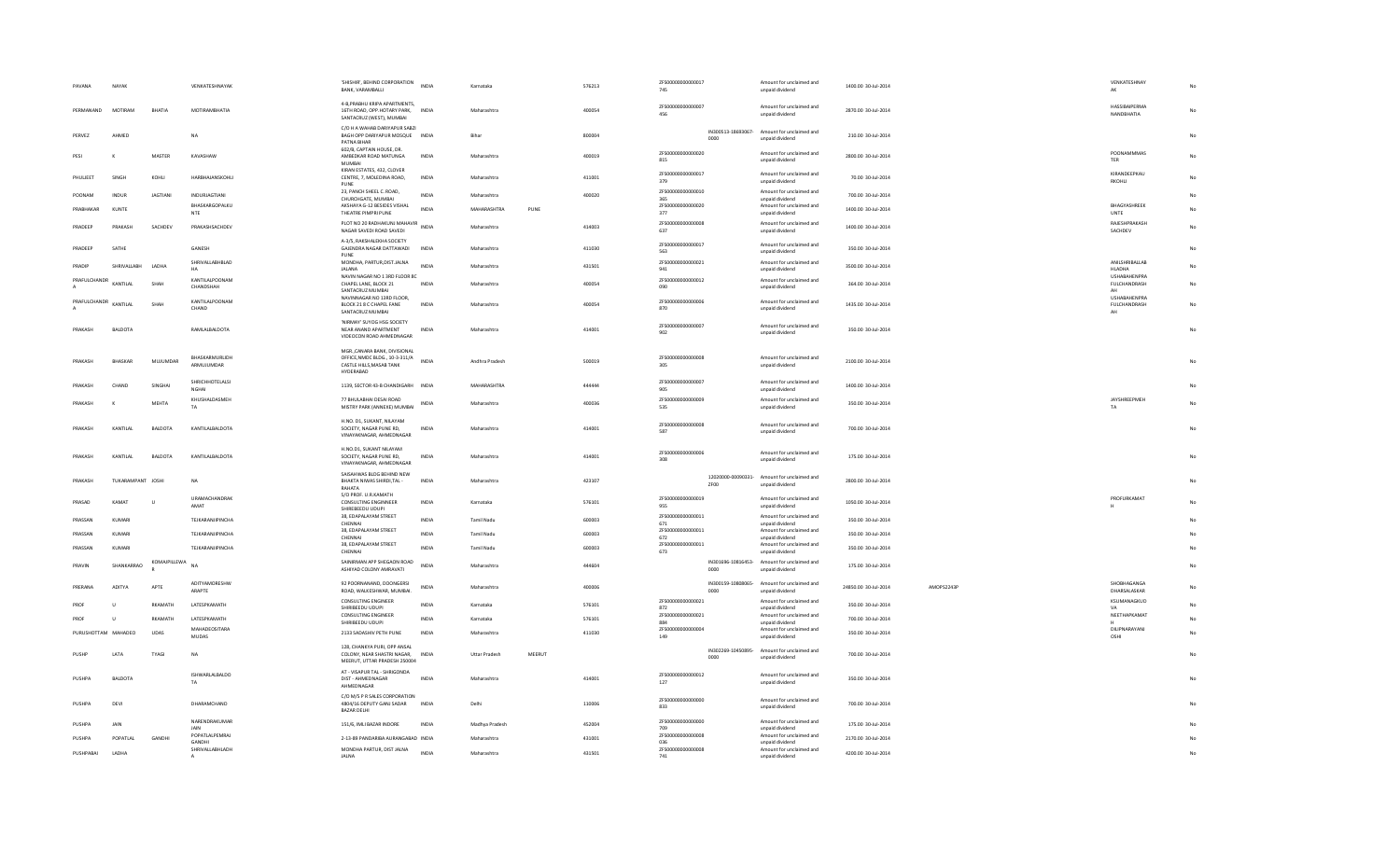| PAVANA        | NAYAK             |                | VENKATESHNAYAK                         | 'SHISHIR', BEHIND CORPORATION<br>BANK, VARAMBALLI                                                        | <b>INDIA</b> | Karnataka            |        | 576213 | ZFS00000000000017<br>745  |                            | Amount for unclaimed and<br>unpaid dividend                    | 1400.00 30-Jul-2014  |            | VENKATESHNAY<br>AK                   |    |
|---------------|-------------------|----------------|----------------------------------------|----------------------------------------------------------------------------------------------------------|--------------|----------------------|--------|--------|---------------------------|----------------------------|----------------------------------------------------------------|----------------------|------------|--------------------------------------|----|
| PERMANAND     | MOTIRAM           | RHATIA         | MOTIRAMRHATIA                          | 4-B.PRABHU KRIPA APARTMENTS.<br>16TH ROAD, OPP, HOTARY PARK. INDIA                                       |              | Maharashtra          |        | 400054 | ZFS00000000000007<br>456  |                            | Amount for unclaimed and<br>unpaid dividend                    | 2870.00 30-Jul-2014  |            | HASSIBAIPERMA<br>NANDBHATIA          | No |
| PFRVF7        | AHMED             |                | <b>NA</b>                              | SANTACRUZ (WEST), MUMBAI<br>C/O H A WAHAB DARIYAPUR SABZI<br>BAGH OPP DARIYAPUR MOSQUE INDIA             |              | Rihar                |        | 800004 |                           | IN300513-18693067-         | Amount for unclaimed and                                       | 210.00 30-Jul-2014   |            |                                      | No |
| PESI          |                   | MASTER         | KAVASHAW                               | PATNA RIHAR<br>602/B, CAPTAIN HOUSE, DR<br>AMBEDKAR ROAD MATUNGA                                         | INDIA        | Maharashtra          |        | 400019 | ZFS00000000000020         | 0000                       | unpaid dividend<br>Amount for unclaimed and                    | 2800.00 30-Jul-2014  |            | POONAMMMAS                           | No |
| PHULJEET      | SINGH             | KOHLI          | HARBHAJANSKOHLI                        | MUMBAI<br>KIRAN ESTATES, 432, CLOVER<br>CENTRE, 7, MOLEDINA ROAD,                                        | <b>INDIA</b> | Maharashtra          |        | 411001 | 815<br>ZFS00000000000017  |                            | unpaid dividend<br>Amount for unclaimed and                    | 70.00 30-Jul-2014    |            | <b>TER</b><br>KIRANDEEPKAU           | No |
|               |                   |                |                                        | PUNE<br>23, PANCH SHEEL C. ROAD,                                                                         |              |                      |        |        | 379<br>ZFS00000000000010  |                            | unpaid dividend<br>Amount for unclaimed and                    |                      |            | RKOHLI                               |    |
| POONAM        | INDUR             | JAGTIANI       | <b>INDURJAGTIANI</b><br>BHASKARGOPALKU | CHURCHGATE, MUMBAI<br>AKSHAYA G-12 BESIDES VISHAL                                                        | <b>INDIA</b> | Maharashtra          |        | 400020 | 365<br>ZFS00000000000020  |                            | unpaid dividend<br>Amount for unclaimed and                    | 700.00 30-Jul-2014   |            | BHAGYASHREEK                         | No |
| PRABHAKAR     | KUNTE             |                | NTE                                    | THEATRE PIMPRI PUNE                                                                                      | INDIA        | MAHARASHTRA          | PUNE   |        | 377                       |                            | unpaid dividend                                                | 1400.00 30-Jul-2014  |            | UNTE                                 | No |
| PRADEEP       | PRAKASH           | SACHDEV        | PRAKASHSACHDEV                         | PLOT NO 20 RADHAKUNJ MAHAVIR<br>NAGAR SAVEDI ROAD SAVEDI                                                 |              | Maharashtra          |        | 414003 | ZFS00000000000008<br>637  |                            | Amount for unclaimed and<br>unpaid dividend                    | 1400.00 30-Jul-2014  |            | RAJESHPRAKASH<br>SACHDEV             | No |
| PRADEEP       | SATHE             |                | GANESH                                 | A-3/5, RAKSHALEKHA SOCIETY<br>GAJENDRA NAGAR DATTAWADI<br>PUNE                                           | INDIA        | Maharashtra          |        | 411030 | ZFS00000000000017<br>563  |                            | Amount for unclaimed and<br>unpaid dividend                    | 350.00 30-Jul-2014   |            |                                      | No |
| PRADIP        | SHRIVALLABH       | LADH           | SHRIVALLABHBLAD<br>HA                  | MONDHA, PARTUR, DIST. JALNA<br><b>JALANA</b>                                                             | <b>INDIA</b> | Maharashtra          |        | 431501 | ZFS00000000000021<br>941  |                            | Amount for unclaimed and<br>unpaid dividend                    | 3500.00 30-Jul-2014  |            | ANILSHRIBALLAB<br>HLADHA             | No |
| PRAFULCHANDR  | KANTILAL          | SHAH           | KANTILALPOONAM<br>CHANDSHAH            | NAVIN NAGAR NO 1 3RD FLOOR 8C<br>CHAPEL LANE, BLOCK 21                                                   | <b>INDIA</b> | Maharashtra          |        | 400054 | ZFS00000000000012<br>090  |                            | Amount for unclaimed and<br>unpaid dividend                    | 364.00 30-Jul-2014   |            | <b>LISHARAHENPRA</b><br>FULCHANDRASH | No |
| PRAFULCHANDR  |                   |                | KANTILALPOONAM                         | SANTACRUZ MUMBAI<br>NAVINNAGAR NO 13RD FLOOR,                                                            |              |                      |        |        | ZFS00000000000006         |                            | Amount for unclaimed and                                       |                      |            | AH<br>USHABAHENPRA                   |    |
|               | KANTILAL          | SHAH           | CHAND                                  | BLOCK 21 8 C CHAPEL FANE<br>SANTACRUZ MUMBAI                                                             | INDIA        | Maharashtra          |        | 400054 | 870                       |                            | unpaid dividend                                                | 1435.00 30-Jul-2014  |            | FULCHANDRASH<br>AH                   | No |
| PRAKASH       | <b>BALDOTA</b>    |                | RAMLALBALDOTA                          | 'NIRMAY' SUYOG HSG SOCIETY<br>NEAR ANAND APARTMENT<br>VIDEOCON ROAD AHMEDNAGAR                           | <b>INDIA</b> | Maharashtra          |        | 414001 | ZFS00000000000007<br>902  |                            | Amount for unclaimed and<br>unpaid dividend                    | 350.00 30-Jul-2014   |            |                                      | No |
| PRAKASH       | BHASKAR           | MUJUMDAR       | BHASKARMURLIDH<br>ARMUJUMDAR           | MGR., CANARA BANK, DIVISIONAL<br>OFFICE, NMDC BLDG., 10-3-311/A<br>CASTLE HILLS, MASAB TANK<br>HYDERABAD | <b>INDIA</b> | Andhra Pradesh       |        | 500019 | ZFS00000000000008<br>305  |                            | Amount for unclaimed and<br>unpaid dividend                    | 2100.00 30-Jul-2014  |            |                                      | No |
| PRAKASH       | CHAND             | SINGHAI        | SHRICHHOTELALSI<br><b>NGHAI</b>        | 1139, SECTOR 43-B CHANDIGARH INDIA                                                                       |              | MAHARASHTRA          |        | 444444 | ZFS00000000000007<br>905  |                            | Amount for unclaimed and<br>unpaid dividend                    | 1400.00 30-Jul-2014  |            |                                      | No |
| PRAKASH       | к                 | <b>MEHTA</b>   | KHUSHALDASMEH<br>TA                    | 77 BHULABHAI DESAI ROAD<br>MISTRY PARK (ANNEXE) MUMBAI                                                   | <b>INDIA</b> | Maharashtra          |        | 400036 | ZFS00000000000009<br>535  |                            | Amount for unclaimed and<br>unpaid dividend                    | 350.00 30-Jul-2014   |            | JAYSHREEPMEH<br>TA                   | No |
| PRAKASH       | KANTILAL          | BALDOTA        | KANTILALBALDOTA                        | H.NO. D1, SUKANT, NILAYAM<br>SOCIETY, NAGAR PUNE RD,<br>VINAYAKNAGAR, AHMEDNAGAR                         | <b>INDIA</b> | Maharashtra          |        | 414001 | ZFS00000000000008<br>587  |                            | Amount for unclaimed and<br>unpaid dividend                    | 700.00 30-Jul-2014   |            |                                      | No |
| PRAKASH       | KANTILAL          | BALDOTA        | KANTILALBALDOTA                        | H.NO.D1, SUKANT NILAYAM<br>SOCIETY. NAGAR PUNE RD.<br>VINAYAKNAGAR, AHMEDNAGAR                           | <b>INDIA</b> | Maharashtra          |        | 414001 | ZFS00000000000006<br>308  |                            | Amount for unclaimed and<br>unpaid dividend                    | 175.00 30-Jul-2014   |            |                                      | No |
| PRAKASH       | TUKARAMPANT JOSHI |                | <b>NA</b>                              | SAISAHWAS BLDG BEHIND NEW<br>BHAKTA NIWAS SHIRDI, TAL -<br>RAHATA                                        | <b>INDIA</b> | Maharashtra          |        | 423107 |                           | 12020000-00090331-<br>ZF00 | Amount for unclaimed and<br>unpaid dividend                    | 2800.00 30-Jul-2014  |            |                                      | No |
| PRASAD        | KAMAT             | $\mathbf{u}$   | URAMACHANDRAK<br>AMAT                  | S/O PROF, U.R.KAMATH<br>CONSULTING ENGINNEER<br>SHIREBEEDU UDUPI                                         | <b>INDIA</b> | Karnataka            |        | 576101 | ZFS00000000000019<br>955  |                            | Amount for unclaimed and<br>unpaid dividend                    | 1050.00 30-Jul-2014  |            | PROFURKAMAT                          | No |
| PRASSAN       | KUMARI            |                | TEJKARANJIPINCHA                       | 38, EDAPALAYAM STREET<br>CHENNAI                                                                         | <b>INDIA</b> | Tamil Nadu           |        | 600003 | ZFS00000000000011<br>671  |                            | Amount for unclaimed and<br>unpaid dividend                    | 350.00 30-Jul-2014   |            |                                      |    |
| PRASSAN       | KUMARI            |                | TEJKARANJIPINCHA                       | 38, EDAPALAYAM STREET<br>CHENNAI                                                                         | <b>INDIA</b> | Tamil Nadu           |        | 600003 | ZFS00000000000011<br>672  |                            | Amount for unclaimed and<br>unpaid dividend                    | 350.00 30-Jul-2014   |            |                                      |    |
| PRASSAN       | KUMARI            |                | TEJKARANJIPINCHA                       | 38, EDAPALAYAM STREET                                                                                    | <b>INDIA</b> | Tamil Nadu           |        | 600003 | ZFS00000000000011         |                            | Amount for unclaimed and                                       | 350.00 30-Jul-2014   |            |                                      | No |
| PRAVIN        | SHANKARRAO        | KOMAJPILLEWA   | <b>NA</b>                              | CHENNAI<br>SAINIRMAN APP SHEGAON ROAD                                                                    | <b>INDIA</b> | Maharashtra          |        | 444604 | 673                       |                            | unpaid dividend<br>IN301696-10816453- Amount for unclaimed and | 175.00 30-Jul-2014   |            |                                      | No |
|               |                   |                | ADITYAMORESHW                          | ASHIYAD COLONY AMRAVATI<br>92 POORNANAND, DOONGERSI                                                      |              |                      |        |        |                           | 0000                       | unpaid dividend<br>IN300159-10808065- Amount for unclaimed and |                      |            | SHOBHAGANGA                          |    |
| PRERANA       | ADITYA            | APTE           | ARAPTE                                 | ROAD, WALKESHWAR, MUMBAI,                                                                                | INDIA        | Maharashtra          |        | 400006 |                           | 0000                       | unpaid dividend                                                | 24850.00 30-Jul-2014 | AMOPS2243F | DHARSALASKAR                         | No |
| PROF          | $\mathbf{u}$      | RKAMATH        | LATESPKAMATH                           | CONSULTING ENGINEER<br>SHIRIBEEDU UDUPI                                                                  | <b>INDIA</b> | Karnataka            |        | 576101 | ZFS00000000000021<br>872  |                            | Amount for unclaimed and<br>unpaid dividend                    | 350.00 30-Jul-2014   |            | KSUMANAGKUD<br>VA                    | No |
| PROF          | $\mathbf{u}$      | <b>RKAMATH</b> | LATESPKAMATH                           | <b>CONSULTING ENGINEER</b><br>SHIRIBEEDU UDUPI                                                           | INDIA        | Karnataka            |        | 576101 | ZFS00000000000021<br>884  |                            | Amount for unclaimed and<br>unpaid dividend                    | 700.00 30-Jul-2014   |            | NEETHAPKAMAT                         | No |
| PURUSHOTTAM   | MAHADEO           | <b>UDAS</b>    | MAHADEOSITARA<br><b>MUDAS</b>          | 2133 SADASHIV PETH PUNE                                                                                  | INDIA        | Maharashtra          |        | 411030 | ZES000000000000004<br>149 |                            | Amount for unclaimed and<br>unpaid dividend                    | 350.00 30-Jul-2014   |            | DILIPNARAYANJ<br>OSHI                | No |
| PUSHP         | LATA              | TYAGI          | <b>NA</b>                              | 128. CHANKYA PURI. OPP ANSAL<br>COLONY, NEAR SHASTRI NAGAR. INDIA<br>MEERUT, UTTAR PRADESH 250004        |              | <b>Uttar Pradesh</b> | MEERUT |        |                           | IN302269-10450895-<br>0000 | Amount for unclaimed and<br>unpaid dividend                    | 700.00 30-Jul-2014   |            |                                      |    |
| PUSHPA        | BALDOTA           |                | <b>ISHWARLALBALDO</b><br>TA            | AT - VISAPUR TAL - SHRIGONDA<br>DIST - AHMEDNAGAR<br>AHMEDNAGAR                                          | INDIA        | Maharashtra          |        | 414001 | ZFS00000000000012<br>127  |                            | Amount for unclaimed and<br>unpaid dividend                    | 350.00 30-Jul-2014   |            |                                      |    |
| PUSHPA        | DEVI              |                | DHARAMCHAND                            | C/O M/S P R SALES CORPORATION<br>4804/16 DEPUTY GANJ SADAR<br><b>BAZAR DELHI</b>                         | <b>INDIA</b> | Delhi                |        | 110006 | ZFS00000000000000<br>833  |                            | Amount for unclaimed and<br>unpaid dividend                    | 700.00 30-Jul-2014   |            |                                      |    |
| PUSHPA        | JAIN              |                | NARENDRAKUMAR<br>IAIN                  | 151/6. IMLI BAZAR INDORE                                                                                 | <b>INDIA</b> | Madhya Pradesh       |        | 452004 | ZFS00000000000000<br>709  |                            | Amount for unclaimed and<br>unpaid dividend                    | 175.00 30-Jul-2014   |            |                                      |    |
| <b>PUSHPA</b> | POPATLAL          | GANDHI         | POPATLALPEMRAJ<br>GANDHI               | 2-13-89 PANDARIBA AURANGABAD INDIA                                                                       |              | Maharashtra          |        | 431001 | ZFS00000000000008<br>036  |                            | Amount for unclaimed and<br>unpaid dividend                    | 2170.00 30-Jul-2014  |            |                                      |    |
| PUSHPABAI     | LADHA             |                | SHRIVALLABHLADH                        | MONDHA PARTUR, DIST JALNA<br><b>JALNA</b>                                                                | INDIA        | Maharashtra          |        | 431501 | ZFS00000000000008<br>741  |                            | Amount for unclaimed and<br>unpaid dividend                    | 4200.00 30-Jul-2014  |            |                                      | No |
|               |                   |                |                                        |                                                                                                          |              |                      |        |        |                           |                            |                                                                |                      |            |                                      |    |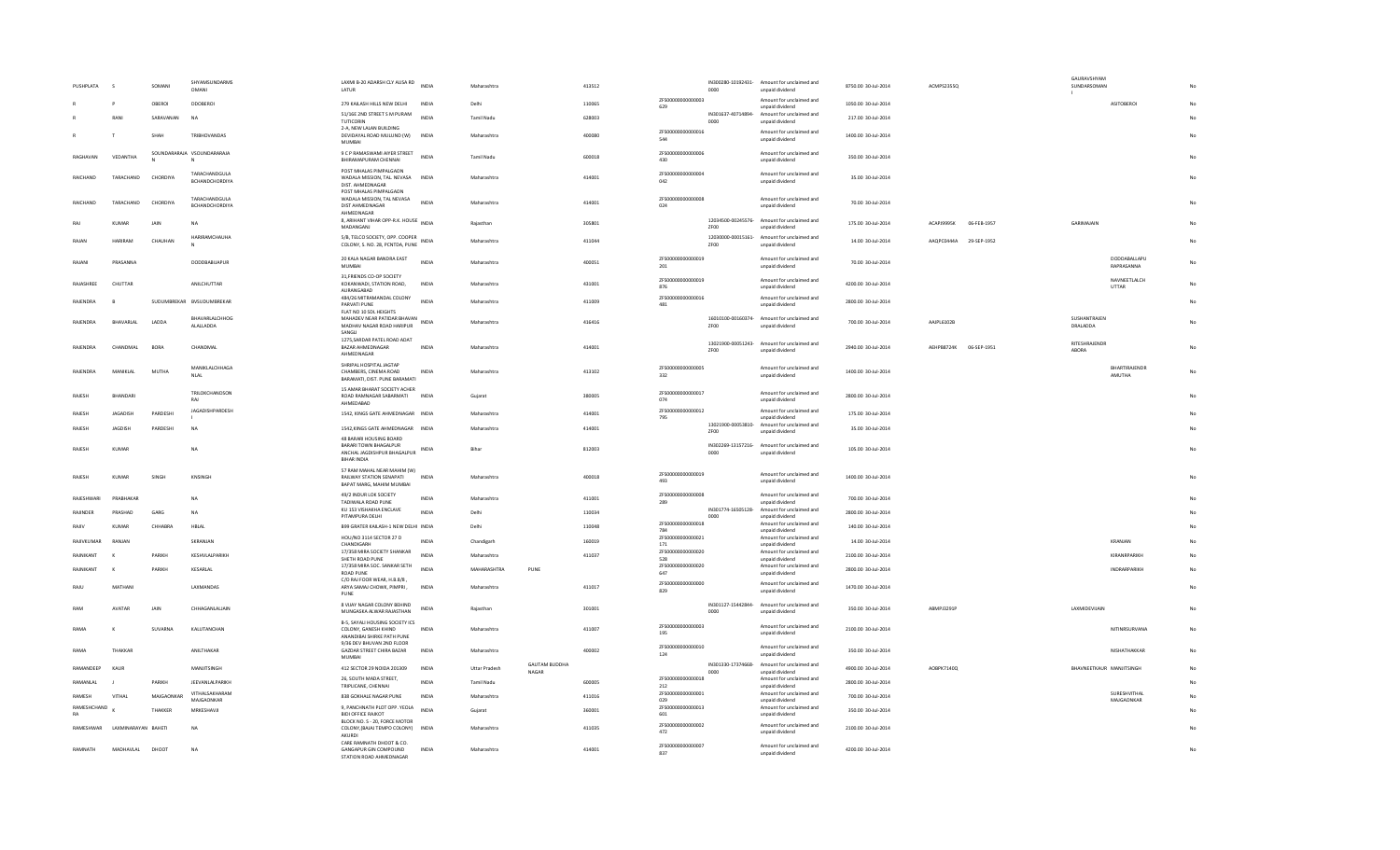| PUSHPLATA         |                               | SOMANI      | SHYAMSUNDARMS<br>OMANI             | LAXMI B-20 ADARSH CLY AUSA RD INDIA<br>LATUR                                          |              | Maharashtra          |                               | 413512 |                          | 0000 | IN300280-10192431- Amount for unclaimed and<br>unpaid dividend                    | 8750.00 30-Jul-2014 | ACMPS2355Q                       | GAURAVSHYAM<br>SUNDARSOMAN      |                              |    |
|-------------------|-------------------------------|-------------|------------------------------------|---------------------------------------------------------------------------------------|--------------|----------------------|-------------------------------|--------|--------------------------|------|-----------------------------------------------------------------------------------|---------------------|----------------------------------|---------------------------------|------------------------------|----|
|                   |                               | OBEROI      | DDOBERO                            | 279 KAILASH HILLS NEW DELHI                                                           | <b>INDIA</b> | Delhi                |                               | 110065 | ZFS00000000000003<br>629 |      | Amount for unclaimed and<br>unpaid dividend                                       | 1050.00 30-Jul-2014 |                                  |                                 | <b>ASITOBEROI</b>            |    |
|                   | RANI                          | SARAVANAN   | <b>NA</b>                          | 51/16E 2ND STREET S M PURAM<br>TUTICORIN                                              | <b>INDIA</b> | Tamil Nadu           |                               | 628003 |                          | 0000 | IN301637-40714894- Amount for unclaimed and<br>unpaid dividend                    | 217.00 30-Jul-2014  |                                  |                                 |                              |    |
|                   |                               | SHAH        | TRIBHOVANDAS                       | 2-A, NEW LALAN BUILDING<br>DEVIDAYAL ROAD MULUND (W)<br>MUMBAI                        | INDIA        | Maharashtra          |                               | 400080 | ZFS00000000000016<br>544 |      | Amount for unclaimed and<br>unpaid dividend                                       | 1400.00 30-Jul-2014 |                                  |                                 |                              |    |
| RAGHAVAN          | VEDANTHA                      |             | SOUNDARARAJA VSOUNDARARAJA         | 9 C P RAMASWAMI AIYER STREET<br>BHIRAMAPURAM CHENNAI                                  | INDIA        | Tamil Nadu           |                               | 600018 | 7E500000000000006<br>430 |      | Amount for unclaimed and<br>unpaid dividend                                       | 350.00 30-Jul-2014  |                                  |                                 |                              |    |
| <b>RAICHAND</b>   | TARACHAND                     | CHORDIYA    | TARACHANDGULA<br>BCHANDCHORDIYA    | POST MHALAS PIMPALGAON<br>WADAI A MISSION TAI NEVASA INDIA<br>DIST. AHMEDNAGAR        |              | Maharashtra          |                               | 414001 | ZFS00000000000004<br>042 |      | Amount for unclaimed and<br>unpaid dividend                                       | 35.00.30-Jul-2014   |                                  |                                 |                              |    |
| RAICHAND          | TARACHAND                     | CHORDIYA    | TARACHANDGULA<br>BCHANDCHORDIYA    | POST MHALAS PIMPALGAON<br>WADALA MISSION, TAL NEVASA<br>DIST AHMEDNAGAR<br>AHMEDNAGAR | <b>INDIA</b> | Maharashtra          |                               | 414001 | ZFS00000000000008<br>024 |      | Amount for unclaimed and<br>unpaid dividend                                       | 70.00 30-Jul-2014   |                                  |                                 |                              |    |
| RAI               | KUMAR                         | <b>JAIN</b> | <b>NA</b>                          | 8, ARIHANT VIHAR OPP-R.K. HOUSE INDIA<br>MADANGANJ                                    |              | Raiasthan            |                               | 305801 |                          | ZF00 | 12034500-00245576- Amount for unclaimed and<br>unpaid dividend                    | 175.00 30-Jul-2014  | <b>ACAPIGGGSK</b><br>06-FEB-1957 | <b>GARIMAIAIN</b>               |                              |    |
| RAJAN             | <b>HARIRAM</b>                | CHAUHAN     | HARIRAMCHAUHA                      | 5/B, TELCO SOCIETY, OPP. COOPER<br>COLONY, S. NO. 28, PCNTDA, PUNE                    |              | Maharashtra          |                               | 411044 |                          | ZF00 | 12030000-00015161- Amount for unclaimed and<br>unpaid dividend                    | 14.00 30-Jul-2014   | AAQPC0444A 29-SEP-1952           |                                 |                              |    |
| RAJANI            | PRASANNA                      |             | DODDBABUAPUR                       | 20 KALA NAGAR BANDRA EAST<br><b>MUMBAI</b>                                            | <b>INDIA</b> | Maharashtra          |                               | 400051 | ZFS00000000000019<br>201 |      | Amount for unclaimed and<br>unpaid dividend                                       | 70.00 30-Jul-2014   |                                  |                                 | DODDABALLAPU<br>RAPRASANNA   | No |
| RAJASHREE         | CHUTTAR                       |             | ANILCHUTTAR                        | 31, FRIENDS CO-OP SOCIETY<br>KOKANWADI, STATION ROAD,<br>AURANGABAD                   | INDIA        | Maharashtra          |                               | 431001 | 7ES00000000000019<br>876 |      | Amount for unclaimed and<br>unnaid dividend                                       | 4200.00 30-Jul-2014 |                                  |                                 | NAVNEETLALCH<br><b>UTTAR</b> |    |
| RAJENDRA          | $\mathbf R$                   |             | SUDUMBREKAR BVSUDUMBREKAR          | 484/26 MITRAMANDAL COLONY<br>PARVATI PUNE<br>FLAT NO 10 SDL HEIGHTS                   | <b>INDIA</b> | Maharashtra          |                               | 411009 | ZFS00000000000016<br>481 |      | Amount for unclaimed and<br>unpaid dividend                                       | 2800.00 30-Jul-2014 |                                  |                                 |                              |    |
| RAJENDRA          | BHAVARLAL                     | LADDA       | <b>BHAVARLALCHHOG</b><br>ALALLADDA | MAHADEV NEAR PATIDAR BHAVAN<br>MADHAV NAGAR ROAD HARIPUR<br>SANGLI                    |              | Maharashtra          |                               | 416416 |                          | ZF00 | 16010100-00160374- Amount for unclaimed and<br>unpaid dividend                    | 700.00 30-Jul-2014  | AAJPL6102B                       | SUSHANTRAJEN<br><b>DRALADDA</b> |                              |    |
| RAJENDRA          | CHANDMAL                      | <b>BORA</b> | CHANDMAL                           | 1275, SARDAR PATEL ROAD ADAT<br>BAZAR AHMEDNAGAR<br>AHMEDNAGAR                        | <b>INDIA</b> | Maharashtra          |                               | 414001 |                          | ZF00 | 13021900-00051243- Amount for unclaimed and<br>unpaid dividend                    | 2940.00 30-Jul-2014 | AEHPB8724K 06-SEP-1951           | RITESHRAJENDR<br>ABORA          |                              |    |
| RAJENDRA          | MANIKLAL                      | MUTHA       | MANIKLALCHHAGA<br><b>NLAL</b>      | SHRIPAL HOSPITAL JAGTAP<br>CHAMBERS, CINEMA ROAD<br>BARAMATI, DIST. PUNE BARAMATI     | INDIA        | Maharashtra          |                               | 413102 | ZFS00000000000005<br>332 |      | Amount for unclaimed and<br>unpaid dividend                                       | 1400.00 30-Jul-2014 |                                  |                                 | BHARTIRAJENDR<br>AMUTHA      | No |
| <b>RAIFSH</b>     | <b>RHANDARI</b>               |             | TRILOKCHANDSON<br>RAJ              | 15 AMAR BHARAT SOCIETY ACHER<br>ROAD RAMNAGAR SABARMATI                               | <b>INDIA</b> | Guiarat              |                               | 380005 | ZFS00000000000017<br>074 |      | Amount for unclaimed and<br>unpaid dividend                                       | 2800.00 30-Jul-2014 |                                  |                                 |                              |    |
| RAJESH            | <b>JAGADISH</b>               | PARDESHI    | JAGADISHPARDESH                    | AHMEDABAD<br>1542, KINGS GATE AHMEDNAGAR INDIA                                        |              | Maharashtra          |                               | 414001 | ZFS00000000000012<br>795 |      | Amount for unclaimed and<br>unpaid dividend                                       | 175.00 30-Jul-2014  |                                  |                                 |                              |    |
| RAIFSH            | <b>IAGDISH</b>                | PARDESHI    | <b>NA</b>                          | 1542 KINGS GATE AHMEDNAGAR INDIA                                                      |              | Maharashtra          |                               | 414001 |                          | ZF00 | 13021900-00053810- Amount for unclaimed and                                       | 35.00.30-Jul-2014   |                                  |                                 |                              |    |
| RAJESH            | KUMAR                         |             | NA                                 | 48 BARARI HOUSING BOARD<br>BARARI TOWN BHAGALPUR<br>ANCHAL JAGDISHPUR BHAGALPUR INDIA |              | Bihar                |                               | 812003 |                          | 0000 | unpaid dividend<br>IN302269-13157216- Amount for unclaimed and<br>unpaid dividend | 105.00 30-Jul-2014  |                                  |                                 |                              |    |
| RAJESH            | KUMAR                         | SINGH       | KNSINGH                            | BIHAR INDIA<br>57 RAM MAHAL NEAR MAHIM (W)<br>RAILWAY STATION SENAPATI                | INDIA        | Maharashtra          |                               | 400018 | 7E500000000000019<br>493 |      | Amount for unclaimed and<br>unpaid dividend                                       | 1400.00 30-Jul-2014 |                                  |                                 |                              |    |
| <b>RAIFSHWARI</b> | PRARHAKAR                     |             | <b>NA</b>                          | BAPAT MARG, MAHIM MUMBAI<br>49/2 INDUR LOK SOCIETY                                    | <b>INDIA</b> | Maharashtra          |                               | 411001 | ZFS00000000000008        |      | Amount for unclaimed and                                                          | 700.00 30-Jul-2014  |                                  |                                 |                              |    |
| RAJINDER          | PRASHAD                       | GARG        | <b>NA</b>                          | TADIWALA ROAD PUNE<br>KU 153 VISHAKHA ENCLAVE                                         | <b>INDIA</b> | Delhi                |                               | 110034 | 289                      |      | unpaid dividend<br>IN301774-16505128- Amount for unclaimed and                    | 2800.00 30-Jul-2014 |                                  |                                 |                              |    |
|                   |                               |             |                                    | PITAMPURA DELHI                                                                       |              |                      |                               |        | ZFS00000000000018        | 0000 | unpaid dividend<br>Amount for unclaimed and                                       |                     |                                  |                                 |                              |    |
| RAJIV             | KUMAR                         | CHHABRA     | <b>HBLAL</b>                       | B99 GRATER KAILASH-1 NEW DELHI INDIA<br>HOU/NO 3114 SECTOR 27 D                       |              | Delhi                |                               | 110048 | 784<br>7E500000000000021 |      | unnaid dividend<br>Amount for unclaimed and                                       | 140.00 30-Jul-2014  |                                  |                                 |                              |    |
| RAJIVKUMAR        | RANJAN                        |             | SKRANJAN                           | CHANDIGARH                                                                            | <b>INDIA</b> | Chandigarh           |                               | 160019 | 171                      |      | unpaid dividend                                                                   | 14.00 30-Jul-2014   |                                  |                                 | KRANJAN                      |    |
| RAJNIKANT         |                               | PARIKH      | KESHVLALPARIKH                     | 17/358 MIRA SOCIETY SHANKAR<br>SHETH ROAD PUNE                                        | <b>INDIA</b> | Maharashtra          |                               | 411037 | ZFS00000000000020<br>528 |      | Amount for unclaimed and<br>unpaid dividend                                       | 2100.00 30-Jul-2014 |                                  |                                 | KIRANRPARIKH                 | No |
| RAJNIKANT         | $\boldsymbol{\kappa}$         | PARIKH      | KESARLAL                           | 17/358 MIRA SOC. SANKAR SETH<br><b>ROAD PUNE</b>                                      | <b>INDIA</b> | MAHARASHTRA          | PUNE                          |        | ZFS00000000000020<br>647 |      | Amount for unclaimed and<br>unpaid dividend                                       | 2800.00 30-Jul-2014 |                                  |                                 | INDRARPARIKH                 |    |
| RAJU              | MATHANI                       |             | LAXMANDAS                          | C/O RAJ FOOR WEAR, H.B.8/8.<br>ARYA SAMAJ CHOWK, PIMPRI,<br>PUNE                      | <b>INDIA</b> | Maharashtra          |                               | 411017 | ZFS00000000000000<br>829 |      | Amount for unclaimed and<br>unpaid dividend                                       | 1470.00 30-Jul-2014 |                                  |                                 |                              |    |
| RAM               | <b>AVATAR</b>                 | <b>JAIN</b> | CHHAGANLALIAIN                     | 8 VIJAY NAGAR COLONY BEHIND<br>MUNGASKA ALWAR RAJASTHAN                               | <b>INDIA</b> | Raiasthan            |                               | 301001 |                          | 0000 | IN301127-15442844- Amount for unclaimed and<br>unpaid dividend                    | 350.00 30-Jul-2014  | <b>ARMP13291P</b>                | LAXMIDEVIJAIN                   |                              | No |
| RAM/              | К                             | SUVARNA     | KALUTANCHAN                        | B-5, SAYALI HOUSING SOCIETY ICS<br>COLONY, GANESH KHIND<br>ANANDIBAI SHIRKE PATH PUNE | INDIA        | Maharashtra          |                               | 411007 | ZFS00000000000003<br>195 |      | Amount for unclaimed and<br>unpaid dividend                                       | 2100.00 30-Jul-2014 |                                  |                                 | NITINRSURVANA                |    |
| RAMA              | THAKKAR                       |             | ANILTHAKAR                         | 9/36 DEV BHUVAN 2ND FLOOR<br>GAZDAR STREET CHIRA BAZAR<br>MUMBAI                      | <b>INDIA</b> | Maharashtra          |                               | 400002 | ZFS00000000000010<br>124 |      | Amount for unclaimed and<br>unpaid dividend                                       | 350.00 30-Jul-2014  |                                  |                                 | NISHATHAKKAR                 | No |
| RAMANDEEP         | KAUR                          |             | MANJITSINGH                        | 412 SECTOR 29 NOIDA 201309                                                            | INDIA        | <b>Uttar Pradesh</b> | <b>GAUTAM BUDDHA</b><br>NAGAR |        |                          | coon | IN301330-17374668- Amount for unclaimed and<br>unpaid dividend                    | 4900.00 30-Jul-2014 | AOBPK7140Q                       | BHAVNEETKAUR MANJITSINGH        |                              |    |
| RAMANLAL          |                               | PARIKH      | JEEVANLALPARIKH                    | 26, SOUTH MADA STREET,<br>TRIPLICANE, CHENNAI                                         | <b>INDIA</b> | Tamil Nadu           |                               | 600005 | ZFS00000000000018<br>212 |      | Amount for unclaimed and<br>unpaid dividend                                       | 2800.00 30-Jul-2014 |                                  |                                 |                              |    |
| RAMESH            | VITHAL                        | MAJGAONKAR  | VITHALSAKHARAM                     | 838 GOKHALE NAGAR PUNE                                                                | <b>INDIA</b> | Maharashtra          |                               | 411016 | ZFS00000000000001        |      | Amount for unclaimed and                                                          | 700.00 30-Jul-2014  |                                  |                                 | SURESHVITHAL                 |    |
| RAMESHCHAND       |                               | THAKKER     | MAJGAONKAR<br>MRKESHAVJI           | 9, PANCHNATH PLOT OPP. YEOLA                                                          | <b>INDIA</b> |                      |                               | 360001 | 029<br>ZFS00000000000013 |      | unpaid dividend<br>Amount for unclaimed and                                       | 350.00 30-Jul-2014  |                                  |                                 | MAJGAONKAR                   |    |
| RA                |                               |             |                                    | <b>BIDI OFFICE RAJKOT</b><br>BLOCK NO. S - 20, FORCE MOTOR                            |              | Gujarat              |                               |        | 601<br>ZFS00000000000002 |      | unpaid dividend<br>Amount for unclaimed and                                       |                     |                                  |                                 |                              |    |
|                   | RAMESHWAR LAXMINARAYAN BAHETI |             | <b>NA</b>                          | COLONY. (BAJAJ TEMPO COLONY) INDIA<br>AKURDI<br>CARE RAMNATH DHOOT & CO.              |              | Maharashtra          |                               | 411035 | 472                      |      | unpaid dividend                                                                   | 2100.00 30-Jul-2014 |                                  |                                 |                              |    |
| RAMNATH           | MADHAVLAL                     | DHOOT       | <b>NA</b>                          | GANGAPUR GIN COMPOUND<br>STATION ROAD AHMEDNAGAR                                      | <b>INDIA</b> | Maharashtra          |                               | 414001 | ZFS00000000000007<br>837 |      | Amount for unclaimed and<br>unpaid dividend                                       | 4200.00 30-Jul-2014 |                                  |                                 |                              |    |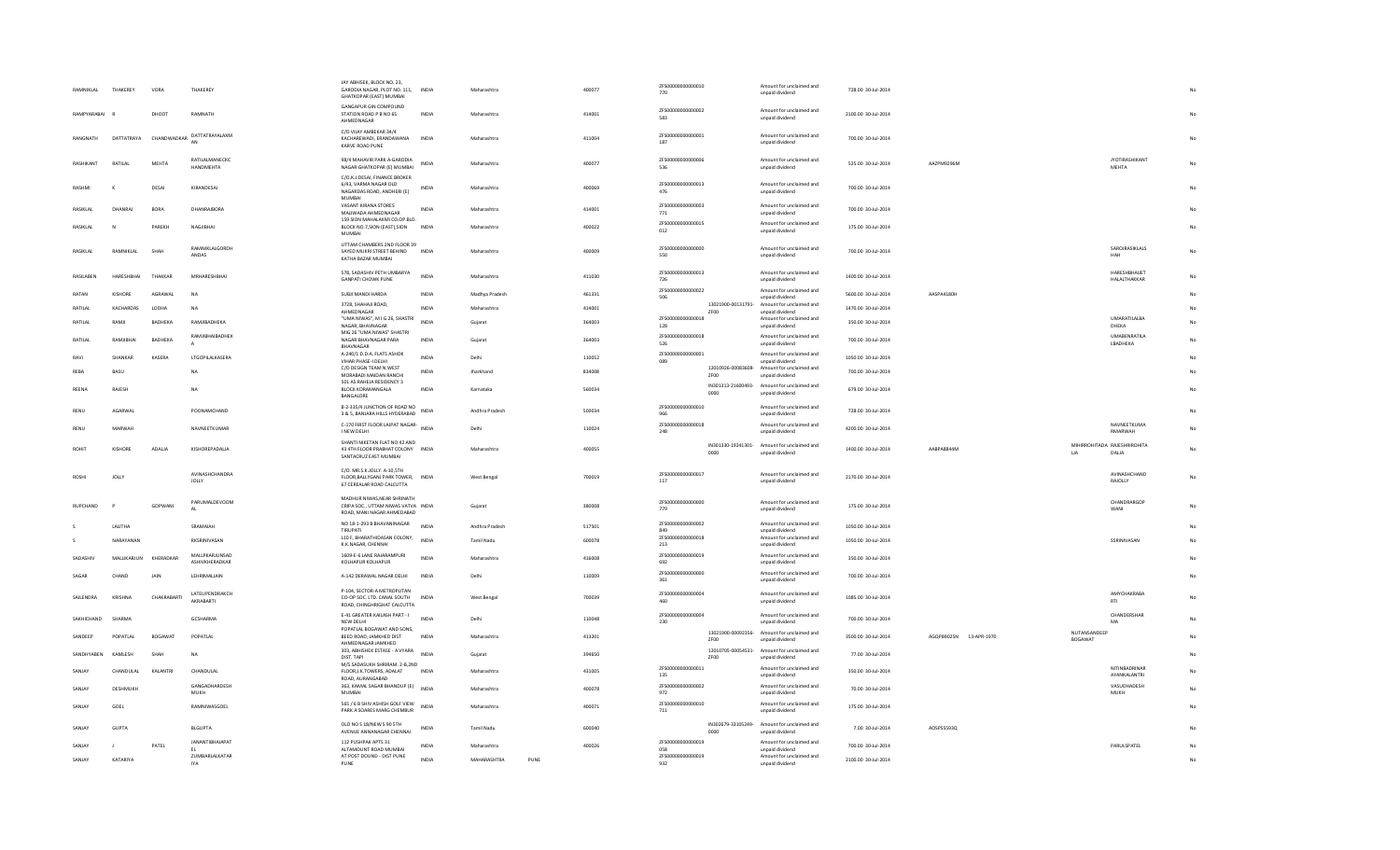| RAMNIKLAL     | THAKEREY              | VORA        | THAKEREY                                | JAY ABHISEK, BLOCK NO. 23.<br>GARODIA NAGAR, PLOT NO. 111, INDIA<br>GHATKOPAR (EAST) MUMBAI      |              | Maharashtra          | 400077 | ZFS00000000000010<br>770  |             | Amount for unclaimed and<br>unpaid dividend                    | 728.00 30-Jul-2014  |                        |                                |                                       |    |
|---------------|-----------------------|-------------|-----------------------------------------|--------------------------------------------------------------------------------------------------|--------------|----------------------|--------|---------------------------|-------------|----------------------------------------------------------------|---------------------|------------------------|--------------------------------|---------------------------------------|----|
| RAMPYARABAI   |                       | DHOOT       | RAMNATH                                 | GANGAPUR GIN COMPOUND<br>STATION ROAD P B NO 65<br>AHMEDNAGAR                                    | <b>INDIA</b> | Maharashtra          | 414001 | 7ES000000000000002<br>583 |             | Amount for unclaimed and<br>unpaid dividend                    | 2100.00 30-Jul-2014 |                        |                                |                                       |    |
| RANGNATH      | DATTATRAYA            | CHANDWADKAR | DATTATRAYALAXM<br>AN                    | C/O VUAY AMBEKAR 34/4<br>KACHAREWADI, ERANDAWANA<br>KARVE ROAD PUNE                              | <b>INDIA</b> | Maharashtra          | 411004 | ZFS00000000000001<br>187  |             | Amount for unclaimed and<br>unpaid dividend                    | 700.00 30-Jul-2014  |                        |                                |                                       | No |
| RASHIKANT     | RATILAI               | MEHTA       | RATILALMANECKC<br>HANDMEHTA             | 98/4 MAHAVIR PARK A-GARODIA<br>NAGAR GHATKOPAR (E) MUMBAI                                        | <b>INDIA</b> | Maharashtra          | 400077 | ZFS00000000000006<br>536  |             | Amount for unclaimed and<br>unpaid dividend                    | 525.00 30-Jul-2014  | AAZPM9296M             |                                | <b>JYOTIRASHIKANT</b><br><b>MEHTA</b> | No |
| RASHMI        | $\boldsymbol{\kappa}$ | DESAI       | KIRANDESAI                              | C/O.K.J.DESAI, FINANCE BROKER<br>6/43, VARMA NAGAR OLD<br>NAGARDAS ROAD, ANDHERI (E)<br>MUMBAI   | <b>INDIA</b> | Maharashtra          | 400069 | ZFS00000000000013<br>476  |             | Amount for unclaimed and<br>unpaid dividend                    | 700.00 30-Jul-2014  |                        |                                |                                       |    |
| RASIKLAL      | DHANRAJ               | <b>BORA</b> | DHANRAJBORA                             | VASANT KIRANA STORES<br>MALIWADA AHMEDNAGAR                                                      | <b>INDIA</b> | Maharashtra          | 414001 | ZFS00000000000003<br>771  |             | Amount for unclaimed and<br>unpaid dividend                    | 700.00 30-Jul-2014  |                        |                                |                                       |    |
| RASIKLAL      | $\mathbb N$           | PAREKH      | NAGJIBHAI                               | 159 SION MAHALAXMI CO.OP.BLD.<br>BLOCK NO.7, SION (EAST), SION<br><b>MUMBAI</b>                  | <b>INDIA</b> | Maharashtra          | 400022 | ZFS00000000000015<br>012  |             | Amount for unclaimed and<br>unpaid dividend                    | 175.00 30-Jul-2014  |                        |                                |                                       | No |
| RASIKLAI      | RAMNIKLAL             | SHAH        | <b>RAMNIKI ALGORDH</b><br>ANDAS         | UTTAM CHAMBERS 2ND FLOOR 39<br>SAYED MUKRI STREET BEHIND<br>KATHA BAZAR MUMBAI                   | <b>INDIA</b> | Maharashtra          | 400009 | 7ES000000000000000<br>550 |             | Amount for unclaimed and<br>unpaid dividend                    | 700.00 30-Jul-2014  |                        |                                | SAROJRASIKLALS<br>HAH                 | No |
| RASILABEN     | HARFSHRHAI            | THAKKAR     | MRHARESHBHA                             | 578. SADASHIV PETH UMBARYA<br><b>GANPATI CHOWK PUNE</b>                                          | <b>INDIA</b> | Maharashtra          | 411030 | ZFS00000000000013<br>726  |             | Amount for unclaimed and<br>unpaid dividend                    | 1400.00 30-Jul-2014 |                        |                                | HARESHBHAUET<br><b>HALALTHAKKAR</b>   | No |
| RATAN         | KISHORE               | AGRAWAL     | <b>NA</b>                               | SUBJI MANDI HARDA                                                                                | <b>INDIA</b> | Madhya Pradesh       | 461331 | ZFS00000000000022<br>506  |             | Amount for unclaimed and<br>unpaid dividend                    | 5600.00 30-Jul-2014 | AASPA4180H             |                                |                                       |    |
| RATILAL       | KACHARDAS             | LODHA       | <b>NA</b>                               | 3728, SHAHAJI ROAD,<br>AHMEDNAGAR                                                                | <b>INDIA</b> | Maharashtra          | 414001 |                           | ZF00        | 13021900-00131791- Amount for unclaimed and<br>unpaid dividend | 1470.00 30-Jul-2014 |                        |                                |                                       | No |
| RATILAL       | RAMJI                 | BADHEKA     | RAMJIBADHEKA                            | "UMA NIWAS", M I G 26, SHASTRI<br>NAGAR, BHAVNAGAR                                               | INDIA        | Gujarat              | 364003 | ZFS00000000000018<br>128  |             | Amount for unclaimed and<br>unpaid dividend                    | 350.00 30-Jul-2014  |                        |                                | <b>UMARATILALBA</b><br>DHEKA          |    |
| RATILAL       | RAMIIRHAI             | BADHEKA     | RAMJIBHAIBADHEK                         | MIG 26 "UMA NIWAS" SHASTRI<br>NAGAR BHAVNAGAR PARA                                               | <b>INDIA</b> | Gujarat              | 364003 | ZFS00000000000018<br>526  |             | Amount for unclaimed and<br>unpaid dividend                    | 700.00 30-Jul-2014  |                        |                                | <b>UMABENRATILA</b><br>LBADHEKA       | No |
| RAVI          | SHANKAR               | KASERA      | LTGOPILALKASERA                         | BHAVNAGAR<br>A-240/1 D.D.A. FLATS ASHOK                                                          | <b>INDIA</b> | Delhi                | 110052 | ZFS00000000000001         |             | Amount for unclaimed and                                       | 1050.00 30-Jul-2014 |                        |                                |                                       |    |
| RFRA          | <b>RASU</b>           |             | <b>NA</b>                               | VIHAR PHASE-I DELHI<br>C/O DESIGN TEAM N.WEST                                                    | <b>INDIA</b> | Iharkhand            | 834008 | 089                       |             | unpaid dividend<br>12010926-00083608- Amount for unclaimed and | 700.00 30-Jul-2014  |                        |                                |                                       |    |
|               |                       |             |                                         | MORABADI MAIDAN RANCHI<br>501 A5 RAHEJA RESIDENCY 3                                              |              |                      |        |                           | ZF00        | unpaid dividend<br>IN301313-21600493- Amount for unclaimed and |                     |                        |                                |                                       |    |
| REENA         | RAJESH                |             | <b>NA</b>                               | <b>BLOCK KORAMANGALA</b><br>BANGALORE                                                            | <b>INDIA</b> | Karnataka            | 560034 |                           | 0000        | unpaid dividend                                                | 679.00 30-Jul-2014  |                        |                                |                                       |    |
| RENU          | AGARWAL               |             | POONAMCHAND                             | 8-2-335/4 JUNCTION OF ROAD NO<br>INDIA<br>3 & 5, BANJARA HILLS HYDERABAD                         |              | Andhra Pradesh       | 500034 | ZFS00000000000010<br>966  |             | Amount for unclaimed and<br>unpaid dividend                    | 728.00 30-Jul-2014  |                        |                                |                                       | No |
| RENU          | MARWAH                |             | NAVNEETKUMAR                            | C-170 FIRST FLOOR LAJPAT NAGAR- INDIA<br>I NEW DELHI                                             |              | Delhi                | 110024 | ZFS00000000000018<br>248  |             | Amount for unclaimed and<br>unpaid dividend                    | 4200.00 30-Jul-2014 |                        |                                | NAVNEETKUMA<br>RMARWAH                | No |
| ROHIT         | KISHORE               | ADALIA      | KISHOREPADALIA                          | SHANTI NIKETAN FLAT NO 42 AND<br>43 4TH FLOOR PRABHAT COLONY INDIA<br>SANTACRUZ EAST MUMBAI      |              | Maharashtra          | 400055 |                           | 0000        | IN301330-19241301- Amount for unclaimed and<br>unpaid dividend | 1400.00 30-Jul-2014 | AABPA8844M             | LIA                            | MIHIRROHITADA RAJESHRIROHITA<br>DALIA | No |
| <b>ROSHI</b>  | <b>JOLLY</b>          |             | AVINASHCHANDRA<br><b>JOLLY</b>          | C/O. MR.S.K.JOLLY. A-10,5TH<br>FLOOR, BALLYGANJ PARK TOWER, INDIA<br>67 CEREALAR ROAD CALCUTTA   |              | West Bengal          | 700019 | ZFS00000000000017<br>117  |             | Amount for unclaimed and<br>unpaid dividend                    | 2170.00 30-Jul-2014 |                        |                                | AVINASHCHAND<br>RAJOLLY               | No |
| RUPCHAND      |                       | GOPWANI     | PARUMALDEVOOM<br>AI                     | MADHUR NIWAS, NEAR SHRINATH<br>CRIPA SOC., UTTAM NIWAS VATVA INDIA<br>ROAD, MANI NAGAR AHMEDABAD |              | Gujarat              | 380008 | ZFS00000000000000<br>779  |             | Amount for unclaimed and<br>unpaid dividend                    | 175.00 30-Jul-2014  |                        |                                | CHANDRARGOP<br>WANI                   | No |
|               | LALITHA               |             | SRAMAIAH                                | NO 18-1-293 B BHAVANINAGAR<br>TIRUPATI                                                           | <b>INDIA</b> | Andhra Pradesh       | 517501 | ZFS00000000000002<br>849  |             | Amount for unclaimed and<br>unpaid dividend                    | 1050.00 30-Jul-2014 |                        |                                |                                       | No |
|               | NARAYANAN             |             | RKSRINIVASAN                            | L10 F, BHARATHIDASAN COLONY,<br>K.K.NAGAR, CHENNAI                                               | <b>INDIA</b> | <b>Tamil Nadu</b>    | 600078 | ZFS00000000000018<br>213  |             | Amount for unclaimed and<br>unpaid dividend                    | 1050.00 30-Jul-2014 |                        |                                | SSRINIVASAN                           |    |
| SADASHIV      | MALLIKARJUN           | KHERADKAR   | <b>MAILPKARIUNSAD</b><br>ASHIVKHERADKAR | 1609-F-6 LANE RAIARAMPURI                                                                        | <b>INDIA</b> | Maharashtra          | 416008 | 7E500000000000019<br>692  |             | Amount for unclaimed and                                       | 350.00 30-Jul-2014  |                        |                                |                                       |    |
| SAGAR         | CHAND                 | <b>JAIN</b> | LEHRIMALIAIN                            | KOLHAPUR KOLHAPUR<br>A-142 DERAWAL NAGAR DELHI                                                   | INDIA        | Delhi                | 110009 | ZFS00000000000000         |             | unpaid dividend<br>Amount for unclaimed and                    | 700.00 30-Jul-2014  |                        |                                |                                       | No |
|               |                       |             |                                         | P-104, SECTOR-A METROPLITAN                                                                      |              |                      |        | 361                       |             | unpaid dividend                                                |                     |                        |                                |                                       |    |
| SAILENDRA     | KRISHNA               | CHAKRABARTI | <b>IATEUPENDRAKCH</b><br>AKRABARTI      | CO-OP SOC. LTD. CANAL SOUTH<br>ROAD, CHINGHRIGHAT CALCUTTA                                       | INDIA        | West Bengal          | 700039 | 7ES000000000000004<br>460 |             | Amount for unclaimed and<br>unpaid dividend                    | 1085.00 30-Jul-2014 |                        |                                | AMYCHAKRABA<br>RTI                    | No |
| SAKHICHAND    | SHARMA                |             | GCSHARMA                                | E-41 GREATER KAILASH PART - I<br>NEW DELHI                                                       | <b>INDIA</b> | Delhi                | 110048 | 7E5000000000000004<br>230 |             | Amount for unclaimed and<br>unpaid dividend                    | 700.00 30-Jul-2014  |                        |                                | CHANDERSHAR<br>MA                     | No |
| SANDEEP       | POPATLAL              | BOGAWAT     | POPATLAL                                | POPATLAL BOGAWAT AND SONS,<br>BEED ROAD, JAMKHED DIST<br>AHMEDNAGAR JAMKHED                      | INDIA        | Maharashtra          | 413201 |                           | <b>7F00</b> | 13021900-00092356- Amount for unclaimed and<br>unpaid dividend | 3500.00 30-Jul-2014 | AGQPB9025N 13-APR-1970 | NUTANSANDEEP<br><b>BOGAWAT</b> |                                       |    |
| SANDHYAREN    | KAMLESH               | SHAH        | <b>NA</b>                               | 303, ABHISHEK ESTASE - A VYARA<br>DIST. TAPI                                                     | <b>INDIA</b> | Gujarat              | 394650 |                           | ZF00        | 12010705-00054531- Amount for unclaimed and<br>unpaid dividend | 77.00 30-Jul-2014   |                        |                                |                                       | No |
| SANJAY        | CHANDULAL             | KALANTRI    | CHANDULAL                               | M/S.SADASUKH SHRIRAM. 2-B,2ND<br>FLOOR.J.K.TOWERS, ADALAT                                        | <b>INDIA</b> | Maharashtra          | 431005 | ZFS00000000000011<br>135  |             | Amount for unclaimed and                                       | 350.00 30-Jul-2014  |                        |                                | NITINRADRINAR<br>AYANKALANTRI         | No |
| SANJAY        | DESHMUKH              |             | <b>GANGADHARDESH</b>                    | ROAD, AURANGABAD<br>363, KAMAL SAGAR BHANDUP (E)                                                 | INDIA        | Maharashtra          | 400078 | 7ES000000000000002        |             | unpaid dividend<br>Amount for unclaimed and                    | 70.00 30-Jul-2014   |                        |                                | VASUDHADESH                           | No |
| <b>SANJAY</b> | GOEL                  |             | MUKH<br>RAMNIWASGOEL                    | MUMBAI<br>565 / 6 B SHIV ASHISH GOLF VIEW                                                        | INDIA        | Maharashtra          | 400071 | 972<br>ZFS00000000000010  |             | unpaid dividend<br>Amount for unclaimed and                    | 175.00 30-Jul-2014  |                        |                                | MUKH                                  | No |
|               |                       |             |                                         | PARK A SOARES MARG CHEMBUR                                                                       |              |                      |        | 711                       |             | unpaid dividend                                                |                     |                        |                                |                                       |    |
| <b>SANJAY</b> | <b>GUPTA</b>          |             | <b>BLGUPTA</b>                          | OLD NO S 18/NEW S 90 STH<br>AVENUE ANNANAGAR CHENNAL                                             | INDIA        | <b>Tamil Nadu</b>    | 600040 |                           | 0000        | IN302679-33105249- Amount for unclaimed and<br>unpaid dividend | 7.00 30-Jul-2014    | AOSPS5593Q             |                                |                                       | No |
| SANIAY        | $\blacksquare$        | PATEL       | <b>JANANTIBHAIAPAT</b><br>EL.           | 112 PUSHPAK APTS 31<br>ALTAMOUNT ROAD MUMBAI                                                     | <b>INDIA</b> | Maharashtra          | 400026 | ZFS00000000000019<br>058  |             | Amount for unclaimed and<br>unpaid dividend                    | 700.00 30-Jul-2014  |                        |                                | PARLII SPATEL                         | No |
| SANIAY        | KATARIVA              |             | ZUMBARLALKATAR<br>IYA.                  | AT POST DOUND - DIST PUNE<br>PUNE                                                                | INDIA        | MAHARASHTRA<br>PLINE |        | ZFS00000000000019<br>932  |             | Amount for unclaimed and<br>unpaid dividend                    | 2100.00 30-Jul-2014 |                        |                                |                                       | No |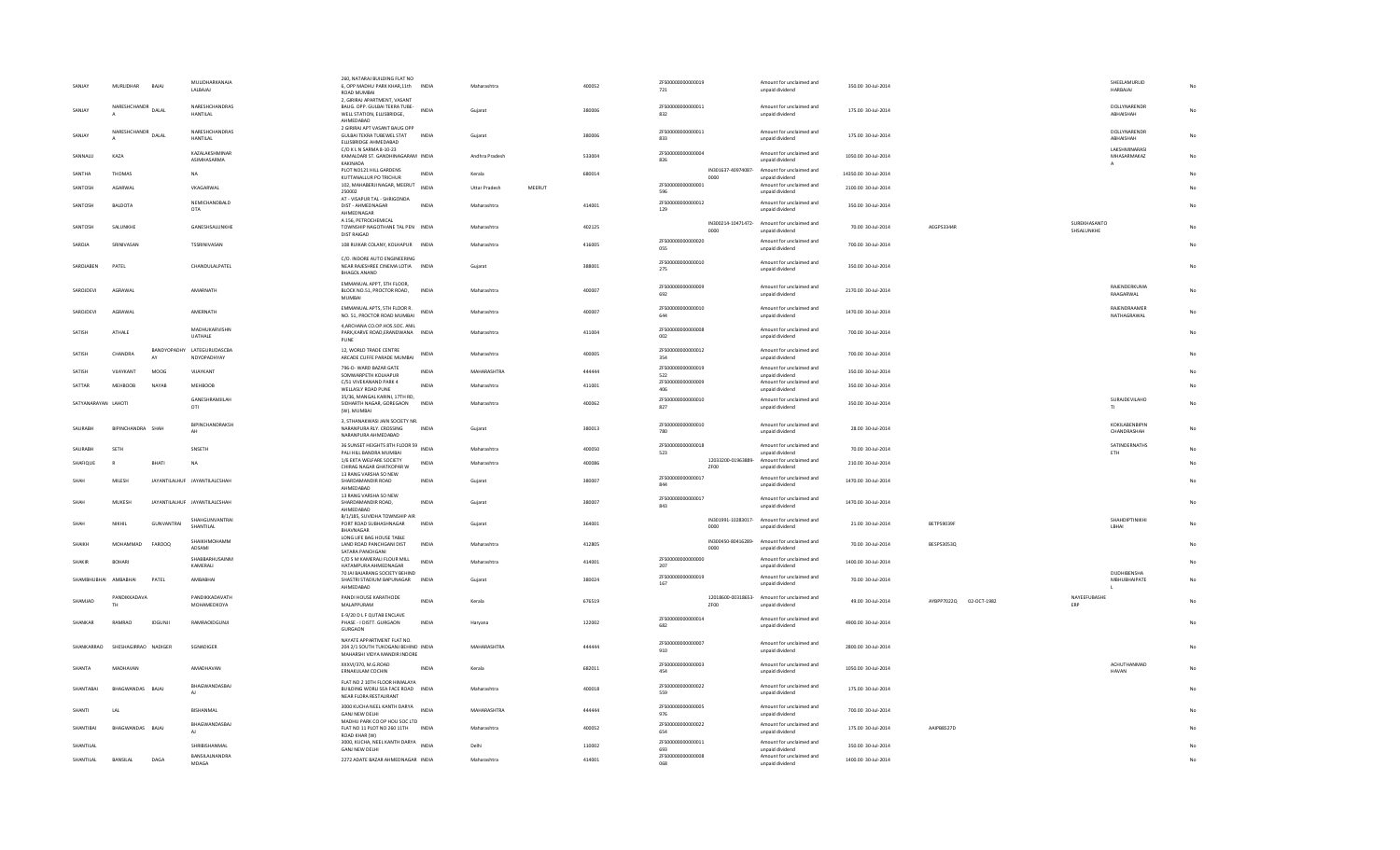| <b>SANJAY</b>        | <b>MURLIDHAR</b>      | RAIAI        | MULIDHARKANAIA<br>LALBAJAJ                | 260, NATARAJ BUILDING FLAT NO<br>6, OPP MADHU PARK KHAR,11th INDIA<br>ROAD MUMBAI<br>2, GIRIRAJ APARTMENT, VASANT |              | Maharashtra    |        | 400052 | ZFS00000000000019<br>721 |      | Amount for unclaimed and<br>unpaid dividend                    | 350.00 30-Jul-2014   |                        |                            | SHEELAMURLID<br><b>HARBAJAJ</b>              |           |
|----------------------|-----------------------|--------------|-------------------------------------------|-------------------------------------------------------------------------------------------------------------------|--------------|----------------|--------|--------|--------------------------|------|----------------------------------------------------------------|----------------------|------------------------|----------------------------|----------------------------------------------|-----------|
| SANIAY               | NARESHCHANDR DALAL    |              | NARESHCHANDRAS<br><b>HANTILAL</b>         | BAUG. OPP. GULBAI TEKRA TUBE-<br>WELL STATION, ELLISBRIDGE,<br>AHMEDABAD                                          | <b>INDIA</b> | Gujarat        |        | 380006 | ZFS00000000000011<br>832 |      | Amount for unclaimed and<br>unpaid dividend                    | 175.00 30-Jul-2014   |                        |                            | DOLLYNARENDR<br>ABHAISHAH                    |           |
| <b>SANJAY</b>        | NARESHCHANDR<br>DALAL |              | NARESHCHANDRAS<br><b>HANTILAL</b>         | 2 GIRIRAJ APT VASANT BAUG OPP<br>GULBAI TEKRA TUBEWEL STAT<br>ELLISBRIDGE AHMEDABAD                               | <b>INDIA</b> | Gujarat        |        | 380006 | ZFS00000000000011<br>833 |      | Amount for unclaimed and<br>unpaid dividend                    | 175.00 30-Jul-2014   |                        |                            | DOLLYNARENDR<br>ABHAISHAH                    | No        |
| SANNALL              | KAZA                  |              | KAZALAKSHMINAR<br>ASIMHASARMA             | C/O K L N SARMA 8-10-23<br>KAMALDARI ST. GANDHINAGARAM INDIA<br>KAKINADA                                          |              | Andhra Pradesh |        | 533004 | ZFS00000000000004<br>826 |      | Amount for unclaimed and<br>unpaid dividend                    | 1050.00 30-Jul-2014  |                        |                            | LAKSHMINARASI<br>MHASARMAKAZ<br>$\mathsf{A}$ | <b>No</b> |
| SANTHA               | <b>THOMAS</b>         |              | NA                                        | PLOT NO121 HILL GARDENS<br>KUTTANALLUR PO TRICHUR                                                                 | INDIA        | Kerala         |        | 680014 |                          | 0000 | IN301637-40974087- Amount for unclaimed and<br>unpaid dividend | 14350.00 30-Jul-2014 |                        |                            |                                              |           |
| SANTOSH              | AGARWAL               |              | VKAGARWAL                                 | 102, MAHABERJI NAGAR, MEERUT<br>250002                                                                            | INDIA        | Uttar Pradesh  | MEERUT |        | ZFS00000000000001<br>596 |      | Amount for unclaimed and<br>unpaid dividend                    | 2100.00 30-Jul-2014  |                        |                            |                                              |           |
| SANTOSH              | <b>BALDOTA</b>        |              | NEMICHANDBALD<br>OTA                      | AT - VISAPUR TAL - SHRIGONDA<br>DIST - AHMEDNAGAR<br>AHMEDNAGAR                                                   | <b>INDIA</b> | Maharashtra    |        | 414001 | ZFS00000000000012<br>129 |      | Amount for unclaimed and<br>unpaid dividend                    | 350.00 30-Jul-2014   |                        |                            |                                              |           |
| SANTOSH              | SALUNKHE              |              | GANESHSALUNKHE                            | A 156, PETROCHEMICAL<br>TOWNSHIP NAGOTHANE TAL PEN INDIA<br><b>DIST RAIGAD</b>                                    |              | Maharashtra    |        | 402125 |                          | 0000 | IN300214-10471472- Amount for unclaimed and<br>unpaid dividend | 70.00 30-Jul-2014    | AEGPS3344R             | SUREKHASANTO<br>SHSALUNKHE |                                              |           |
| SAROJA               | SRINIVASAN            |              | TSSRINIVASAN                              | 108 RUIKAR COLANY, KOLHAPUR INDIA                                                                                 |              | Maharashtra    |        | 416005 | ZFS00000000000020<br>055 |      | Amount for unclaimed and<br>unpaid dividend                    | 700.00 30-Jul-2014   |                        |                            |                                              |           |
| SAROJAREN            | PATFI                 |              | CHANDULAI PATEL                           | C/O. INDORE AUTO ENGINEERING<br>NEAR RAJESHREE CINEMA LOTIA INDIA<br><b>BHAGOL ANAND</b>                          |              | Guiarat        |        | 388001 | ZFS00000000000010<br>275 |      | Amount for unclaimed and<br>unpaid dividend                    | 350.00 30-Jul-2014   |                        |                            |                                              | No        |
| SAROJDEVI            | AGRAWAL               |              | AMARNATH                                  | EMMANUAL APPT, 5TH FLOOR,<br>BLOCK NO.51, PROCTOR ROAD, INDIA<br><b>MUMBAI</b>                                    |              | Maharashtra    |        | 400007 | 7ES00000000000009<br>692 |      | Amount for unclaimed and<br>unpaid dividend                    | 2170.00 30-Jul-2014  |                        |                            | RAJENDERKUMA<br>RAAGARWAL                    | No        |
| SAROJDEVI            | AGRAWAL               |              | AMERNATH                                  | EMMANUAL APTS, 5TH FLOOR R.<br>NO. 51, PROCTOR ROAD MUMBAI                                                        | <b>INDIA</b> | Maharashtra    |        | 400007 | ZFS00000000000010<br>644 |      | Amount for unclaimed and<br>unpaid dividend                    | 1470.00 30-Jul-2014  |                        |                            | RAJENDRAAMER<br>NATHAGRAWAL                  | No        |
| SATISH               | ATHALE                |              | MADHUKARVISHN<br>UATHALE                  | 4 ARCHANA CO OP HOS SOC ANIL<br>PARK, KARVE ROAD, ERANDWANA INDIA<br>PUNE                                         |              | Maharashtra    |        | 411004 | ZFS00000000000008<br>002 |      | Amount for unclaimed and<br>unpaid dividend                    | 700.00 30-Jul-2014   |                        |                            |                                              |           |
| SATISH               | CHANDRA               | AY           | BANDYOPADHY LATEGURUDASCBA<br>NDYOPADHYAY | 12, WORLD TRADE CENTRE<br>ARCADE CUFFE PARADE MUMBAI                                                              | INDIA        | Maharashtra    |        | 400005 | ZFS00000000000012<br>354 |      | Amount for unclaimed and<br>unpaid dividend                    | 700.00 30-Jul-2014   |                        |                            |                                              |           |
| SATISH               | VIJAYKANT             | <b>MOOG</b>  | VIJAYKANT                                 | 796-D- WARD BAZAR GATE<br>SOMWARPETH KOLHAPUR                                                                     | <b>INDIA</b> | MAHARASHTRA    |        | 444444 | ZFS00000000000019<br>522 |      | Amount for unclaimed and<br>unpaid dividend                    | 350.00 30-Jul-2014   |                        |                            |                                              |           |
| SATTAR               | <b>MEHBOOB</b>        | <b>NAYAB</b> | <b>MEHBOOB</b>                            | C/51 VIVEKANAND PARK 4<br>WELLASLY ROAD PUNE                                                                      | <b>INDIA</b> | Maharashtra    |        | 411001 | ZFS00000000000009<br>406 |      | Amount for unclaimed and<br>unpaid dividend                    | 350.00 30-Jul-2014   |                        |                            |                                              | No        |
| SATYANARAYAN LAHOTI  |                       |              | <b>GANESHRAMIII AH</b><br>OTI             | 35/36, MANGAL KARINI, 17TH RD,<br>SIDHARTH NAGAR, GOREGAON<br>(W). MUMBAI                                         | <b>INDIA</b> | Maharashtra    |        | 400062 | ZES00000000000010<br>827 |      | Amount for unclaimed and<br>unpaid dividend                    | 350.00 30-Jul-2014   |                        |                            | SURAJDEVILAHO                                | No        |
| SAURARH              | BIPINCHANDRA SHAH     |              | BIPINCHANDRAKSH<br>AH                     | 3, STHANAKWASI JAIN SOCIETY NR.<br>NARANPURA RLY. CROSSING<br>NARANPURA AHMEDABAD                                 | INDIA        | Gujarat        |        | 380013 | ZFS00000000000010<br>780 |      | Amount for unclaimed and<br>unpaid dividend                    | 28.00 30-Jul-2014    |                        |                            | KOKILABENBIPIN<br>CHANDRASHAH                | No        |
| SAURABH              | SETH                  |              | SNSETH                                    | 36 SUNSET HEIGHTS 8TH FLOOR 59 INDIA<br>PALI HILL BANDRA MUMBAI                                                   |              | Maharashtra    |        | 400050 | ZFS00000000000018<br>523 |      | Amount for unclaimed and<br>unpaid dividend                    | 70.00 30-Jul-2014    |                        |                            | SATINDERNATHS<br>ETH                         |           |
| SHAFIQUE             |                       | BHATI        | <b>NA</b>                                 | 1/6 EKTA WELFARE SOCIETY<br>CHIRAG NAGAR GHATKOPAR W                                                              | <b>INDIA</b> | Maharashtra    |        | 400086 |                          | ZF00 | 12033200-01963889- Amount for unclaimed and<br>unpaid dividend | 210.00 30-Jul-2014   |                        |                            |                                              |           |
| SHAH                 | MILESH                |              | JAYANTILALHUF JAYANTILALCSHAH             | 13 RANG VARSHA SO NEW<br>SHARDAMANDIR ROAD<br>AHMEDABAD                                                           | INDIA        | Gujarat        |        | 380007 | ZFS00000000000017<br>844 |      | Amount for unclaimed and<br>unpaid dividend                    | 1470.00 30-Jul-2014  |                        |                            |                                              |           |
|                      | MUKESH                |              | JAYANTILALHUF JAYANTILALCSHAH             | 13 RANG VARSHA SO NEW<br>SHARDAMANDIR ROAD,<br>AHMEDABAD                                                          | INDIA        | Gujarat        |        | 380007 | ZFS00000000000017<br>843 |      | Amount for unclaimed and<br>unpaid dividend                    | 1470.00 30-Jul-2014  |                        |                            |                                              |           |
|                      | NIKHIL                | GUNVANTRAI   | SHAHGUNVANTRAI<br>SHANTILAL               | B/1/185, SUVIDHA TOWNSHIP AIR<br>PORT ROAD SUBHASHNAGAR<br>BHAVNAGAR                                              | INDIA        | Gujarat        |        | 364001 |                          | coon | IN301991-10283017- Amount for unclaimed and<br>unpaid dividend | 21.00 30-Jul-2014    | BETPS9039F             |                            | SHAHDIPTINIKHI<br><b>IRHAI</b>               |           |
| SHAIKH               | MOHAMMAD              | FAROOQ       | SHAIKHMOHAMM                              | LONG LIFE BAG HOUSE TABLE<br>LAND ROAD PANCHGANI DIST                                                             | INDIA        | Maharashtra    |        | 412805 |                          |      | IN300450-80416289- Amount for unclaimed and                    | 70.00 30-Jul-2014    | BESPS3053Q             |                            |                                              |           |
|                      |                       |              | ADSAMI<br>SHABBARHUSAINM                  | SATARA PANCHGANI<br>C/O S M KAMERALI FLOUR MILL                                                                   |              |                |        |        | ZFS00000000000000        | 0000 | unpaid dividend<br>Amount for unclaimed and                    |                      |                        |                            |                                              |           |
| SHAKIR               | <b>BOHARI</b>         |              | KAMERALI                                  | HATAMPURA AHMEDNAGAR<br>70 JAI BAJARANG SOCIETY BEHIND                                                            | <b>INDIA</b> | Maharashtra    |        | 414001 | 207                      |      | unpaid dividend                                                | 1400.00 30-Jul-2014  |                        |                            | DUDHIBENSHA                                  | No        |
| SHAMRHURHAI AMRARHAI |                       | PATEL        | AMRARHAI                                  | SHASTRI STADIUM BAPUNAGAR<br>AHMEDABAD                                                                            | <b>INDIA</b> | Guiarat        |        | 380024 | ZFS00000000000019<br>167 |      | Amount for unclaimed and<br>unpaid dividend                    | 70.00 30-Jul-2014    |                        |                            | MRHURHAIPATE<br>τ.                           | No        |
| SHAMIAD              | PANDIKKADAVA          |              | PANDIKKADAVATH<br>MOHAMEDKOYA             | PANDI HOUSE KARATHODE<br>MALAPPURAM                                                                               | <b>INDIA</b> | Kerala         |        | 676519 |                          | ZF00 | 12018600-00318653- Amount for unclaimed and<br>unpaid dividend | 49.00 30-Jul-2014    | AYBPP7022Q 02-OCT-1982 | NAYEEFUBASHE               |                                              |           |
| SHANKAR              | RAMBAO                | IDGUNJI      | RAMRAOIDGUNJI                             | E-9/20 D L F QUTAB ENCLAVE<br>PHASE - I DISTT. GURGAON<br>GURGAON                                                 | <b>INDIA</b> | Haryana        |        | 122002 | ZFS00000000000014<br>682 |      | Amount for unclaimed and<br>unpaid dividend                    | 4900.00 30-Jul-2014  |                        |                            |                                              |           |
| SHANKARRAO           | SHESHAGIRRAO NADIGER  |              | SGNADIGER                                 | NAYATE APPARTMENT FLAT NO.<br>204 2/1 SOUTH TUKOGANJ BEHIND INDIA<br>MAHARSHI VIDYA MANDIR INDORE                 |              | MAHARASHTRA    |        | 444444 | ZFS00000000000007<br>910 |      | Amount for unclaimed and<br>unpaid dividend                    | 2800.00 30-Jul-2014  |                        |                            |                                              | No        |
| <b>SHANTA</b>        | MADHAVAN              |              | AMADHAVAN                                 | XXXVI/370, M.G.ROAD<br>ERNAKULAM COCHIN                                                                           | <b>INDIA</b> | Kerala         |        | 682011 | ZFS00000000000003<br>454 |      | Amount for unclaimed and<br>unpaid dividend                    | 1050.00 30-Jul-2014  |                        |                            | ACHUTHANMAD<br><b>HAVAN</b>                  | No        |
| SHANTABAI            | BHAGWANDAS BAJAJ      |              | BHAGWANDASBAJ<br>$\mathsf{A}$             | FLAT NO 2 10TH FLOOR HIMALAYA<br>BUILDING WORLI SEA FACE ROAD INDIA<br>NEAR FLORA RESTAURANT                      |              | Maharashtra    |        | 400018 | ZFS00000000000022<br>559 |      | Amount for unclaimed and<br>unpaid dividend                    | 175.00 30-Jul-2014   |                        |                            |                                              |           |
| SHANTI               | LAL                   |              | BISHANMAL                                 | 3000 KUCHA NEEL KANTH DARYA INDIA<br>GANJ NEW DELHI                                                               |              | MAHARASHTRA    |        | 444444 | ZFS00000000000005<br>976 |      | Amount for unclaimed and<br>unpaid dividend                    | 700.00 30-Jul-2014   |                        |                            |                                              |           |
| SHANTIRAL            | BHAGWANDAS BAJAJ      |              | BHAGWANDASBAJ<br>AI                       | MADHU PARK CO OP HOU SOC LTD<br>FLAT NO 11 PLOT NO 260 11TH INDIA<br>ROAD KHAR (W)                                |              | Maharashtra    |        | 400052 | ZFS00000000000022<br>654 |      | Amount for unclaimed and<br>unpaid dividend                    | 175.00 30-Jul-2014   | AAIPR8527D             |                            |                                              |           |
| SHANTILAL            |                       |              | SHRIBISHANMAL                             | 3000, KUCHA, NEEL KANTH DARYA INDIA<br>GANJ NEW DELHI                                                             |              | Delhi          |        | 110002 | ZFS00000000000011<br>693 |      | Amount for unclaimed and<br>unpaid dividend                    | 350.00 30-Jul-2014   |                        |                            |                                              |           |
| SHANTILAL            | BANSILAL              | DAGA         | <b>BANSILALNANDRA</b><br>MDAGA            | 2272 ADATE BAZAR AHMEDNAGAR INDIA                                                                                 |              | Maharashtra    |        | 414001 | ZFS00000000000008<br>068 |      | Amount for unclaimed and<br>unpaid dividend                    | 1400.00 30-Jul-2014  |                        |                            |                                              |           |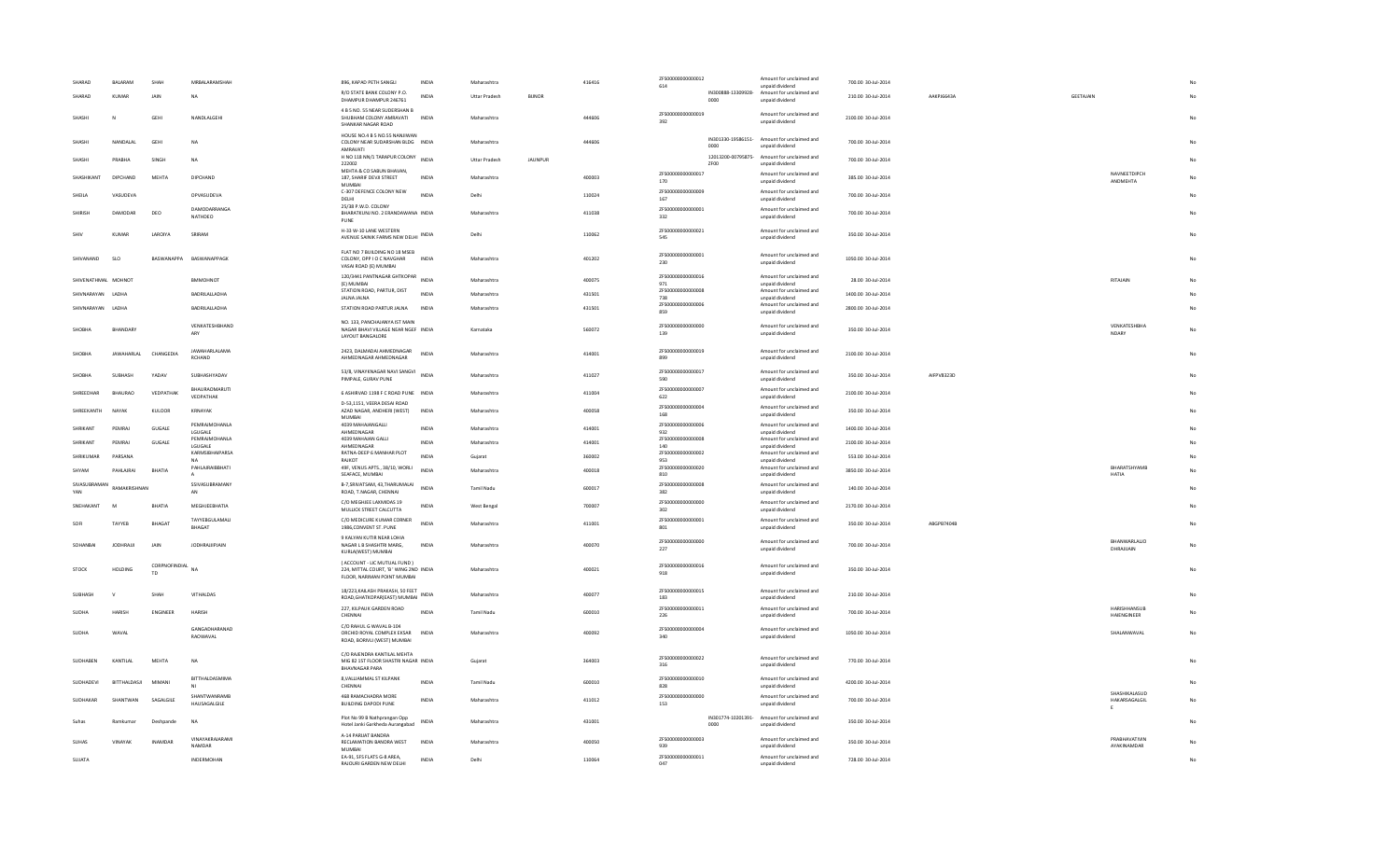| SHARAD              | <b>BALARAM</b>    | SHAH                | MRBALARAMSHAH                  | 896, KAPAD PETH SANGLI                                                                                | INDIA        | Maharashtra          |              | 416416 | ZFS00000000000012<br>614 |      | Amount for unclaimed and                                                          | 700.00 30-Jul-2014  |            |           |                                     |    |
|---------------------|-------------------|---------------------|--------------------------------|-------------------------------------------------------------------------------------------------------|--------------|----------------------|--------------|--------|--------------------------|------|-----------------------------------------------------------------------------------|---------------------|------------|-----------|-------------------------------------|----|
| SHARAD              | <b>KUMAR</b>      | JAIN                | <b>NA</b>                      | R/O STATE BANK COLONY P.O.<br>DHAMPUR DHAMPUR 246761                                                  | <b>INDIA</b> | <b>Uttar Pradesh</b> | <b>BUNOR</b> |        |                          |      | unpaid dividend<br>IN300888-13309928- Amount for unclaimed and<br>unpaid dividend | 210.00 30-Jul-2014  | AAKPJ6643A | GEETAJAIN |                                     |    |
| SHASHI              | $\mathsf{N}$      | GEHI                | NANDI AI GEHI                  | 4 B 5 NO. 55 NEAR SUDERSHAN B<br>SHUBHAM COLONY AMRAVATI<br>SHANKAR NAGAR ROAD                        | <b>INDIA</b> | Maharashtra          |              | 444606 | ZFS00000000000019<br>392 |      | Amount for unclaimed and<br>unpaid dividend                                       | 2100.00 30-Jul-2014 |            |           |                                     | No |
| SHASHI              | NANDALAL          | GEH                 | <b>NA</b>                      | HOUSE NO.4 B 5 NO.55 NANJIWAN<br>COLONY NEAR SUDARSHAN BLDG INDIA<br>AMRAVATI                         |              | Maharashtra          |              | 444606 |                          |      | IN301330-19586151- Amount for unclaimed and<br>unpaid dividend                    | 700.00 30-Jul-2014  |            |           |                                     |    |
| SHASHI              | PRABHA            | SINGH               | <b>NA</b>                      | H NO 118 NN/1 TARAPUR COLONY<br>222002                                                                | <b>INDIA</b> | <b>Uttar Pradesh</b> | JAUNPUR      |        |                          | ZF00 | 12013200-00795875- Amount for unclaimed and<br>unpaid dividend                    | 700.00 30-Jul-2014  |            |           |                                     |    |
| SHASHIKANT          | <b>DIPCHAND</b>   | MFHTA               | DIPCHAND                       | MEHTA & CO SABUN BHAVAN,<br>187, SHARIF DEVJI STREET<br>MUMBAI                                        | <b>INDIA</b> | Maharashtra          |              | 400003 | ZFS00000000000017<br>170 |      | Amount for unclaimed and<br>unpaid dividend                                       | 385.00.30-Jul-2014  |            |           | NAVNEETDIPCH<br>ANDMEHTA            | No |
| SHEILA              | VASUDEVA          |                     | OPVASUDEVA                     | C-307 DEFENCE COLONY NEW<br>DELHI                                                                     | <b>INDIA</b> | Delhi                |              | 110024 | ZFS0000000000000<br>167  |      | Amount for unclaimed and<br>unpaid dividend                                       | 700.00 30-Jul-2014  |            |           |                                     |    |
| SHIRISH             | DAMODAR           | DEO                 | DAMODARRANGA<br><b>NATHDEO</b> | 25/38 P.W.D. COLONY<br>BHARATKUNJ NO. 2 ERANDAWANA INDIA<br>PUNE                                      |              | Maharashtra          |              | 411038 | ZFS00000000000001<br>332 |      | Amount for unclaimed and<br>unpaid dividend                                       | 700.00 30-Jul-2014  |            |           |                                     |    |
|                     | KUMAR             | LAROIYA             | SRIRAM                         | H-33 W-10 LANE WESTERN<br>AVENUE SAINIK FARMS NEW DELHI INDIA                                         |              | Delhi                |              | 110062 | ZFS00000000000021<br>545 |      | Amount for unclaimed and<br>unpaid dividend                                       | 350.00 30-Jul-2014  |            |           |                                     |    |
| SHIVANAND           | <b>SLO</b>        | RASWANAPPA          | BASWANAPPAGK                   | FLAT NO 7 BUILDING NO 18 MSEB<br>COLONY, OPP I O C NAVGHAR<br>VASAI ROAD (E) MUMBAI                   | <b>INDIA</b> | Maharashtra          |              | 401202 | ZFS00000000000001<br>230 |      | Amount for unclaimed and<br>unpaid dividend                                       | 1050.00 30-Jul-2014 |            |           |                                     | No |
| SHIVENATHMAL MOHNOT |                   |                     | <b>BMMOHNOT</b>                | 120/3441 PANTNAGAR GHTKOPAR<br>(E) MUMBAI                                                             | <b>INDIA</b> | Maharashtra          |              | 400075 | ZFS00000000000016<br>971 |      | Amount for unclaimed and<br>unpaid dividend                                       | 28.00 30-Jul-2014   |            |           | RITAJAIN                            |    |
| SHIVNARAYAN LADHA   |                   |                     | BADRILALLADHA                  | STATION ROAD, PARTUR, DIST<br><b>JALNA JALNA</b>                                                      | <b>INDIA</b> | Maharashtra          |              | 431501 | ZFS00000000000008<br>738 |      | Amount for unclaimed and<br>unpaid dividend                                       | 1400.00 30-Jul-2014 |            |           |                                     | No |
| SHIVNARAYAN LADHA   |                   |                     | BADRILALLADHA                  | STATION ROAD PARTUR JALNA                                                                             | <b>INDIA</b> | Maharashtra          |              | 431501 | ZFS00000000000006<br>859 |      | Amount for unclaimed and<br>unpaid dividend                                       | 2800.00 30-Jul-2014 |            |           |                                     | No |
| SHOBHA              | <b>BHANDARY</b>   |                     | VENKATESHBHAND<br>ARY          | NO. 133, PANCHAJANYA IST MAIN<br>NAGAR BHAVI VILLAGE NEAR NGEF INDIA<br><b>LAYOUT BANGALORE</b>       |              | Karnataka            |              | 560072 | ZFS00000000000000<br>139 |      | Amount for unclaimed and<br>unpaid dividend                                       | 350.00 30-Jul-2014  |            |           | VENKATESHBHA<br>NDARY               | No |
| <b>SHOBH</b>        | <b>JAWAHARLAL</b> | CHANGEDIA           | JAWAHARLALAMA<br>RCHAND        | 2423. DALMADAI AHMEDNAGAR<br>AHMEDNAGAR AHMEDNAGAR                                                    | <b>INDI</b>  | Maharashtra          |              | 414001 | ZFS00000000000019<br>899 |      | Amount for unclaimed and<br>unpaid dividend                                       | 2100.00 30-Jul-2014 |            |           |                                     |    |
| SHOBHA              | SUBHASH           | YADAV               | SUBHASHYADAV                   | 53/8, VINAYKNAGAR NAVI SANGVI INDIA<br>PIMPALE, GURAV PUNE                                            |              | Maharashtra          |              | 411027 | ZFS00000000000017<br>590 |      | Amount for unclaimed and<br>unpaid dividend                                       | 350.00 30-Jul-2014  | AIFPV8323D |           |                                     |    |
| SHREEDHAR           | <b>BHAURAO</b>    | VEDPATHAK           | BHAURAOMARUT<br>VEDPATHAK      | 6 ASHIRVAD 1198 F C ROAD PUNE INDIA                                                                   |              | Maharashtra          |              | 411004 | ZFS00000000000007<br>622 |      | Amount for unclaimed and<br>unpaid dividend                                       | 2100.00 30-Jul-2014 |            |           |                                     |    |
| SHREEKANTH          | NAYAK             | KULOOR              | KRNAYAK                        | D-53.1151, VEERA DESAI ROAD<br>AZAD NAGAR, ANDHERI (WEST)<br>MUMBAL                                   | <b>INDIA</b> | Maharashtra          |              | 400058 | ZFS00000000000004<br>168 |      | Amount for unclaimed and<br>unpaid dividend                                       | 350.00 30-Jul-2014  |            |           |                                     |    |
| SHRIKANT            | PEMRAJ            | GUGALE              | PEMRAIMOHANLA<br>LGUGALE       | 4039 MAHAJANGALLI<br>AHMEDNAGAR                                                                       | <b>INDIA</b> | Maharashtra          |              | 414001 | ZFS00000000000006<br>932 |      | Amount for unclaimed and<br>unpaid dividend                                       | 1400.00 30-Jul-2014 |            |           |                                     |    |
| SHRIKANT            | PEMRAJ            | <b>GUGALE</b>       | PEMRAJMOHANLA<br>LGUGALE       | 4039 MAHAJAN GALLI<br>AHMEDNAGAR                                                                      | <b>INDIA</b> | Maharashtra          |              | 414001 | ZFS00000000000008<br>140 |      | Amount for unclaimed and<br>unpaid dividend                                       | 2100.00 30-Jul-2014 |            |           |                                     | No |
| SHRIKUMAR           | PARSANA           |                     | KARMSIBHAIPARSA                | RATNA-DEEP 6 MANHAR PLOT<br>RAJKOT                                                                    | <b>INDIA</b> | Gujarat              |              | 360002 | ZFS00000000000002<br>953 |      | Amount for unclaimed and<br>unpaid dividend                                       | 553.00 30-Jul-2014  |            |           |                                     | No |
| SHYAM               | PAHI AIRAI        | RHATIA              | PAHLAJRAIBBHATI                | 49F, VENUS APTS., 38/10, WORLI<br>SEAFACE, MUMBAI                                                     | <b>INDIA</b> | Maharashtra          |              | 400018 | ZFS00000000000020<br>810 |      | Amount for unclaimed and<br>unpaid dividend                                       | 3850.00 30-Jul-2014 |            |           | BHARATSHYAMB<br>HATIA               | No |
| SIVASUBRAMAN<br>VAN | RAMAKRISHNAN      |                     | SSIVASUBRAMANY<br>AN           | B-7, SRIVATSAM, 43, THARUMALAI<br>ROAD, T.NAGAR, CHENNAI                                              | <b>INDIA</b> | Tamil Nadu           |              | 600017 | ZFS00000000000008<br>382 |      | Amount for unclaimed and<br>unpaid dividend                                       | 140.00 30-Jul-2014  |            |           |                                     |    |
| SNEHAKANT           | M                 | BHATIA              | MEGHJEEBHATIA                  | C/O MEGHJEE LAXMIDAS 19<br>MULLICK STREET CALCUTTA                                                    | INDIA        | <b>West Bengal</b>   |              | 700007 | ZFS00000000000000<br>302 |      | Amount for unclaimed and<br>unpaid dividend                                       | 2170.00 30-Jul-2014 |            |           |                                     | No |
| SOFI                | TAYYER            | <b>BHAGAT</b>       | TAYYEBGULAMALI<br>BHAGAT       | C/O MEDICURE KUMAR CORNER<br>1986, CONVENT ST. PUNE                                                   | <b>INDIA</b> | Maharashtra          |              | 411001 | ZFS00000000000001<br>801 |      | Amount for unclaimed and<br>unpaid dividend                                       | 350.00 30-Jul-2014  | ARGPR7404R |           |                                     | No |
| SOHANRA             | <b>JODHRAJI</b>   | JAIN                | <b>JODHRAJJIPJAIN</b>          | 9 KALYAN KUTIR NEAR LOHIA<br>NAGAR L B SHASHTRI MARG,<br>KURLA(WEST) MUMBAI                           | <b>INDIA</b> | Maharashtra          |              | 400070 | ZFS00000000000000<br>227 |      | Amount for unclaimed and<br>unpaid dividend                                       | 700.00 30-Jul-2014  |            |           | BHANWARLALJO<br>DHRAJIJAIN          | No |
| <b>STOCK</b>        | HOLDING           | CORPNOFINDIAL<br>TD | <b>NA</b>                      | ( ACCOUNT - LIC MUTUAL FUND )<br>224. MITTAL COURT, 'B' WING 2ND INDIA<br>FLOOR, NARIMAN POINT MUMBAI |              | Maharashtra          |              | 400021 | ZFS00000000000016<br>918 |      | Amount for unclaimed and<br>unpaid dividend                                       | 350.00 30-Jul-2014  |            |           |                                     | No |
| SUBHASH             |                   | SHA                 | VITHALDAS                      | 18/223, KAILASH PRAKASH, 50 FEET<br>ROAD, GHATKOPAR(EAST) MUMBAI                                      | <b>INDIA</b> | Maharashtra          |              | 400077 | ZFS00000000000015<br>183 |      | Amount for unclaimed and<br>unpaid dividend                                       | 210.00 30-Jul-2014  |            |           |                                     | No |
| SUDHA               | <b>HARISH</b>     | <b>ENGINEER</b>     | <b>HARISH</b>                  | 227, KILPAUK GARDEN ROAD<br>CHENNAI                                                                   | <b>INDIA</b> | <b>Tamil Nadu</b>    |              | 600010 | ZFS00000000000011<br>226 |      | Amount for unclaimed and<br>unpaid dividend                                       | 700.00 30-Jul-2014  |            |           | HARISHHANSUB<br>HAIENGINEER         | No |
| SUDHA               | WAVAL             |                     | GANGADHARANAD<br>RAOWAVAL      | C/O RAHUL G WAVAL B-104<br>ORCHID ROYAL COMPLEX EKSAR INDIA<br>ROAD, BORIVLI (WEST) MUMBAI            |              | Maharashtra          |              | 400092 | ZFS00000000000004<br>340 |      | Amount for unclaimed and<br>unpaid dividend                                       | 1050.00 30-Jul-2014 |            |           | SHALANWAVAL                         | No |
| SUDHABEN            | KANTILAL          | MEHTA               | <b>NA</b>                      | C/O RAJENDRA KANTILAL MEHTA<br>MIG 82 1ST FLOOR SHASTRI NAGAR INDIA<br>BHAVNAGAR PARA                 |              | Gujarat              |              | 364003 | 7E500000000000022<br>316 |      | Amount for unclaimed and<br>unpaid dividend                                       | 770.00 30-Jul-2014  |            |           |                                     | No |
| SUDHADEVI           | BITTHALDASJI      | MIMANI              | <b>BITTHALDASMIMA</b>          | 8, VALLIAMMAL ST KILPANK<br>CHENNAI                                                                   | <b>INDIA</b> | Tamil Nadu           |              | 600010 | ZFS00000000000010<br>828 |      | Amount for unclaimed and<br>unpaid dividend                                       | 4200.00 30-Jul-2014 |            |           |                                     | No |
| SUDHAKAR            | SHANTWAN          | SAGALGILE           | SHANTWANRAMB<br>HAUSAGALGILE   | 468 RAMACHADRA MORE<br><b>BUILDING DAPODI PUNE</b>                                                    | <b>INDIA</b> | Maharashtra          |              | 411012 | ZFS00000000000000<br>153 |      | Amount for unclaimed and<br>unpaid dividend                                       | 700.00 30-Jul-2014  |            |           | SHASHIKALASUD<br>HAKARSAGALGIL<br>E | No |
|                     | Ramkumar          | Deshpande           | <b>NA</b>                      | Plot No 99 B Nathprangan Opp<br>Hotel Janki Garkheda Aurangabad                                       | <b>INDIA</b> | Maharashtra          |              | 431001 |                          | 0000 | IN301774-10201391- Amount for unclaimed and<br>unpaid dividend                    | 350.00 30-Jul-2014  |            |           |                                     | No |
| SUHAS               | VINAYAK           | <b>INAMDAR</b>      | VINAYAKRAJARAM<br>NAMDAR       | A-14 PARIJAT BANDRA<br>RECLAMATION BANDRA WEST<br>MUMBAI                                              | <b>INDIA</b> | Maharashtra          |              | 400050 | ZFS00000000000003<br>939 |      | Amount for unclaimed and<br>unpaid dividend                                       | 350.00 30-Jul-2014  |            |           | PRABHAVATIVIN<br>AYAKINAMDAR        | No |
| SUJATA              |                   |                     | INDERMOHAN                     | EA-91, SFS FLATS G-8 AREA,<br>RAJOURI GARDEN NEW DELHI                                                | INDIA        | Delhi                |              | 110064 | ZFS00000000000011<br>047 |      | Amount for unclaimed and<br>unpaid dividend                                       | 728.00 30-Jul-2014  |            |           |                                     | No |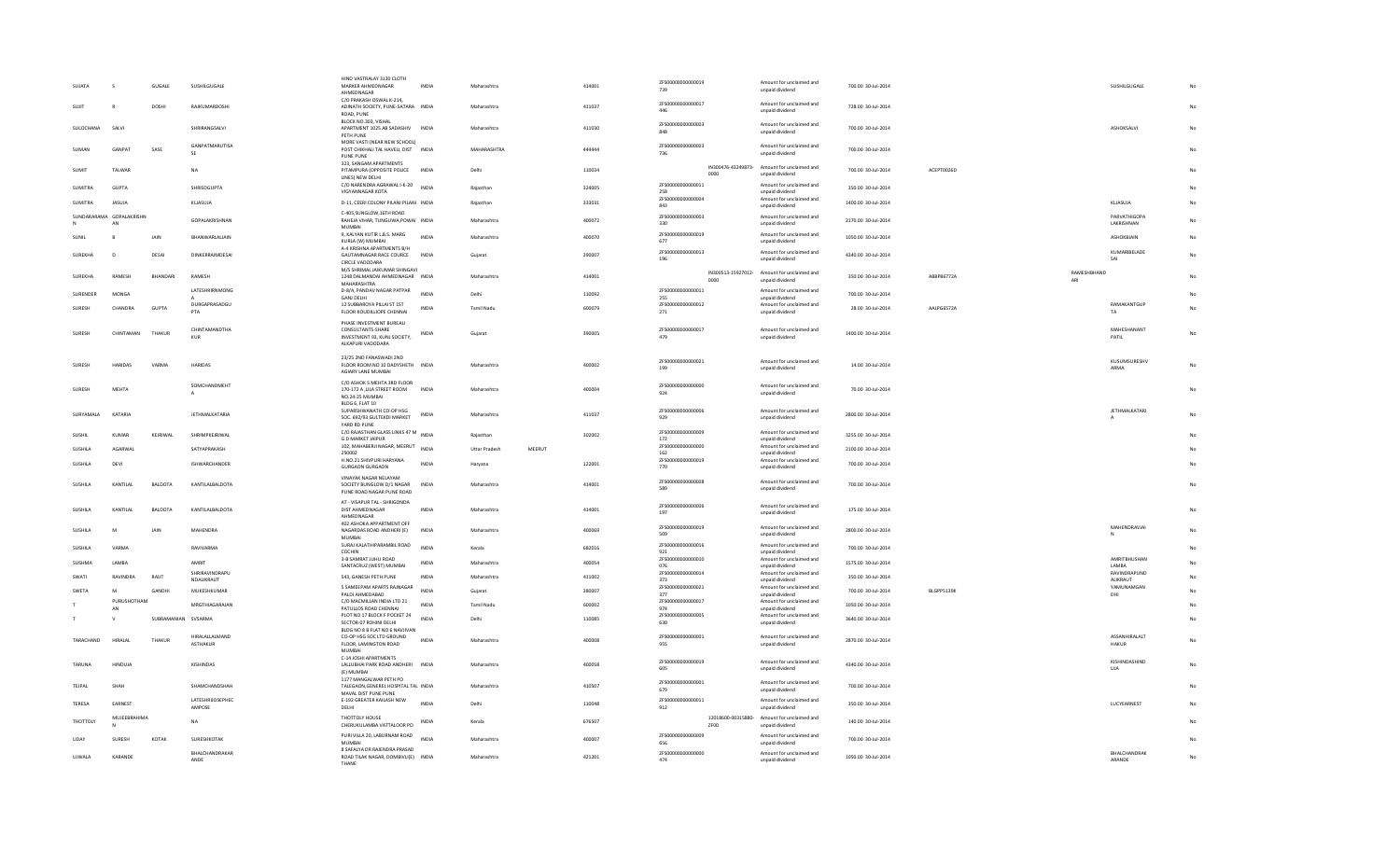| SUJATA           | -S                             | <b>GUGALE</b>  | SUSHILGUGALE                        | HIND VASTRALAY 3130 CLOTH<br>MARKER AHMEDNAGAR<br>AHMEDNAGAR<br>C/O PRAKASH OSWAL K-214           | <b>INDIA</b>     | Maharashtra          |        | 414001 | ZFS00000000000019<br>739  |      | Amount for unclaimed and<br>unpaid dividend                    | 700.00 30-Jul-2014  |            |                    | SUSHILGUGALE                  |    |
|------------------|--------------------------------|----------------|-------------------------------------|---------------------------------------------------------------------------------------------------|------------------|----------------------|--------|--------|---------------------------|------|----------------------------------------------------------------|---------------------|------------|--------------------|-------------------------------|----|
| SUJIT            | $\mathbb{R}$                   | DOSHI          | RAJKUMARDOSHI                       | ADINATH SOCIETY, PUNE-SATARA INDIA<br>ROAD, PUNE                                                  |                  | Maharashtra          |        | 411037 | ZFS00000000000017         |      | Amount for unclaimed and<br>unpaid dividend                    | 728.00 30-Jul-2014  |            |                    |                               | No |
| <b>SULOCHANA</b> | SALVI                          |                | <b>SHRIRANGSALVI</b>                | BLOCK NO.303, VISHAL<br>APARTMENT 1025 AB SADASHIV INDIA<br>PETH PUNE                             |                  | Maharashtra          |        | 411030 | ZFS00000000000003<br>848  |      | Amount for unclaimed and<br>unpaid dividend                    | 700.00 30-Jul-2014  |            |                    | ASHOKSALVI                    | No |
| SUMAN            | GANPAT                         | SASE           | GANPATMARUTISA<br>SF                | MORE VASTI (NEAR NEW SCHOOL)<br>POST CHIKHALI TAL HAVELI, DIST INDIA<br>PUNE PUNE                 |                  | MAHARASHTRA          |        | 444444 | ZFS00000000000003<br>736  |      | Amount for unclaimed and<br>unpaid dividend                    | 700.00 30-Jul-2014  |            |                    |                               |    |
| <b>SUMIT</b>     | TALWAR                         |                | <b>NA</b>                           | 323, SANGAM APARTMENTS<br>PITAMPURA (OPPOSITE POLICE INDIA<br>LINES) NEW DELHI                    |                  | Delhi                |        | 110034 |                           | 0000 | IN300476-43249873- Amount for unclaimed and<br>unpaid dividend | 700.00 30-Jul-2014  | ACEPT0026D |                    |                               |    |
| <b>SUMITRA</b>   | GUPTA                          |                | SHRISDGUPTA                         | C/O NARENDRA AGRAWAL I-K-20<br>VIGYANNAGAR KOTA                                                   | INDIA            | Rajasthan            |        | 324005 | ZFS00000000000011<br>258  |      | Amount for unclaimed and<br>unpaid dividend                    | 350.00 30-Jul-2014  |            |                    |                               |    |
| <b>SUMITRA</b>   | JASUJA                         |                | KLJASUJA                            | D-11, CEERI COLONY PILANI PILANI INDIA                                                            |                  | Rajasthan            |        | 333031 | ZES000000000000004<br>843 |      | Amount for unclaimed and<br>unpaid dividend                    | 1400.00 30-Jul-2014 |            |                    | KLJASUJA                      |    |
|                  | SUNDARARAMA GOPALAKRISHN<br>AN |                | <b>GOPALAKRISHNAN</b>               | C-405.SUNGLOW.16TH ROAD<br>RAHEJA VIHAR, TUNGUWA, POWAI INDIA<br><b>MUMBAI</b>                    |                  | Maharashtra          |        | 400072 | ZFS00000000000003<br>330  |      | Amount for unclaimed and<br>unpaid dividend                    | 2170.00 30-Jul-2014 |            |                    | PARVATHIGOPA<br>LAKRISHNAN    | No |
| SUNIL            | B                              | JAIN           | BHANWARLALJAIN                      | 9, KALYAN KUTIR L.B.S. MARG<br>KURLA (W) MUMBAI                                                   | <b>INDIA</b>     | Maharashtra          |        | 400070 | ZFS00000000000019<br>677  |      | Amount for unclaimed and<br>unpaid dividend                    | 1050.00 30-Jul-2014 |            |                    | ASHOKBJAIN                    | No |
| SUREKHA          | $\mathsf D$                    | DESAI          | DINKERRAIMDESAI                     | A-4 KRISHNA APARTMENTS B/H<br>GAUTAMNAGAR RACE COURCE<br>CIRCLE VADODARA                          | INDI/            | Gujarat              |        | 390007 | ZES00000000000013<br>196  |      | Amount for unclaimed and<br>unpaid dividend                    | 4340.00 30-Jul-2014 |            |                    | KUMARIBELADE<br>SAI           |    |
| SUREKHA          | RAMESH                         | BHANDARI       | RAMESH                              | M/S SHRIMAL JAIKUMAR SHINGAVI<br>1248 DALMANDAI AHMEDNAGAR INDIA<br>MAHARASHTRA                   |                  | Maharashtra          |        | 414001 |                           | 0000 | IN300513-15927012- Amount for unclaimed and<br>unpaid dividend | 350.00 30-Jul-2014  | ABBPB6772A | RAMESHBHAND<br>ARI |                               |    |
| SURENDER         | MONGA                          |                | LATESHRIRNMONG                      | D-8/A, PANDAV NAGAR PATPAR                                                                        | <b>INDIA</b>     | Delhi                |        | 110092 | ZFS00000000000011         |      | Amount for unclaimed and                                       | 700.00 30-Jul-2014  |            |                    |                               |    |
|                  |                                |                | DURGAPRASADGU                       | <b>GANJ DELHI</b><br>12 SUBBAROYA PILLAI ST 1ST                                                   |                  |                      |        |        | 255<br>ZFS00000000000012  |      | unpaid dividend<br>Amount for unclaimed and                    |                     |            |                    | RAMAKANTGUP                   |    |
| SURESH           | CHANDRA                        | GUPTA          | PTA                                 | FLOOR KOUDILLIOPE CHENNAI                                                                         | <b>INDIA</b>     | Tamil Nadu           |        | 600079 | 271                       |      | unpaid dividend                                                | 28.00 30-Jul-2014   | AALPG6572A |                    | TA                            |    |
| <b>SURESH</b>    | CHINTAMAN                      | THAKUR         | CHINTAMANDTHA<br><b>KUR</b>         | PHASE INVESTMENT BUREAU<br>CONSULTANTS-SHARE<br>INVESTMENT 93, KUNJ SOCIETY,<br>ALKAPURI VADODARA | <b>INDIA</b>     | Gujarat              |        | 390005 | ZFS00000000000017<br>479  |      | Amount for unclaimed and<br>unpaid dividend                    | 1400.00 30-Jul-2014 |            |                    | MAHESHANANT<br>PATIL          | No |
| SURFSH           | <b>HARIDAS</b>                 | VARMA          | <b>HARIDAS</b>                      | 23/25 2ND FANASWADI 2ND<br>FLOOR ROOM NO 10 DADYSHETH INDIA<br>AGIARY LANE MUMBAI                 |                  | Maharashtra          |        | 400002 | ZFS00000000000021<br>199  |      | Amount for unclaimed and<br>unpaid dividend                    | 14.00 30-Jul-2014   |            |                    | KUSUMSURESHV<br><b>ARMA</b>   | No |
| SURESH           | MEHTA                          |                | SOMCHANDMEHT<br>A                   | C/O ASHOK S MEHTA 3RD FLOOR<br>170-172 A , LILA STREET ROOM<br>NO.24-25 MUMBAI<br>BLDG 6, FLAT 10 | <b>INDIA</b>     | Maharashtra          |        | 400004 | ZES00000000000000<br>924  |      | Amount for unclaimed and<br>unpaid dividend                    | 70.00 30-Jul-2014   |            |                    |                               | No |
| SURYAMALA        | KATARIA                        |                | <b>JETHMALKATARIA</b>               | SUPARSHWANATH CO-OP HSG<br>SOC. 692/93 GULTEKDI MARKET<br>YARD RD PUNE                            | INDIA            | Maharashtra          |        | 411037 | ZFS00000000000006<br>929  |      | Amount for unclaimed and<br>unpaid dividend                    | 2800.00 30-Jul-2014 |            |                    | <b>JETHMALKATARI</b>          |    |
| SUSHIL           | KUMAR                          | KEJRIWAL       | SHRIMPKEJRIWAL                      | C/O RAJASTHAN GLASS LINKS 47 M<br>NDIA                                                            |                  | Rajasthan            |        | 302002 | ZES000000000000009        |      | Amount for unclaimed and                                       | 3255.00 30-Jul-2014 |            |                    |                               |    |
|                  | AGARWAL                        |                | SATYAPRAKASH                        | <b>GD MARKET JAIPUR</b><br>102, MAHABERJI NAGAR, MEERUT                                           | <b>INDIA</b>     |                      | MEERUT |        | 172<br>ZES00000000000000  |      | unpaid dividend<br>Amount for unclaimed and                    | 2100.00 30-Jul-2014 |            |                    |                               |    |
| SUSHILA          |                                |                |                                     | 250002                                                                                            |                  | <b>Uttar Pradesh</b> |        |        | 162<br>ZFS00000000000019  |      | unpaid dividend<br>Amount for unclaimed and                    |                     |            |                    |                               |    |
| SUSHILA          | DEVI                           |                | ISHWARCHANDER                       | H.NO.21 SHIVPURI HARYANA<br><b>GURGAON GURGAON</b>                                                | IND <sub>1</sub> | Harvana              |        | 122001 | 770                       |      | unpaid dividend                                                | 700.00 30-Jul-2014  |            |                    |                               |    |
| SUSHILA          | KANTILAI                       | <b>BALDOTA</b> | KANTILALBALDOTA                     | VINAYAK NAGAR NELAYAM<br>SOCIETY BUNGLOW D/1 NAGAR<br>PUNE ROAD NAGAR PUNE ROAD                   | <b>INDIA</b>     | Maharashtra          |        | 414001 | ZFS00000000000008<br>589  |      | Amount for unclaimed and<br>unpaid dividend                    | 700.00 30-Jul-2014  |            |                    |                               |    |
| SUSHILA          | KANTILAL                       | BALDOTA        | KANTILALBALDOTA                     | AT - VISAPUR TAL - SHRIGONDA<br>DIST AHMEDNAGAR<br>AHMEDNAGAR                                     | <b>INDIA</b>     | Maharashtra          |        | 414001 | ZFS00000000000006<br>197  |      | Amount for unclaimed and<br>unpaid dividend                    | 175.00 30-Jul-2014  |            |                    |                               |    |
| <b>SUSHILA</b>   | M                              | <b>JAIN</b>    | <b>MAHENDRA</b>                     | 402 ASHOKA APPARTMENT OFF<br>NAGARDAS ROAD ANDHERI (E)<br><b>MUMBAI</b>                           | <b>INDIA</b>     | Maharashtra          |        | 400069 | ZFS00000000000019<br>509  |      | Amount for unclaimed and<br>unpaid dividend                    | 2800.00 30-Jul-2014 |            |                    | MAHENDRAVJAI                  |    |
| SUSHILA          | VARMA                          |                | RAVIVARMA                           | SURAJ KALATHIPARAMBIL ROAD<br>COCHIN                                                              | <b>INDIA</b>     | Kerala               |        | 682016 | ZFS00000000000016<br>921  |      | Amount for unclaimed and<br>unpaid dividend                    | 700.00 30-Jul-2014  |            |                    |                               |    |
| SUSHMA           | LAMBA                          |                | AMRIT                               | 3-B SAMRAT JUHU ROAD                                                                              | <b>INDIA</b>     | Maharashtra          |        | 400054 | ZFS00000000000010         |      | Amount for unclaimed and                                       | 1575.00 30-Jul-2014 |            |                    | AMRITBHUSHAN                  | No |
|                  |                                |                | SHRIRAVINDRAPU                      | SANTACRUZ (WEST) MUMBAI                                                                           |                  |                      |        |        | 076<br>ZFS00000000000014  |      | unpaid dividend<br>Amount for unclaimed and                    |                     |            |                    | LAMBA<br>RAVINDRAPUND         |    |
| SWATI            | RAVINDRA                       | RAUT           | NDALIKRAUT                          | 543, GANESH PETH PUNE                                                                             | <b>INDIA</b>     | Maharashtra          |        | 411002 | 373                       |      | unpaid dividend                                                | 350.00 30-Jul-2014  |            |                    | ALIKRAUT                      |    |
| SWETA            | M                              | GANDHI         | MUKESHKUMAR                         | 5 SAMEEPAM APARTS RAJNAGAR<br>PALDI AHMEDABAD                                                     | INDIA            | Gujarat              |        | 380007 | ZFS00000000000021<br>377  |      | Amount for unclaimed and<br>unpaid dividend                    | 700.00 30-Jul-2014  | BLGPP5139K |                    | YAMUNAMGAN<br>DHI             |    |
|                  | PURUSHOTHAM                    |                | MRGTHIAGARAJAN                      | C/O MACMILLAN INDIA LTD 21                                                                        | IND <sub>1</sub> | <b>Tamil Nadu</b>    |        | 600002 | ZFS00000000000017         |      | Amount for unclaimed and                                       | 1050.00 30-Jul-2014 |            |                    |                               |    |
|                  | AN                             |                |                                     | PATULLOS ROAD CHENNAI<br>PLOT NO 17 BLOCK F POCKET 24                                             |                  |                      |        |        | 974<br>ZFS00000000000005  |      | unpaid dividend<br>Amount for unclaimed and                    |                     |            |                    |                               |    |
|                  |                                | SUBRAMANIAN    | <b>SVSARM/</b>                      | SECTOR-07 ROHINI DELHI<br>BLDG NO 8 B FLAT NO 6 NAVJIVAN                                          | <b>INDIA</b>     | Delhi                |        | 110085 | 630                       |      | unpaid dividend                                                | 3640.00 30-Jul-2014 |            |                    |                               |    |
| TARACHAND        | HIRALAL                        | THAKUR         | HIRAI ALLAI MAND<br><b>ASTHAKUR</b> | CO-OP HSG SOC LTD GROUND<br>FLOOR. LAMINGTON ROAD<br><b>MUMBAI</b>                                | IND <sub>1</sub> | Maharashtra          |        | 400008 | ZFS00000000000001<br>955  |      | Amount for unclaimed and<br>unpaid dividend                    | 2870.00 30-Jul-2014 |            |                    | ASSANHIRALALT<br><b>HAKUR</b> |    |
| TARUNA           | <b>HINDUJA</b>                 |                | KISHINDAS                           | C-14 JOSHI APARTMENTS<br>LALLUBHAI PARK ROAD ANDHERI<br>(E) MUMBAI<br>1177 MANGALWAR PETH PO      | <b>INDIA</b>     | Maharashtra          |        | 400058 | ZFS00000000000019<br>605  |      | Amount for unclaimed and<br>unpaid dividend                    | 4340.00 30-Jul-2014 |            |                    | KISHINDASHIND<br><b>UJA</b>   | No |
| TEJPAL           | SHAH                           |                | SHAMCHANDSHAH                       | TALEGAON, GENEREL HOSPITAL TAL INDIA<br>MAVAL DIST PUNE PUNE                                      |                  | Maharashtra          |        | 410507 | ZES00000000000001<br>679  |      | Amount for unclaimed and<br>unpaid dividend                    | 700.00 30-Jul-2014  |            |                    |                               |    |
| TERESA           | FARNEST                        |                | LATESHRIJOSEPHEC<br>AMPOSE          | E-192 GREATER KAILASH NEW<br>DELHI                                                                | <b>INDIA</b>     | Delhi                |        | 110048 | ZFS00000000000011<br>912  |      | Amount for unclaimed and<br>unpaid dividend                    | 350.00 30-Jul-2014  |            |                    | LUCYEARNEST                   |    |
| THOTTOLY         | MUJEEBRAHIMA                   |                | NA                                  | THOTTOLY HOUSE<br>CHERUKULAMBA VATTALOOR PO                                                       | INDIA            | Kerala               |        | 676507 |                           | ZF00 | 12018600-00315880- Amount for unclaimed and<br>unpaid dividend | 140.00 30-Jul-2014  |            |                    |                               |    |
| UDAY             | SURESH                         | KOTAK          | SURESHKOTAK                         | PURI VILLA 20, LABURNAM ROAD<br>MUMRAI                                                            | <b>INDIA</b>     | Maharashtra          |        | 400007 | 7ES00000000000009<br>656  |      | Amount for unclaimed and<br>unpaid dividend                    | 700.00 30-Jul-2014  |            |                    |                               |    |
| <b>UJWALA</b>    | KARANDE                        |                | BHALCHANDRAKAR<br>ANDE              | 8 SAFALYA DR RAJENDRA PRASAD<br>ROAD TILAK NAGAR, DOMBIVLI(E) INDIA                               |                  | Maharashtra          |        | 421201 | ZFS00000000000000<br>474  |      | Amount for unclaimed and<br>unpaid dividend                    | 1050.00 30-Jul-2014 |            |                    | BHALCHANDRAK<br>ARANDE        | No |
|                  |                                |                |                                     | THANE                                                                                             |                  |                      |        |        |                           |      |                                                                |                     |            |                    |                               |    |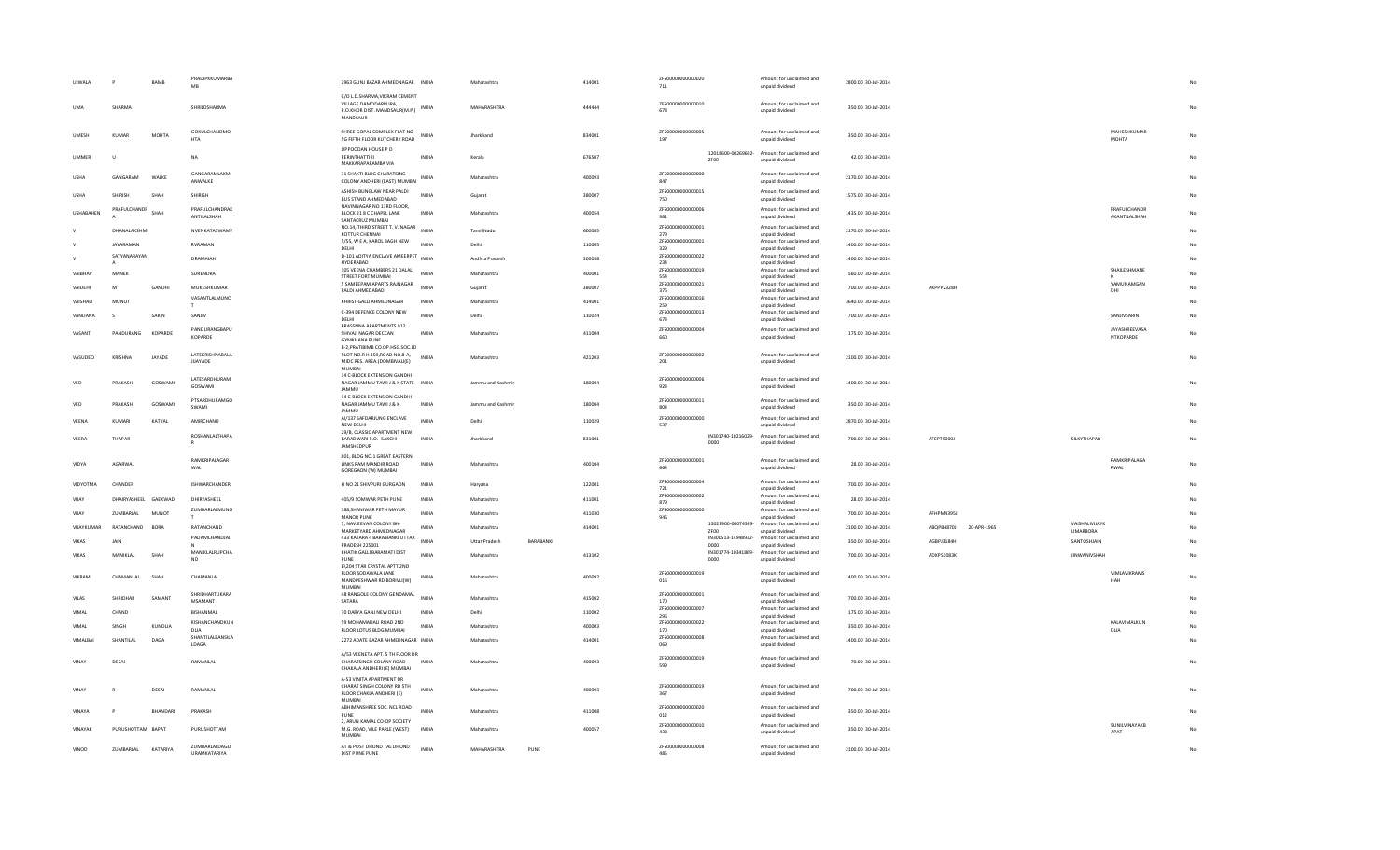| <b>UJWALA</b> |                      | BAMB         | PRADIPKKUMARBA<br>MB               | 2963 GUNJ BAZAR AHMEDNAGAR INDIA                                  |              | Maharashtra               | 414001 | ZFS00000000000020<br>711 |                            | Amount for unclaimed and<br>unpaid dividend                    | 2800.00 30-Jul-2014 |            |             |                     |                      |    |
|---------------|----------------------|--------------|------------------------------------|-------------------------------------------------------------------|--------------|---------------------------|--------|--------------------------|----------------------------|----------------------------------------------------------------|---------------------|------------|-------------|---------------------|----------------------|----|
|               |                      |              |                                    | C/O L.D.SHARMA, VIKRAM CEMENT                                     |              |                           |        |                          |                            |                                                                |                     |            |             |                     |                      |    |
| <b>UMA</b>    | SHARMA               |              | SHRILDSHARMA                       | VILLAGE DAMODARPURA.<br>P.O.KHOR DIST. MANDSAUR(M.P.) INDIA       |              | MAHARASHTRA               | 444444 | ZFS00000000000010<br>678 |                            | Amount for unclaimed and                                       | 350.00 30-Jul-2014  |            |             |                     |                      |    |
|               |                      |              |                                    | MANDSAUR                                                          |              |                           |        |                          |                            | unpaid dividend                                                |                     |            |             |                     |                      |    |
|               |                      |              |                                    |                                                                   |              |                           |        |                          |                            |                                                                |                     |            |             |                     |                      |    |
| UMESH         | <b>KUMAR</b>         | <b>MOHTA</b> | GOKULCHANDMO<br><b>HTA</b>         | SHREE GOPAL COMPLEX FLAT NO<br>5G FIFTH FLOOR KUTCHERY ROAD       | <b>INDIA</b> | Jharkhand                 | 834001 | ZFS00000000000005<br>197 |                            | Amount for unclaimed and<br>unpaid dividend                    | 350.00 30-Jul-2014  |            |             |                     | MAHESHKUMAR<br>MOHTA |    |
|               |                      |              |                                    | UPPOODAN HOUSE PO                                                 |              |                           |        |                          |                            |                                                                |                     |            |             |                     |                      |    |
| <b>UMMER</b>  | $\mathbf{u}$         |              | NA                                 | PERINTHATTIRI                                                     | <b>INDIA</b> | Kerala                    | 676507 |                          | ZF00                       | 12018600-00269602- Amount for unclaimed and<br>unpaid dividend | 42.00 30-Jul-2014   |            |             |                     |                      |    |
|               |                      |              |                                    | MAKKARAPARAMBA VIA                                                |              |                           |        |                          |                            |                                                                |                     |            |             |                     |                      |    |
| USHA          | GANGARAM             | WALKE        | GANGARAMLAXM                       | 31 SHAKTI BLDG CHARATSING<br>COLONY ANDHERI (EAST) MUMBAI         | INDIA        | Maharashtra               | 400093 | ZFS00000000000000<br>847 |                            | Amount for unclaimed and                                       | 2170.00 30-Jul-2014 |            |             |                     |                      |    |
|               |                      |              | ANWALKE                            |                                                                   |              |                           |        |                          |                            | unpaid dividend                                                |                     |            |             |                     |                      |    |
| LISHA         | SHIRISH              | SHAH         | SHIRISH                            | ASHISH BUNGLAW NEAR PALDI<br>BUS STAND AHMEDABAD                  | <b>INDIA</b> | Gujarat                   | 380007 | ZFS00000000000015<br>750 |                            | Amount for unclaimed and<br>unpaid dividend                    | 1575.00 30-Jul-2014 |            |             |                     |                      |    |
|               | PRAFULCHANDR         |              | PRAFULCHANDRAK                     | NAVINNAGAR NO 13RD FLOOR.                                         |              |                           |        | ZFS00000000000006        |                            | Amount for unclaimed and                                       |                     |            |             |                     | PRAFULCHANDR         |    |
| USHABAHEN     |                      | SHAH         | ANTILALSHAH                        | BLOCK 21 8 C CHAPEL LANE<br>SANTACRUZ MUMBAI                      | INDIA        | Maharashtra               | 400054 | 981                      |                            | unpaid dividend                                                | 1435.00 30-Jul-2014 |            |             |                     | AKANTILALSHAH        |    |
|               | DHANALAKSHMI         |              | NVENKATASWAMY                      | NO.14, THIRD STREET T. V. NAGAR                                   | <b>INDIA</b> | <b>Tamil Nadu</b>         | 600085 | ZFS00000000000001        |                            | Amount for unclaimed and                                       | 2170.00 30-Jul-2014 |            |             |                     |                      |    |
|               |                      |              |                                    | KOTTUR CHENNAL<br>5/55, W E A, KAROL BAGH NEW                     |              |                           |        | 279<br>ZFS00000000000001 |                            | unpaid dividend<br>Amount for unclaimed and                    |                     |            |             |                     |                      |    |
|               | <b>JAYARAMAN</b>     |              | RVRAMAN                            | DELHI                                                             | INDIA        | Delhi                     | 110005 | 329                      |                            | unpaid dividend                                                | 1400.00 30-Jul-2014 |            |             |                     |                      |    |
|               | SATYANARAYAN         |              | DRAMAIAH                           | D-101 ADITYA ENCLAVE AMEERPET INDIA<br>HYDERABAD                  |              | Andhra Pradesh            | 500038 | ZFS00000000000022<br>234 |                            | Amount for unclaimed and<br>unpaid dividend                    | 1400.00 30-Jul-2014 |            |             |                     |                      |    |
| VAIBHAV       | MANEK                |              | SURENDRA                           | 105 VEENA CHAMBERS 21 DALAL                                       | <b>INDIA</b> | Maharashtra               | 400001 | ZFS00000000000019        |                            | Amount for unclaimed and                                       | 560.00 30-Jul-2014  |            |             |                     | SHAILESHMANE         |    |
|               |                      |              |                                    | STREET FORT MUMBAI                                                |              |                           |        | 554<br>ZFS00000000000021 |                            | unpaid dividend                                                |                     |            |             |                     | YAMUNAMGAN           |    |
| VAIDEHI       | M                    | GANDHI       | MUKESHKUMAR                        | 5 SAMEEPAM APARTS RAJNAGAR<br>PALDI AHMEDABAD                     | INDIA        | Gujarat                   | 380007 | 376                      |                            | Amount for unclaimed and<br>unpaid dividend                    | 700.00 30-Jul-2014  | AKPPP2328H |             |                     | DHI                  |    |
| VAISHALI      | MUNOT                |              | VASANTLALMUNO                      | KHRIST GALLI AHMEDNAGAR                                           | INDIA        | Maharashtra               | 414001 | ZFS00000000000016        |                            | Amount for unclaimed and                                       | 3640.00 30-Jul-2014 |            |             |                     |                      |    |
|               |                      |              | T.                                 | C-394 DEFENCE COLONY NEW                                          |              |                           |        | 259<br>ZFS00000000000013 |                            | unpaid dividend<br>Amount for unclaimed and                    |                     |            |             |                     |                      |    |
| VANDANA       | s                    | SARIN        | SANJIV                             | DELHI                                                             | <b>INDIA</b> | Delhi                     | 110024 | 673                      |                            | unpaid dividend                                                | 700.00 30-Jul-2014  |            |             |                     | SANJIVSARIN          | No |
| VASANT        | PANDURANG            | KOPARDE      | PANDURANGBAPU                      | PRASSNNA APARTMENTS 912<br>SHIVAJI NAGAR DECCAN                   | INDIA        | Maharashtra               | 411004 | ZFS00000000000004        |                            | Amount for unclaimed and                                       | 175.00 30-Jul-2014  |            |             |                     | JAYASHREEVASA        | No |
|               |                      |              | KOPARDE                            | <b>GYMKHANA PUNE</b>                                              |              |                           |        | 660                      |                            | unpaid dividend                                                |                     |            |             |                     | NTKOPARDE            |    |
|               |                      |              |                                    | B-2, PRATIBIMB CO.OP. HSG.SOC.LD                                  |              |                           |        |                          |                            |                                                                |                     |            |             |                     |                      |    |
| VASUDEO       | KRISHNA              | JAYADE       | LATEKRISHNABALA<br><b>JIJAYADE</b> | PLOT NO.R H 159, ROAD NO.8-A,<br>MIDC RES. AREA.(DOMBIVALI(E)     | <b>INDIA</b> | Maharashtra               | 421203 | ZFS00000000000002<br>201 |                            | Amount for unclaimed and<br>unpaid dividend                    | 2100.00 30-Jul-2014 |            |             |                     |                      |    |
|               |                      |              |                                    | <b>MUMBAI</b>                                                     |              |                           |        |                          |                            |                                                                |                     |            |             |                     |                      |    |
| VFD           | PRAKASH              | GOSWAMI      | LATESARDHURAM                      | 14 C-BLOCK EXTENSION GANDHI<br>NAGAR JAMMU TAWI J & K STATE INDIA |              | Jammu and Kashmir         | 180004 | ZFS00000000000006        |                            | Amount for unclaimed and                                       | 1400.00 30-Jul-2014 |            |             |                     |                      |    |
|               |                      |              | GOSWAMI                            | <b>IAMMU</b>                                                      |              |                           |        | 923                      |                            | unpaid dividend                                                |                     |            |             |                     |                      |    |
| VED           | PRAKASH              | GOSWAMI      | PTSARDHURAMGO                      | 14 C-BLOCK EXTENSION GANDHI<br>NAGAR JAMMU TAWI J & K             | INDIA        | Jammu and Kashmi          | 180004 | ZFS00000000000011        |                            | Amount for unclaimed and                                       | 350.00 30-Jul-2014  |            |             |                     |                      |    |
|               |                      |              | SWAMI                              | JAMMU                                                             |              |                           |        | 804                      |                            | unpaid dividend                                                |                     |            |             |                     |                      |    |
| VEENA         | KUMARI               | KATYAL       | AMIRCHAND                          | AI/137 SAFDARJUNG ENCLAVE                                         | <b>INDIA</b> | Delhi                     | 110029 | ZFS00000000000000<br>537 |                            | Amount for unclaimed and                                       | 2870.00 30-Jul-2014 |            |             |                     |                      |    |
|               |                      |              | ROSHANLALTHAPA                     | NEW DELHI<br>29/B, CLASSIC APARTMENT NEW                          |              |                           |        |                          |                            | unpaid dividend                                                |                     |            |             |                     |                      |    |
| VEERA         | THAPAR               |              | R                                  | BARADWARI P.O.- SAKCHI                                            | <b>INDIA</b> | Jharkhand                 | 831001 |                          | IN301740-10216029-<br>0000 | Amount for unclaimed and<br>unpaid dividend                    | 700.00 30-Jul-2014  | AFEPT9000J |             | SILKYTHAPAR         |                      |    |
|               |                      |              |                                    | JAMSHEDPUR                                                        |              |                           |        |                          |                            |                                                                |                     |            |             |                     |                      |    |
| VIDYA         | AGARWAL              |              | RAMKRIPALAGAR                      | 801, BLDG NO.1 GREAT EASTERN<br>LINKS RAM MANDIR ROAD,            | INDIA        | Maharashtra               | 400104 | ZFS00000000000001        |                            | Amount for unclaimed and                                       | 28.00 30-Jul-2014   |            |             |                     | RAMKRIPALAGA         |    |
|               |                      |              | WAI                                | GOREGAON (W) MUMBAI                                               |              |                           |        | 664                      |                            | unpaid dividend                                                |                     |            |             |                     | RWAI                 |    |
| VIDYOTMA      | CHANDER              |              | ISHWARCHANDER                      | H NO 21 SHIVPURI GURGAON                                          | INDIA        | Haryana                   | 122001 | ZFS00000000000004        |                            | Amount for unclaimed and                                       | 700.00 30-Jul-2014  |            |             |                     |                      |    |
|               |                      |              |                                    |                                                                   |              |                           |        | 721<br>ZFS00000000000002 |                            | unpaid dividend<br>Amount for unclaimed and                    |                     |            |             |                     |                      |    |
| VIJAY         | DHAIRYASHEEL GAEKWAD |              | DHIRYASHEEL                        | 405/9 SOMWAR PETH PUNE                                            | <b>INDIA</b> | Maharashtra               | 411001 | 879                      |                            | unpaid dividend                                                | 28.00 30-Jul-2014   |            |             |                     |                      |    |
| VIJAY         | ZUMBARLAL            | <b>MUNOT</b> | ZUMBARLALMUNO                      | 388, SHANIWAR PETH MAYUR<br>MANOR PUNE                            | <b>INDIA</b> | Maharashtra               | 411030 | ZFS00000000000000<br>946 |                            | Amount for unclaimed and<br>unpaid dividend                    | 700.00 30-Jul-2014  | AFHPM4395J |             |                     |                      |    |
| VIJAYKUMA     | RATANCHAND           | <b>BORA</b>  | RATANCHAND                         | 7. NAVJEEVAN COLONY BH-                                           | INDIA        | Maharashtra               | 414001 |                          |                            | 13021900-00074569- Amount for unclaimed and                    | 2100.00 30-Jul-2014 | ABQPB4870J | 20-APR-1965 | VAISHALIVIJAYK      |                      |    |
|               |                      |              |                                    | MARKETYARD AHMEDNAGAR                                             |              |                           |        |                          | 7F00                       | unpaid dividend                                                |                     |            |             | <b>UMARRORA</b>     |                      |    |
| VIKAS         | JAIN                 |              | PADAMCHANDIA<br>N                  | 433 KATARA 4 BARA BANKI UTTAR<br>PRADESH 225001                   | <b>INDIA</b> | Uttar Pradesh<br>BARABANK |        |                          | IN300513-14948932-<br>0000 | Amount for unclaimed and<br>unpaid dividend                    | 350.00 30-Jul-2014  | AGBPJ3184H |             | SANTOSHJAIN         |                      |    |
| VIKAS         | MANIKLAL             | SHAH         | MANIKLALRUPCHA                     | KHATIK GALLI BARAMATI DIST                                        | <b>INDIA</b> | Maharashtra               | 413102 |                          | IN301774-10341869-         | Amount for unclaimed and                                       | 700.00 30-Jul-2014  | ADXPS1083K |             | <b>JINWANIVSHAH</b> |                      |    |
|               |                      |              | <b>ND</b>                          | PUNE                                                              |              |                           |        |                          | 0000                       | unpaid dividend                                                |                     |            |             |                     |                      |    |
| <b>VIKRAM</b> |                      |              |                                    |                                                                   |              |                           |        |                          |                            |                                                                |                     |            |             |                     | VIMLAVIKRAMS         |    |
|               | CHAMANI AI           | SHAH         | CHAMANI AI                         | B\204 STAR CRYSTAL APTT 2ND<br>FLOOR SODAWALA LANE                |              | Maharashtra               | 400092 | ZFS00000000000019        |                            | Amount for unclaimed and                                       |                     |            |             |                     |                      |    |
|               |                      |              |                                    | MANDPESHWAR RD BORIVLI(W)                                         | <b>INDIA</b> |                           |        | 016                      |                            | unpaid dividend                                                | 1400.00 30-Jul-2014 |            |             |                     | HAH                  |    |
|               |                      |              | SHRIDHARTUKARA                     | MUMBAI<br>48 RANGOLE COLONY GENDAMAL                              |              |                           |        | ZFS00000000000001        |                            | Amount for unclaimed and                                       |                     |            |             |                     |                      |    |
| VILAS         | SHRIDHAR             | SAMANT       | <b>MSAMANT</b>                     | SATARA                                                            | <b>INDIA</b> | Maharashtra               | 415002 | 170                      |                            | unpaid dividend                                                | 700.00 30-Jul-2014  |            |             |                     |                      |    |
| VIMAL         | CHAND                |              | BISHANMAL                          | 70 DARYA GANJ NEW DELHI                                           | <b>INDIA</b> | Delhi                     | 110002 | ZES00000000000007<br>296 |                            | Amount for unclaimed and                                       | 175.00 30-Jul-2014  |            |             |                     |                      |    |
| VIMAL         | SINGH                | KUNDLIA      | KISHANCHANDKUN                     | 59 MOHAMADALI ROAD 2ND                                            | INDIA        | Maharashtra               |        | ZFS00000000000022        |                            | unpaid dividend<br>Amount for unclaimed and                    |                     |            |             |                     | KALAVIMALKUN         |    |
|               |                      |              | DUA                                | FLOOR LOTUS BLDG MUMBAI                                           |              |                           | 400003 | 170                      |                            | unpaid dividend                                                | 350.00 30-Jul-2014  |            |             |                     | DLIA                 |    |
| VIMALBA       | SHANTILAL            | DAGA         | SHANTILALBANSILA<br>LDAGA          | 2272 ADATE BAZAR AHMEDNAGAR INDIA                                 |              | Maharashtra               | 414001 | ZFS0000000000008<br>069  |                            | Amount for unclaimed and<br>unpaid dividend                    | 1400.00 30-Jul-2014 |            |             |                     |                      |    |
|               |                      |              |                                    | A/53 VEENETA APT, 5 TH FLOOR DR                                   |              |                           |        |                          |                            |                                                                |                     |            |             |                     |                      |    |
| VINAY         | DESAI                |              | RAMANLAI                           | CHARATSINGH COLANY ROAD                                           | INDIA        | Maharashtra               | 400093 | ZFS00000000000019<br>599 |                            | Amount for unclaimed and<br>unpaid dividend                    | 70.00 30-Jul-2014   |            |             |                     |                      |    |
|               |                      |              |                                    | CHAKALA ANDHERI (E) MUMBAI                                        |              |                           |        |                          |                            |                                                                |                     |            |             |                     |                      |    |
|               |                      |              |                                    | A-53 VINITA APARTMENT DR<br>CHARAT SINGH COLONY RD 5TH            |              |                           |        | ZFS00000000000019        |                            | Amount for unclaimed and                                       |                     |            |             |                     |                      |    |
| VINAY         |                      | DESAI        | RAMANLAL                           | FLOOR CHAKLA ANDHERI (E)                                          | INDIA        | Maharashtra               | 400093 | 367                      |                            | unpaid dividend                                                | 700.00 30-Jul-2014  |            |             |                     |                      |    |
|               |                      |              |                                    | MUMBAL                                                            |              |                           |        | ZFS00000000000020        |                            | Amount for unclaimed and                                       |                     |            |             |                     |                      |    |
| VINAYA        |                      | BHANDARI     | PRAKASH                            | ABHIMANSHREE SOC. NCL ROAD<br>PUNE                                | <b>INDIA</b> | Maharashtra               | 411008 | 012                      |                            | unpaid dividend                                                | 350.00 30-Jul-2014  |            |             |                     |                      |    |
| VINAYAK       | PURUSHOTTAM BAPAT    |              | PURUSHOTTAM                        | 2, ARUN KAMAL CO-OP SOCIETY<br>M.G. ROAD, VILE PARLE (WEST)       | <b>INDIA</b> | Maharashtra               | 400057 | 7ES00000000000010        |                            | Amount for unclaimed and                                       | 350.00 30-Jul-2014  |            |             |                     | SUNILVINAYAKB        |    |
|               |                      |              |                                    | <b>MUMBAI</b>                                                     |              |                           |        | 438                      |                            | unpaid dividend                                                |                     |            |             |                     | APAT                 |    |
| VINOD         | ZUMBARLAL            | KATARIYA     | ZUMBARLALDAGD<br>URAMKATARIYA      | AT & POST DHOND TAL DHOND<br>DIST PUNE PUNE                       | <b>INDIA</b> | MAHARASHTRA<br>PUNE       |        | 7ES00000000000008<br>485 |                            | Amount for unclaimed and<br>unpaid dividen                     | 2100.00 30-Jul-2014 |            |             |                     |                      |    |